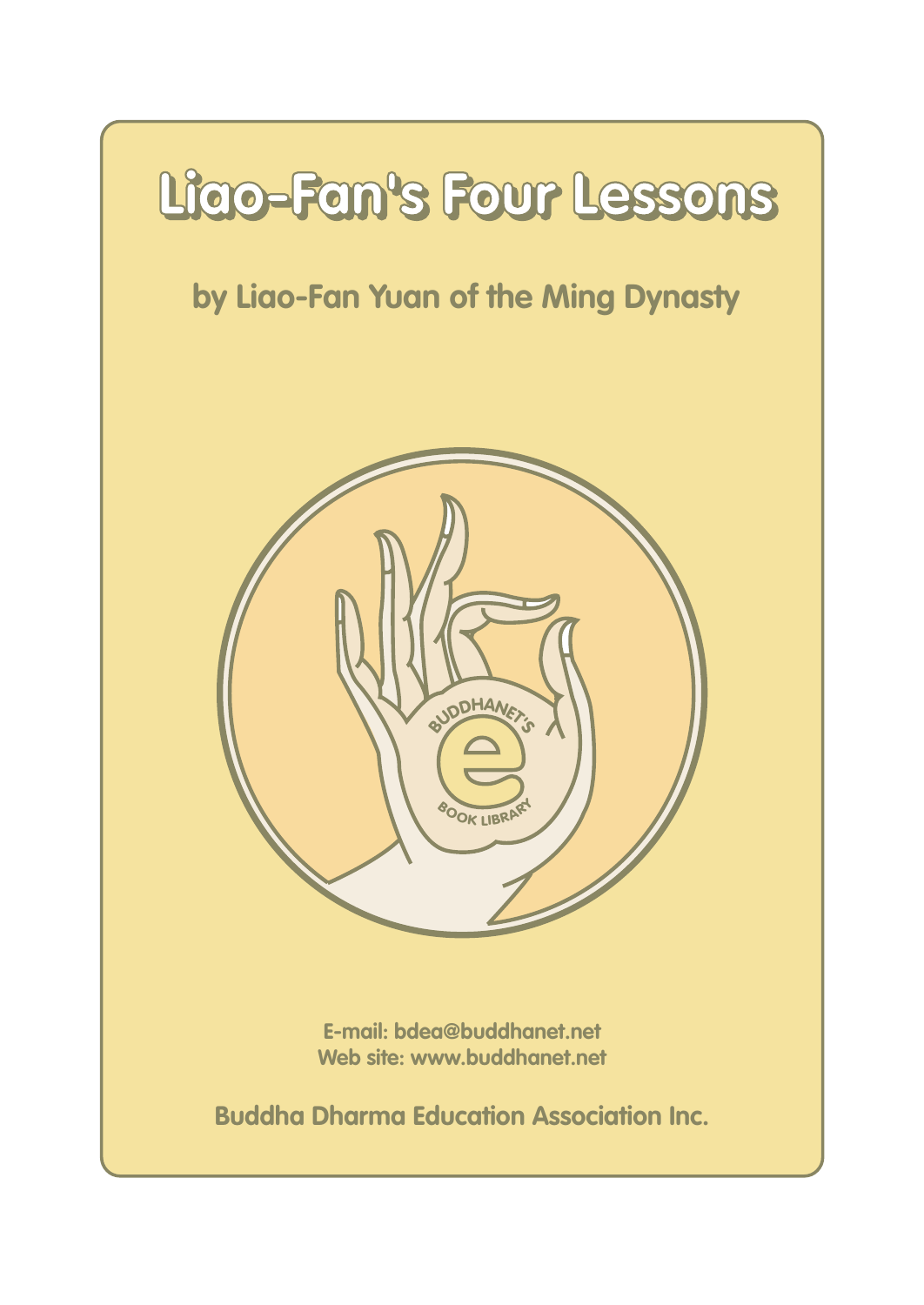# **Liao-Fan's Four Lessons Liao-Fan's Four Lessons**

#### **by Liao-Fan Yuan of the Ming Dynasty**



**E-mail: bdea@buddhanet.net Web site: www.buddhanet.net**

**Buddha Dharma Education Association Inc.**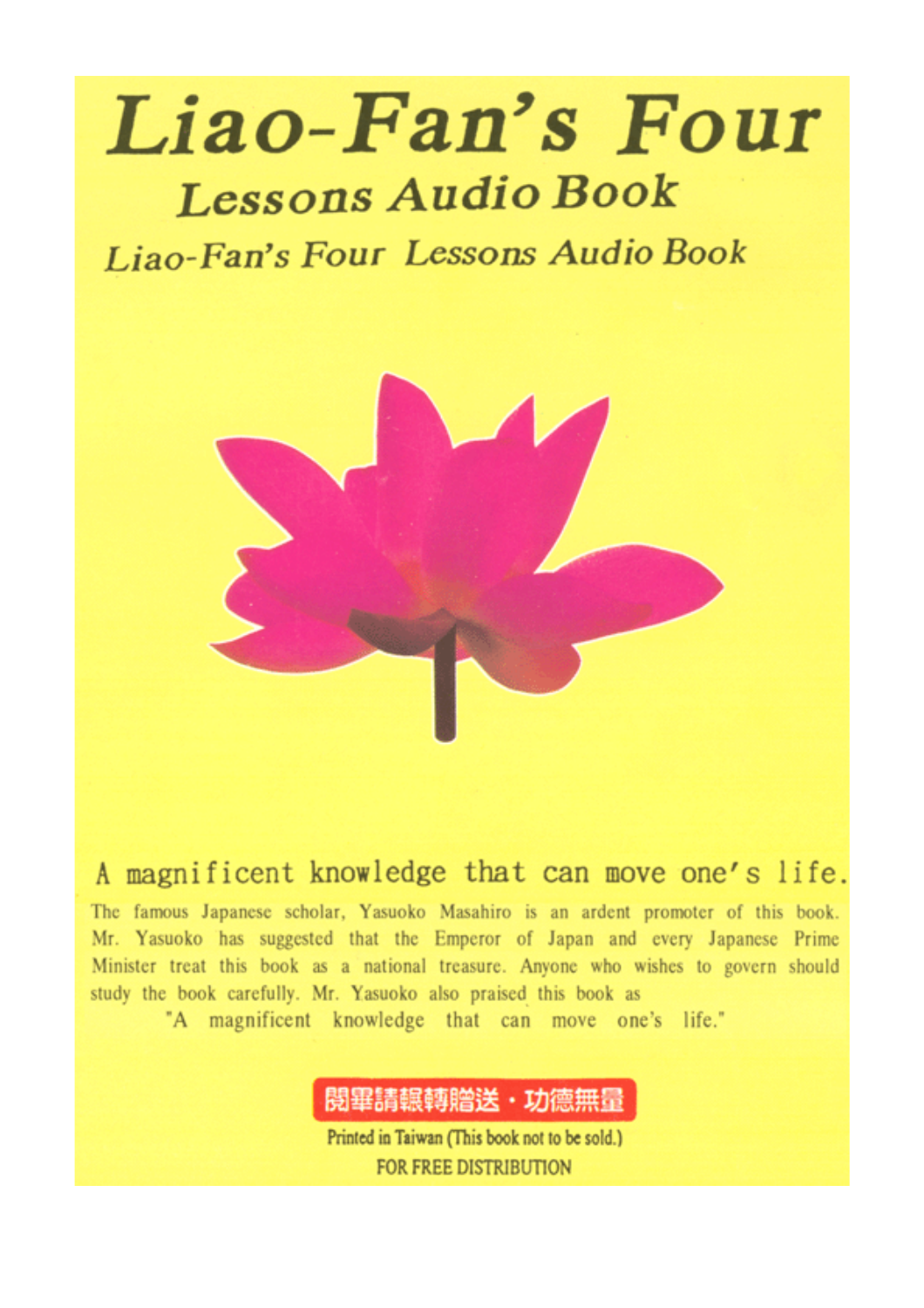## Liao-Fan's Four **Lessons Audio Book**

Liao-Fan's Four Lessons Audio Book



A magnificent knowledge that can move one's life.

The famous Japanese scholar, Yasuoko Masahiro is an ardent promoter of this book. Mr. Yasuoko has suggested that the Emperor of Japan and every Japanese Prime Minister treat this book as a national treasure. Anyone who wishes to govern should study the book carefully. Mr. Yasuoko also praised this book as

"A magnificent knowledge that can move one's life."

閱畢請輾轉贈送・功德無量

Printed in Taiwan (This book not to be sold.) FOR FREE DISTRIBUTION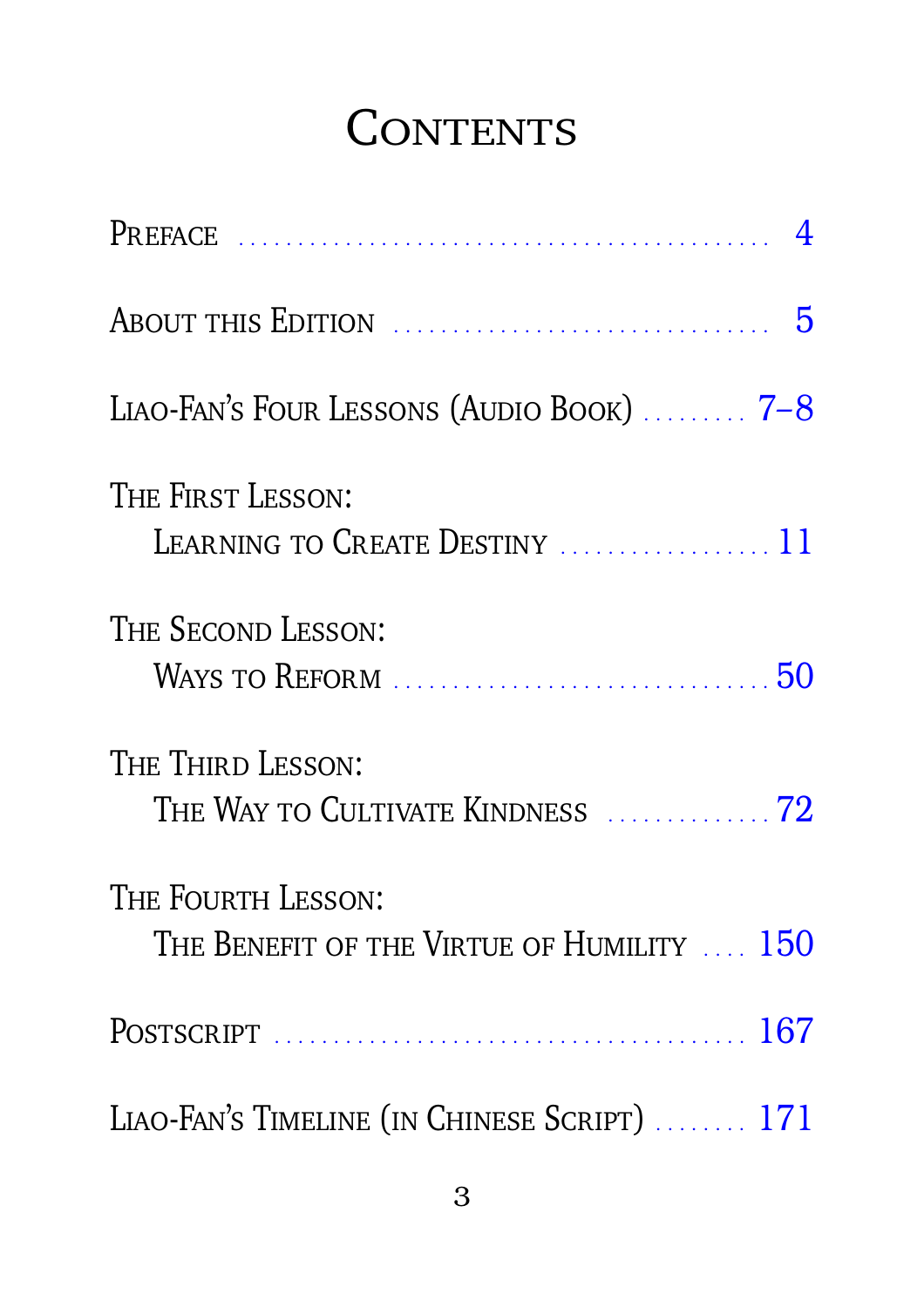### CONTENTS

| LIAO-FAN'S FOUR LESSONS (AUDIO BOOK) $\ldots$ 7-8                |
|------------------------------------------------------------------|
| THE FIRST LESSON:<br>LEARNING TO CREATE DESTINY  11              |
| THE SECOND LESSON:                                               |
| THE THIRD LESSON:<br>THE WAY TO CULTIVATE KINDNESS  72           |
| THE FOURTH LESSON:<br>THE BENEFIT OF THE VIRTUE OF HUMILITY  150 |
|                                                                  |
| LIAO-FAN'S TIMELINE (IN CHINESE SCRIPT)  171                     |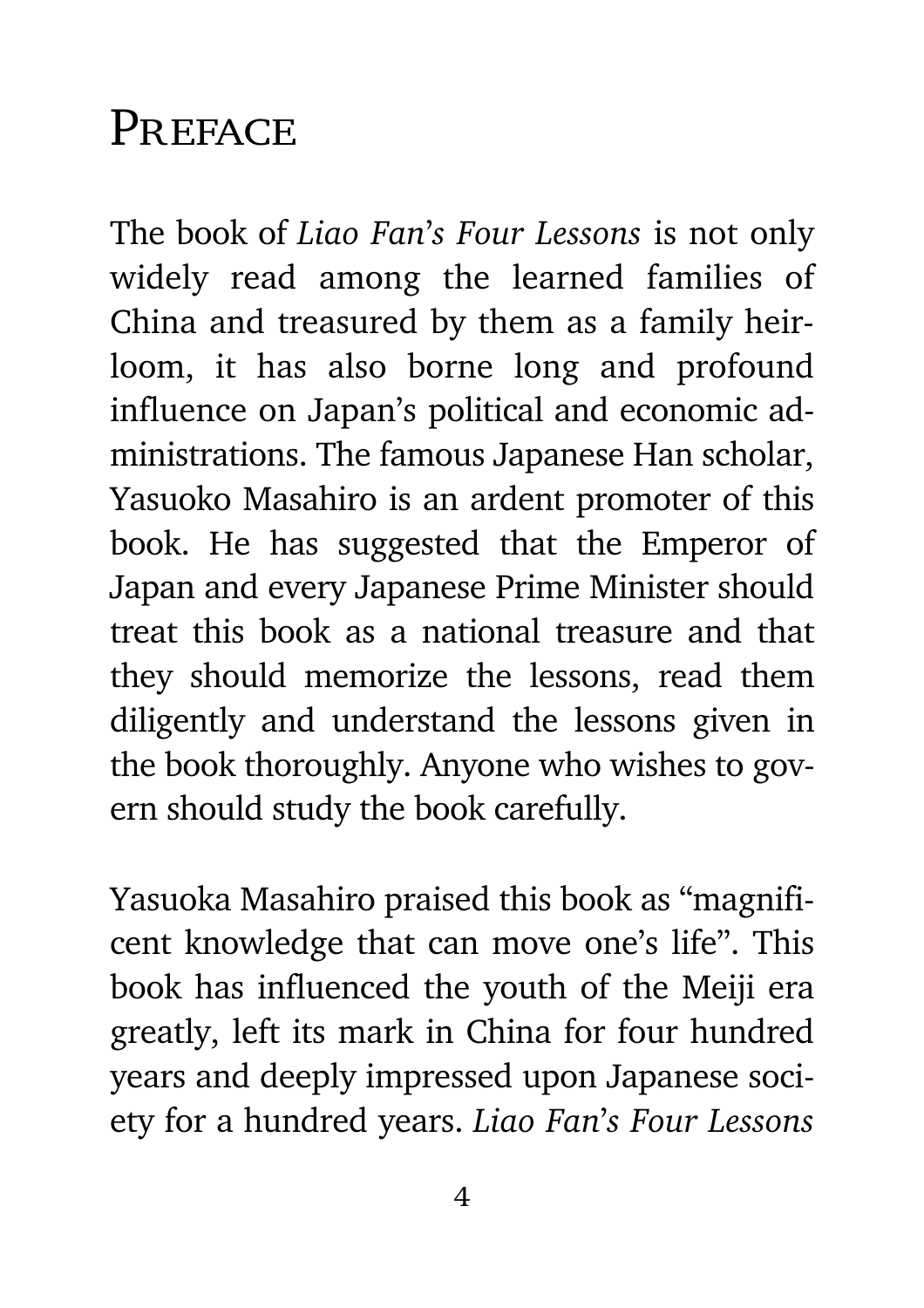#### <span id="page-3-0"></span>PREFACE

The book of *Liao Fan*'*s Four Lessons* is not only widely read among the learned families of China and treasured by them as a family heirloom, it has also borne long and profound influence on Japan's political and economic administrations. The famous Japanese Han scholar, Yasuoko Masahiro is an ardent promoter of this book. He has suggested that the Emperor of Japan and every Japanese Prime Minister should treat this book as a national treasure and that they should memorize the lessons, read them diligently and understand the lessons given in the book thoroughly. Anyone who wishes to govern should study the book carefully.

Yasuoka Masahiro praised this book as "magnificent knowledge that can move one's life". This book has influenced the youth of the Meiji era greatly, left its mark in China for four hundred years and deeply impressed upon Japanese society for a hundred years. *Liao Fan*'*s Four Lessons*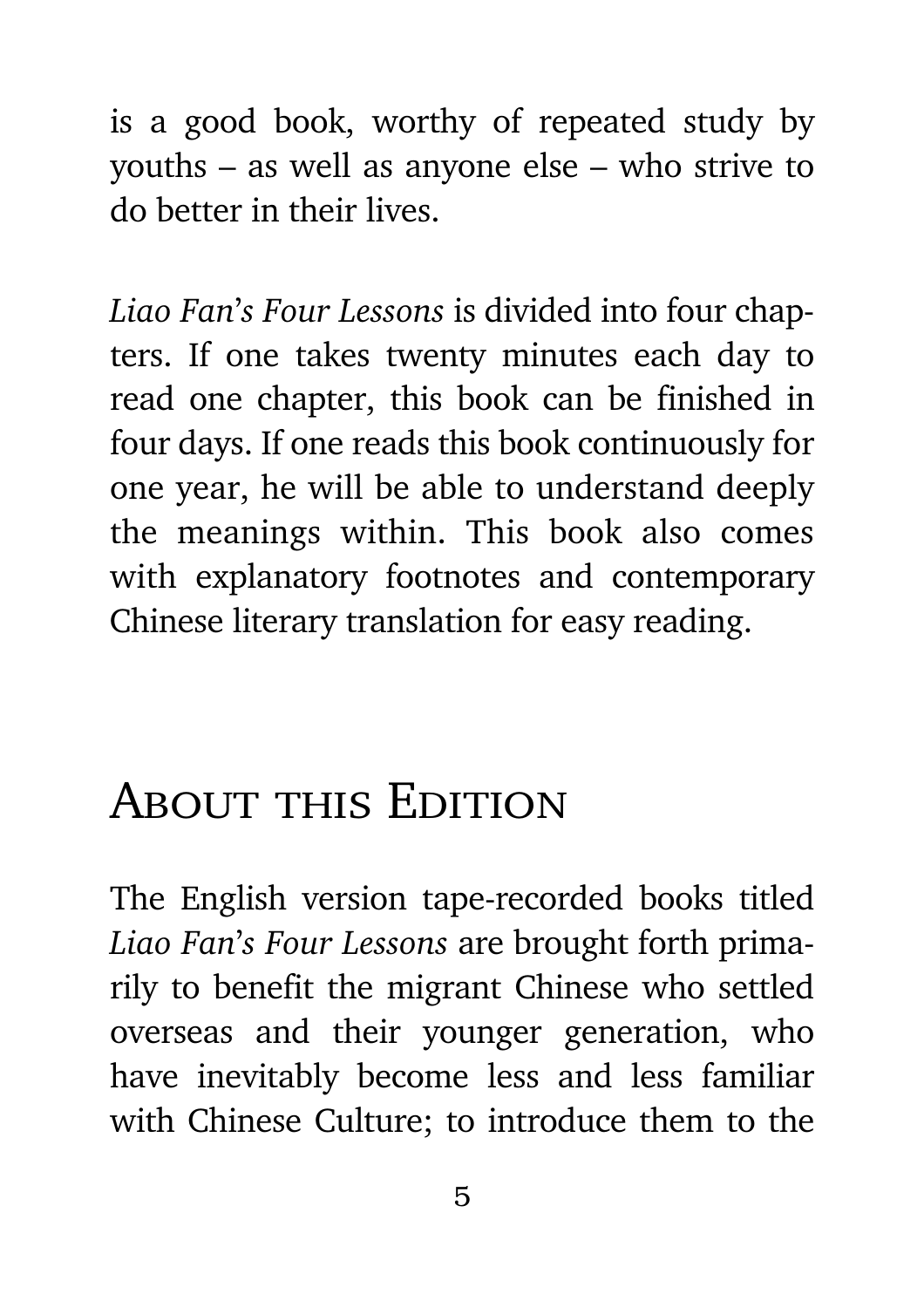<span id="page-4-0"></span>is a good book, worthy of repeated study by youths – as well as anyone else – who strive to do better in their lives.

*Liao Fan*'*s Four Lessons* is divided into four chapters. If one takes twenty minutes each day to read one chapter, this book can be finished in four days. If one reads this book continuously for one year, he will be able to understand deeply the meanings within. This book also comes with explanatory footnotes and contemporary Chinese literary translation for easy reading.

### ABOUT THIS EDITION

The English version tape-recorded books titled *Liao Fan*'*s Four Lessons* are brought forth primarily to benefit the migrant Chinese who settled overseas and their younger generation, who have inevitably become less and less familiar with Chinese Culture; to introduce them to the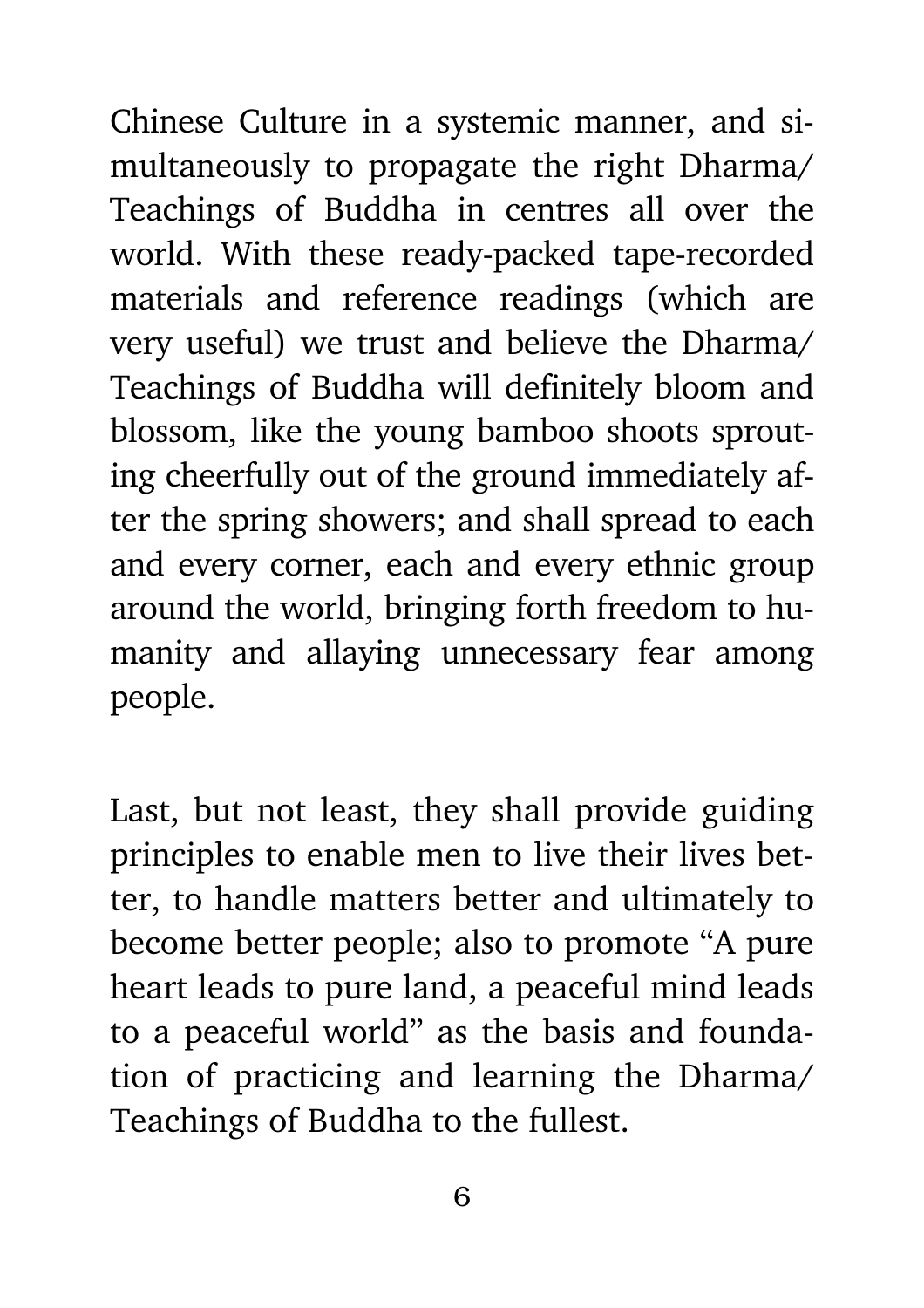Chinese Culture in a systemic manner, and simultaneously to propagate the right Dharma/ Teachings of Buddha in centres all over the world. With these ready-packed tape-recorded materials and reference readings (which are very useful) we trust and believe the Dharma/ Teachings of Buddha will definitely bloom and blossom, like the young bamboo shoots sprouting cheerfully out of the ground immediately after the spring showers; and shall spread to each and every corner, each and every ethnic group around the world, bringing forth freedom to humanity and allaying unnecessary fear among people.

Last, but not least, they shall provide guiding principles to enable men to live their lives better, to handle matters better and ultimately to become better people; also to promote "A pure heart leads to pure land, a peaceful mind leads to a peaceful world" as the basis and foundation of practicing and learning the Dharma/ Teachings of Buddha to the fullest.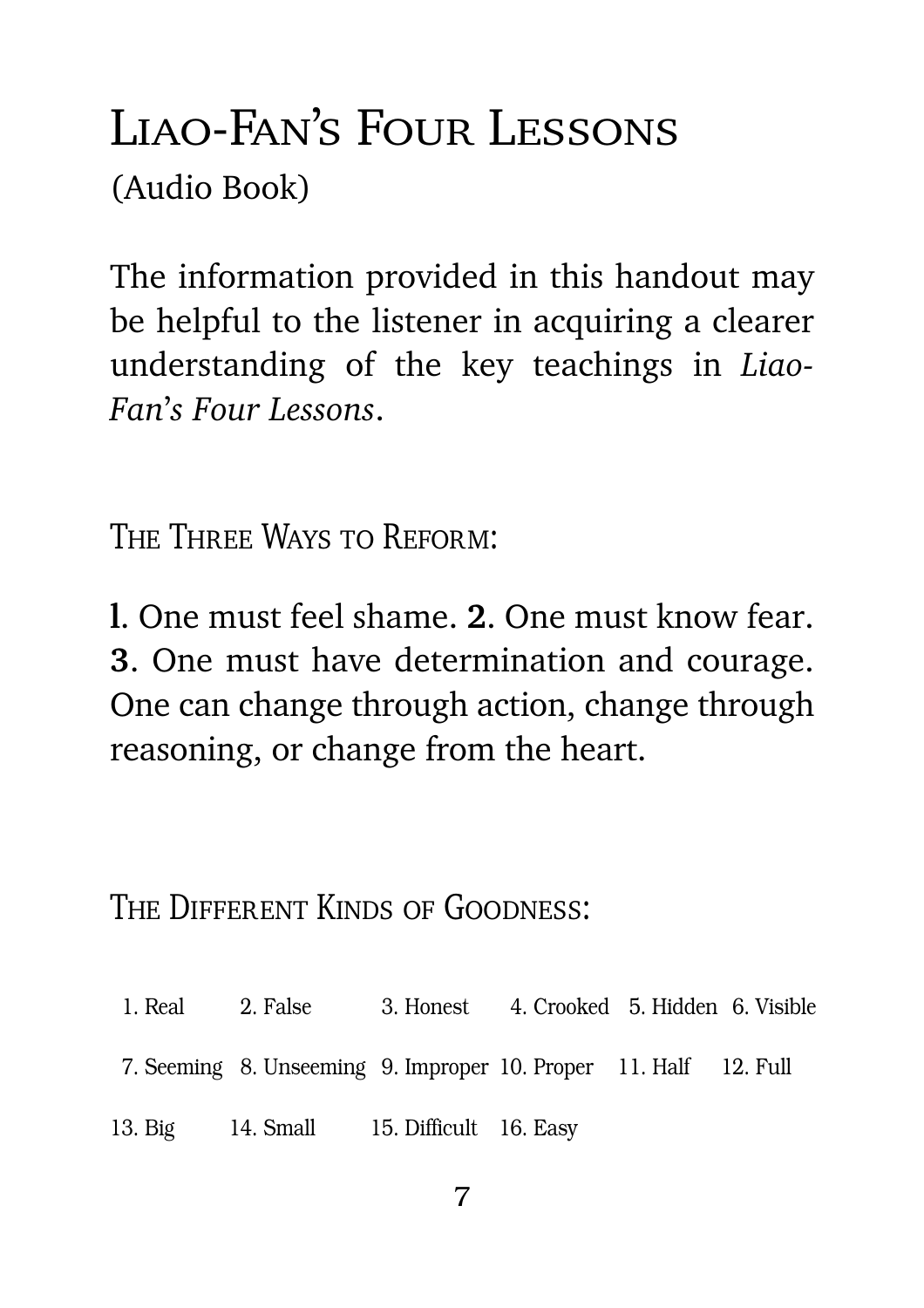#### <span id="page-6-0"></span>Liao-Fan's Four Lessons(Audio Book)

The information provided in this handout may be helpful to the listener in acquiring a clearer understanding of the key teachings in *Liao-Fan*'*s Four Lessons*.

The Three Ways to Reform:

**l**. One must feel shame. **2**. One must know fear. **3**. One must have determination and courage. One can change through action, change through reasoning, or change from the heart.

THE DIFFERENT KINDS OF GOODNESS:

- 1. Real 2. False 3. Honest 4. Crooked 5. Hidden 6. Visible
- 7. Seeming 8. Unseeming 9. Improper 10. Proper 11. Half 12. Full
- 13. Big 14. Small 15. Difficult 16. Easy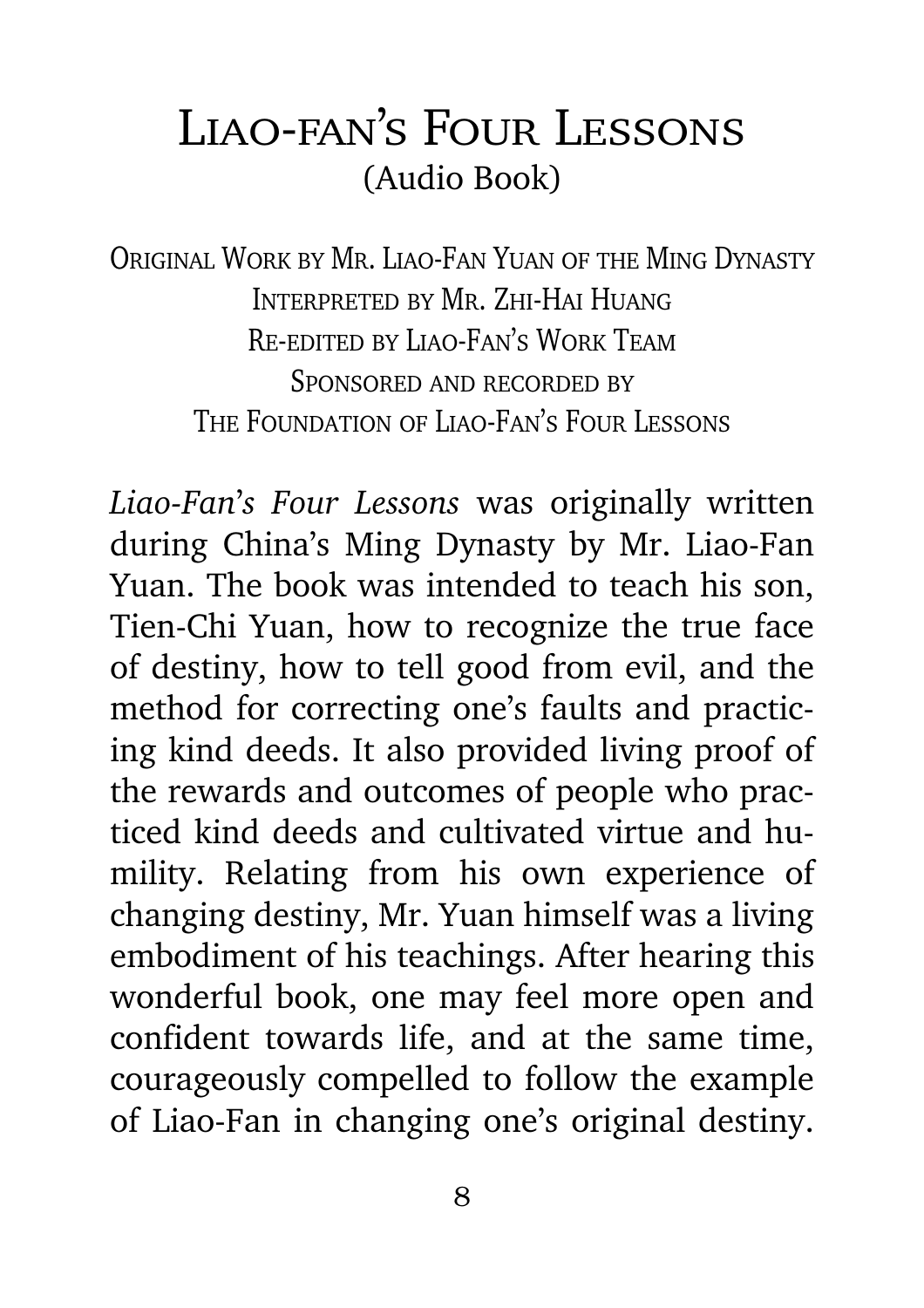#### Liao-fan's Four Lessons (Audio Book)

Original Work by Mr. Liao-Fan Yuan of the Ming DynastyInterpreted by Mr. Zhi-Hai HuangRe-edited by Liao-Fan's Work TeamSponsored and recorded byThe Foundation of Liao-Fan's Four Lessons

*Liao-Fan*'*s Four Lessons* was originally written during China's Ming Dynasty by Mr. Liao-Fan Yuan. The book was intended to teach his son, Tien-Chi Yuan, how to recognize the true face of destiny, how to tell good from evil, and the method for correcting one's faults and practicing kind deeds. It also provided living proof of the rewards and outcomes of people who practiced kind deeds and cultivated virtue and humility. Relating from his own experience of changing destiny, Mr. Yuan himself was a living embodiment of his teachings. After hearing this wonderful book, one may feel more open and confident towards life, and at the same time, courageously compelled to follow the example of Liao-Fan in changing one's original destiny.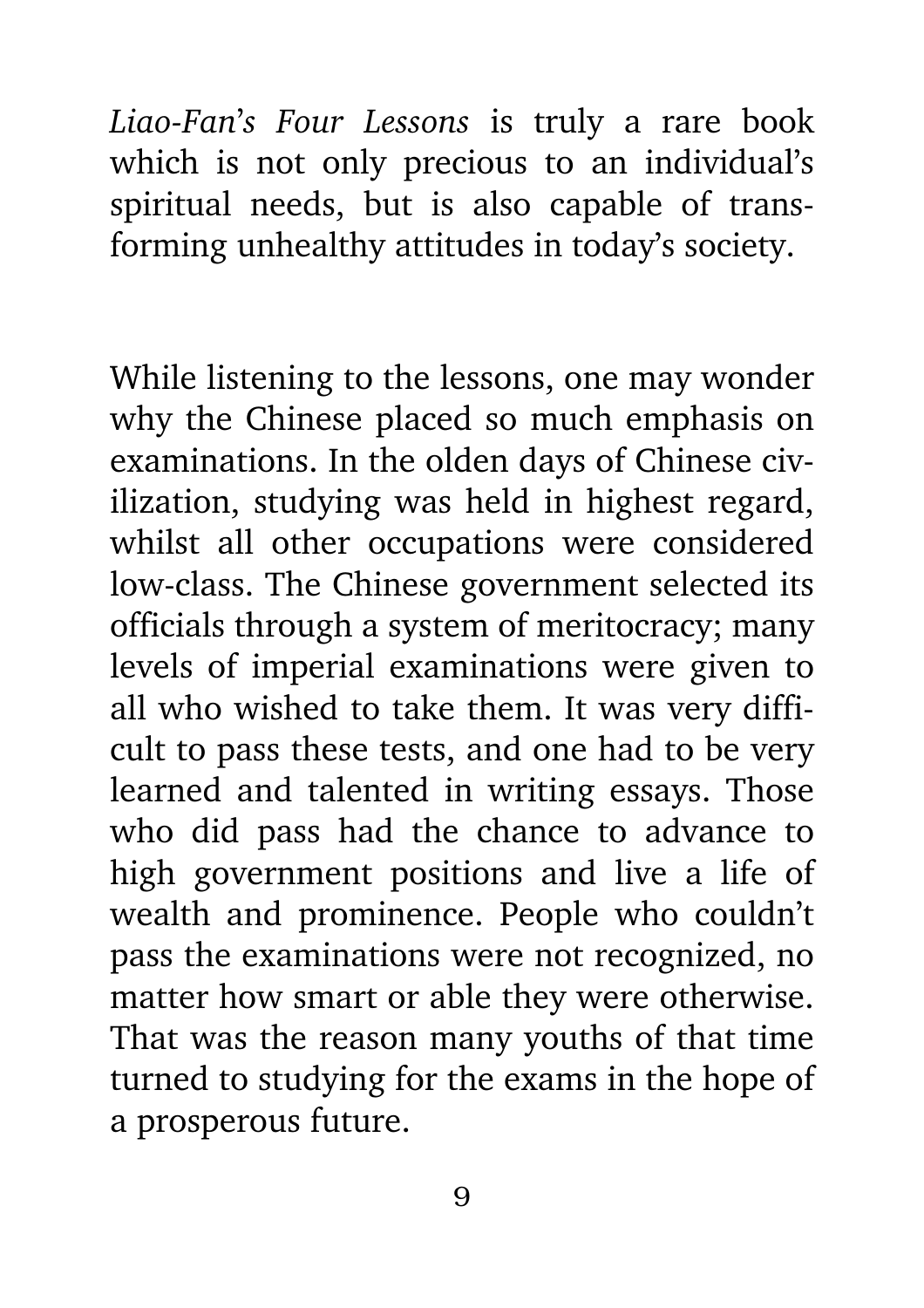*Liao-Fan*'*s Four Lessons* is truly a rare book which is not only precious to an individual's spiritual needs, but is also capable of transforming unhealthy attitudes in today's society.

While listening to the lessons, one may wonder why the Chinese placed so much emphasis on examinations. In the olden days of Chinese civilization, studying was held in highest regard, whilst all other occupations were considered low-class. The Chinese government selected its officials through a system of meritocracy; many levels of imperial examinations were given to all who wished to take them. It was very difficult to pass these tests, and one had to be very learned and talented in writing essays. Those who did pass had the chance to advance to high government positions and live a life of wealth and prominence. People who couldn't pass the examinations were not recognized, no matter how smart or able they were otherwise. That was the reason many youths of that time turned to studying for the exams in the hope of a prosperous future.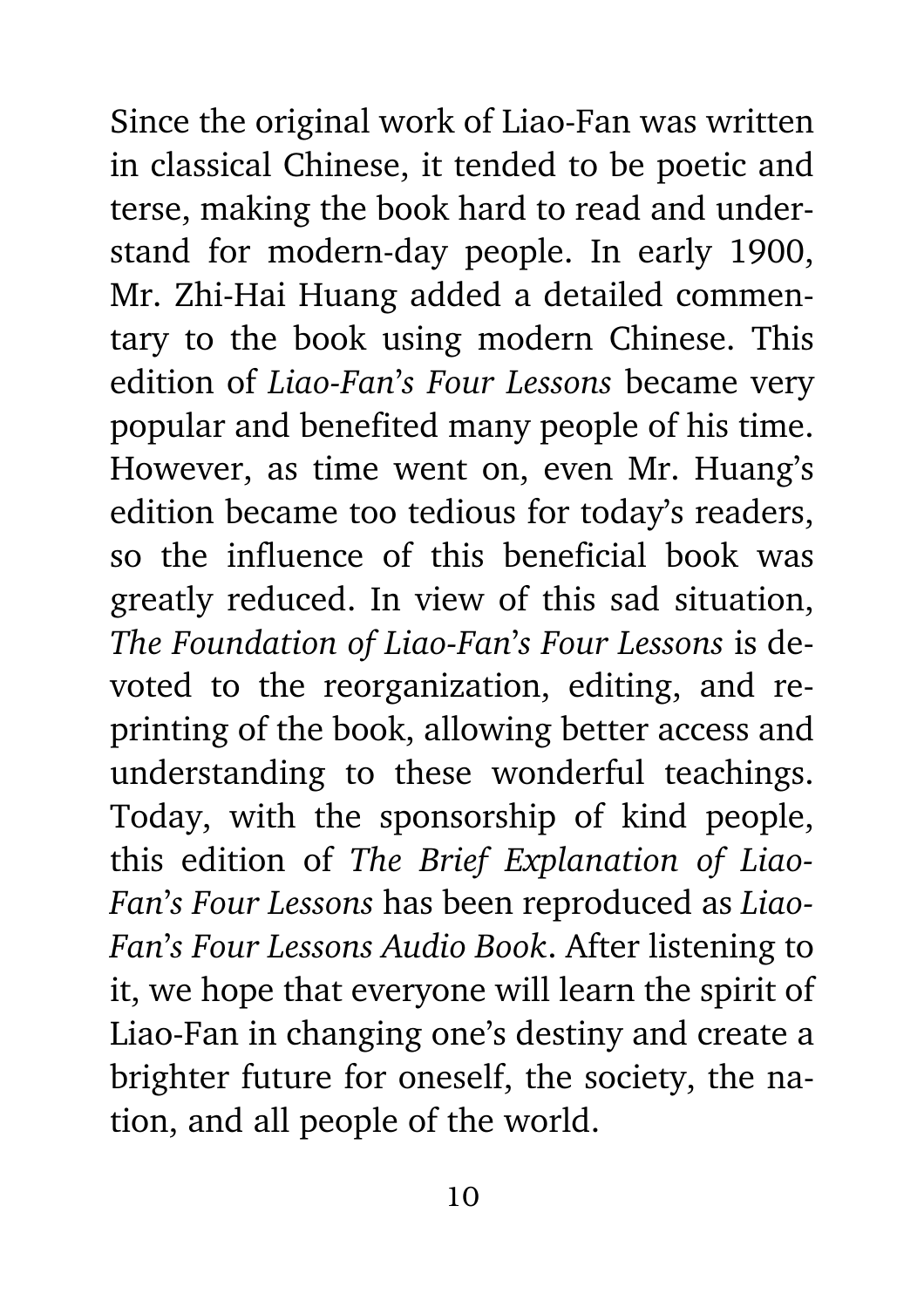Since the original work of Liao-Fan was written in classical Chinese, it tended to be poetic and terse, making the book hard to read and understand for modern-day people. In early 1900, Mr. Zhi-Hai Huang added a detailed commentary to the book using modern Chinese. This edition of *Liao-Fan*'*s Four Lessons* became very popular and benefited many people of his time. However, as time went on, even Mr. Huang's edition became too tedious for today's readers, so the influence of this beneficial book was greatly reduced. In view of this sad situation, *The Foundation of Liao-Fan*'*s Four Lessons* is devoted to the reorganization, editing, and reprinting of the book, allowing better access and understanding to these wonderful teachings. Today, with the sponsorship of kind people, this edition of *The Brief Explanation of Liao-Fan*'*s Four Lessons* has been reproduced as *Liao-Fan*'*s Four Lessons Audio Book*. After listening to it, we hope that everyone will learn the spirit of Liao-Fan in changing one's destiny and create a brighter future for oneself, the society, the nation, and all people of the world.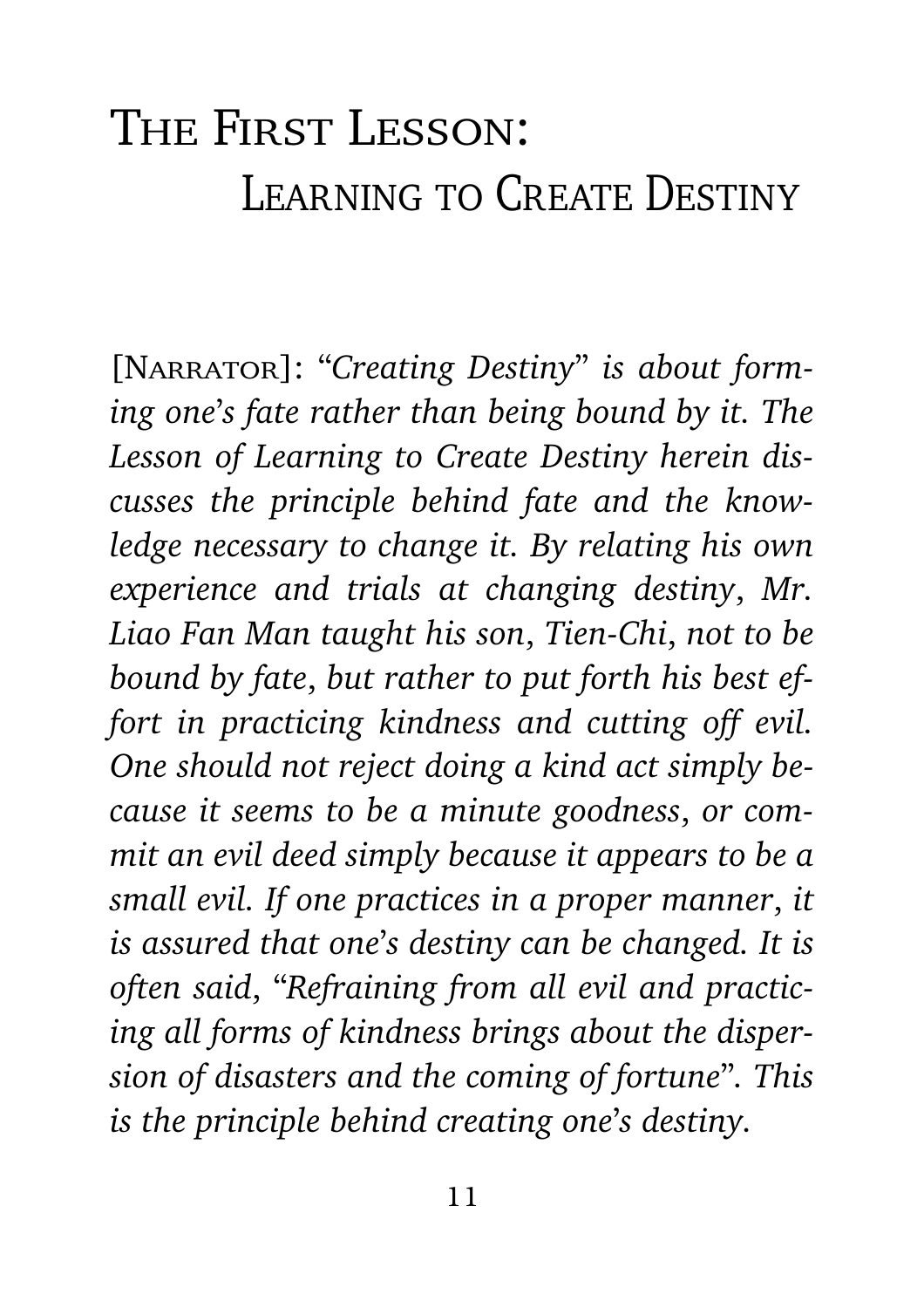### <span id="page-10-0"></span>The First Lesson: LEARNING TO CREATE DESTINY

[Narrator]: "*Creating Destiny*" *is about forming one*'*s fate rather than being bound by it. The Lesson of Learning to Create Destiny herein discusses the principle behind fate and the knowledge necessary to change it. By relating his own experience and trials at changing destiny*, *Mr. Liao Fan Man taught his son*, *Tien-Chi*, *not to be bound by fate*, *but rather to put forth his best effort in practicing kindness and cutting off evil. One should not reject doing a kind act simply because it seems to be a minute goodness*, *or commit an evil deed simply because it appears to be a small evil. If one practices in a proper manner*, *it is assured that one*'*s destiny can be changed. It is often said*, "*Refraining from all evil and practicing all forms of kindness brings about the dispersion of disasters and the coming of fortune*"*. This is the principle behind creating one*'*s destiny.*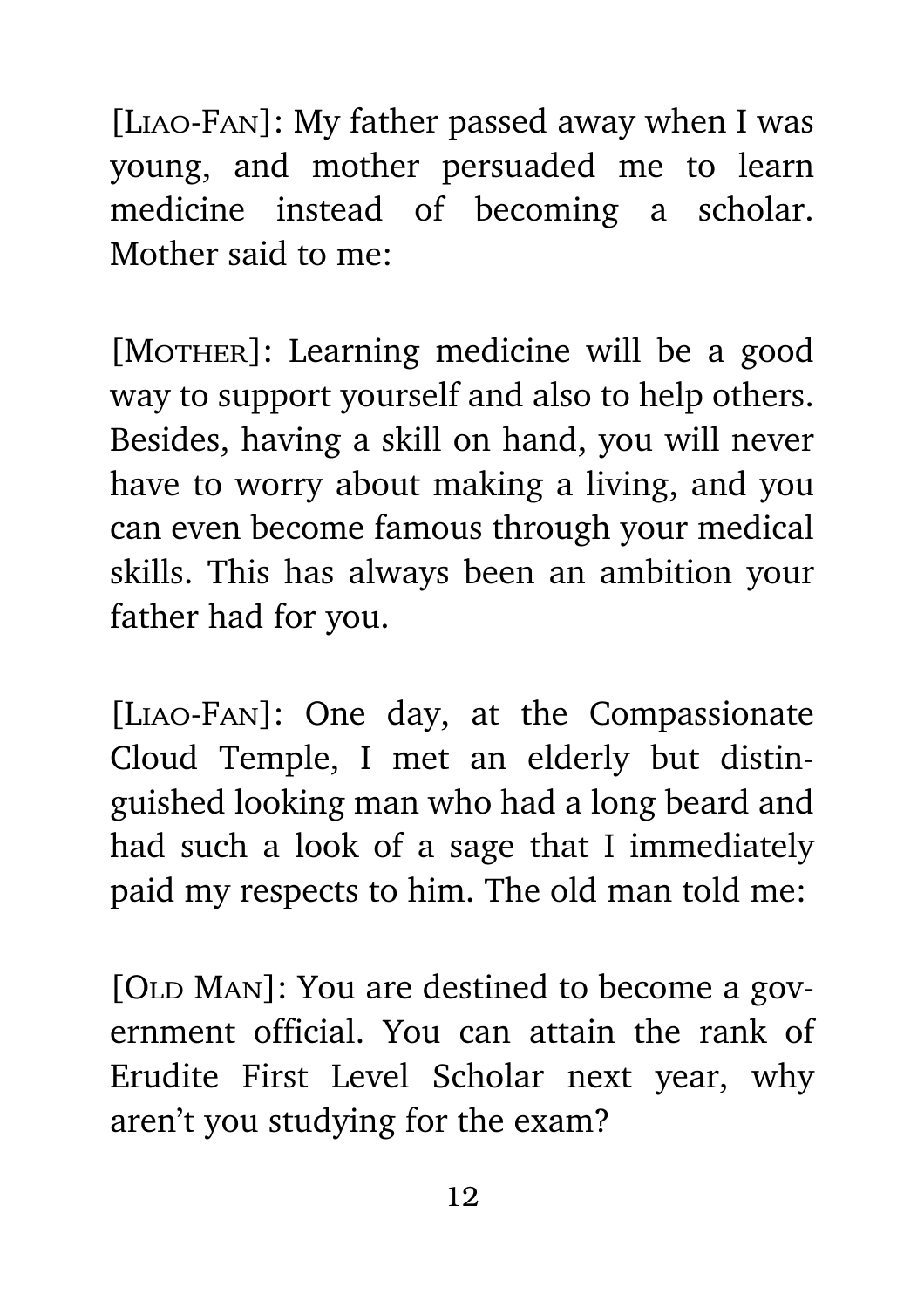[Liao-Fan]: My father passed away when I was young, and mother persuaded me to learn medicine instead of becoming a scholar. Mother said to me:

[MOTHER]: Learning medicine will be a good way to support yourself and also to help others. Besides, having a skill on hand, you will never have to worry about making a living, and you can even become famous through your medical skills. This has always been an ambition your father had for you.

[Liao-Fan]: One day, at the Compassionate Cloud Temple, I met an elderly but distinguished looking man who had a long beard and had such a look of a sage that I immediately paid my respects to him. The old man told me:

[OLD MAN]: You are destined to become a government official. You can attain the rank of Erudite First Level Scholar next year, why aren't you studying for the exam?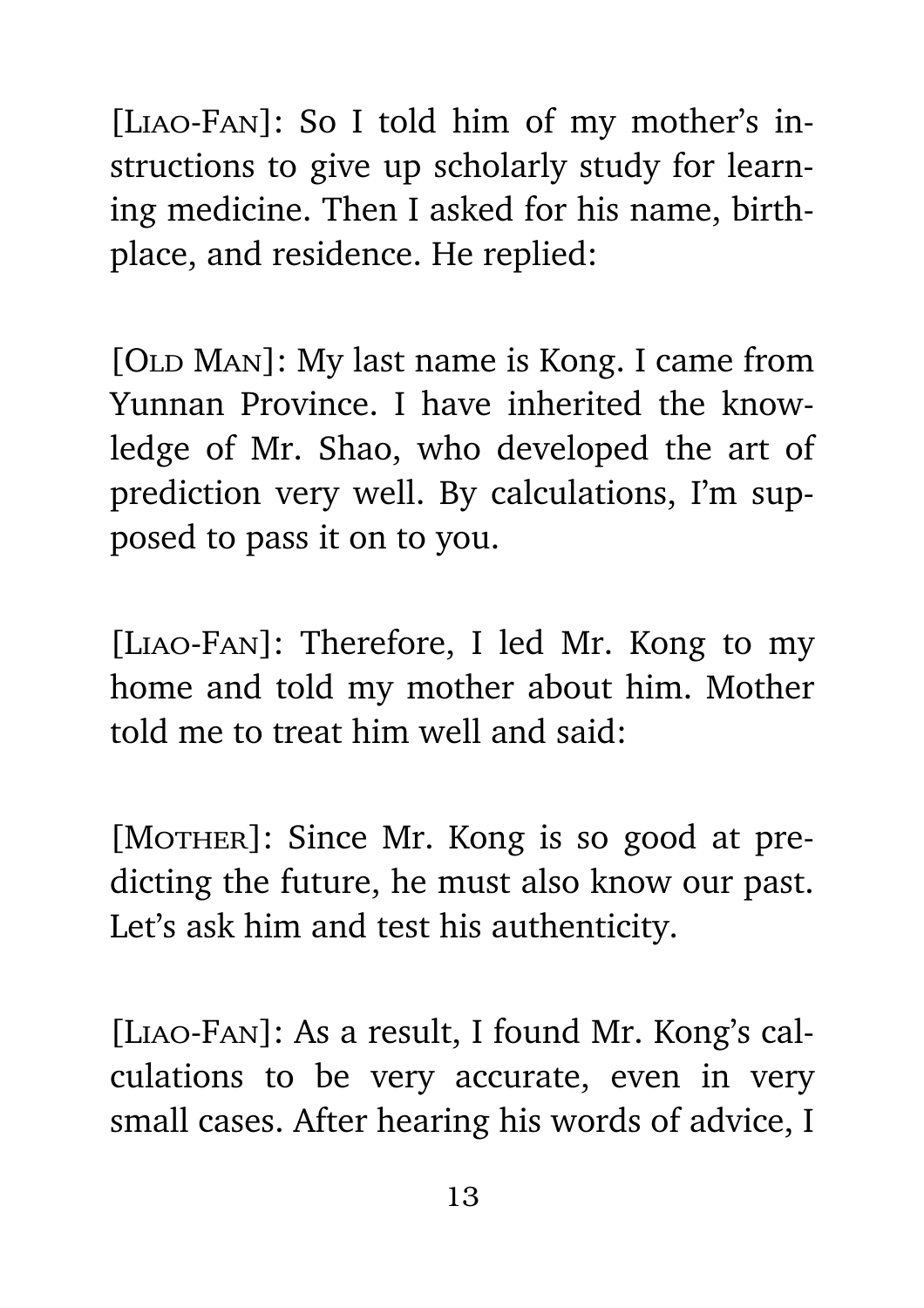[Liao-Fan]: So I told him of my mother's instructions to give up scholarly study for learning medicine. Then I asked for his name, birthplace, and residence. He replied:

[OLD MAN]: My last name is Kong. I came from Yunnan Province. I have inherited the knowledge of Mr. Shao, who developed the art of prediction very well. By calculations, I'm supposed to pass it on to you.

[LIAO-FAN]: Therefore, I led Mr. Kong to my home and told my mother about him. Mother told me to treat him well and said:

[MOTHER]: Since Mr. Kong is so good at predicting the future, he must also know our past. Let's ask him and test his authenticity.

[Liao-Fan]: As a result, I found Mr. Kong's calculations to be very accurate, even in very small cases. After hearing his words of advice, I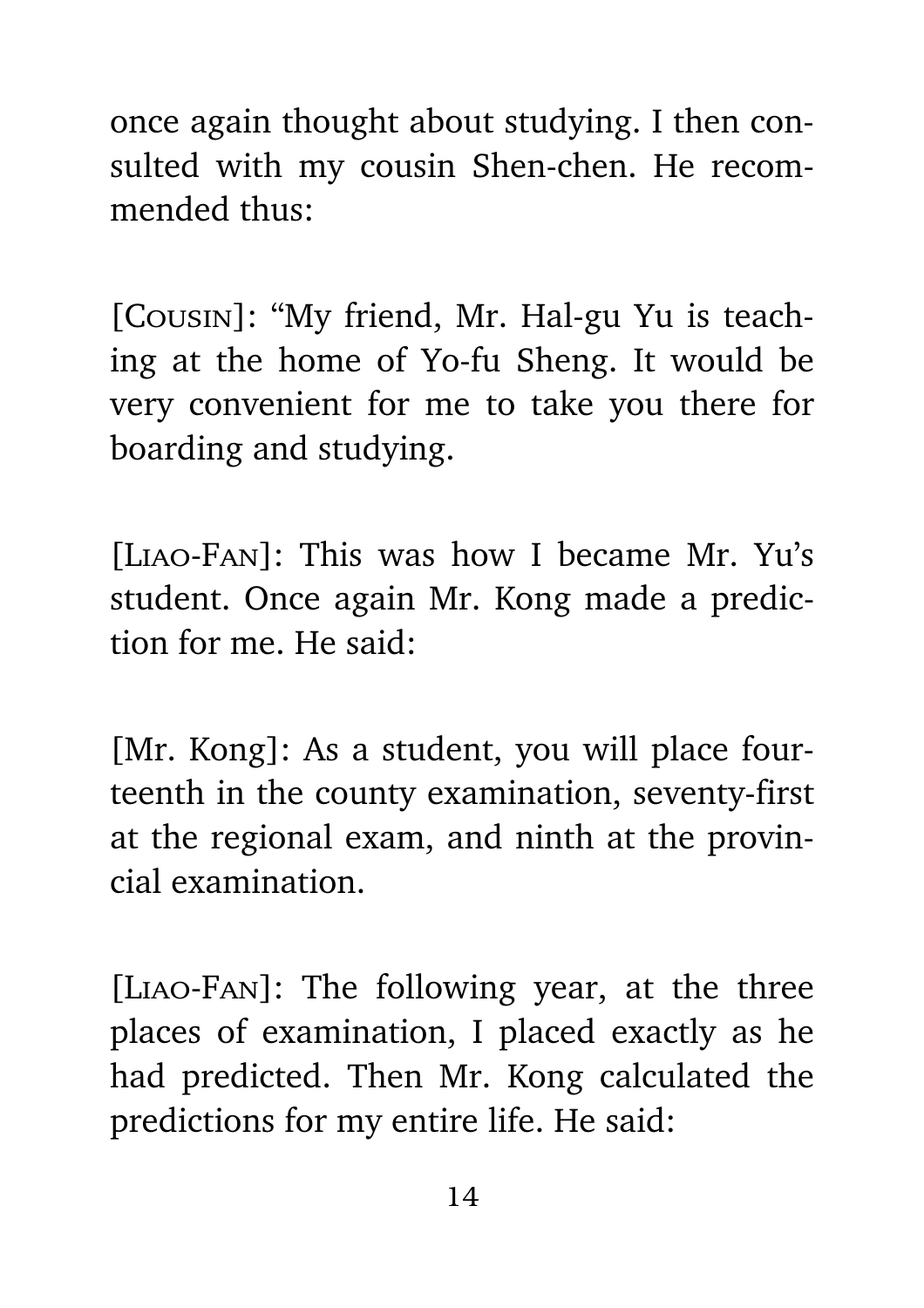once again thought about studying. I then consulted with my cousin Shen-chen. He recommended thus:

[Cousin]: "My friend, Mr. Hal-gu Yu is teaching at the home of Yo-fu Sheng. It would be very convenient for me to take you there for boarding and studying.

[Liao-Fan]: This was how I became Mr. Yu's student. Once again Mr. Kong made a prediction for me. He said:

[Mr. Kong]: As a student, you will place fourteenth in the county examination, seventy-first at the regional exam, and ninth at the provincial examination.

[Liao-Fan]: The following year, at the three places of examination, I placed exactly as he had predicted. Then Mr. Kong calculated the predictions for my entire life. He said: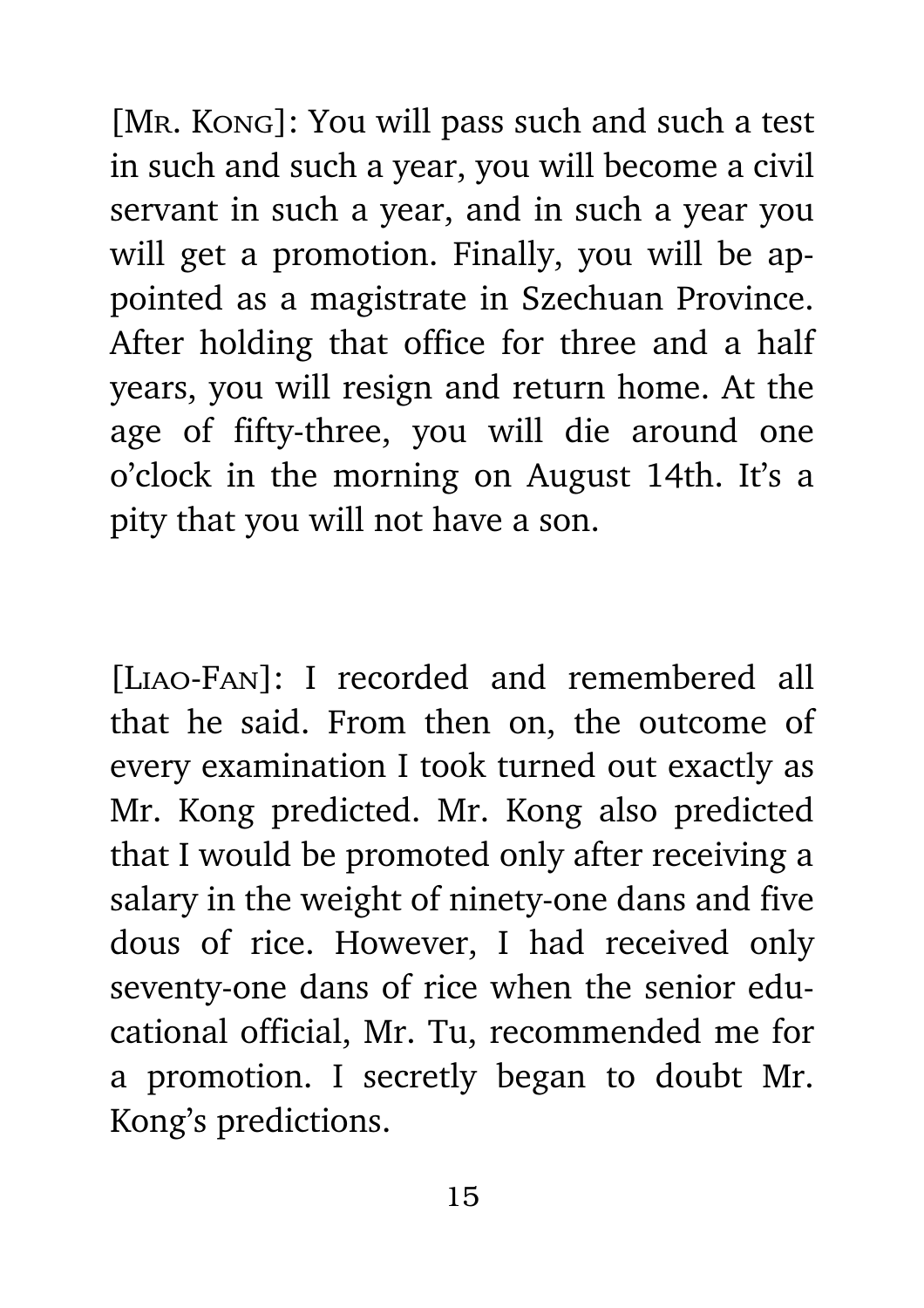[MR. KONG]: You will pass such and such a test in such and such a year, you will become a civil servant in such a year, and in such a year you will get a promotion. Finally, you will be appointed as a magistrate in Szechuan Province. After holding that office for three and a half years, you will resign and return home. At the age of fifty-three, you will die around one o'clock in the morning on August 14th. It's a pity that you will not have a son.

[LIAO-FAN]: I recorded and remembered all that he said. From then on, the outcome of every examination I took turned out exactly as Mr. Kong predicted. Mr. Kong also predicted that I would be promoted only after receiving a salary in the weight of ninety-one dans and five dous of rice. However, I had received only seventy-one dans of rice when the senior educational official, Mr. Tu, recommended me for a promotion. I secretly began to doubt Mr. Kong's predictions.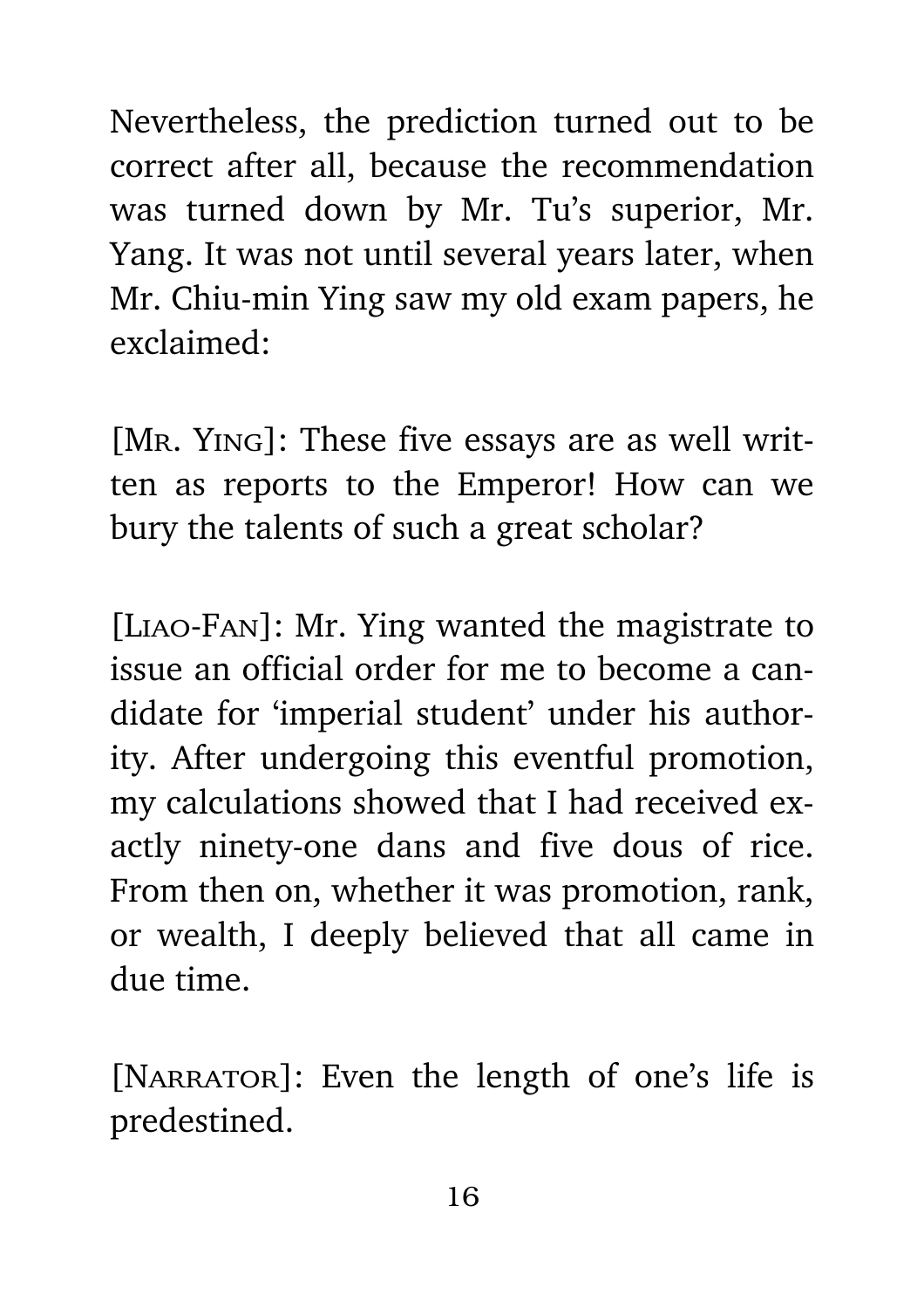Nevertheless, the prediction turned out to be correct after all, because the recommendation was turned down by Mr. Tu's superior, Mr. Yang. It was not until several years later, when Mr. Chiu-min Ying saw my old exam papers, he exclaimed:

[MR. Ying]: These five essays are as well written as reports to the Emperor! How can we bury the talents of such a great scholar?

[Liao-Fan]: Mr. Ying wanted the magistrate to issue an official order for me to become a candidate for 'imperial student' under his authority. After undergoing this eventful promotion, my calculations showed that I had received exactly ninety-one dans and five dous of rice. From then on, whether it was promotion, rank, or wealth, I deeply believed that all came in due time.

[NARRATOR]: Even the length of one's life is predestined.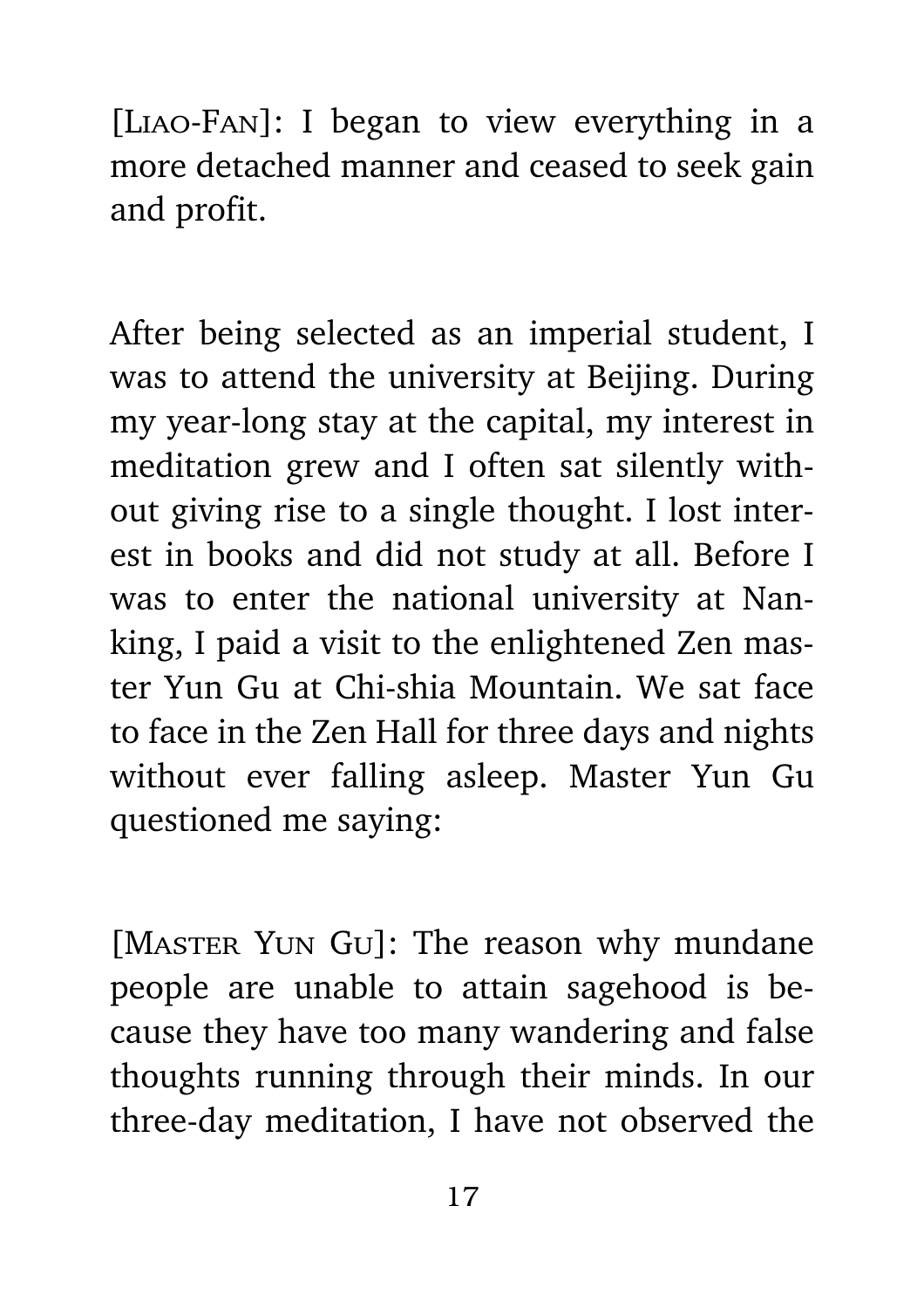[Liao-Fan]: I began to view everything in a more detached manner and ceased to seek gain and profit.

After being selected as an imperial student, I was to attend the university at Beijing. During my year-long stay at the capital, my interest in meditation grew and I often sat silently without giving rise to a single thought. I lost interest in books and did not study at all. Before I was to enter the national university at Nanking, I paid a visit to the enlightened Zen master Yun Gu at Chi-shia Mountain. We sat face to face in the Zen Hall for three days and nights without ever falling asleep. Master Yun Gu questioned me saying:

[MASTER YUN GU]: The reason why mundane people are unable to attain sagehood is because they have too many wandering and false thoughts running through their minds. In our three-day meditation, I have not observed the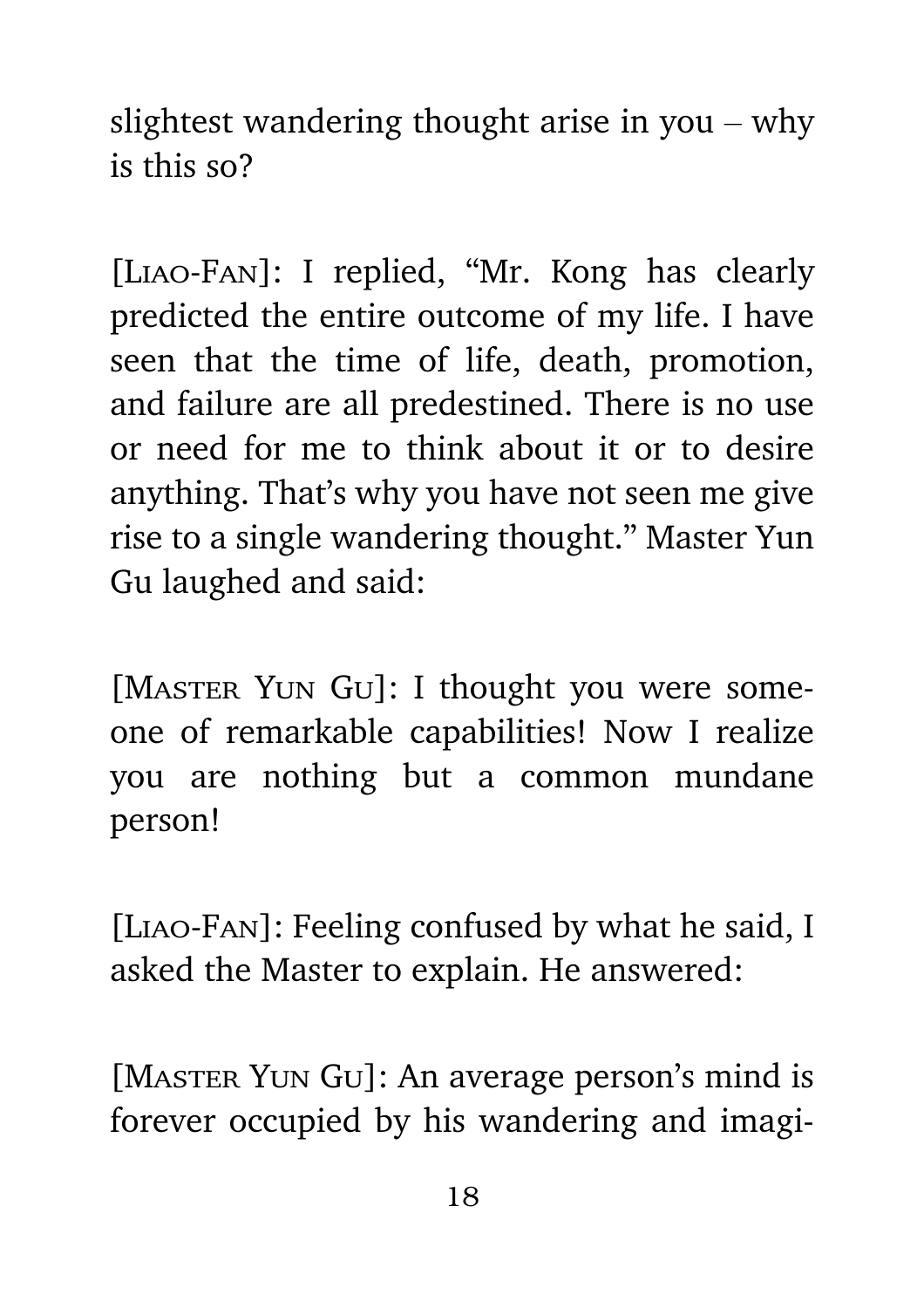slightest wandering thought arise in you – why is this so?

[Liao-Fan]: I replied, "Mr. Kong has clearly predicted the entire outcome of my life. I have seen that the time of life, death, promotion, and failure are all predestined. There is no use or need for me to think about it or to desire anything. That's why you have not seen me give rise to a single wandering thought." Master Yun Gu laughed and said:

[MASTER YUN GU]: I thought you were someone of remarkable capabilities! Now I realize you are nothing but a common mundane person!

[Liao-Fan]: Feeling confused by what he said, I asked the Master to explain. He answered:

[MASTER YUN GU]: An average person's mind is forever occupied by his wandering and imagi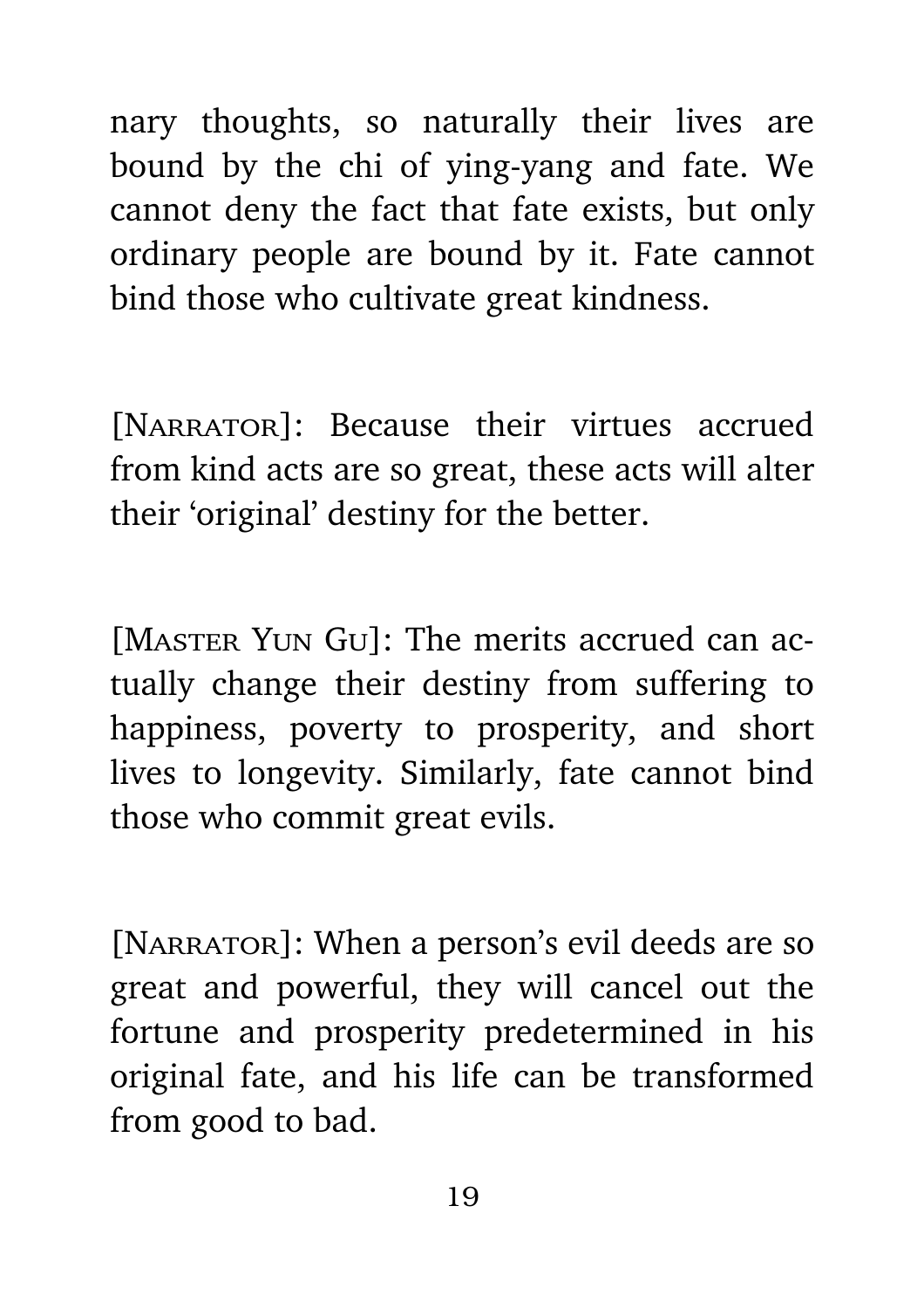nary thoughts, so naturally their lives are bound by the chi of ying-yang and fate. We cannot deny the fact that fate exists, but only ordinary people are bound by it. Fate cannot bind those who cultivate great kindness.

[NARRATOR]: Because their virtues accrued from kind acts are so great, these acts will alter their 'original' destiny for the better.

[MASTER YUN GU]: The merits accrued can actually change their destiny from suffering to happiness, poverty to prosperity, and short lives to longevity. Similarly, fate cannot bind those who commit great evils.

[NARRATOR]: When a person's evil deeds are so great and powerful, they will cancel out the fortune and prosperity predetermined in his original fate, and his life can be transformed from good to bad.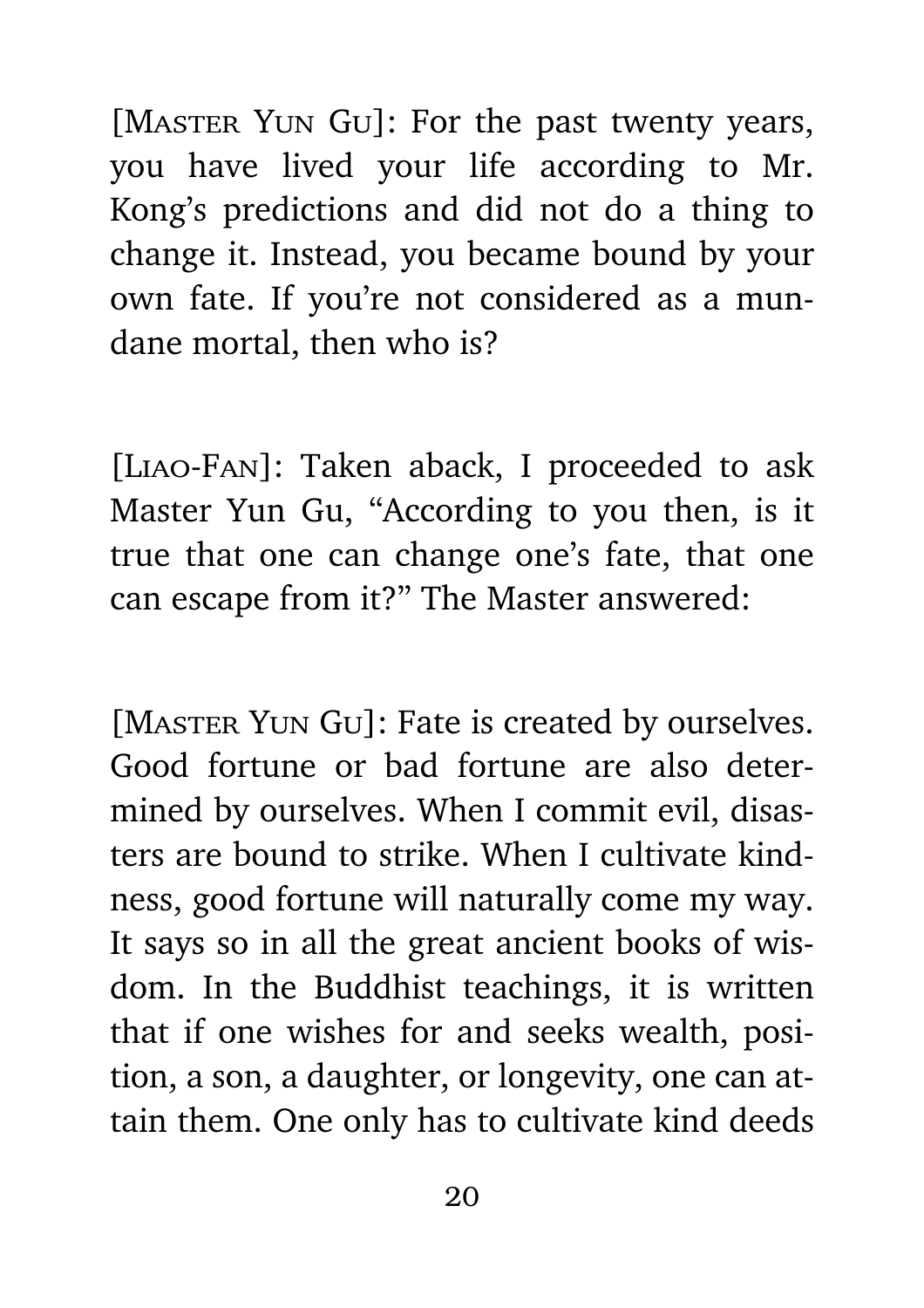[MASTER YUN GU]: For the past twenty years, you have lived your life according to Mr. Kong's predictions and did not do a thing to change it. Instead, you became bound by your own fate. If you're not considered as a mundane mortal, then who is?

[Liao-Fan]: Taken aback, I proceeded to ask Master Yun Gu, "According to you then, is it true that one can change one's fate, that one can escape from it?" The Master answered:

[MASTER YUN GU]: Fate is created by ourselves. Good fortune or bad fortune are also determined by ourselves. When I commit evil, disasters are bound to strike. When I cultivate kindness, good fortune will naturally come my way. It says so in all the great ancient books of wisdom. In the Buddhist teachings, it is written that if one wishes for and seeks wealth, position, a son, a daughter, or longevity, one can attain them. One only has to cultivate kind deeds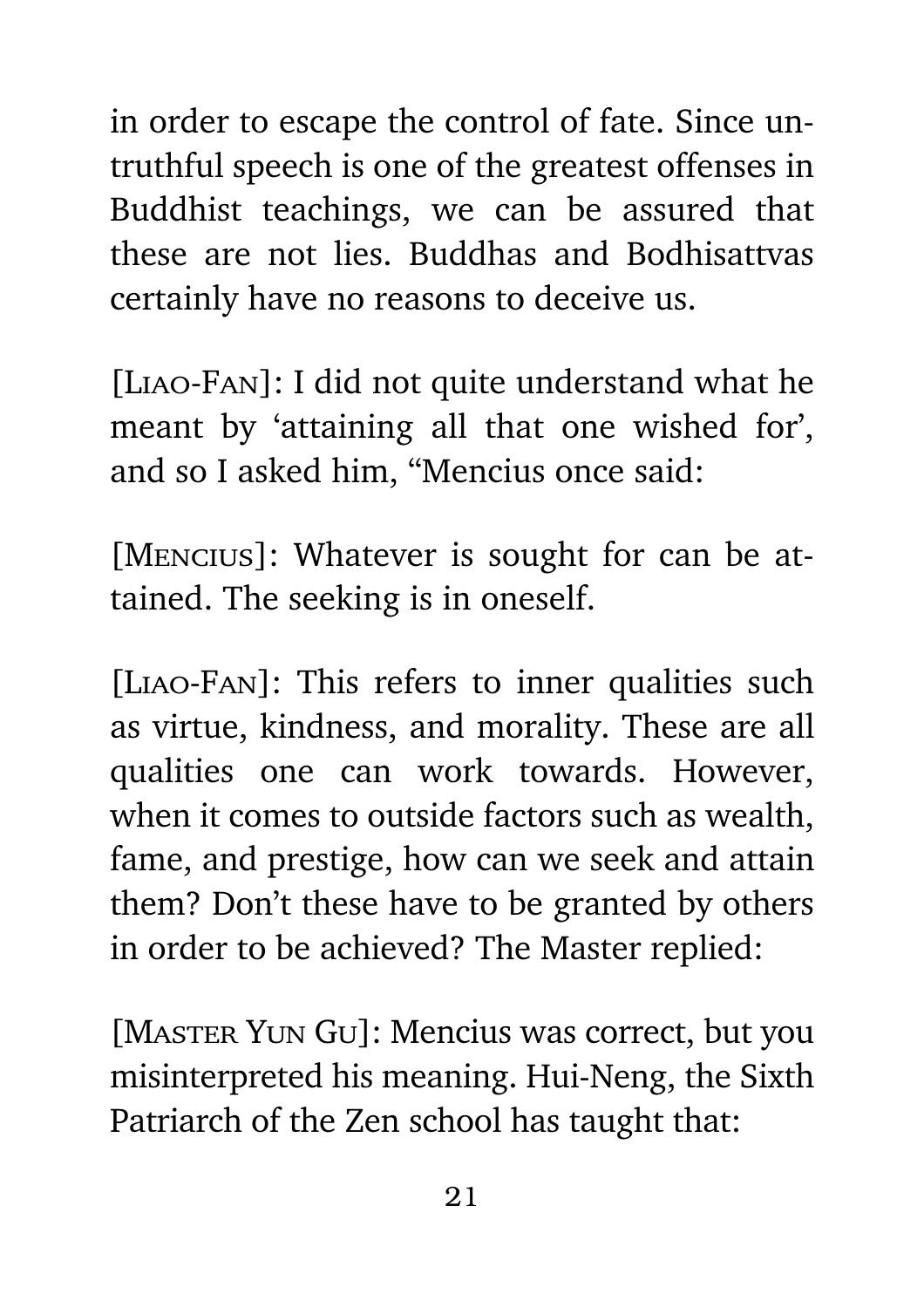in order to escape the control of fate. Since untruthful speech is one of the greatest offenses in Buddhist teachings, we can be assured that these are not lies. Buddhas and Bodhisattvas certainly have no reasons to deceive us.

[Liao-Fan]: I did not quite understand what he meant by 'attaining all that one wished for', and so I asked him, "Mencius once said:

[Mencius]: Whatever is sought for can be attained. The seeking is in oneself.

[Liao-Fan]: This refers to inner qualities such as virtue, kindness, and morality. These are all qualities one can work towards. However, when it comes to outside factors such as wealth, fame, and prestige, how can we seek and attain them? Don't these have to be granted by others in order to be achieved? The Master replied:

[MASTER YUN GU]: Mencius was correct, but you misinterpreted his meaning. Hui-Neng, the Sixth Patriarch of the Zen school has taught that: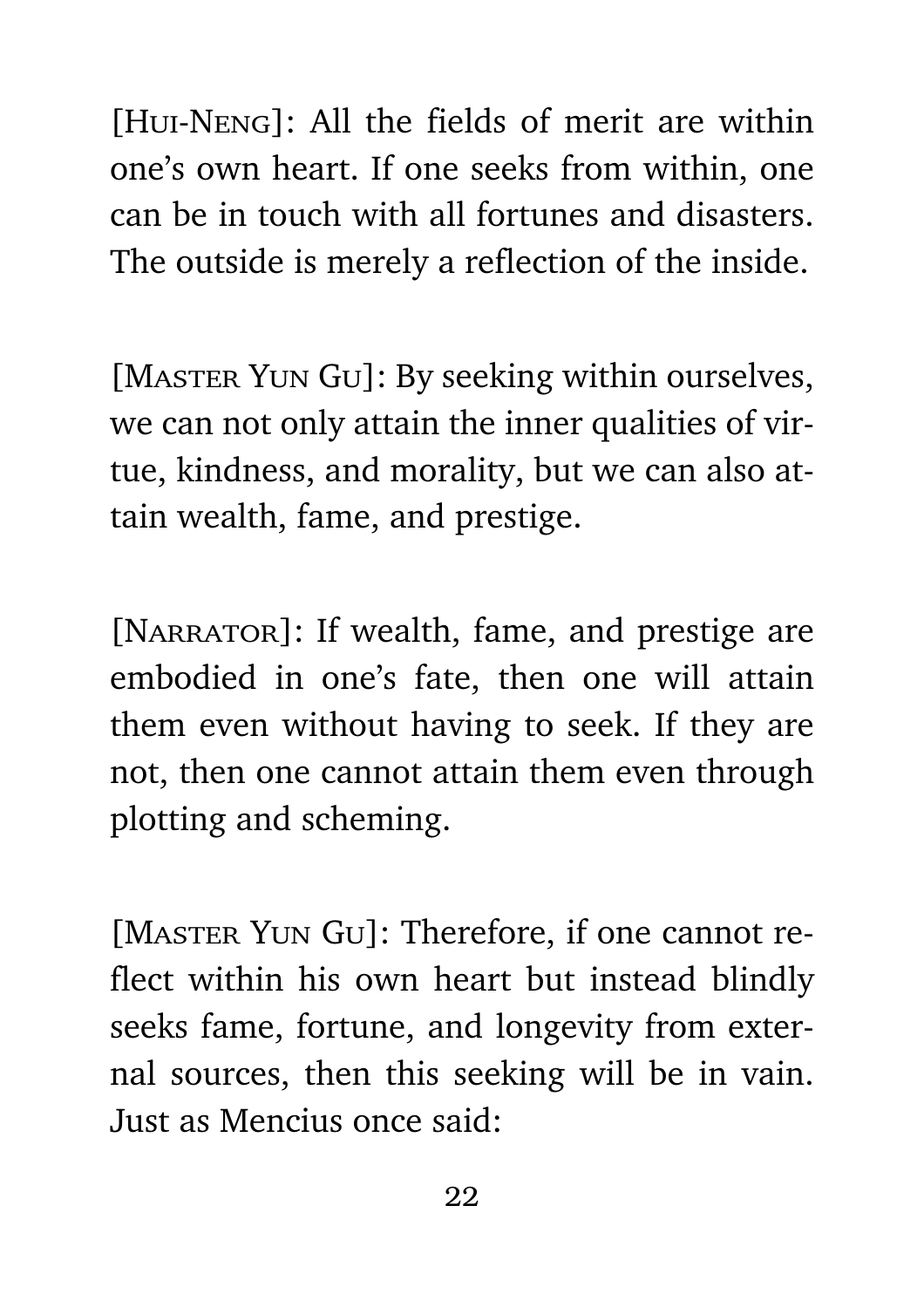[Hui-Neng]: All the fields of merit are within one's own heart. If one seeks from within, one can be in touch with all fortunes and disasters. The outside is merely a reflection of the inside.

[MASTER YUN GU]: By seeking within ourselves, we can not only attain the inner qualities of virtue, kindness, and morality, but we can also attain wealth, fame, and prestige.

[NARRATOR]: If wealth, fame, and prestige are embodied in one's fate, then one will attain them even without having to seek. If they are not, then one cannot attain them even through plotting and scheming.

[MASTER YUN GU]: Therefore, if one cannot reflect within his own heart but instead blindly seeks fame, fortune, and longevity from external sources, then this seeking will be in vain. Just as Mencius once said: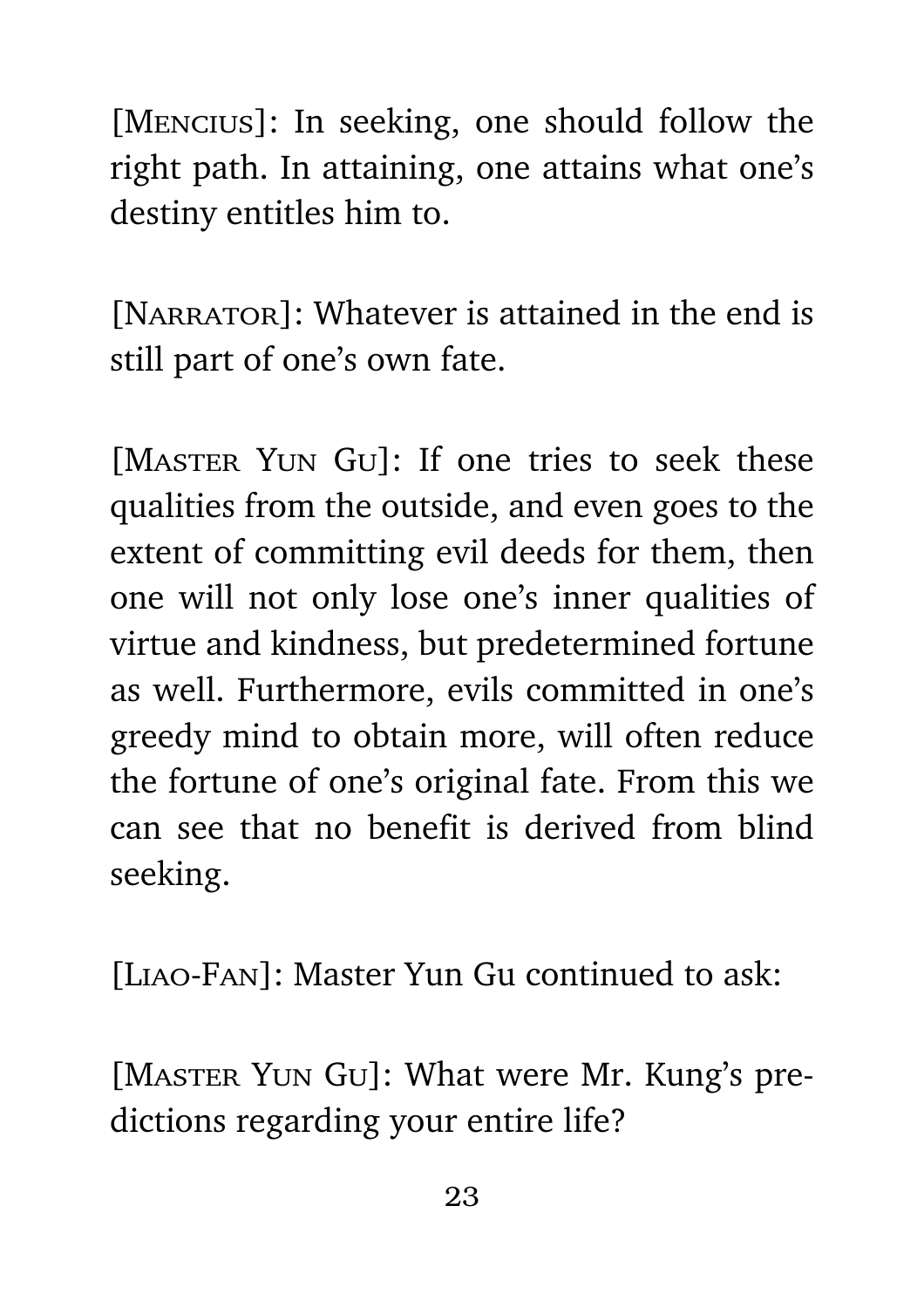[Mencius]: In seeking, one should follow the right path. In attaining, one attains what one's destiny entitles him to.

[NARRATOR]: Whatever is attained in the end is still part of one's own fate.

[MASTER YUN GU]: If one tries to seek these qualities from the outside, and even goes to the extent of committing evil deeds for them, then one will not only lose one's inner qualities of virtue and kindness, but predetermined fortune as well. Furthermore, evils committed in one's greedy mind to obtain more, will often reduce the fortune of one's original fate. From this we can see that no benefit is derived from blind seeking.

[Liao-Fan]: Master Yun Gu continued to ask:

[MASTER YUN GU]: What were Mr. Kung's predictions regarding your entire life?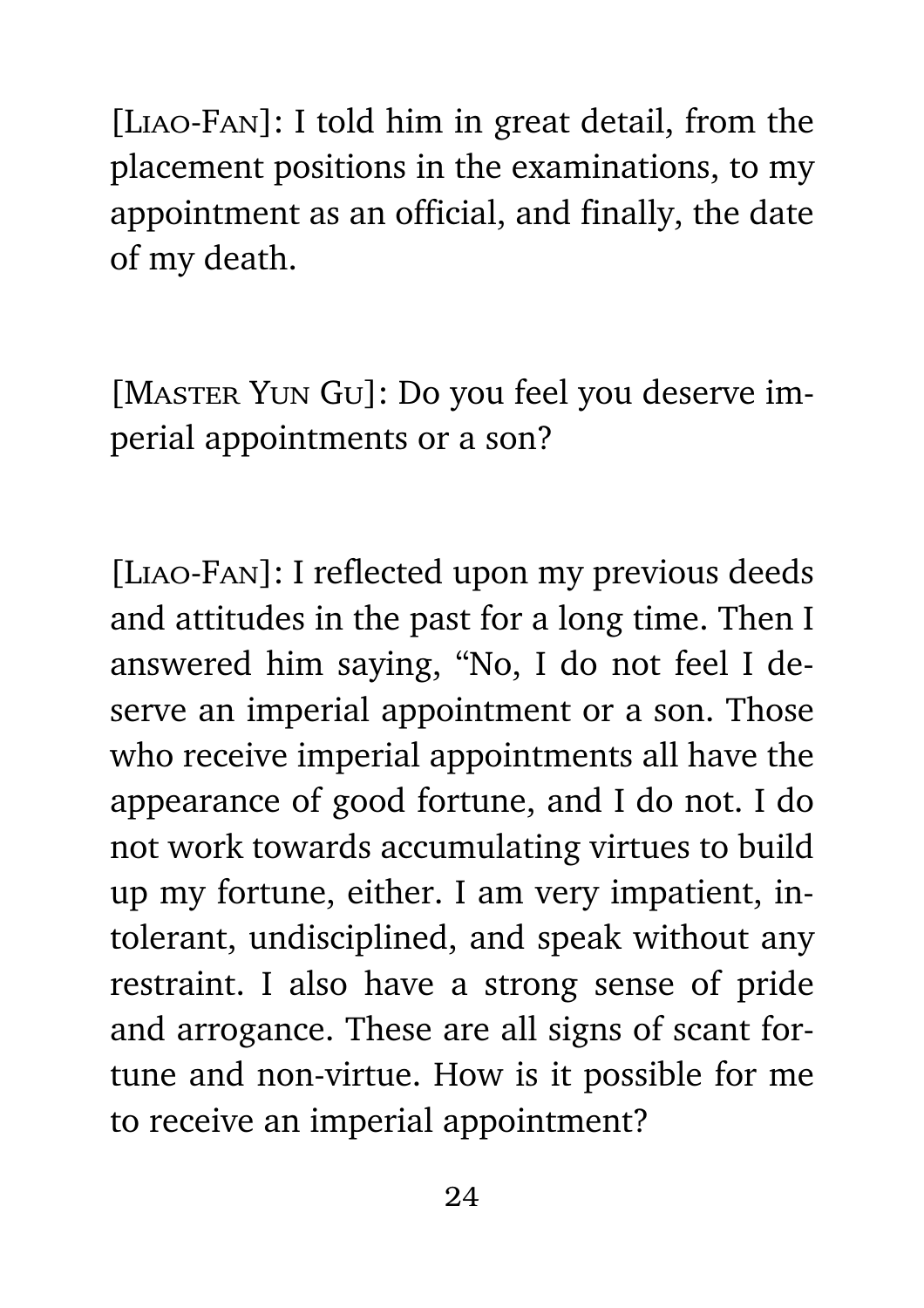[Liao-Fan]: I told him in great detail, from the placement positions in the examinations, to my appointment as an official, and finally, the date of my death.

[MASTER YUN GU]: Do you feel you deserve imperial appointments or a son?

[Liao-Fan]: I reflected upon my previous deeds and attitudes in the past for a long time. Then I answered him saying, "No, I do not feel I deserve an imperial appointment or a son. Those who receive imperial appointments all have the appearance of good fortune, and I do not. I do not work towards accumulating virtues to build up my fortune, either. I am very impatient, intolerant, undisciplined, and speak without any restraint. I also have a strong sense of pride and arrogance. These are all signs of scant fortune and non-virtue. How is it possible for me to receive an imperial appointment?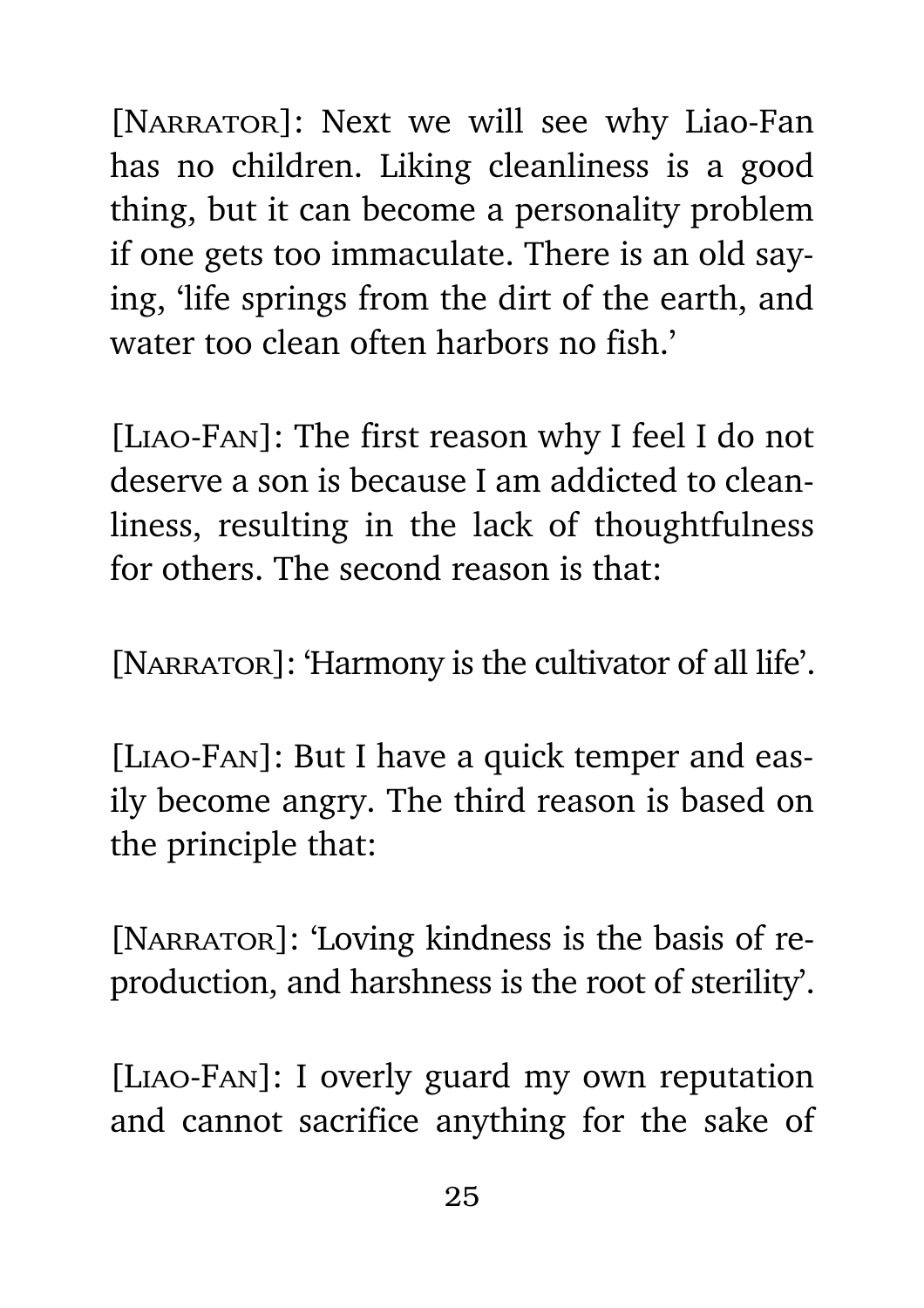[NARRATOR]: Next we will see why Liao-Fan has no children. Liking cleanliness is a good thing, but it can become a personality problem if one gets too immaculate. There is an old saying, 'life springs from the dirt of the earth, and water too clean often harbors no fish.'

[Liao-Fan]: The first reason why I feel I do not deserve a son is because I am addicted to cleanliness, resulting in the lack of thoughtfulness for others. The second reason is that:

[NARRATOR]: 'Harmony is the cultivator of all life'.

[Liao-Fan]: But I have a quick temper and easily become angry. The third reason is based on the principle that:

[NARRATOR]: 'Loving kindness is the basis of reproduction, and harshness is the root of sterility'.

[Liao-Fan]: I overly guard my own reputation and cannot sacrifice anything for the sake of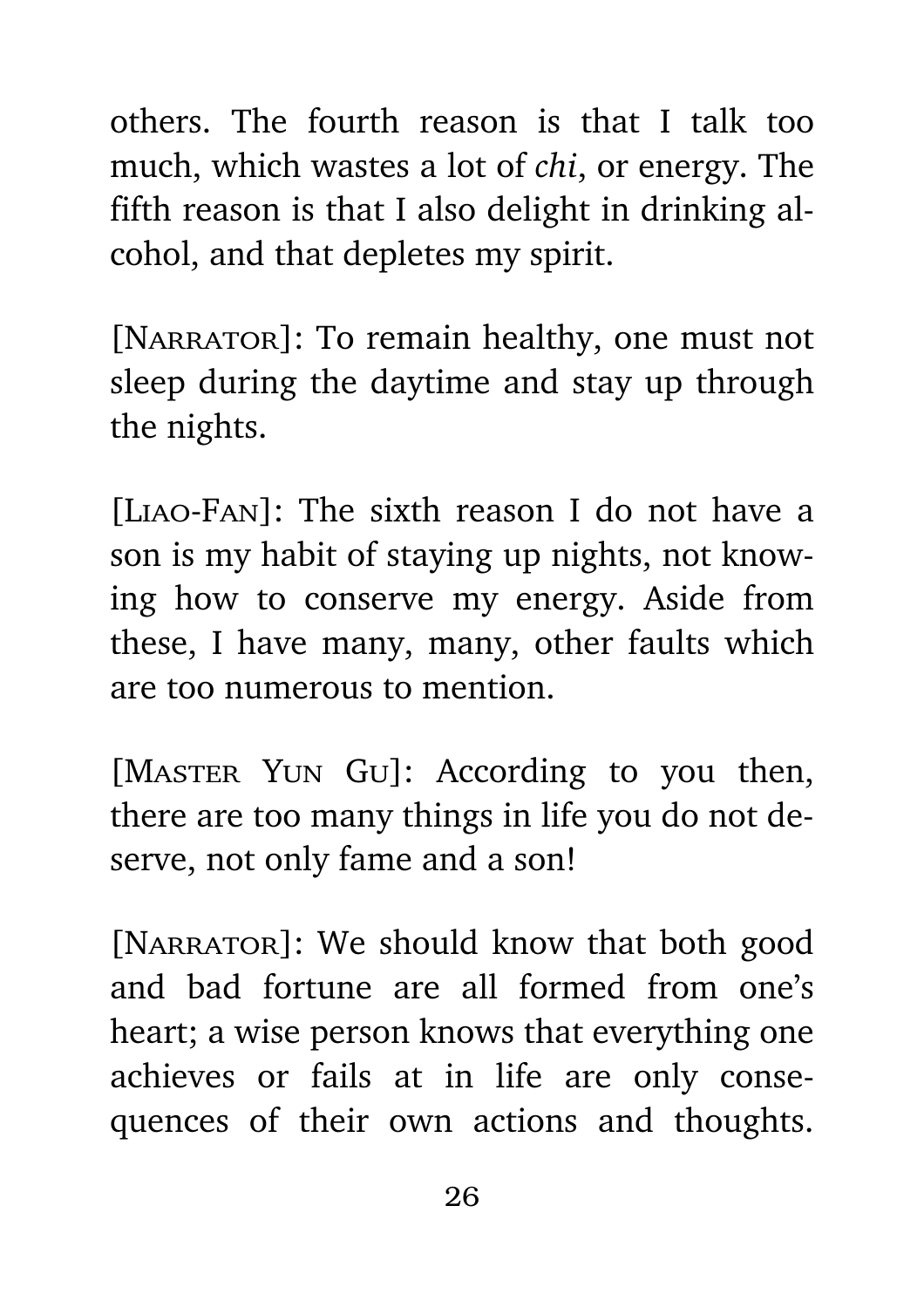others. The fourth reason is that I talk too much, which wastes a lot of *chi*, or energy. The fifth reason is that I also delight in drinking alcohol, and that depletes my spirit.

[NARRATOR]: To remain healthy, one must not sleep during the daytime and stay up through the nights.

[Liao-Fan]: The sixth reason I do not have a son is my habit of staying up nights, not knowing how to conserve my energy. Aside from these, I have many, many, other faults which are too numerous to mention.

[MASTER YUN GU]: According to you then, there are too many things in life you do not deserve, not only fame and a son!

[NARRATOR]: We should know that both good and bad fortune are all formed from one's heart; a wise person knows that everything one achieves or fails at in life are only consequences of their own actions and thoughts.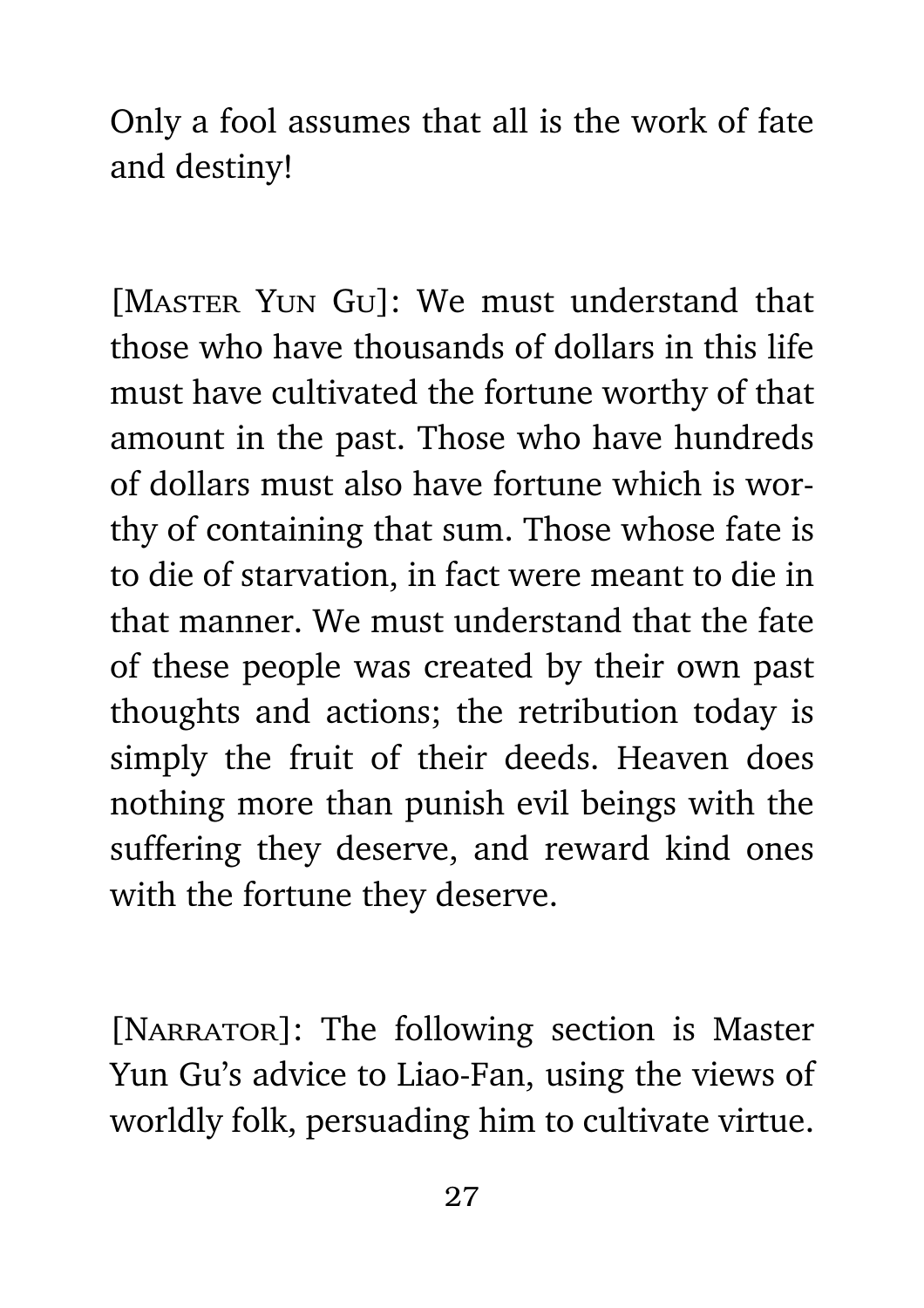Only a fool assumes that all is the work of fate and destiny!

[MASTER YUN GU]: We must understand that those who have thousands of dollars in this life must have cultivated the fortune worthy of that amount in the past. Those who have hundreds of dollars must also have fortune which is worthy of containing that sum. Those whose fate is to die of starvation, in fact were meant to die in that manner. We must understand that the fate of these people was created by their own past thoughts and actions; the retribution today is simply the fruit of their deeds. Heaven does nothing more than punish evil beings with the suffering they deserve, and reward kind ones with the fortune they deserve.

[NARRATOR]: The following section is Master Yun Gu's advice to Liao-Fan, using the views of worldly folk, persuading him to cultivate virtue.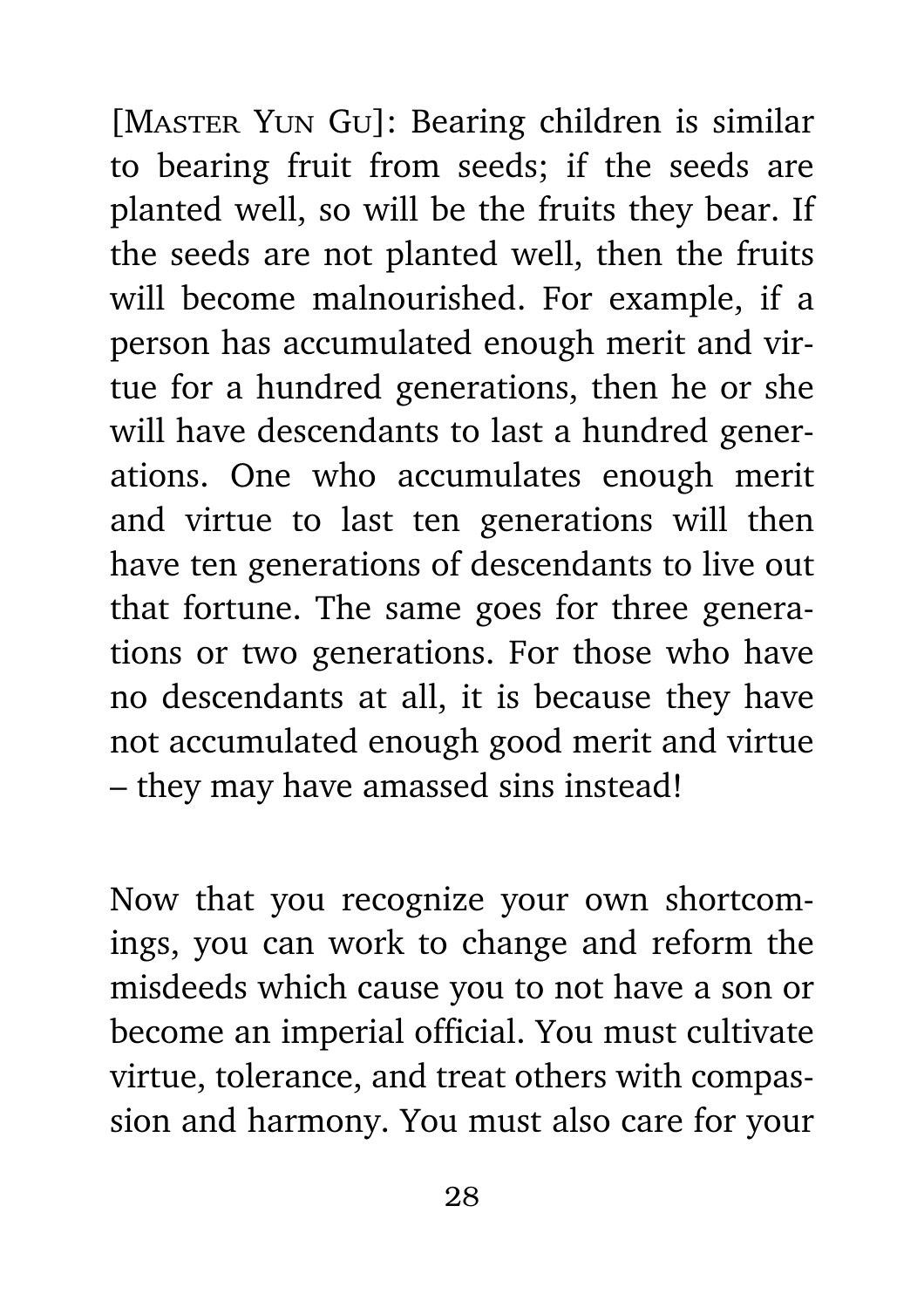[MASTER YUN GU]: Bearing children is similar to bearing fruit from seeds; if the seeds are planted well, so will be the fruits they bear. If the seeds are not planted well, then the fruits will become malnourished. For example, if a person has accumulated enough merit and virtue for a hundred generations, then he or she will have descendants to last a hundred generations. One who accumulates enough merit and virtue to last ten generations will then have ten generations of descendants to live out that fortune. The same goes for three generations or two generations. For those who have no descendants at all, it is because they have not accumulated enough good merit and virtue – they may have amassed sins instead!

Now that you recognize your own shortcomings, you can work to change and reform the misdeeds which cause you to not have a son or become an imperial official. You must cultivate virtue, tolerance, and treat others with compassion and harmony. You must also care for your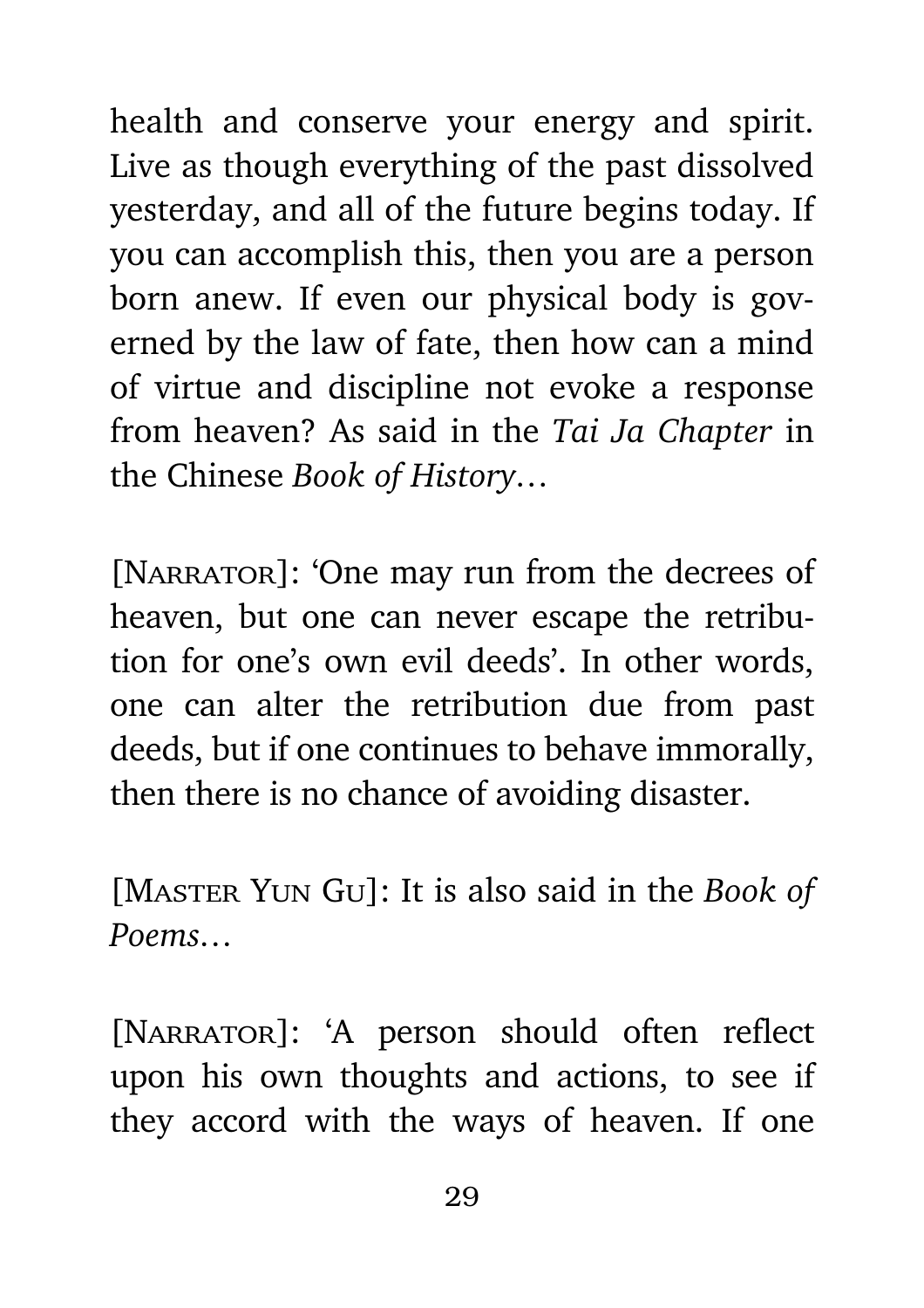health and conserve your energy and spirit. Live as though everything of the past dissolved yesterday, and all of the future begins today. If you can accomplish this, then you are a person born anew. If even our physical body is governed by the law of fate, then how can a mind of virtue and discipline not evoke a response from heaven? As said in the *Tai Ja Chapter* in the Chinese *Book of History…*

[NARRATOR]: 'One may run from the decrees of heaven, but one can never escape the retribution for one's own evil deeds'. In other words, one can alter the retribution due from past deeds, but if one continues to behave immorally, then there is no chance of avoiding disaster.

[Master Yun Gu]: It is also said in the *Book of Poems…*

[NARRATOR]: 'A person should often reflect upon his own thoughts and actions, to see if they accord with the ways of heaven. If one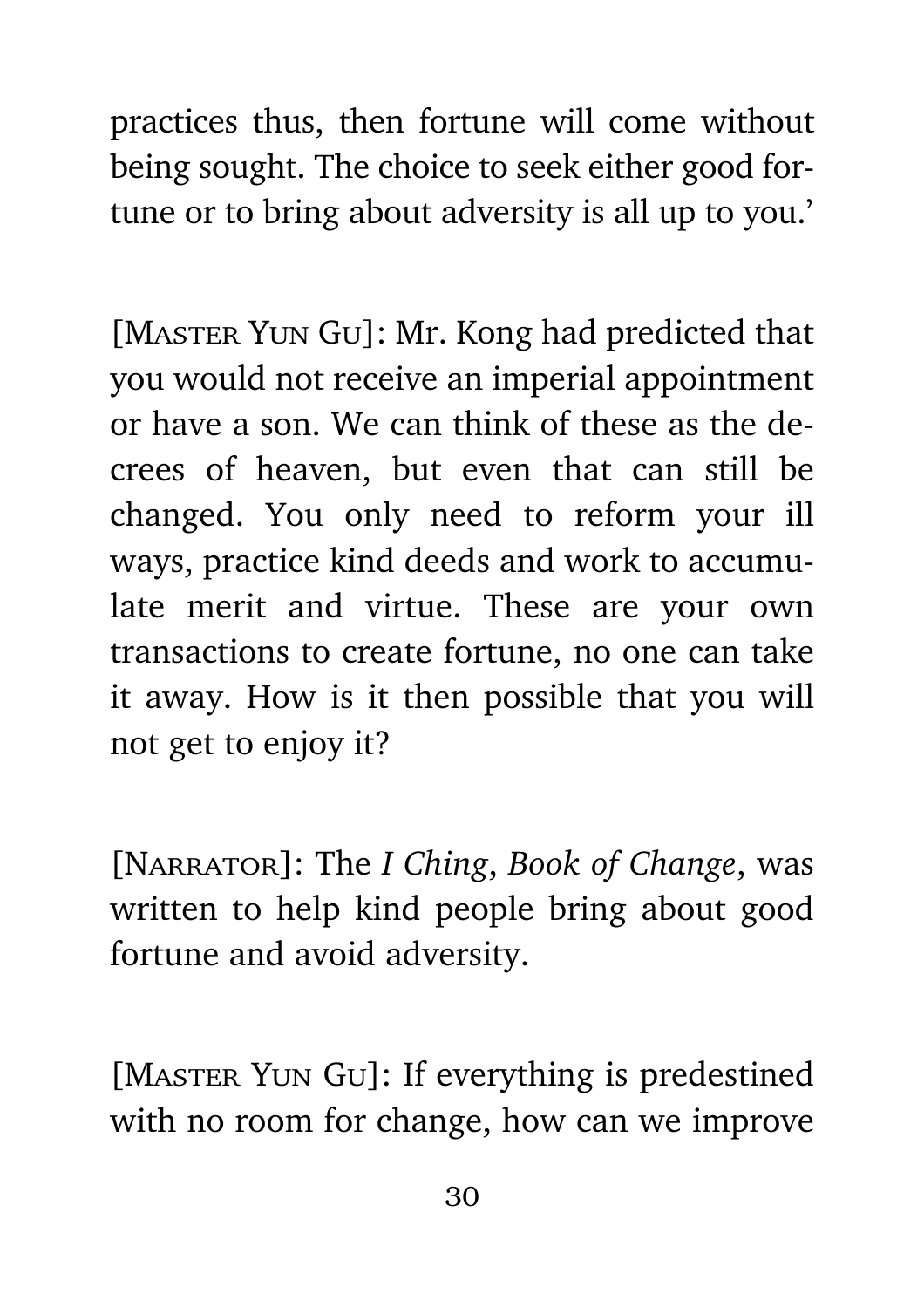practices thus, then fortune will come without being sought. The choice to seek either good fortune or to bring about adversity is all up to you.'

[MASTER YUN GU]: Mr. Kong had predicted that you would not receive an imperial appointment or have a son. We can think of these as the decrees of heaven, but even that can still be changed. You only need to reform your ill ways, practice kind deeds and work to accumulate merit and virtue. These are your own transactions to create fortune, no one can take it away. How is it then possible that you will not get to enjoy it?

[Narrator]: The *I Ching*, *Book of Change*, was written to help kind people bring about good fortune and avoid adversity.

[MASTER YUN GU]: If everything is predestined with no room for change, how can we improve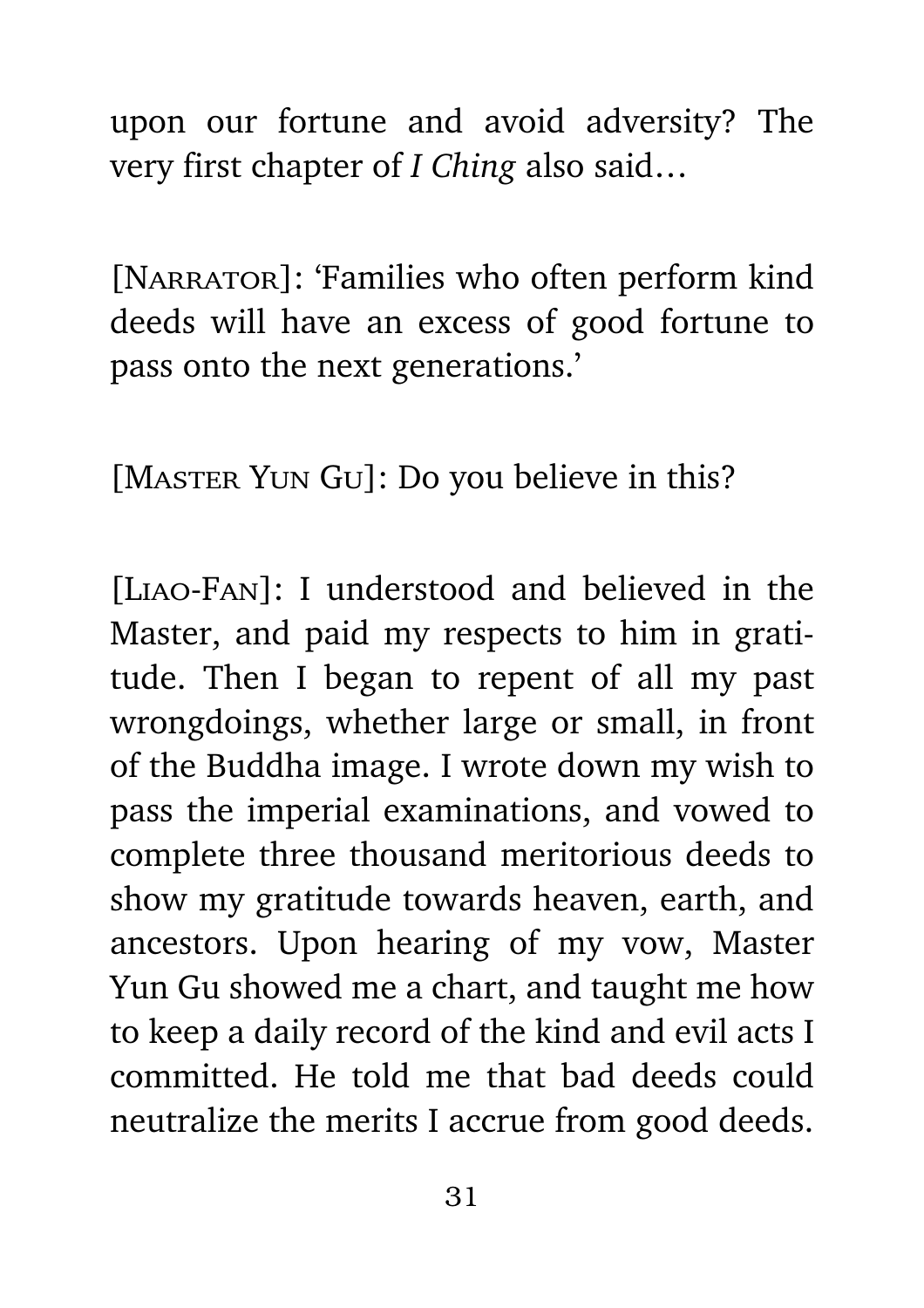upon our fortune and avoid adversity? The very first chapter of *I Ching* also said…

[NARRATOR]: 'Families who often perform kind deeds will have an excess of good fortune to pass onto the next generations.'

[MASTER YUN GU]: Do you believe in this?

[Liao-Fan]: I understood and believed in the Master, and paid my respects to him in gratitude. Then I began to repent of all my past wrongdoings, whether large or small, in front of the Buddha image. I wrote down my wish to pass the imperial examinations, and vowed to complete three thousand meritorious deeds to show my gratitude towards heaven, earth, and ancestors. Upon hearing of my vow, Master Yun Gu showed me a chart, and taught me how to keep a daily record of the kind and evil acts I committed. He told me that bad deeds could neutralize the merits I accrue from good deeds.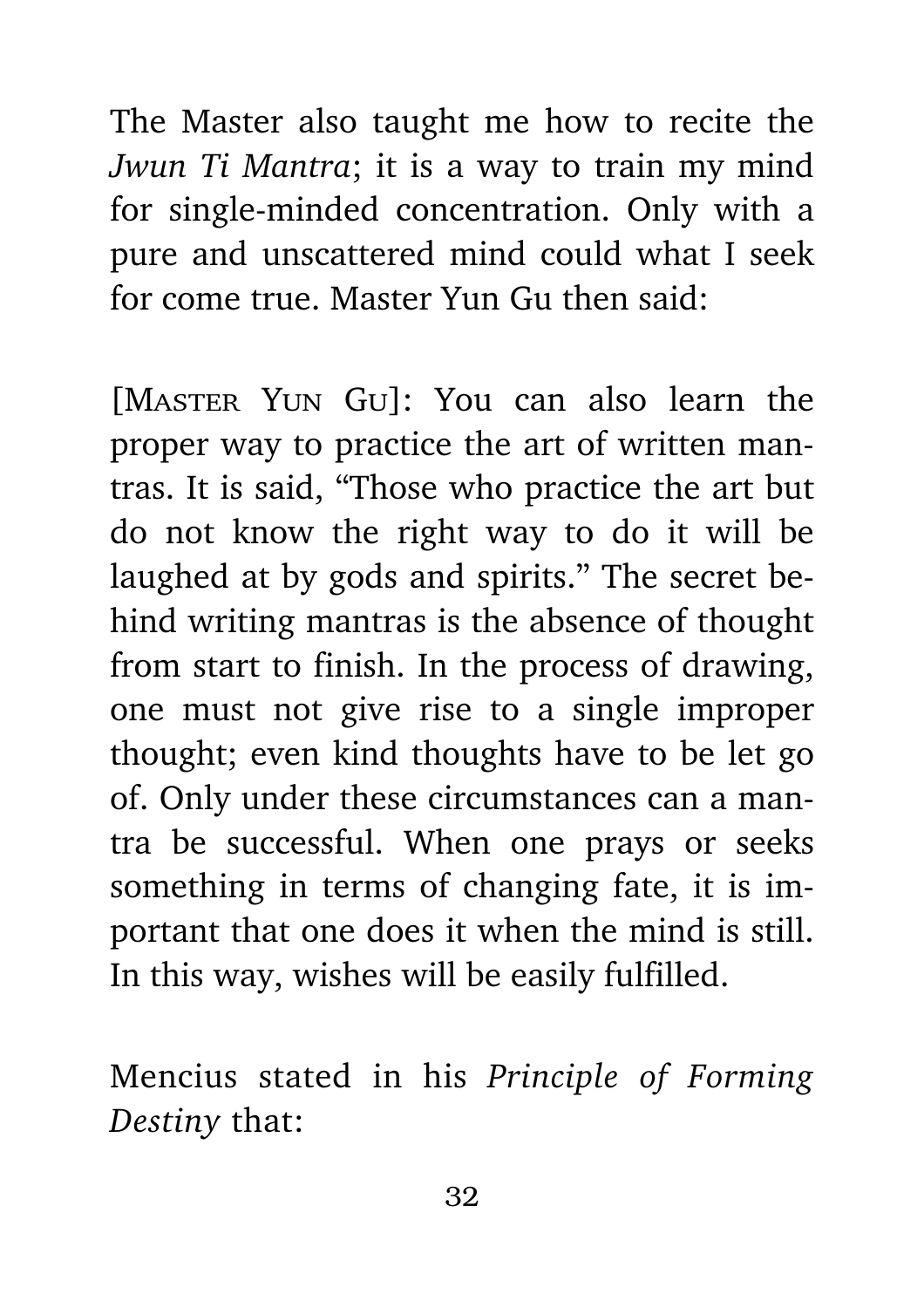The Master also taught me how to recite the *Jwun Ti Mantra*; it is a way to train my mind for single-minded concentration. Only with a pure and unscattered mind could what I seek for come true. Master Yun Gu then said:

[MASTER YUN GU]: You can also learn the proper way to practice the art of written mantras. It is said, "Those who practice the art but do not know the right way to do it will be laughed at by gods and spirits." The secret behind writing mantras is the absence of thought from start to finish. In the process of drawing, one must not give rise to a single improper thought; even kind thoughts have to be let go of. Only under these circumstances can a mantra be successful. When one prays or seeks something in terms of changing fate, it is important that one does it when the mind is still. In this way, wishes will be easily fulfilled.

Mencius stated in his *Principle of Forming Destiny* that: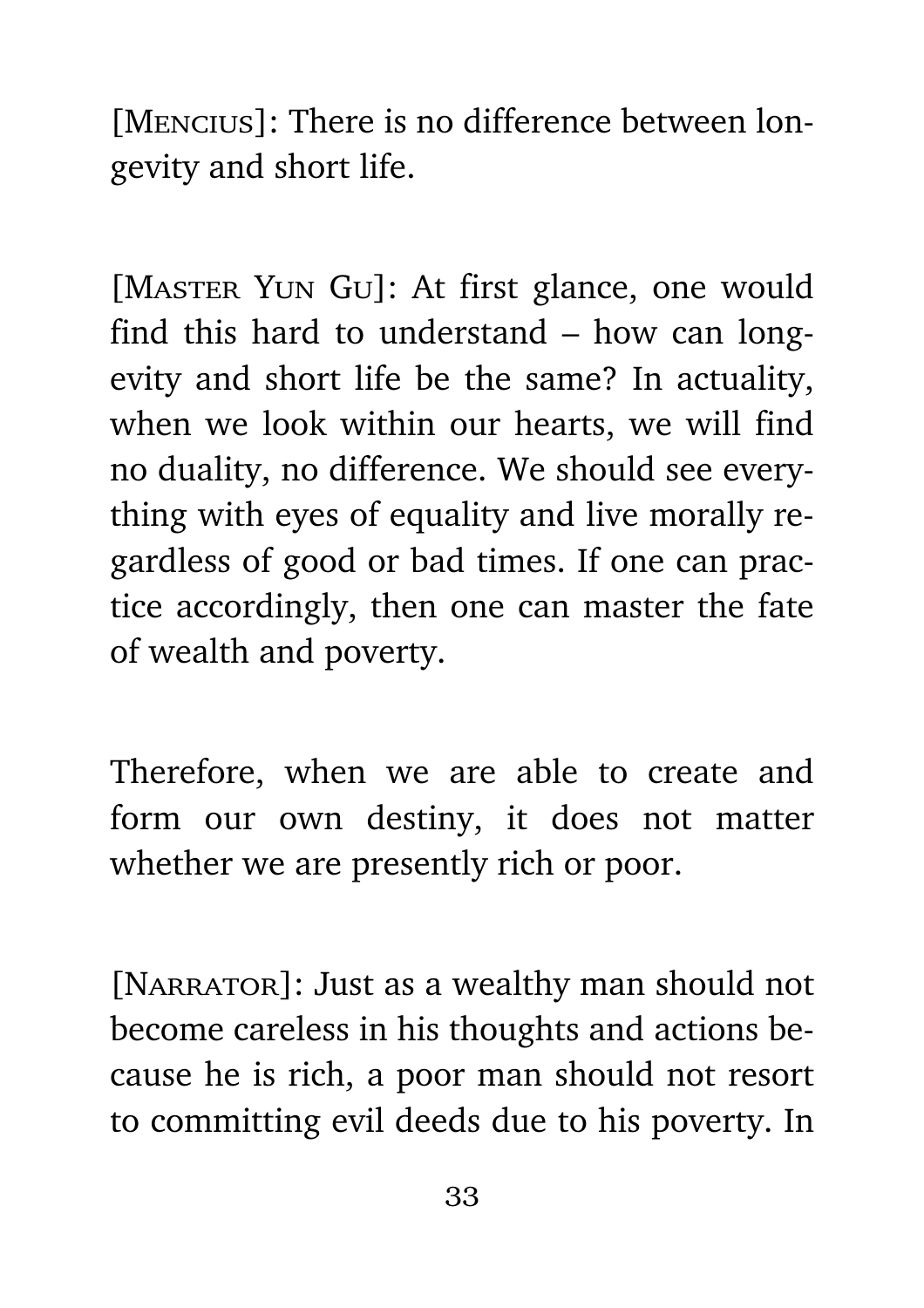[Mencius]: There is no difference between longevity and short life.

[MASTER YUN GU]: At first glance, one would find this hard to understand – how can longevity and short life be the same? In actuality, when we look within our hearts, we will find no duality, no difference. We should see everything with eyes of equality and live morally regardless of good or bad times. If one can practice accordingly, then one can master the fate of wealth and poverty.

Therefore, when we are able to create and form our own destiny, it does not matter whether we are presently rich or poor.

[NARRATOR]: Just as a wealthy man should not become careless in his thoughts and actions because he is rich, a poor man should not resort to committing evil deeds due to his poverty. In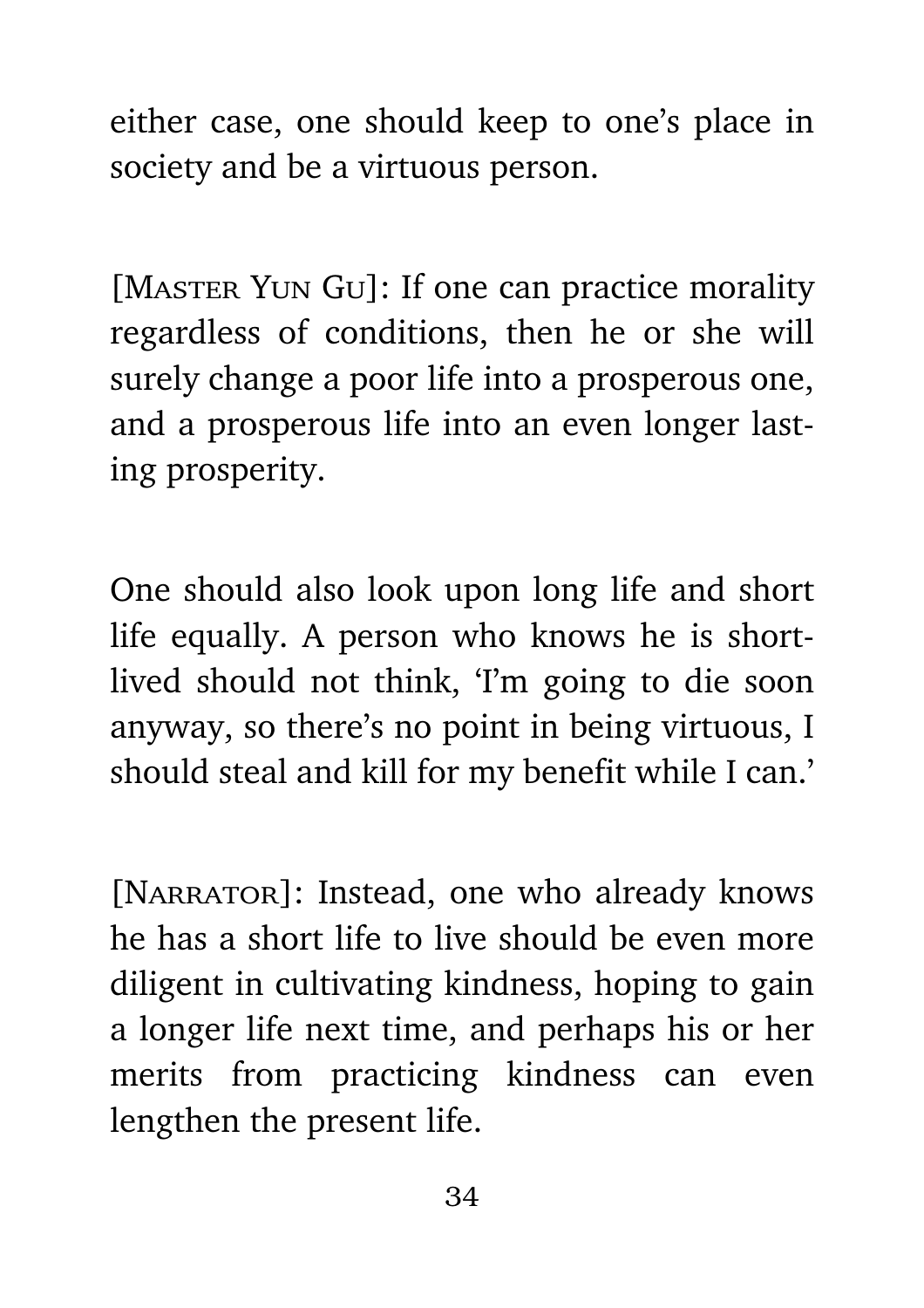either case, one should keep to one's place in society and be a virtuous person.

[MASTER YUN GU]: If one can practice morality regardless of conditions, then he or she will surely change a poor life into a prosperous one, and a prosperous life into an even longer lasting prosperity.

One should also look upon long life and short life equally. A person who knows he is shortlived should not think, 'I'm going to die soon anyway, so there's no point in being virtuous, I should steal and kill for my benefit while I can.'

[NARRATOR]: Instead, one who already knows he has a short life to live should be even more diligent in cultivating kindness, hoping to gain a longer life next time, and perhaps his or her merits from practicing kindness can even lengthen the present life.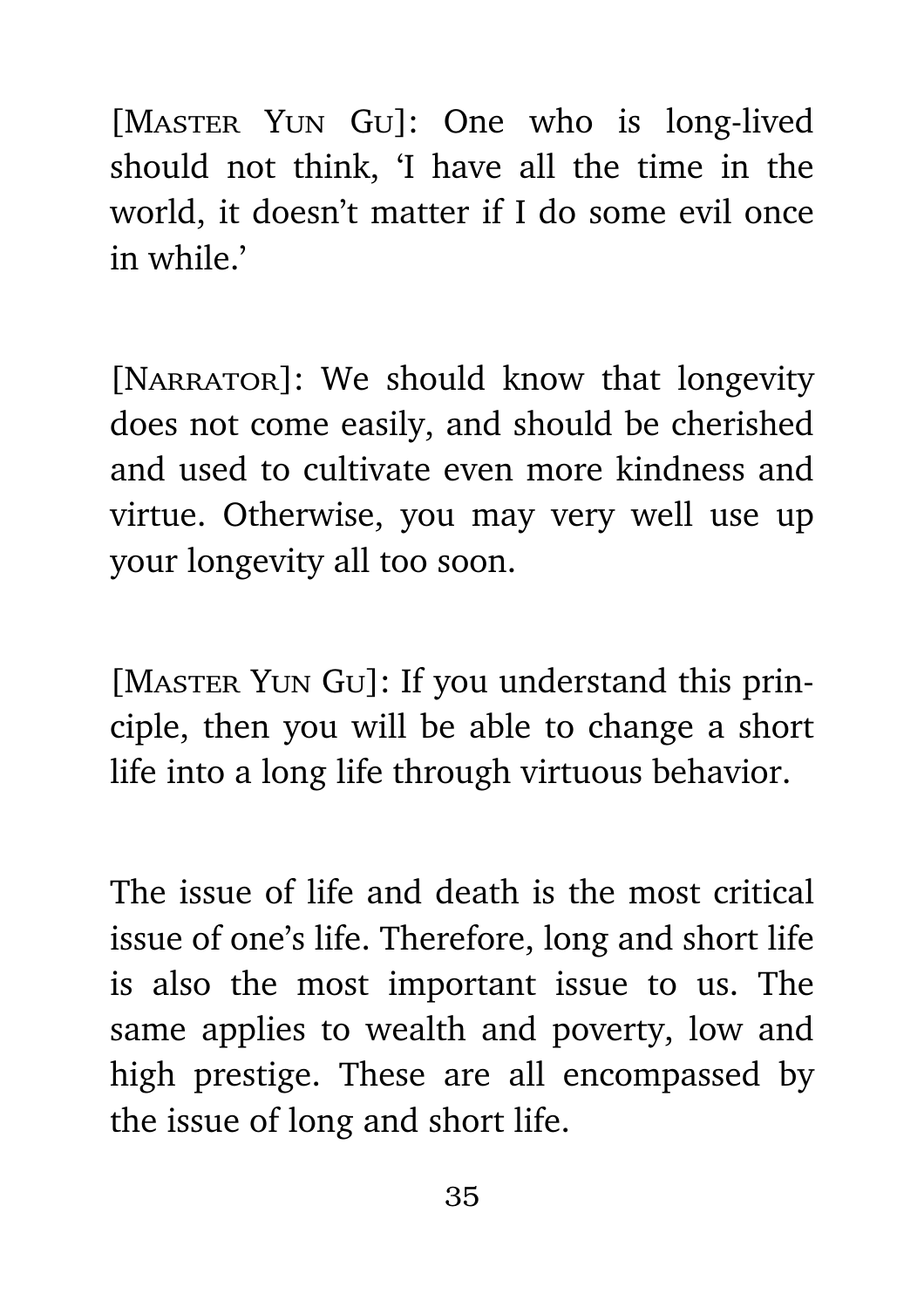[MASTER YUN GU]: One who is long-lived should not think, 'I have all the time in the world, it doesn't matter if I do some evil once in while.'

[NARRATOR]: We should know that longevity does not come easily, and should be cherished and used to cultivate even more kindness and virtue. Otherwise, you may very well use up your longevity all too soon.

[MASTER YUN GU]: If you understand this principle, then you will be able to change a short life into a long life through virtuous behavior.

The issue of life and death is the most critical issue of one's life. Therefore, long and short life is also the most important issue to us. The same applies to wealth and poverty, low and high prestige. These are all encompassed by the issue of long and short life.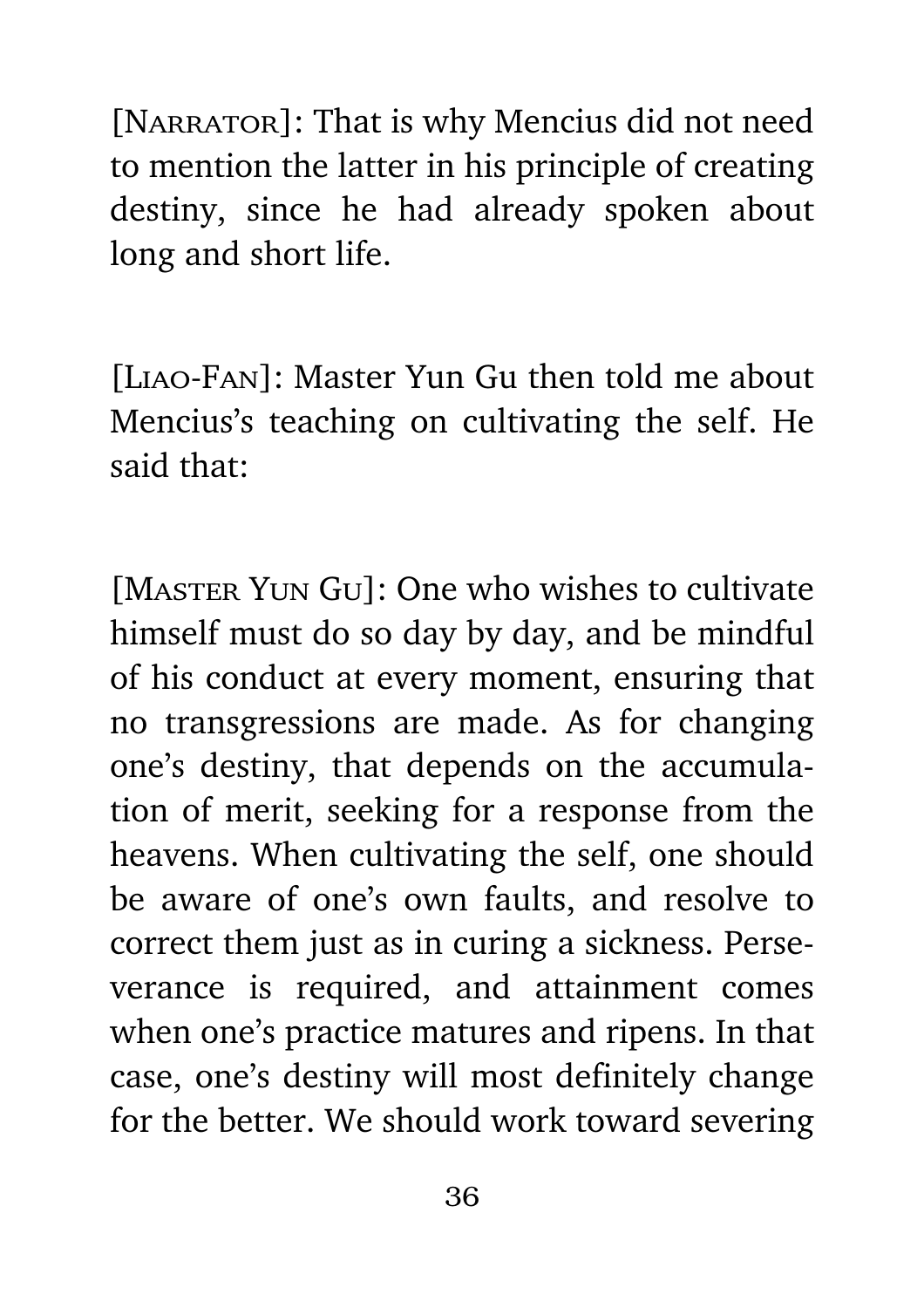[NARRATOR]: That is why Mencius did not need to mention the latter in his principle of creating destiny, since he had already spoken about long and short life.

[Liao-Fan]: Master Yun Gu then told me about Mencius's teaching on cultivating the self. He said that:

[MASTER YUN GU]: One who wishes to cultivate himself must do so day by day, and be mindful of his conduct at every moment, ensuring that no transgressions are made. As for changing one's destiny, that depends on the accumulation of merit, seeking for a response from the heavens. When cultivating the self, one should be aware of one's own faults, and resolve to correct them just as in curing a sickness. Perseverance is required, and attainment comes when one's practice matures and ripens. In that case, one's destiny will most definitely change for the better. We should work toward severing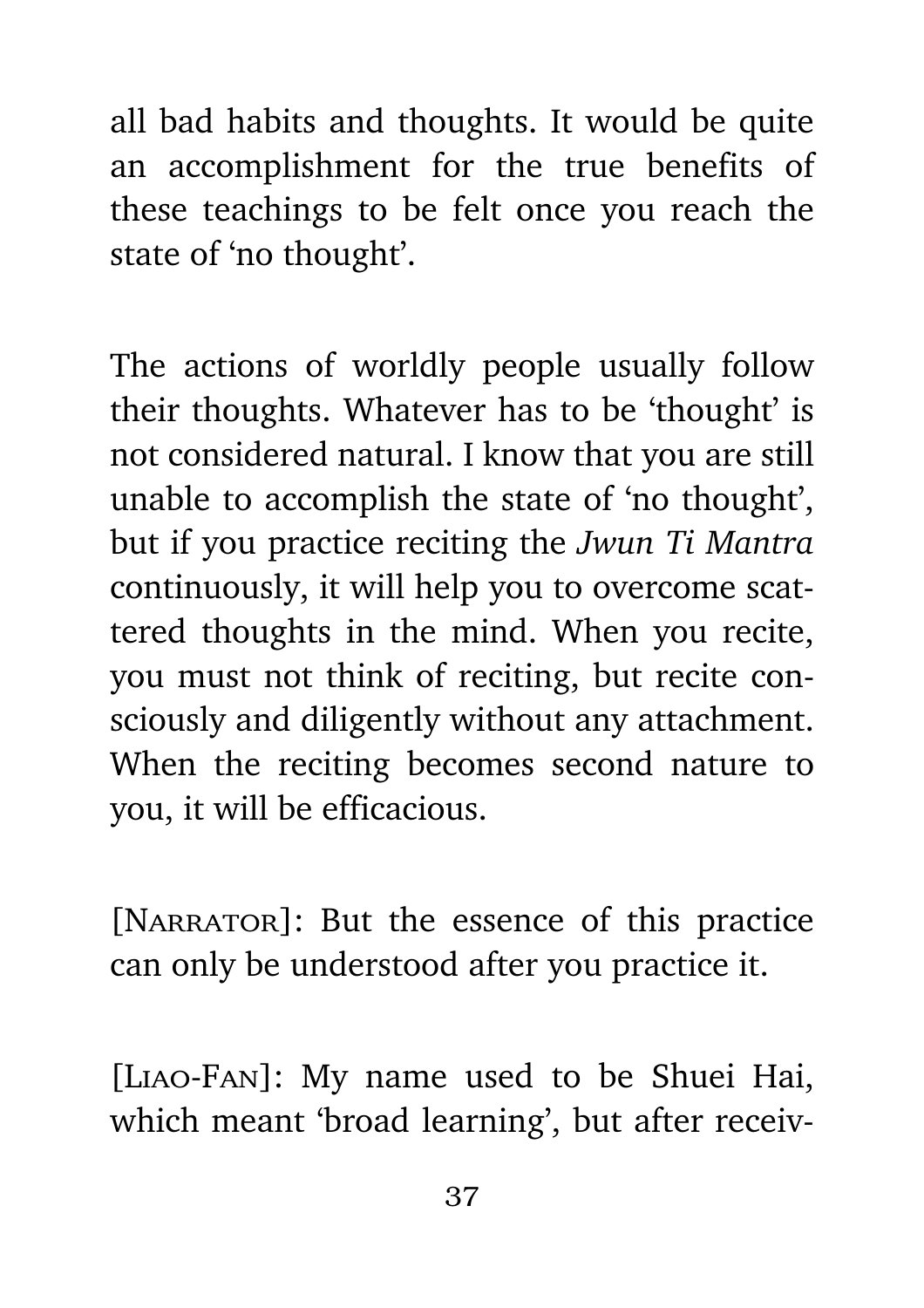all bad habits and thoughts. It would be quite an accomplishment for the true benefits of these teachings to be felt once you reach the state of 'no thought'.

The actions of worldly people usually follow their thoughts. Whatever has to be 'thought' is not considered natural. I know that you are still unable to accomplish the state of 'no thought', but if you practice reciting the *Jwun Ti Mantra* continuously, it will help you to overcome scattered thoughts in the mind. When you recite, you must not think of reciting, but recite consciously and diligently without any attachment. When the reciting becomes second nature to you, it will be efficacious.

[NARRATOR]: But the essence of this practice can only be understood after you practice it.

[Liao-Fan]: My name used to be Shuei Hai, which meant 'broad learning', but after receiv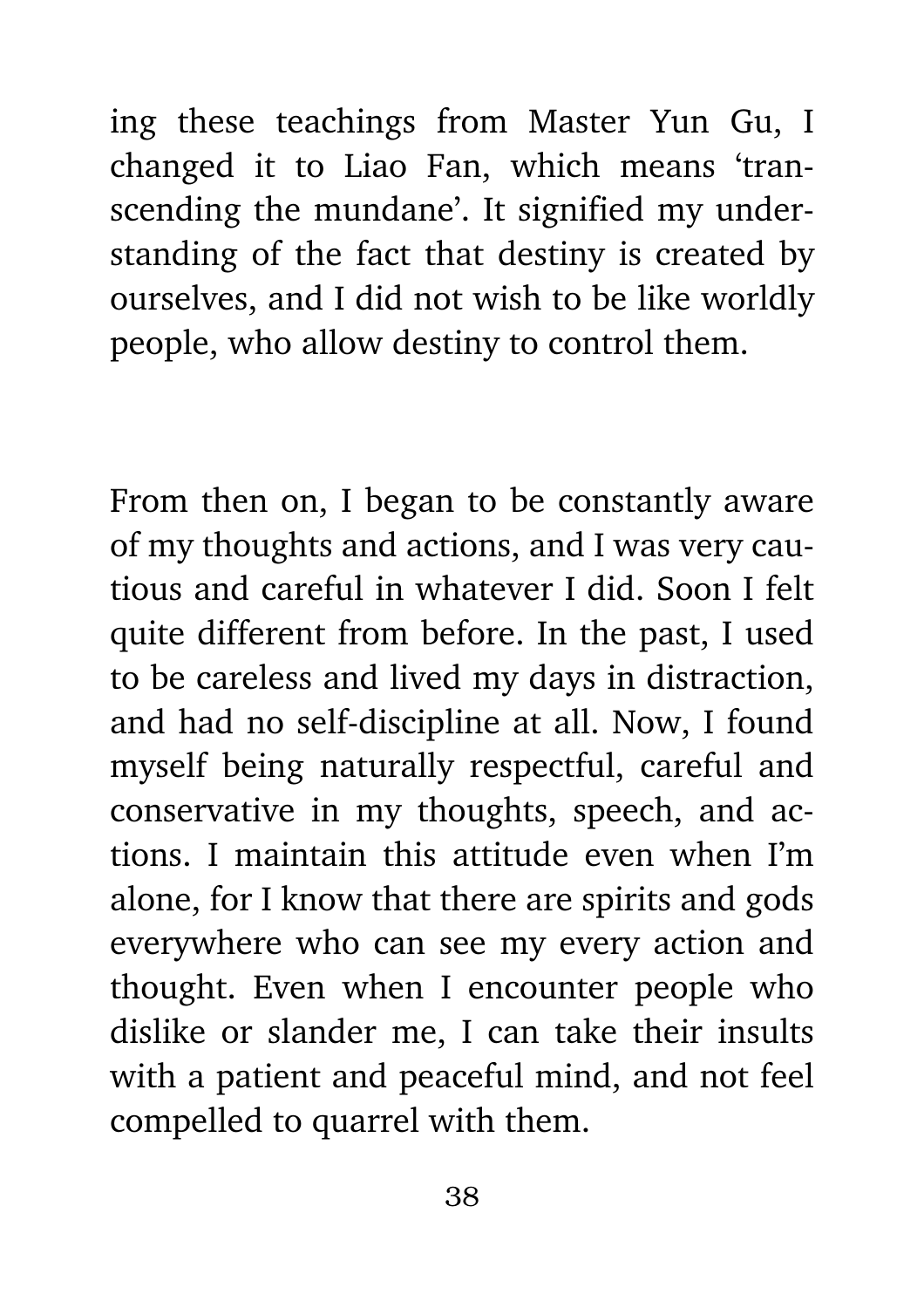ing these teachings from Master Yun Gu, I changed it to Liao Fan, which means 'transcending the mundane'. It signified my understanding of the fact that destiny is created by ourselves, and I did not wish to be like worldly people, who allow destiny to control them.

From then on, I began to be constantly aware of my thoughts and actions, and I was very cautious and careful in whatever I did. Soon I felt quite different from before. In the past, I used to be careless and lived my days in distraction, and had no self-discipline at all. Now, I found myself being naturally respectful, careful and conservative in my thoughts, speech, and actions. I maintain this attitude even when I'm alone, for I know that there are spirits and gods everywhere who can see my every action and thought. Even when I encounter people who dislike or slander me, I can take their insults with a patient and peaceful mind, and not feel compelled to quarrel with them.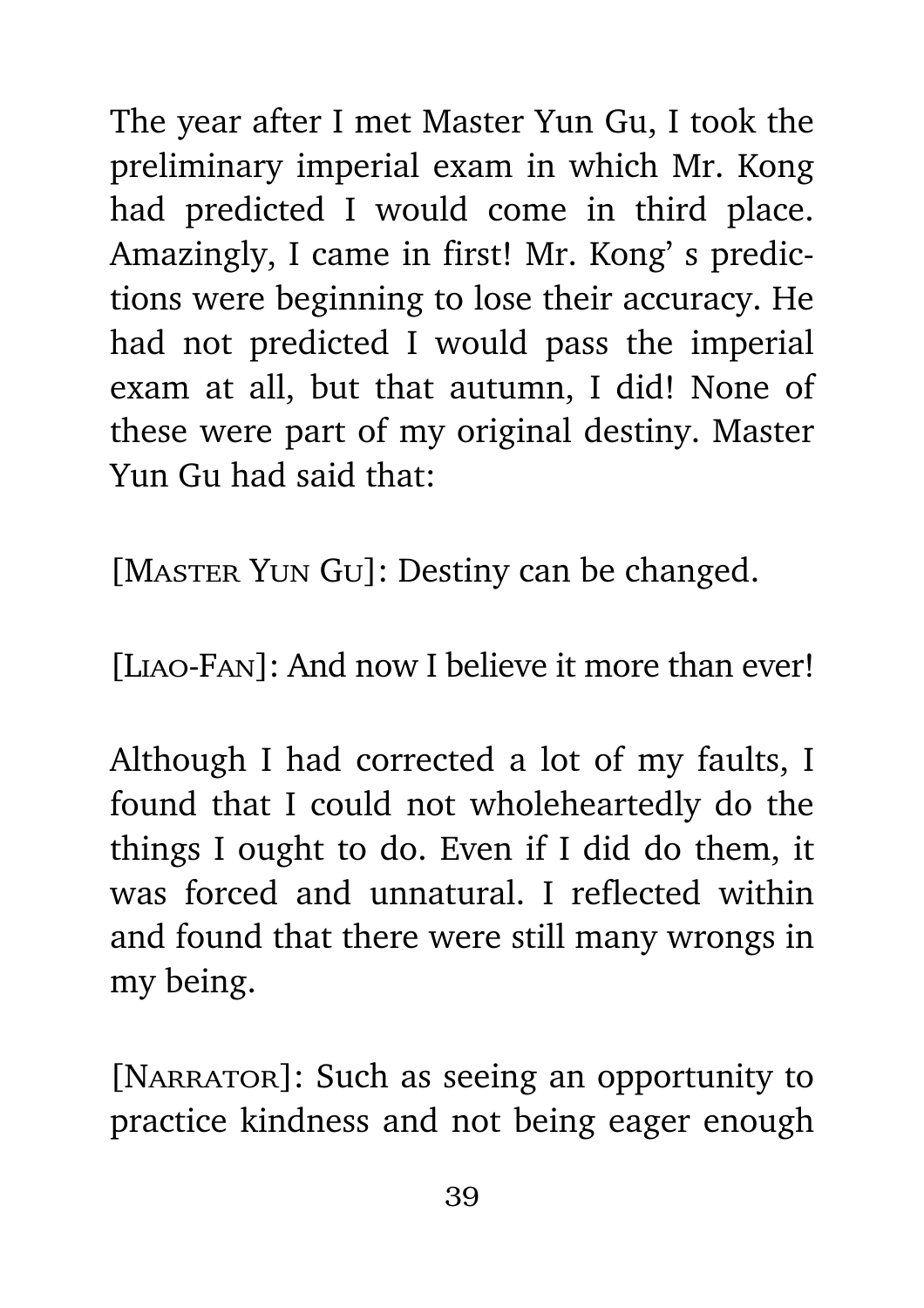The year after I met Master Yun Gu, I took the preliminary imperial exam in which Mr. Kong had predicted I would come in third place. Amazingly, I came in first! Mr. Kong' s predictions were beginning to lose their accuracy. He had not predicted I would pass the imperial exam at all, but that autumn, I did! None of these were part of my original destiny. Master Yun Gu had said that:

[MASTER YUN GU]: Destiny can be changed.

[LIAO-FAN]: And now I believe it more than ever!

Although I had corrected a lot of my faults, I found that I could not wholeheartedly do the things I ought to do. Even if I did do them, it was forced and unnatural. I reflected within and found that there were still many wrongs in my being.

[NARRATOR]: Such as seeing an opportunity to practice kindness and not being eager enough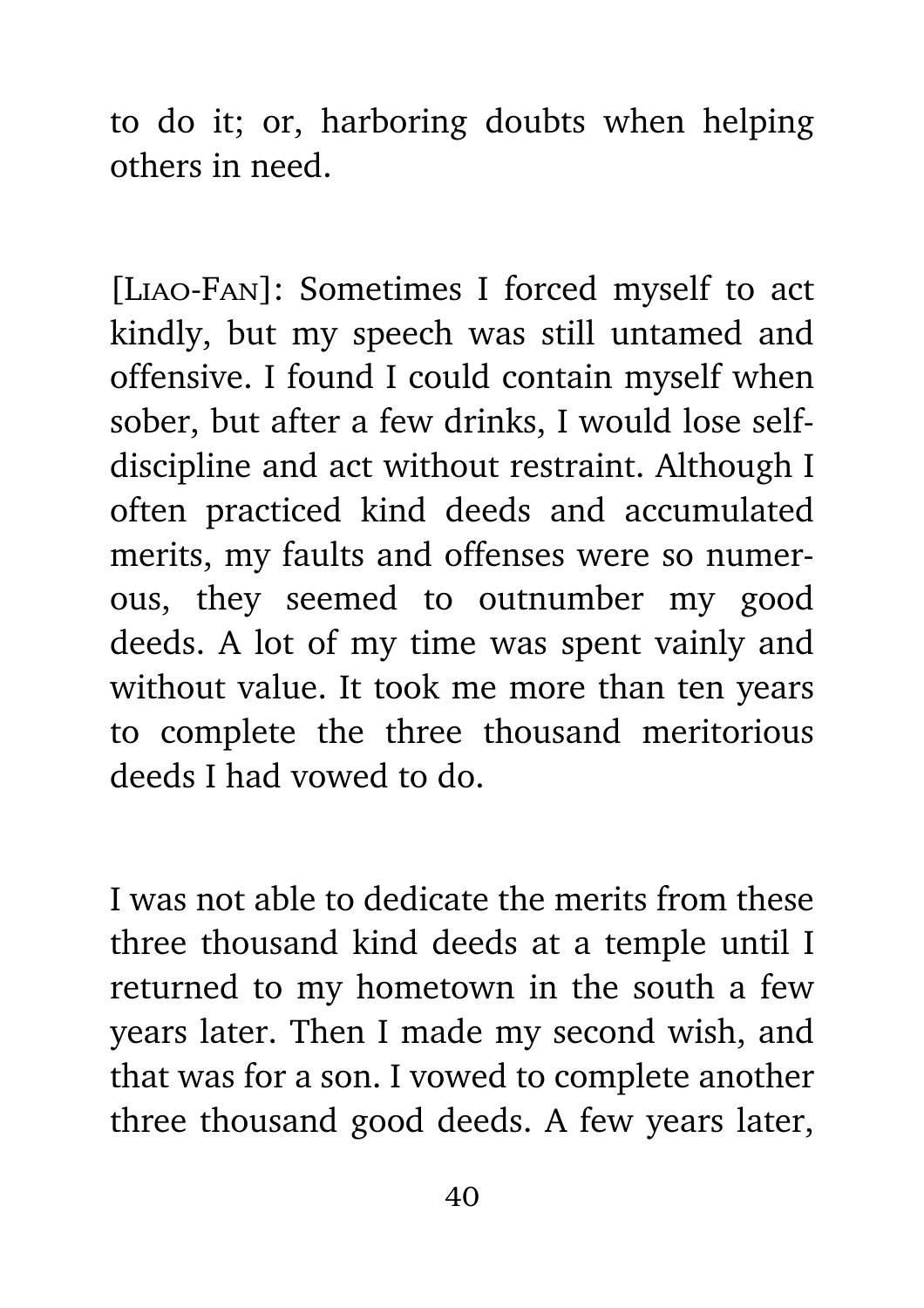to do it; or, harboring doubts when helping others in need.

[Liao-Fan]: Sometimes I forced myself to act kindly, but my speech was still untamed and offensive. I found I could contain myself when sober, but after a few drinks, I would lose selfdiscipline and act without restraint. Although I often practiced kind deeds and accumulated merits, my faults and offenses were so numerous, they seemed to outnumber my good deeds. A lot of my time was spent vainly and without value. It took me more than ten years to complete the three thousand meritorious deeds I had vowed to do.

I was not able to dedicate the merits from these three thousand kind deeds at a temple until I returned to my hometown in the south a few years later. Then I made my second wish, and that was for a son. I vowed to complete another three thousand good deeds. A few years later,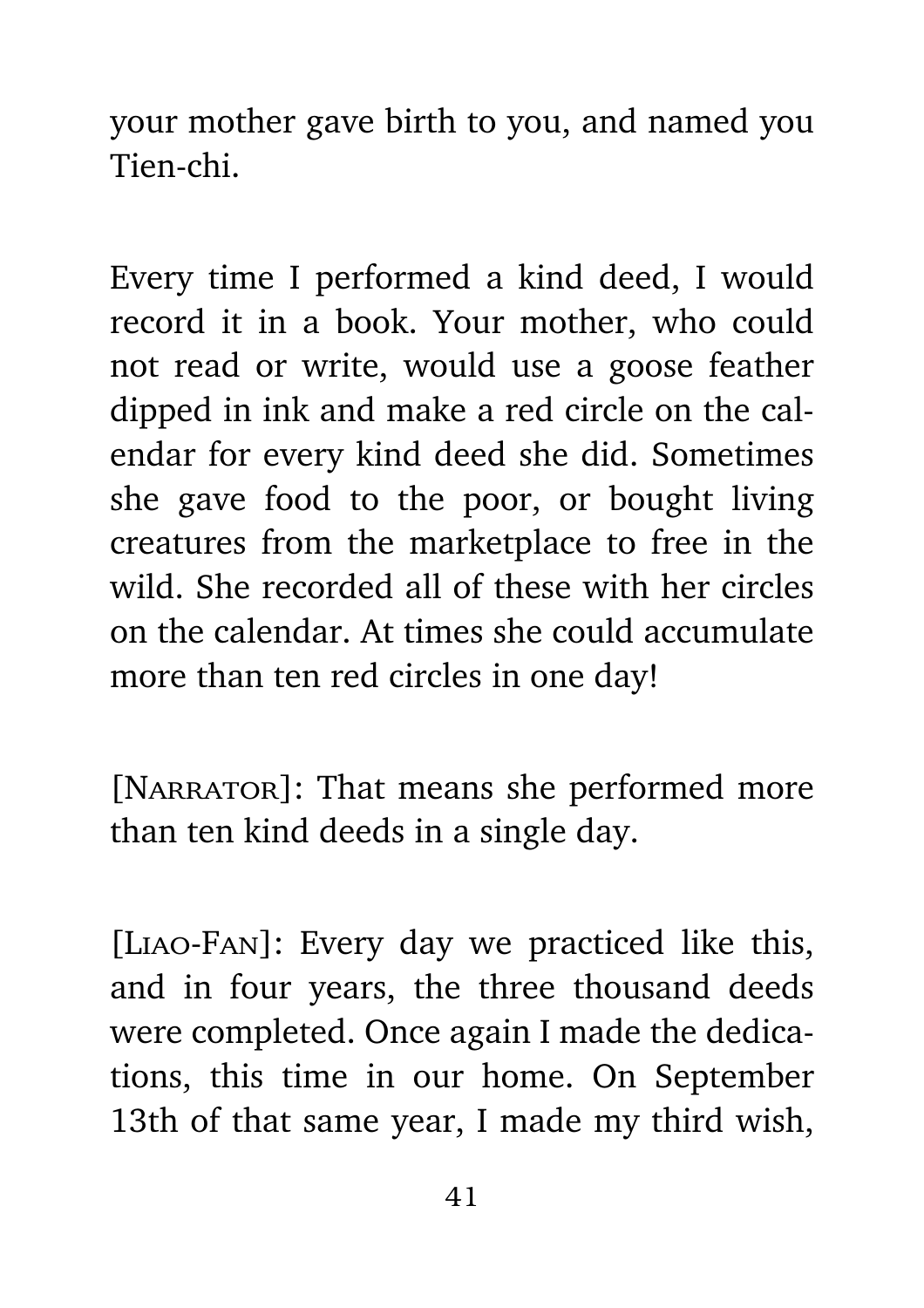your mother gave birth to you, and named you Tien-chi.

Every time I performed a kind deed, I would record it in a book. Your mother, who could not read or write, would use a goose feather dipped in ink and make a red circle on the calendar for every kind deed she did. Sometimes she gave food to the poor, or bought living creatures from the marketplace to free in the wild. She recorded all of these with her circles on the calendar. At times she could accumulate more than ten red circles in one day!

[NARRATOR]: That means she performed more than ten kind deeds in a single day.

[Liao-Fan]: Every day we practiced like this, and in four years, the three thousand deeds were completed. Once again I made the dedications, this time in our home. On September 13th of that same year, I made my third wish,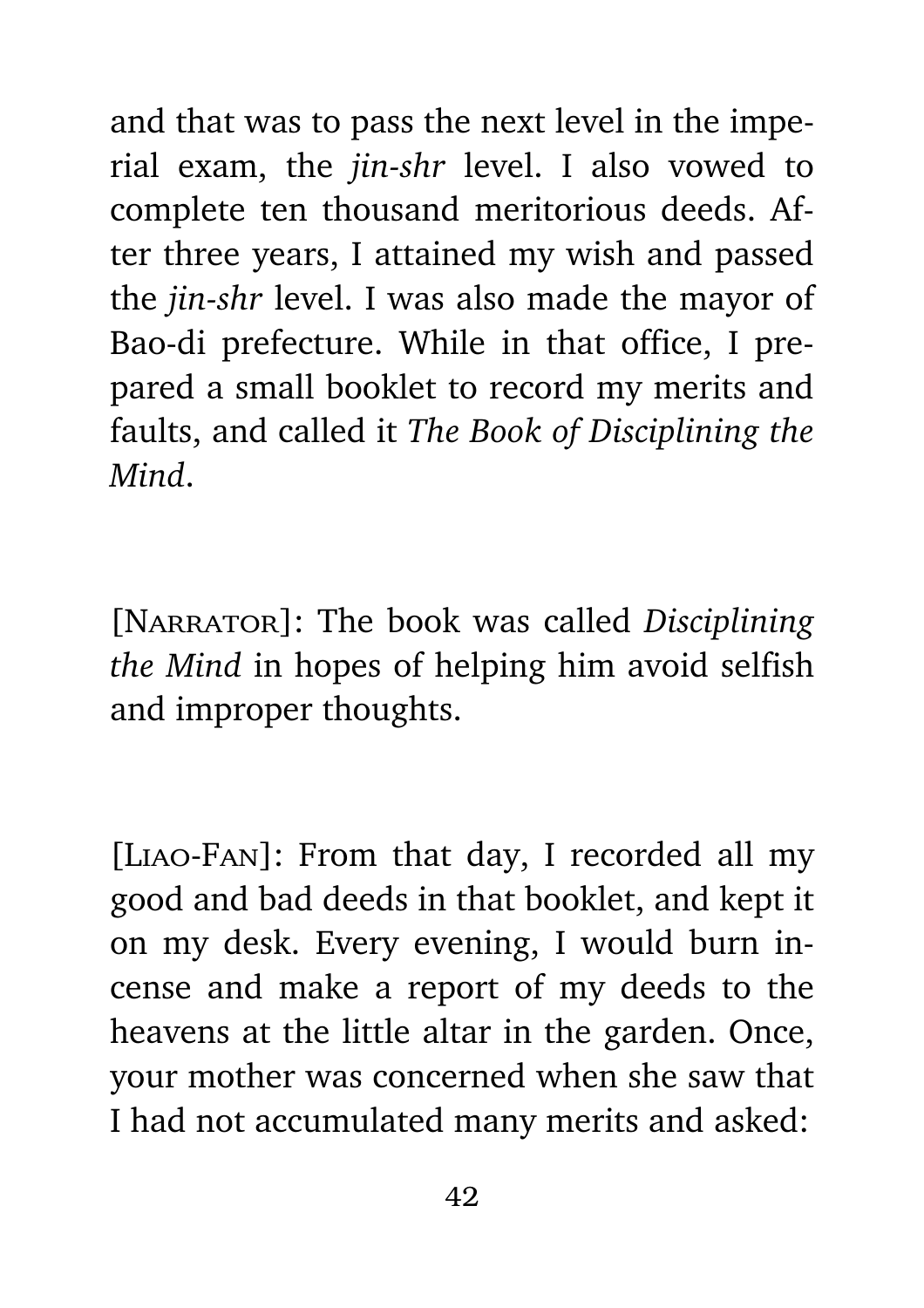and that was to pass the next level in the imperial exam, the *jin-shr* level. I also vowed to complete ten thousand meritorious deeds. After three years, I attained my wish and passed the *jin-shr* level. I was also made the mayor of Bao-di prefecture. While in that office, I prepared a small booklet to record my merits and faults, and called it *The Book of Disciplining the Mind*.

[Narrator]: The book was called *Disciplining the Mind* in hopes of helping him avoid selfish and improper thoughts.

[Liao-Fan]: From that day, I recorded all my good and bad deeds in that booklet, and kept it on my desk. Every evening, I would burn incense and make a report of my deeds to the heavens at the little altar in the garden. Once, your mother was concerned when she saw that I had not accumulated many merits and asked: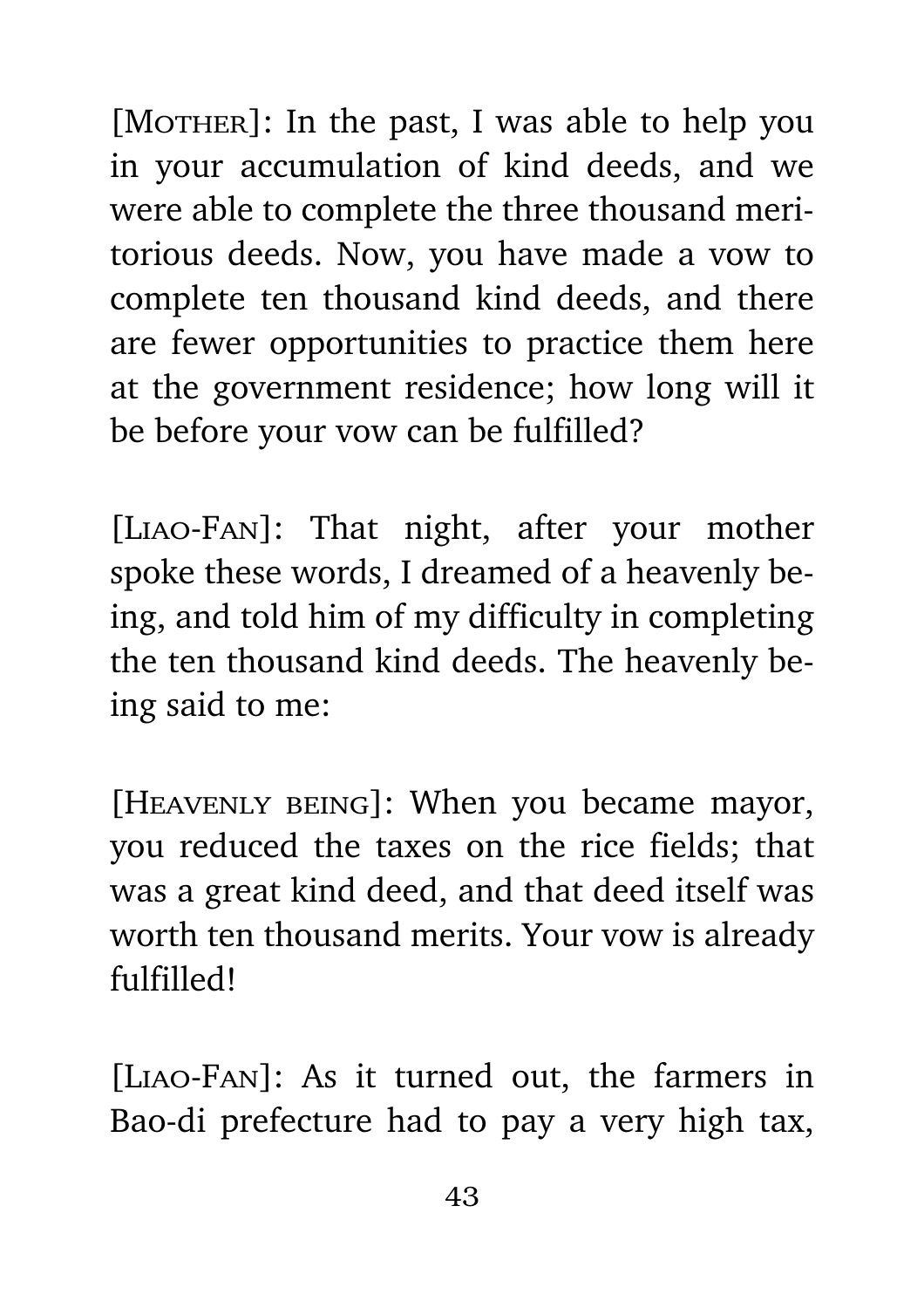$[Mother]:$  In the past, I was able to help you in your accumulation of kind deeds, and we were able to complete the three thousand meritorious deeds. Now, you have made a vow to complete ten thousand kind deeds, and there are fewer opportunities to practice them here at the government residence; how long will it be before your vow can be fulfilled?

[Liao-Fan]: That night, after your mother spoke these words, I dreamed of a heavenly being, and told him of my difficulty in completing the ten thousand kind deeds. The heavenly being said to me:

[Heavenly being]: When you became mayor, you reduced the taxes on the rice fields; that was a great kind deed, and that deed itself was worth ten thousand merits. Your vow is already fulfilled!

[Liao-Fan]: As it turned out, the farmers in Bao-di prefecture had to pay a very high tax,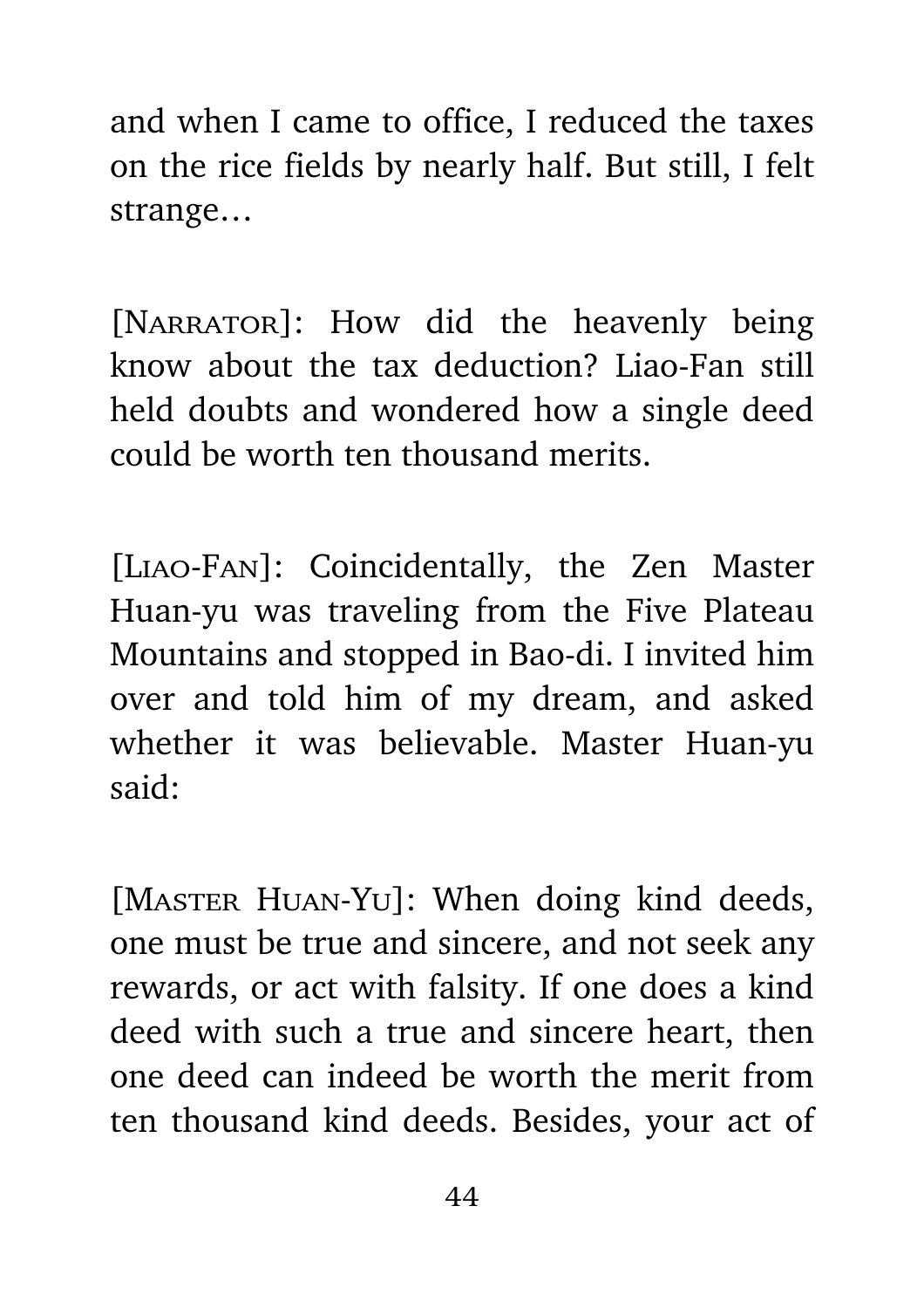and when I came to office, I reduced the taxes on the rice fields by nearly half. But still, I felt strange…

[NARRATOR]: How did the heavenly being know about the tax deduction? Liao-Fan still held doubts and wondered how a single deed could be worth ten thousand merits.

[Liao-Fan]: Coincidentally, the Zen Master Huan-yu was traveling from the Five Plateau Mountains and stopped in Bao-di. I invited him over and told him of my dream, and asked whether it was believable. Master Huan-yu said:

[MASTER HUAN-YU]: When doing kind deeds, one must be true and sincere, and not seek any rewards, or act with falsity. If one does a kind deed with such a true and sincere heart, then one deed can indeed be worth the merit from ten thousand kind deeds. Besides, your act of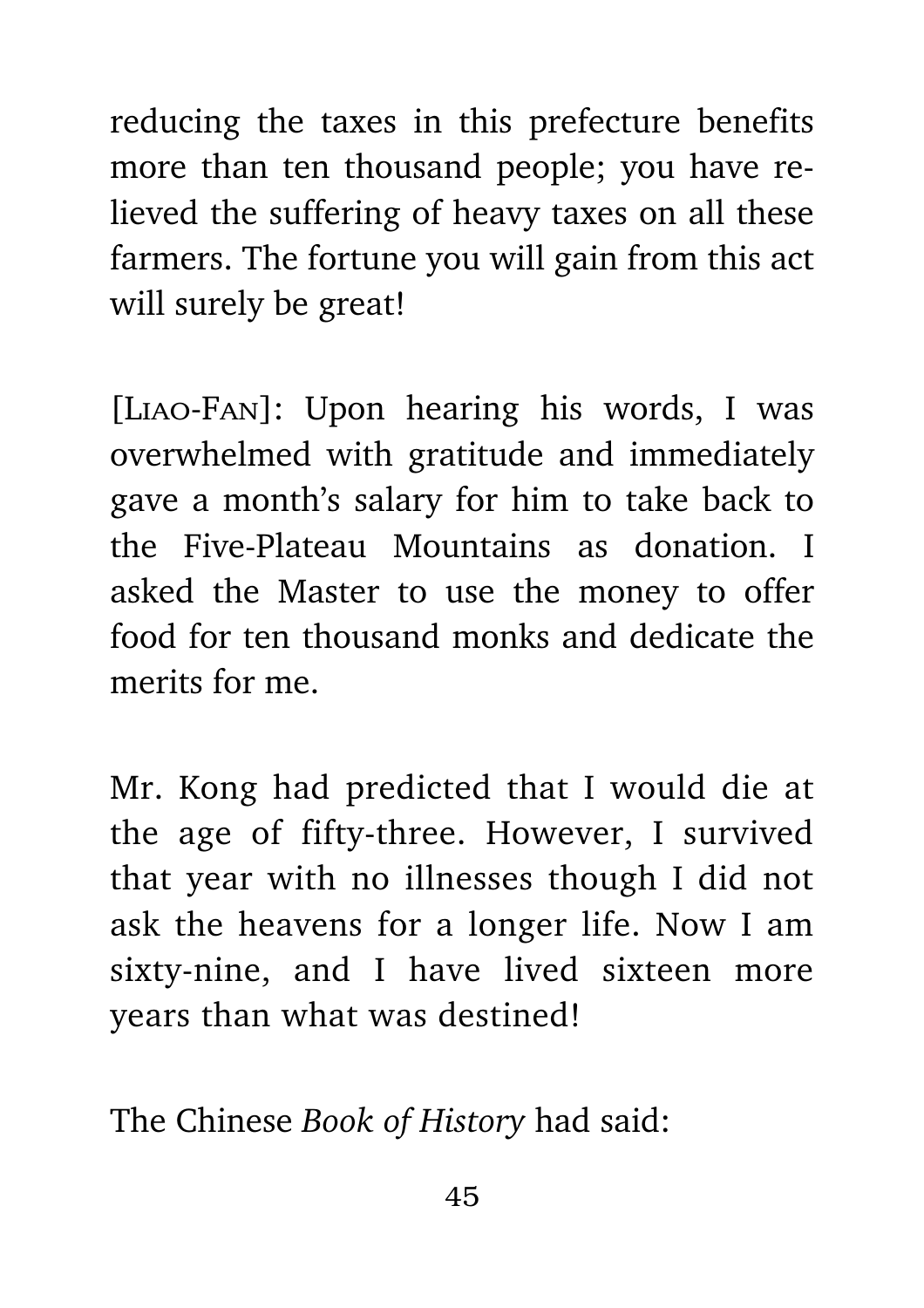reducing the taxes in this prefecture benefits more than ten thousand people; you have relieved the suffering of heavy taxes on all these farmers. The fortune you will gain from this act will surely be great!

[Liao-Fan]: Upon hearing his words, I was overwhelmed with gratitude and immediately gave a month's salary for him to take back to the Five-Plateau Mountains as donation. I asked the Master to use the money to offer food for ten thousand monks and dedicate the merits for me.

Mr. Kong had predicted that I would die at the age of fifty-three. However, I survived that year with no illnesses though I did not ask the heavens for a longer life. Now I am sixty-nine, and I have lived sixteen more years than what was destined!

The Chinese *Book of History* had said: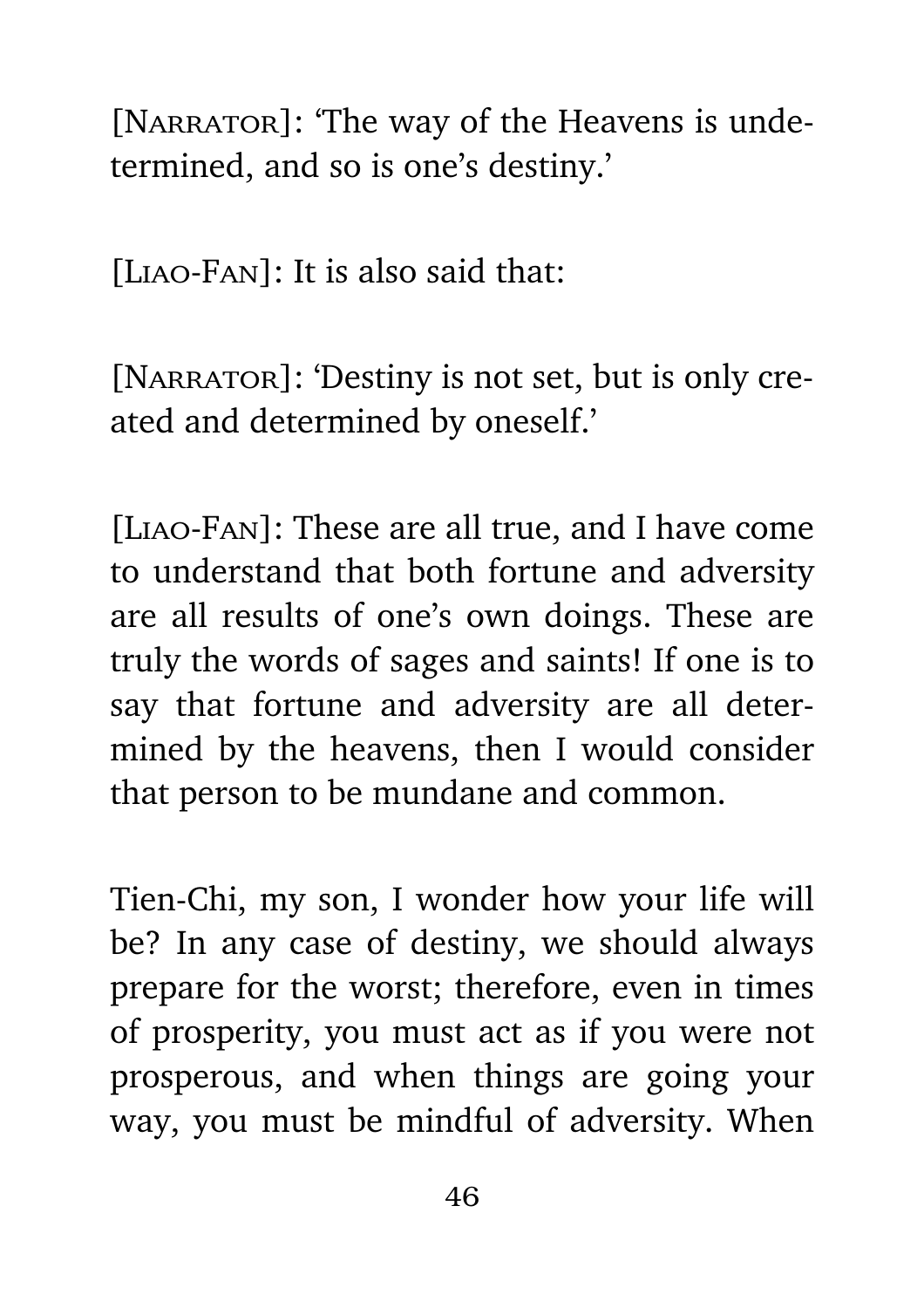[NARRATOR]: 'The way of the Heavens is undetermined, and so is one's destiny.'

[Liao-Fan]: It is also said that:

[NARRATOR]: 'Destiny is not set, but is only created and determined by oneself.'

[Liao-Fan]: These are all true, and I have come to understand that both fortune and adversity are all results of one's own doings. These are truly the words of sages and saints! If one is to say that fortune and adversity are all determined by the heavens, then I would consider that person to be mundane and common.

Tien-Chi, my son, I wonder how your life will be? In any case of destiny, we should always prepare for the worst; therefore, even in times of prosperity, you must act as if you were not prosperous, and when things are going your way, you must be mindful of adversity. When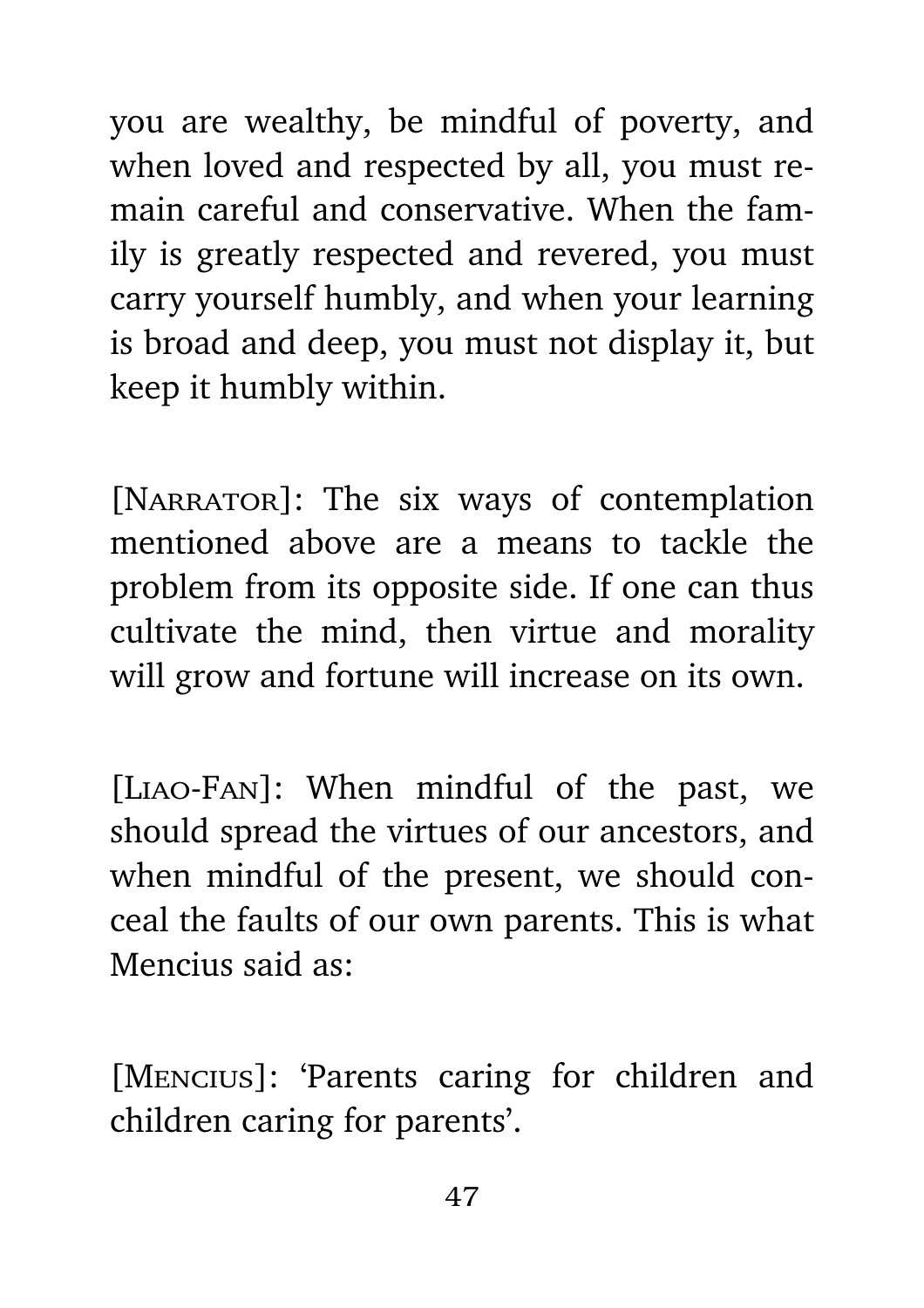you are wealthy, be mindful of poverty, and when loved and respected by all, you must remain careful and conservative. When the family is greatly respected and revered, you must carry yourself humbly, and when your learning is broad and deep, you must not display it, but keep it humbly within.

[NARRATOR]: The six ways of contemplation mentioned above are a means to tackle the problem from its opposite side. If one can thus cultivate the mind, then virtue and morality will grow and fortune will increase on its own.

[Liao-Fan]: When mindful of the past, we should spread the virtues of our ancestors, and when mindful of the present, we should conceal the faults of our own parents. This is what Mencius said as:

[Mencius]: 'Parents caring for children and children caring for parents'.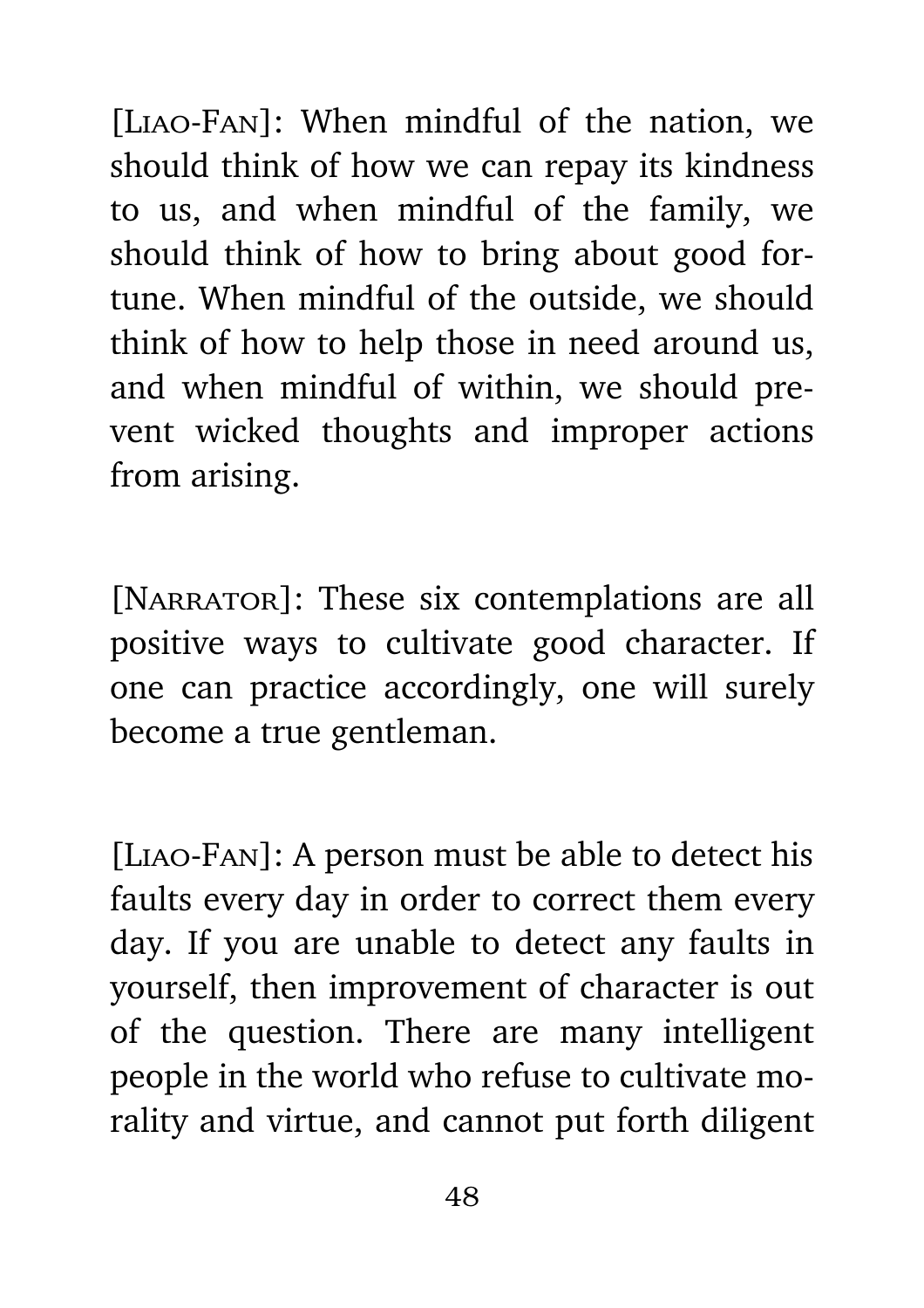[Liao-Fan]: When mindful of the nation, we should think of how we can repay its kindness to us, and when mindful of the family, we should think of how to bring about good fortune. When mindful of the outside, we should think of how to help those in need around us, and when mindful of within, we should prevent wicked thoughts and improper actions from arising.

[NARRATOR]: These six contemplations are all positive ways to cultivate good character. If one can practice accordingly, one will surely become a true gentleman.

[Liao-Fan]: A person must be able to detect his faults every day in order to correct them every day. If you are unable to detect any faults in yourself, then improvement of character is out of the question. There are many intelligent people in the world who refuse to cultivate morality and virtue, and cannot put forth diligent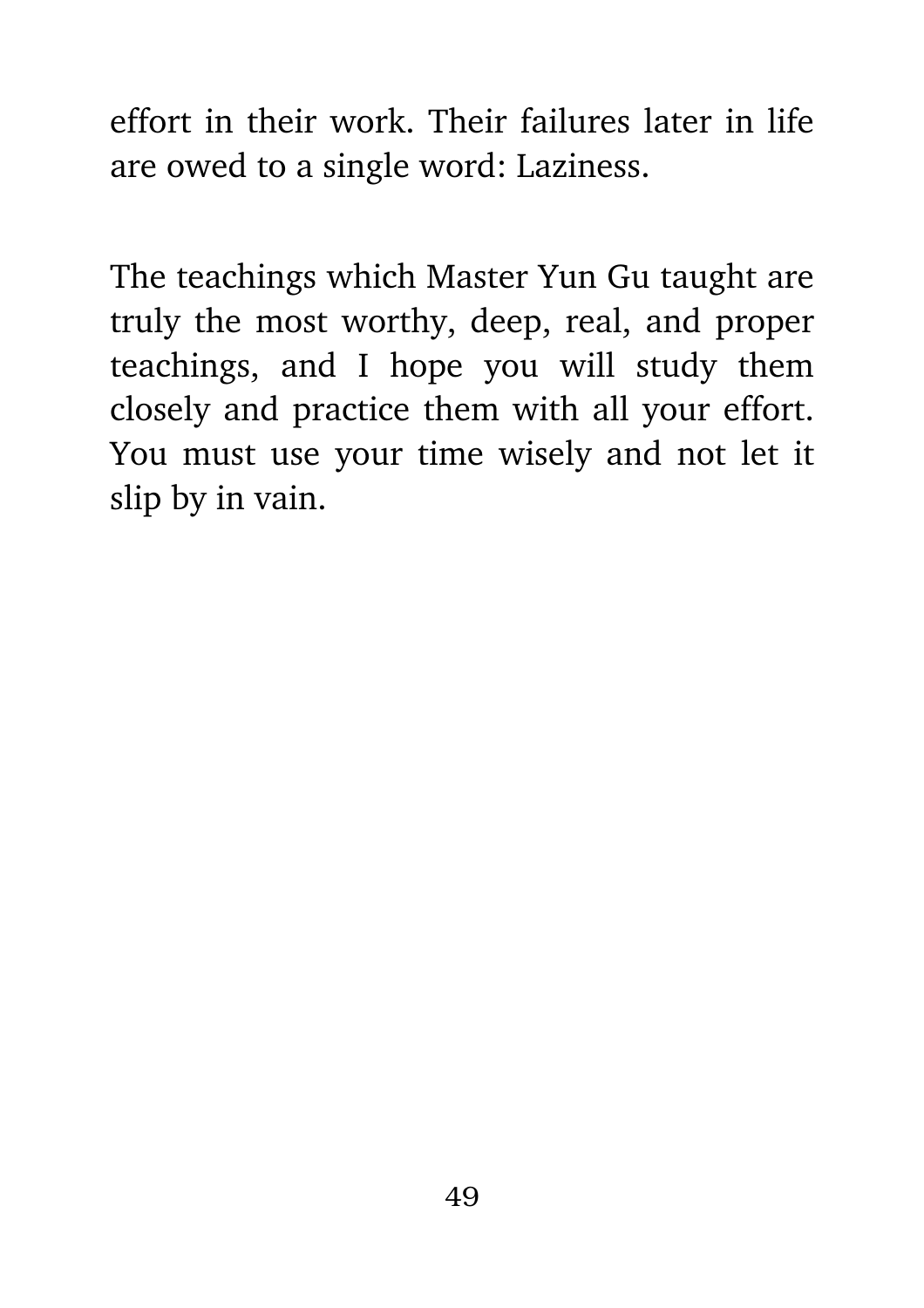effort in their work. Their failures later in life are owed to a single word: Laziness.

The teachings which Master Yun Gu taught are truly the most worthy, deep, real, and proper teachings, and I hope you will study them closely and practice them with all your effort. You must use your time wisely and not let it slip by in vain.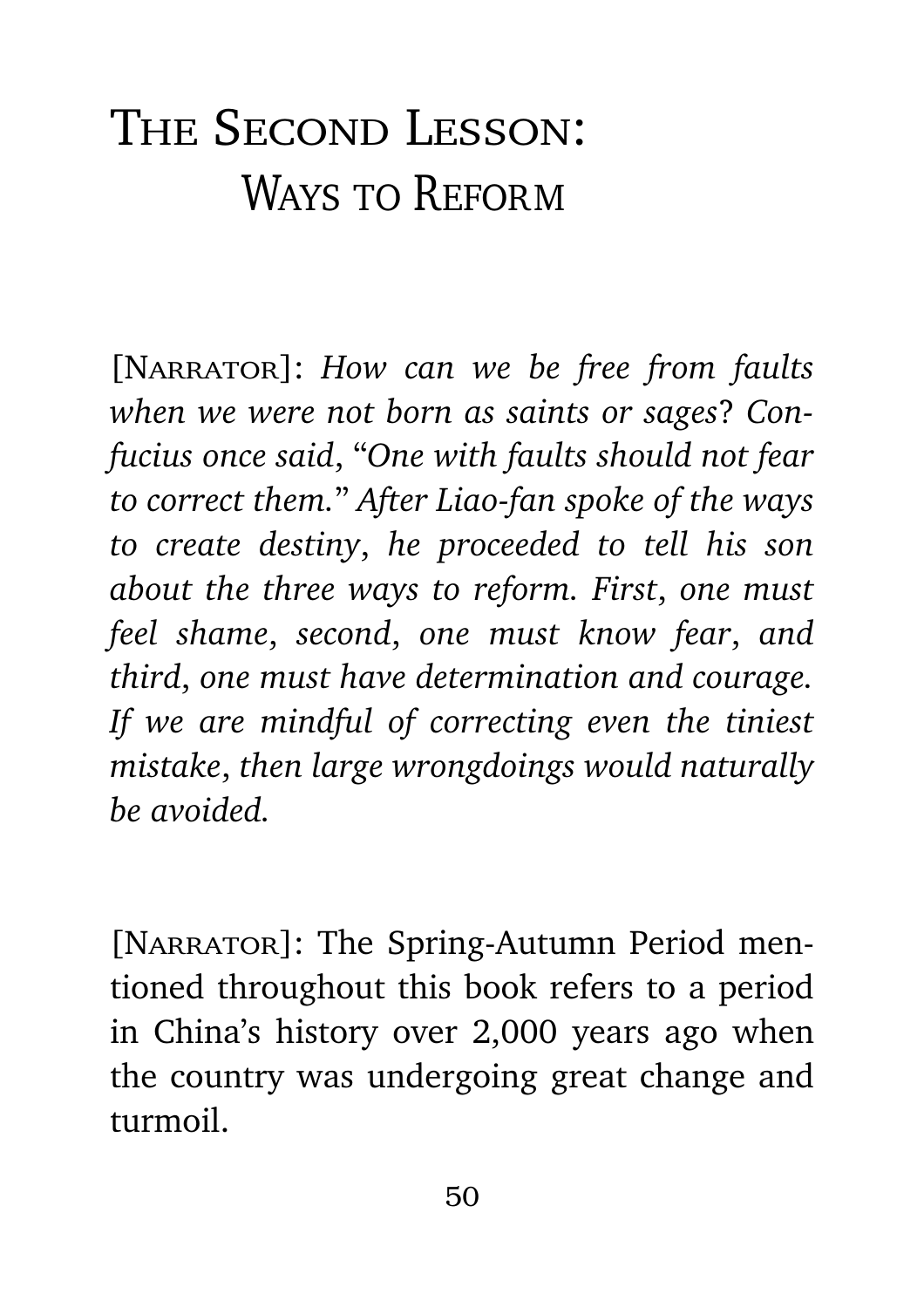## THE SECOND LESSON: WAYS TO REFORM

[NARRATOR]: *How can we be free from faults when we were not born as saints or sages*? *Confucius once said*, "*One with faults should not fear to correct them.*" *After Liao-fan spoke of the ways to create destiny*, *he proceeded to tell his son about the three ways to reform. First*, *one must feel shame*, *second*, *one must know fear*, *and third*, *one must have determination and courage. If we are mindful of correcting even the tiniest mistake*, *then large wrongdoings would naturally be avoided.*

[NARRATOR]: The Spring-Autumn Period mentioned throughout this book refers to a period in China's history over 2,000 years ago when the country was undergoing great change and turmoil.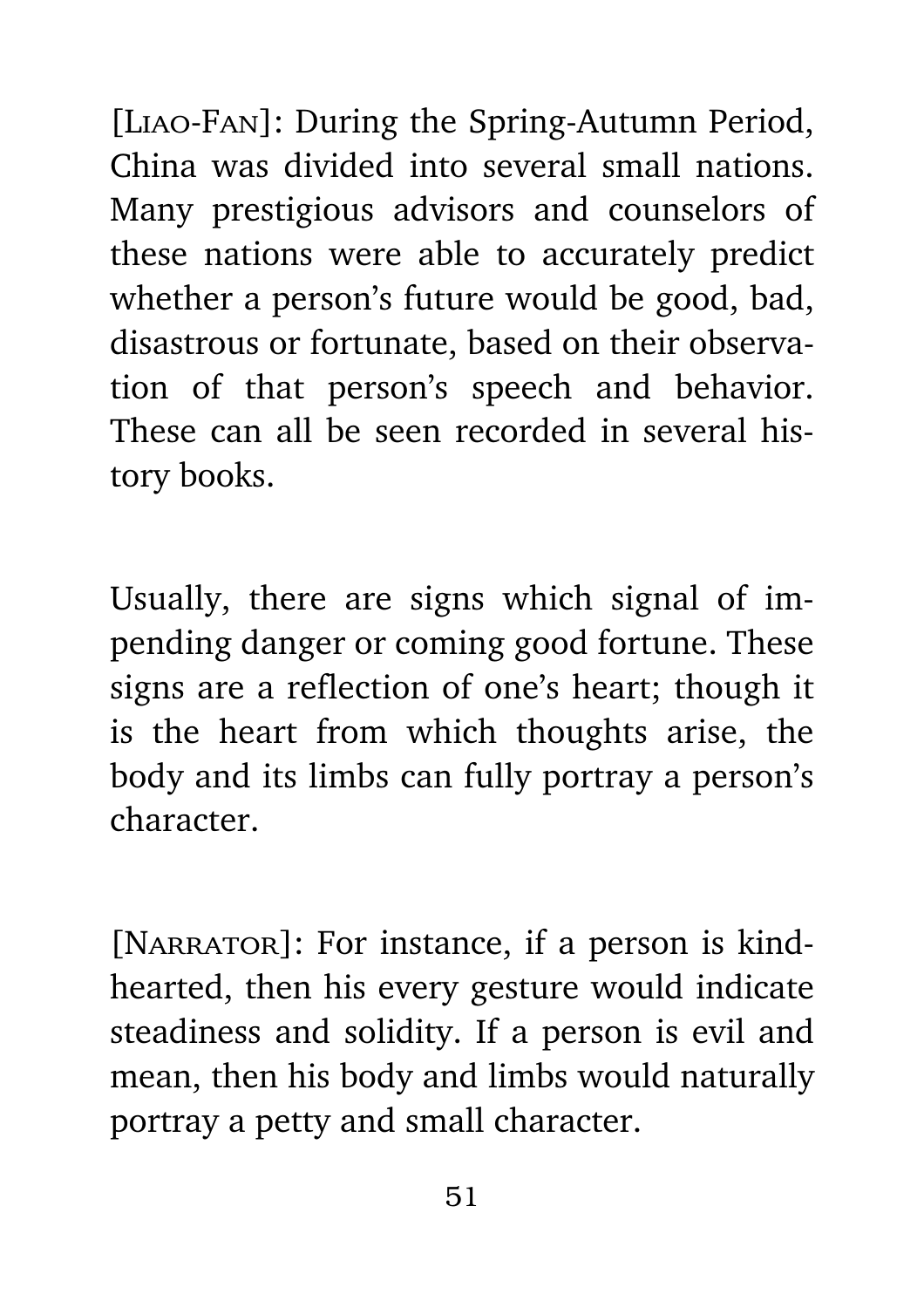[Liao-Fan]: During the Spring-Autumn Period, China was divided into several small nations. Many prestigious advisors and counselors of these nations were able to accurately predict whether a person's future would be good, bad, disastrous or fortunate, based on their observation of that person's speech and behavior. These can all be seen recorded in several history books.

Usually, there are signs which signal of impending danger or coming good fortune. These signs are a reflection of one's heart; though it is the heart from which thoughts arise, the body and its limbs can fully portray a person's character.

[NARRATOR]: For instance, if a person is kindhearted, then his every gesture would indicate steadiness and solidity. If a person is evil and mean, then his body and limbs would naturally portray a petty and small character.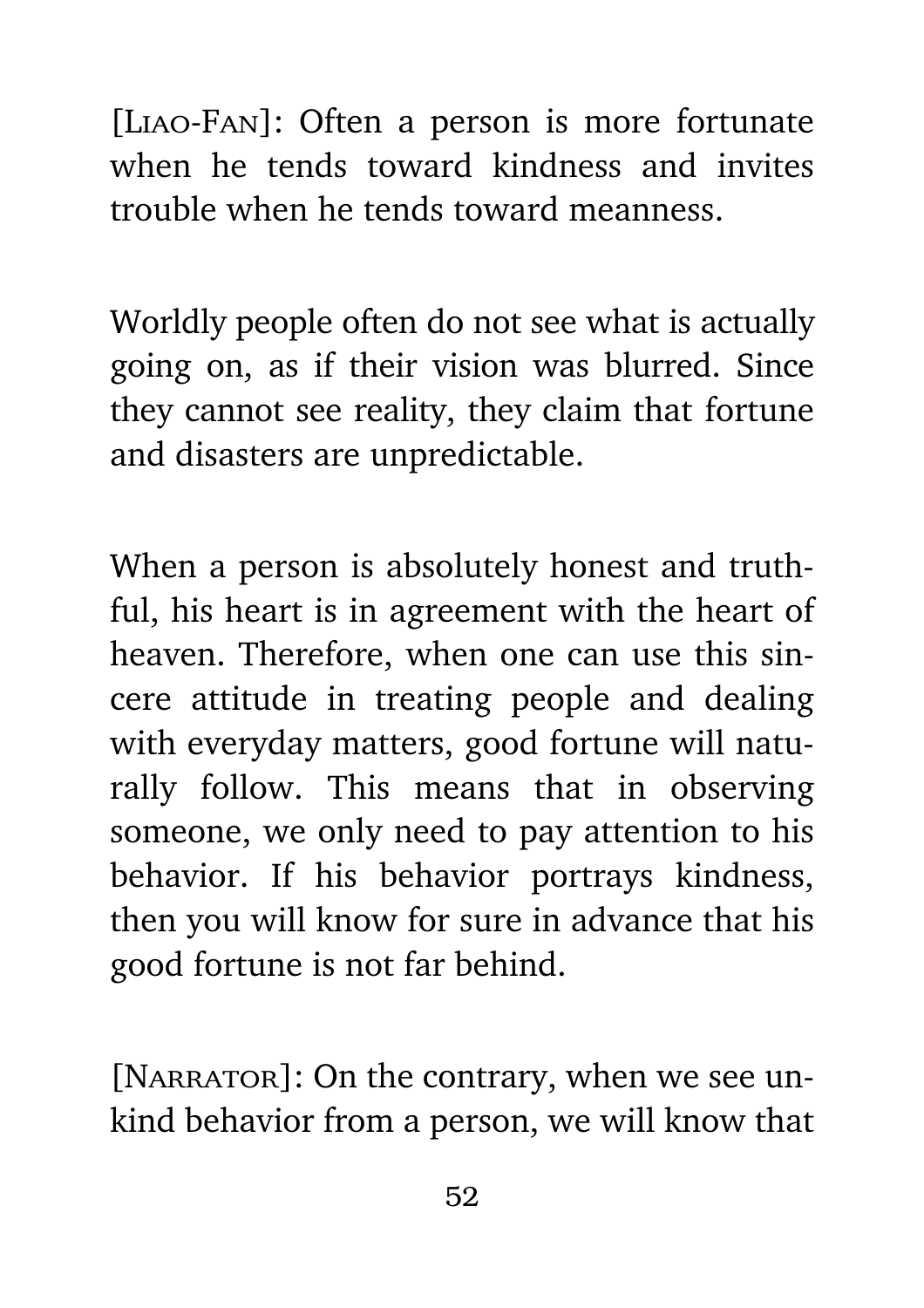[Liao-Fan]: Often a person is more fortunate when he tends toward kindness and invites trouble when he tends toward meanness.

Worldly people often do not see what is actually going on, as if their vision was blurred. Since they cannot see reality, they claim that fortune and disasters are unpredictable.

When a person is absolutely honest and truthful, his heart is in agreement with the heart of heaven. Therefore, when one can use this sincere attitude in treating people and dealing with everyday matters, good fortune will naturally follow. This means that in observing someone, we only need to pay attention to his behavior. If his behavior portrays kindness, then you will know for sure in advance that his good fortune is not far behind.

[NARRATOR]: On the contrary, when we see unkind behavior from a person, we will know that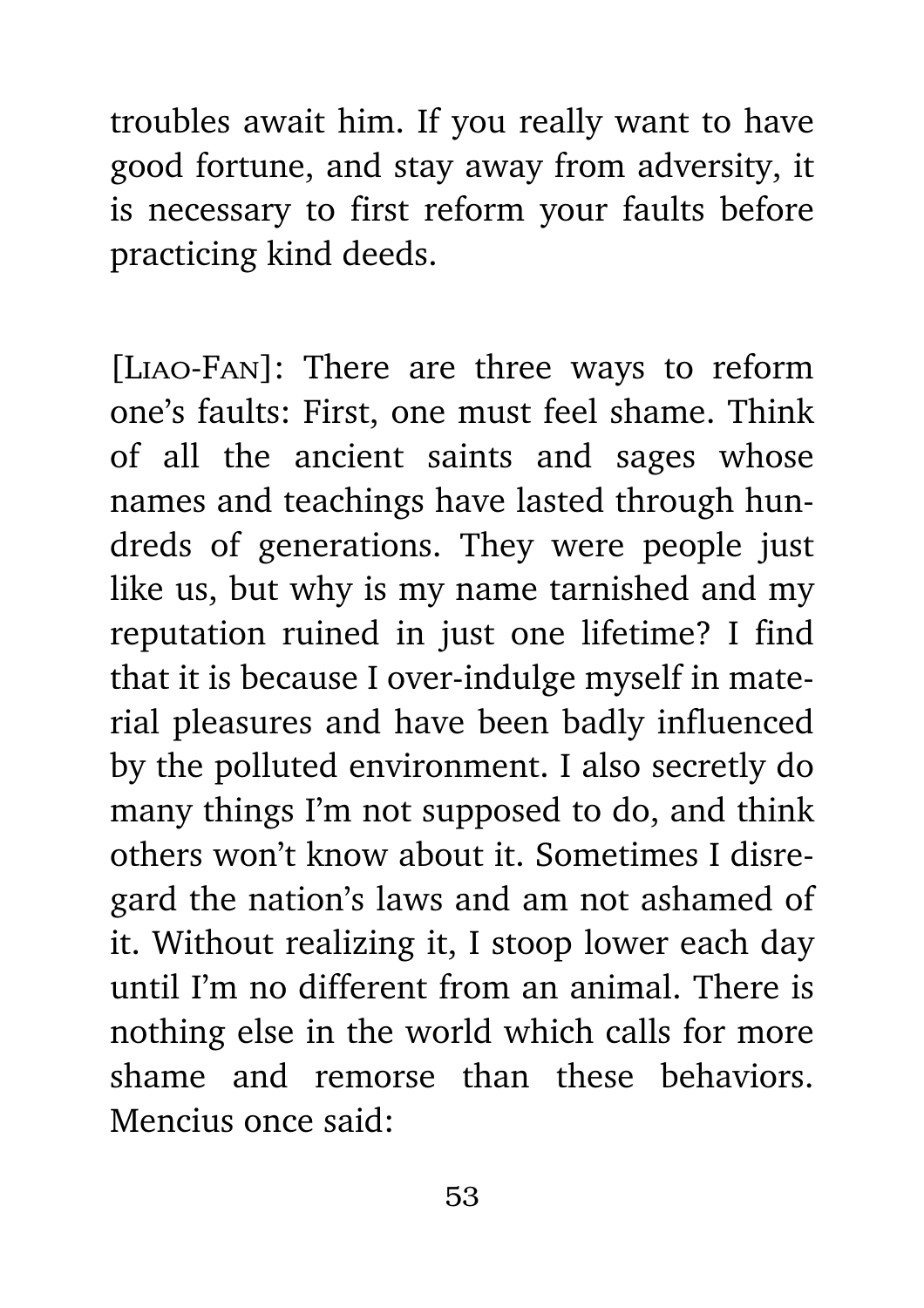troubles await him. If you really want to have good fortune, and stay away from adversity, it is necessary to first reform your faults before practicing kind deeds.

[Liao-Fan]: There are three ways to reform one's faults: First, one must feel shame. Think of all the ancient saints and sages whose names and teachings have lasted through hundreds of generations. They were people just like us, but why is my name tarnished and my reputation ruined in just one lifetime? I find that it is because I over-indulge myself in material pleasures and have been badly influenced by the polluted environment. I also secretly do many things I'm not supposed to do, and think others won't know about it. Sometimes I disregard the nation's laws and am not ashamed of it. Without realizing it, I stoop lower each day until I'm no different from an animal. There is nothing else in the world which calls for more shame and remorse than these behaviors. Mencius once said: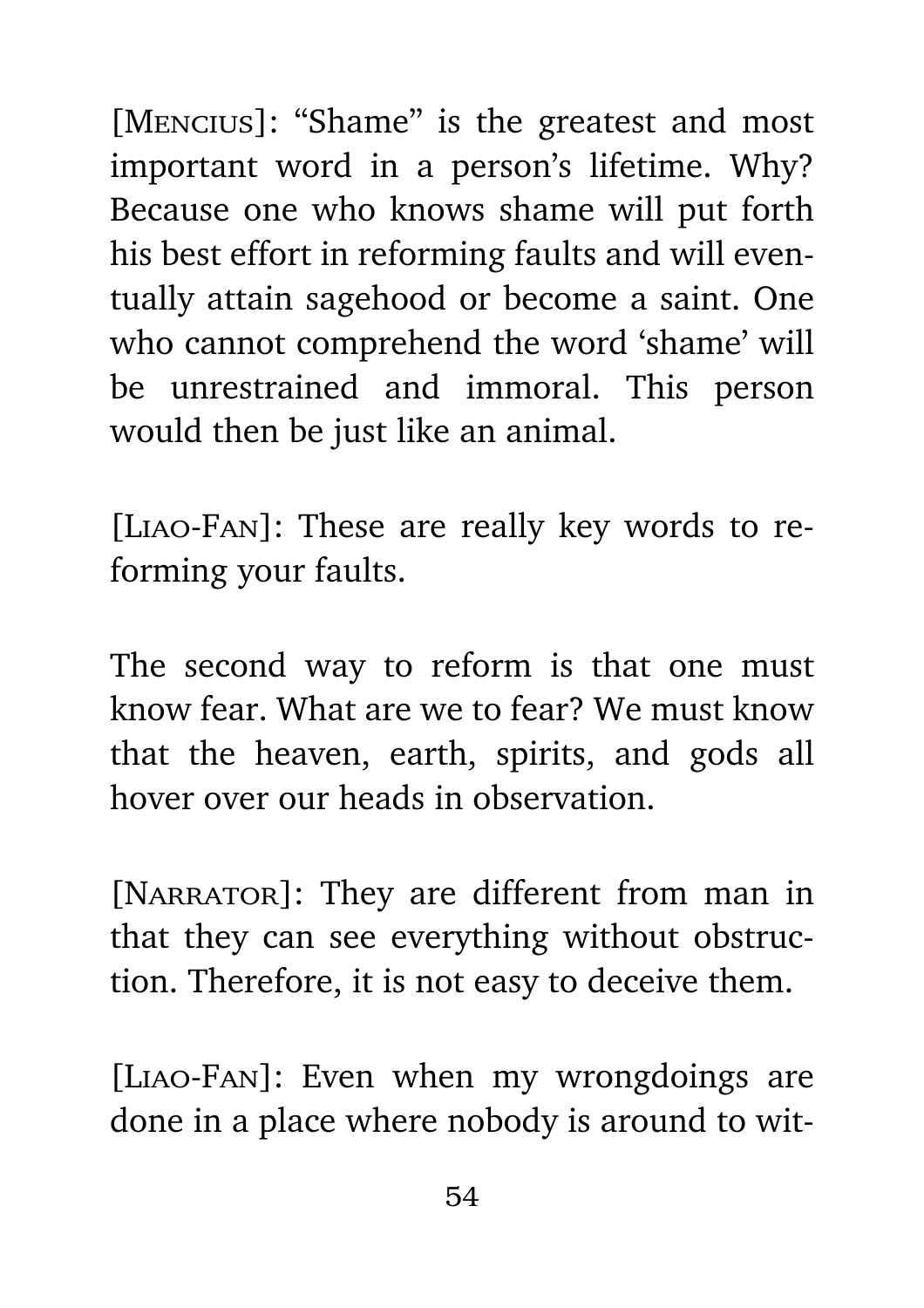[MENCIUS]: "Shame" is the greatest and most important word in a person's lifetime. Why? Because one who knows shame will put forth his best effort in reforming faults and will eventually attain sagehood or become a saint. One who cannot comprehend the word 'shame' will be unrestrained and immoral. This person would then be just like an animal.

[Liao-Fan]: These are really key words to reforming your faults.

The second way to reform is that one must know fear. What are we to fear? We must know that the heaven, earth, spirits, and gods all hover over our heads in observation.

[NARRATOR]: They are different from man in that they can see everything without obstruction. Therefore, it is not easy to deceive them.

[Liao-Fan]: Even when my wrongdoings are done in a place where nobody is around to wit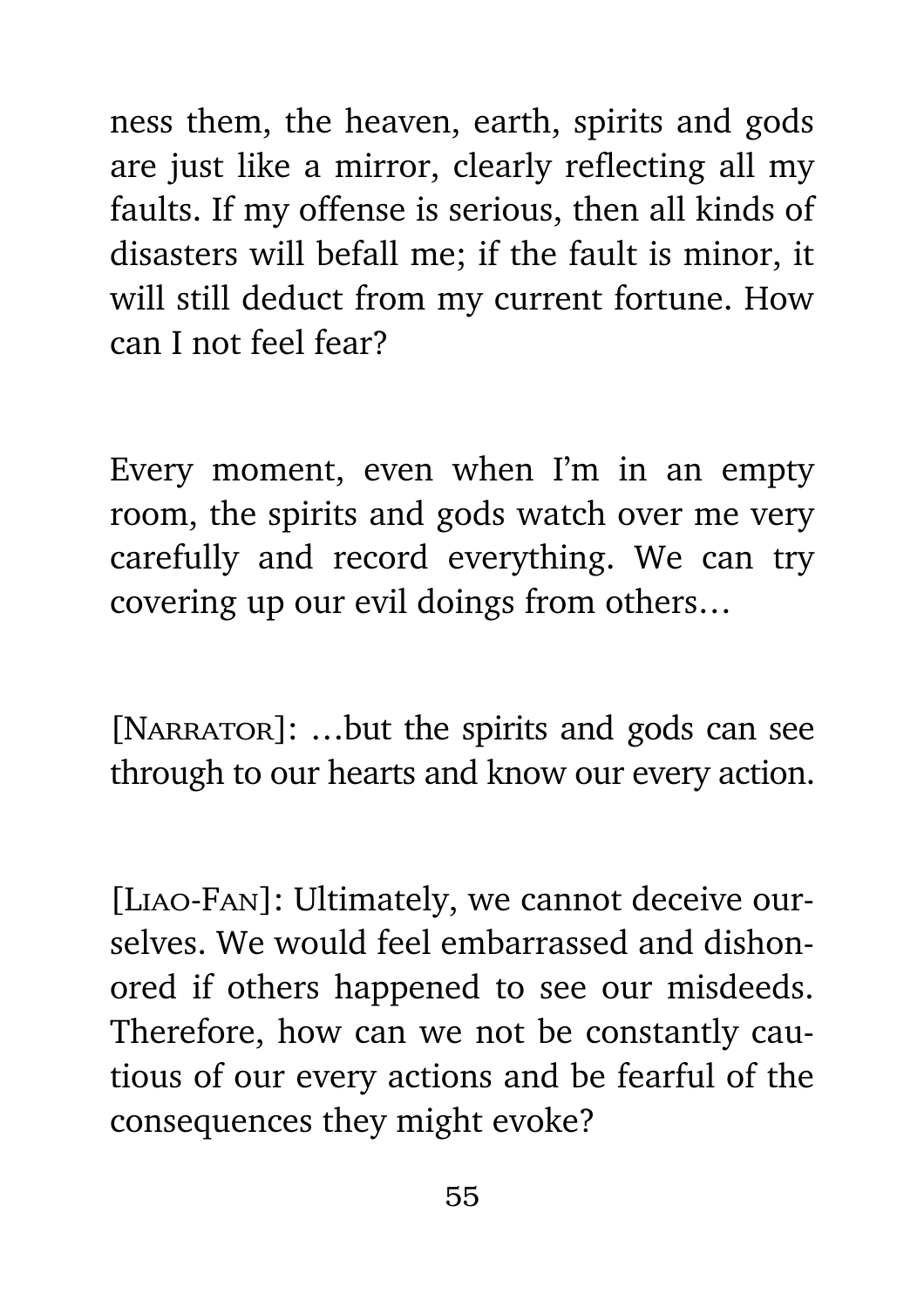ness them, the heaven, earth, spirits and gods are just like a mirror, clearly reflecting all my faults. If my offense is serious, then all kinds of disasters will befall me; if the fault is minor, it will still deduct from my current fortune. How can I not feel fear?

Every moment, even when I'm in an empty room, the spirits and gods watch over me very carefully and record everything. We can try covering up our evil doings from others…

[NARRATOR]: ...but the spirits and gods can see through to our hearts and know our every action.

[Liao-Fan]: Ultimately, we cannot deceive ourselves. We would feel embarrassed and dishonored if others happened to see our misdeeds. Therefore, how can we not be constantly cautious of our every actions and be fearful of the consequences they might evoke?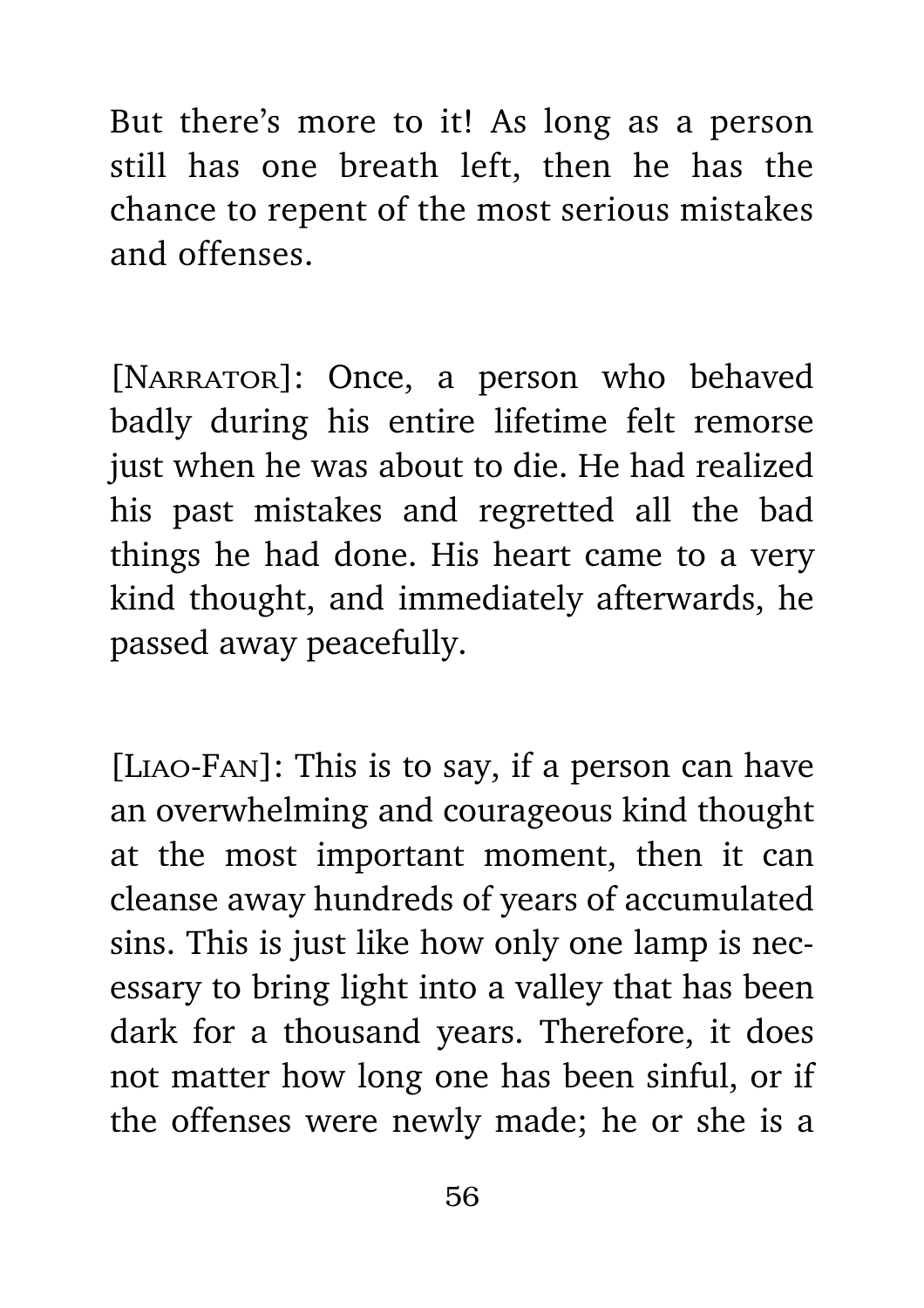But there's more to it! As long as a person still has one breath left, then he has the chance to repent of the most serious mistakes and offenses.

[NARRATOR]: Once, a person who behaved badly during his entire lifetime felt remorse just when he was about to die. He had realized his past mistakes and regretted all the bad things he had done. His heart came to a very kind thought, and immediately afterwards, he passed away peacefully.

[Liao-Fan]: This is to say, if a person can have an overwhelming and courageous kind thought at the most important moment, then it can cleanse away hundreds of years of accumulated sins. This is just like how only one lamp is necessary to bring light into a valley that has been dark for a thousand years. Therefore, it does not matter how long one has been sinful, or if the offenses were newly made; he or she is a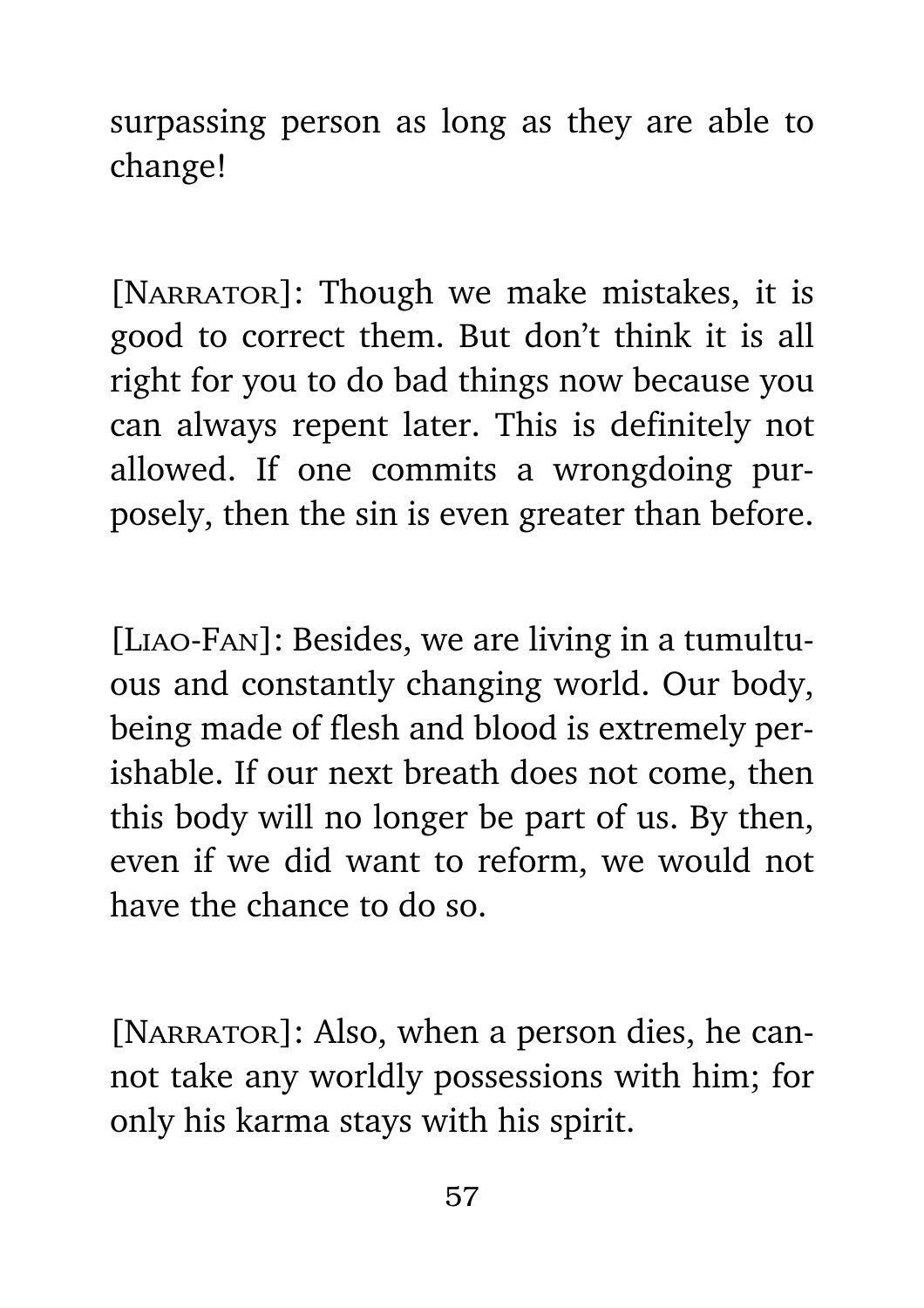surpassing person as long as they are able to change!

[NARRATOR]: Though we make mistakes, it is good to correct them. But don't think it is all right for you to do bad things now because you can always repent later. This is definitely not allowed. If one commits a wrongdoing purposely, then the sin is even greater than before.

[Liao-Fan]: Besides, we are living in a tumultuous and constantly changing world. Our body, being made of flesh and blood is extremely perishable. If our next breath does not come, then this body will no longer be part of us. By then, even if we did want to reform, we would not have the chance to do so.

[NARRATOR]: Also, when a person dies, he cannot take any worldly possessions with him; for only his karma stays with his spirit.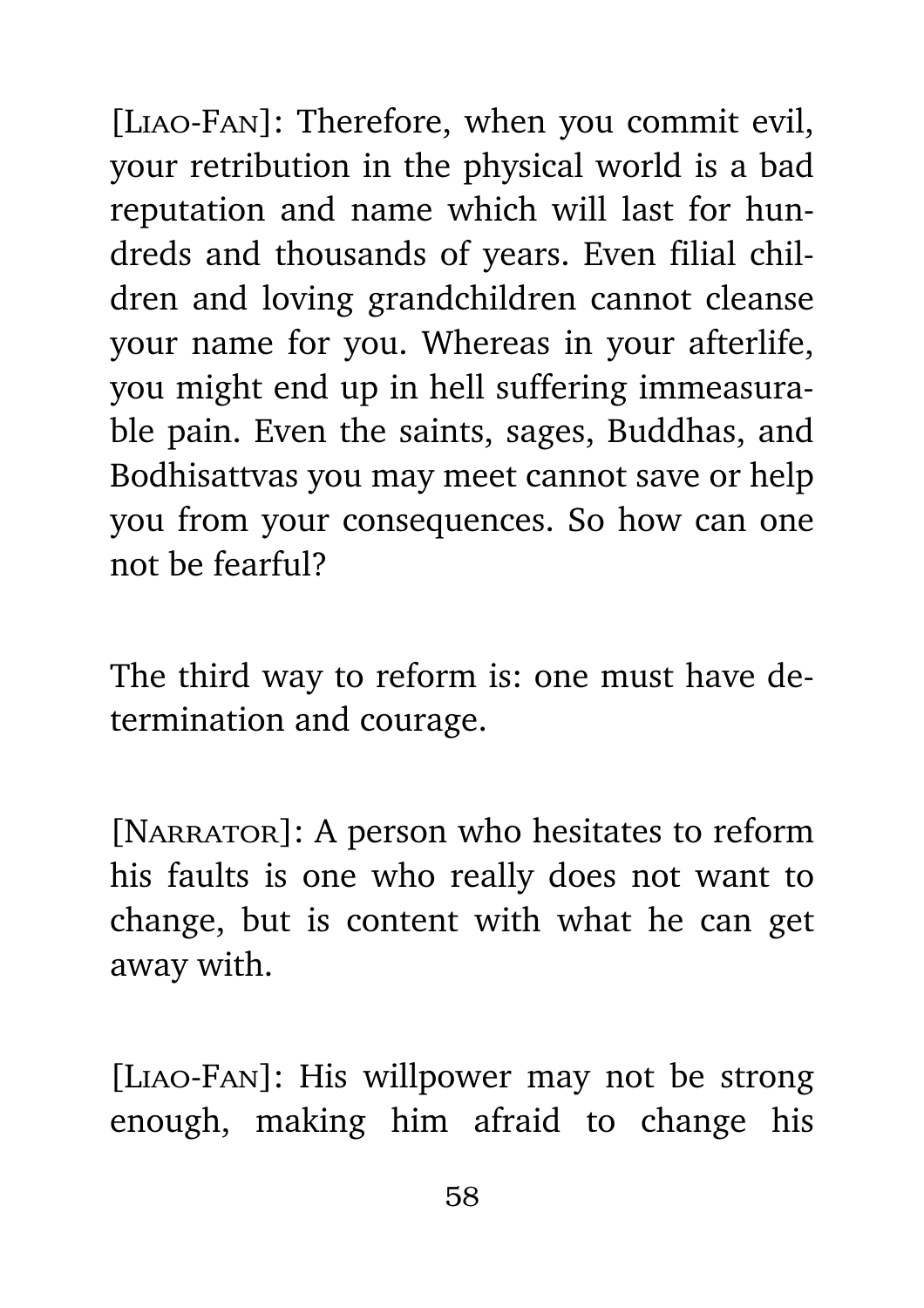[Liao-Fan]: Therefore, when you commit evil, your retribution in the physical world is a bad reputation and name which will last for hundreds and thousands of years. Even filial children and loving grandchildren cannot cleanse your name for you. Whereas in your afterlife, you might end up in hell suffering immeasurable pain. Even the saints, sages, Buddhas, and Bodhisattvas you may meet cannot save or help you from your consequences. So how can one not be fearful?

The third way to reform is: one must have determination and courage.

[NARRATOR]: A person who hesitates to reform his faults is one who really does not want to change, but is content with what he can get away with.

[Liao-Fan]: His willpower may not be strong enough, making him afraid to change his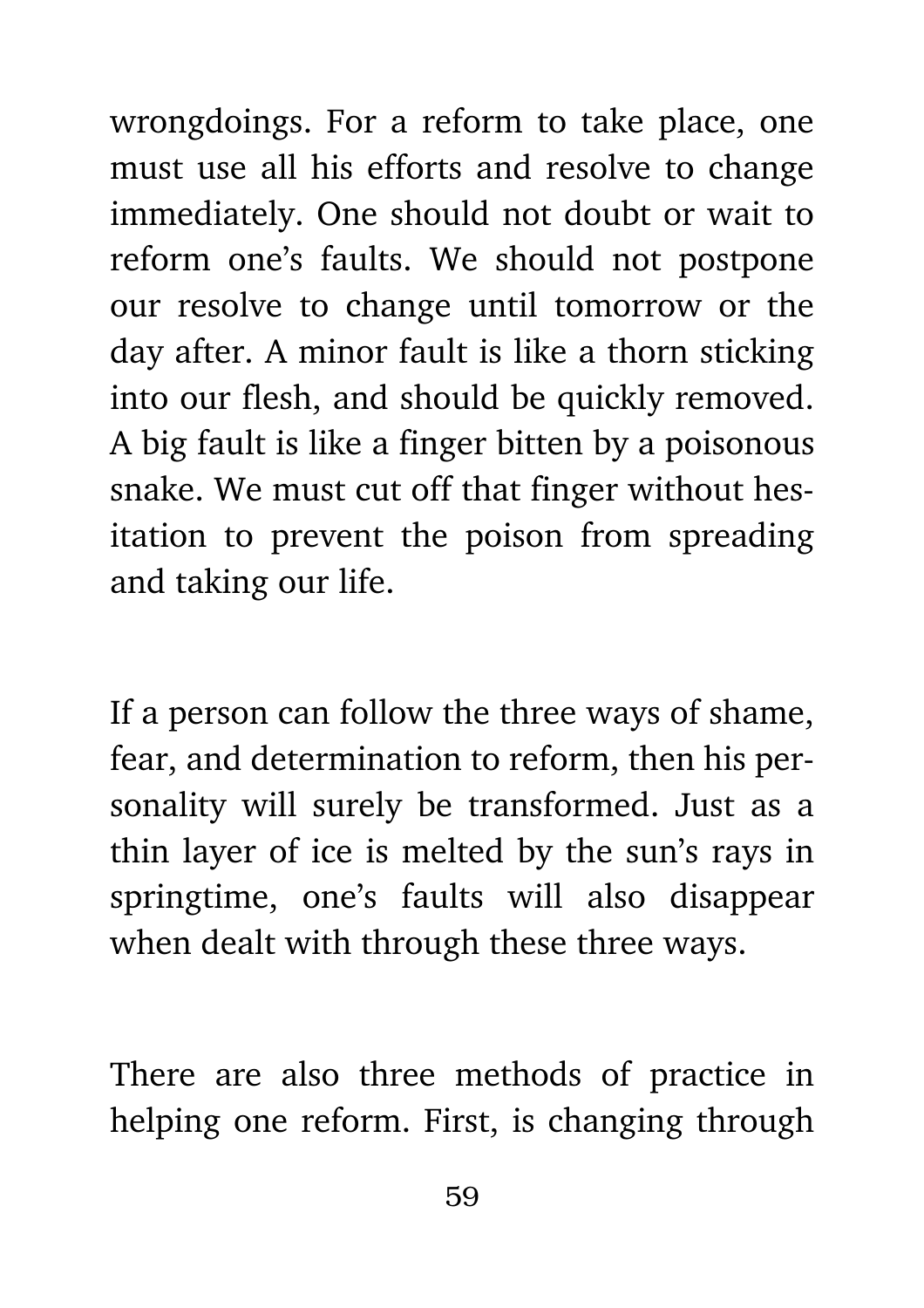wrongdoings. For a reform to take place, one must use all his efforts and resolve to change immediately. One should not doubt or wait to reform one's faults. We should not postpone our resolve to change until tomorrow or the day after. A minor fault is like a thorn sticking into our flesh, and should be quickly removed. A big fault is like a finger bitten by a poisonous snake. We must cut off that finger without hesitation to prevent the poison from spreading and taking our life.

If a person can follow the three ways of shame, fear, and determination to reform, then his personality will surely be transformed. Just as a thin layer of ice is melted by the sun's rays in springtime, one's faults will also disappear when dealt with through these three ways.

There are also three methods of practice in helping one reform. First, is changing through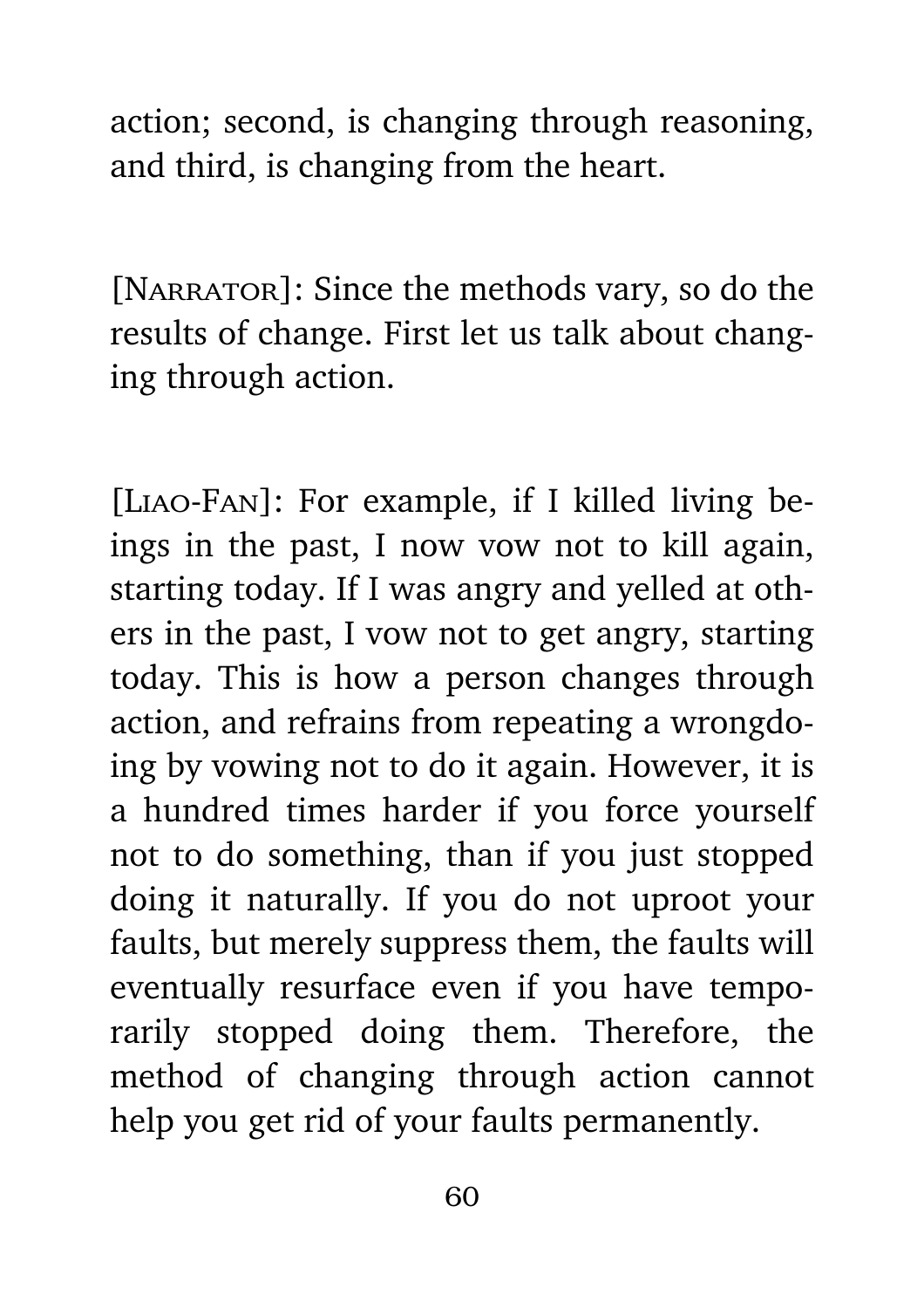action; second, is changing through reasoning, and third, is changing from the heart.

[NARRATOR]: Since the methods vary, so do the results of change. First let us talk about changing through action.

[Liao-Fan]: For example, if I killed living beings in the past, I now vow not to kill again, starting today. If I was angry and yelled at others in the past, I vow not to get angry, starting today. This is how a person changes through action, and refrains from repeating a wrongdoing by vowing not to do it again. However, it is a hundred times harder if you force yourself not to do something, than if you just stopped doing it naturally. If you do not uproot your faults, but merely suppress them, the faults will eventually resurface even if you have temporarily stopped doing them. Therefore, the method of changing through action cannot help you get rid of your faults permanently.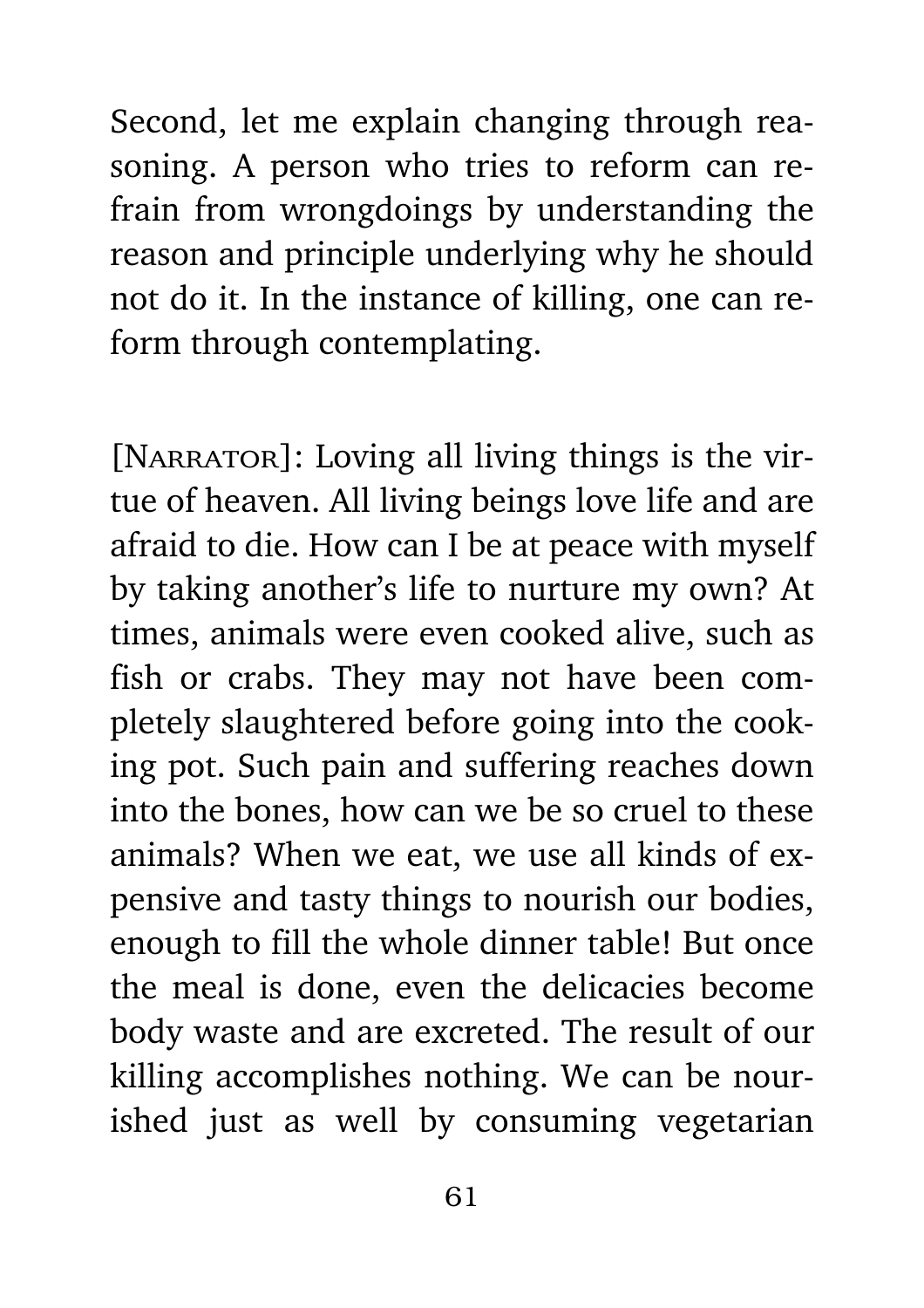Second, let me explain changing through reasoning. A person who tries to reform can refrain from wrongdoings by understanding the reason and principle underlying why he should not do it. In the instance of killing, one can reform through contemplating.

[NARRATOR]: Loving all living things is the virtue of heaven. All living beings love life and are afraid to die. How can I be at peace with myself by taking another's life to nurture my own? At times, animals were even cooked alive, such as fish or crabs. They may not have been completely slaughtered before going into the cooking pot. Such pain and suffering reaches down into the bones, how can we be so cruel to these animals? When we eat, we use all kinds of expensive and tasty things to nourish our bodies, enough to fill the whole dinner table! But once the meal is done, even the delicacies become body waste and are excreted. The result of our killing accomplishes nothing. We can be nourished just as well by consuming vegetarian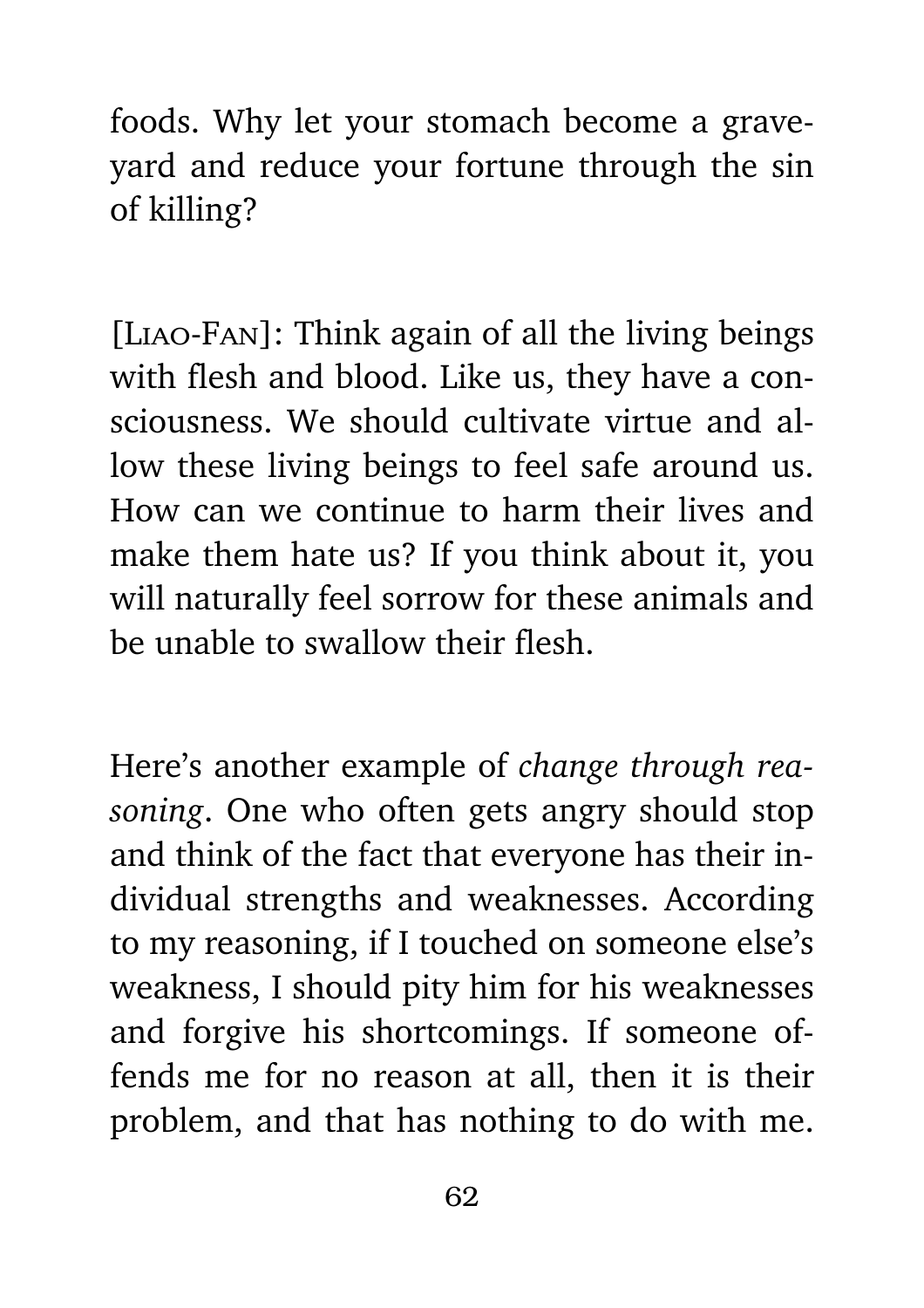foods. Why let your stomach become a graveyard and reduce your fortune through the sin of killing?

[Liao-Fan]: Think again of all the living beings with flesh and blood. Like us, they have a consciousness. We should cultivate virtue and allow these living beings to feel safe around us. How can we continue to harm their lives and make them hate us? If you think about it, you will naturally feel sorrow for these animals and be unable to swallow their flesh.

Here's another example of *change through reasoning*. One who often gets angry should stop and think of the fact that everyone has their individual strengths and weaknesses. According to my reasoning, if I touched on someone else's weakness, I should pity him for his weaknesses and forgive his shortcomings. If someone offends me for no reason at all, then it is their problem, and that has nothing to do with me.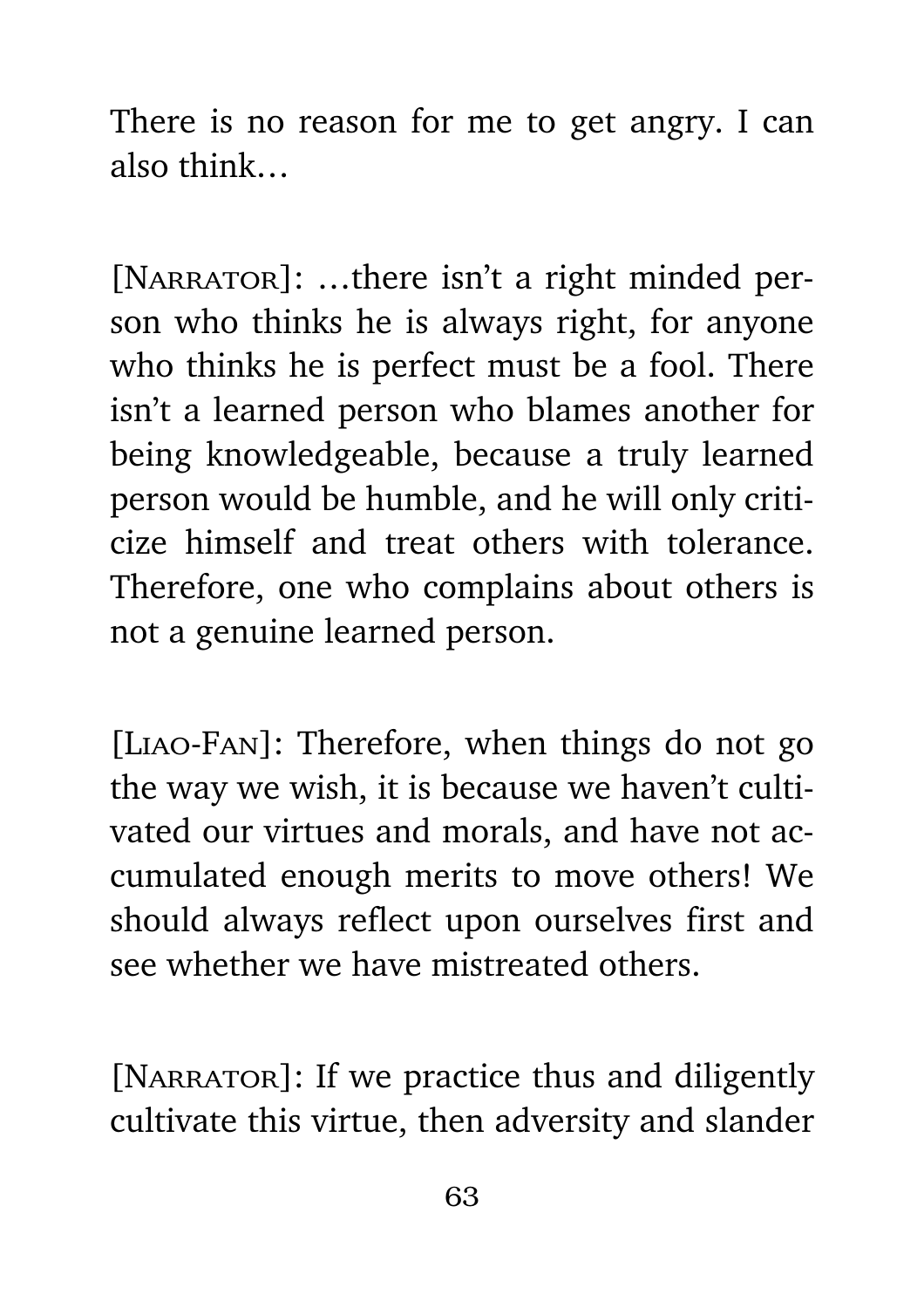There is no reason for me to get angry. I can also think…

[NARRATOR]: ...there isn't a right minded person who thinks he is always right, for anyone who thinks he is perfect must be a fool. There isn't a learned person who blames another for being knowledgeable, because a truly learned person would be humble, and he will only criticize himself and treat others with tolerance. Therefore, one who complains about others is not a genuine learned person.

[Liao-Fan]: Therefore, when things do not go the way we wish, it is because we haven't cultivated our virtues and morals, and have not accumulated enough merits to move others! We should always reflect upon ourselves first and see whether we have mistreated others.

[NARRATOR]: If we practice thus and diligently cultivate this virtue, then adversity and slander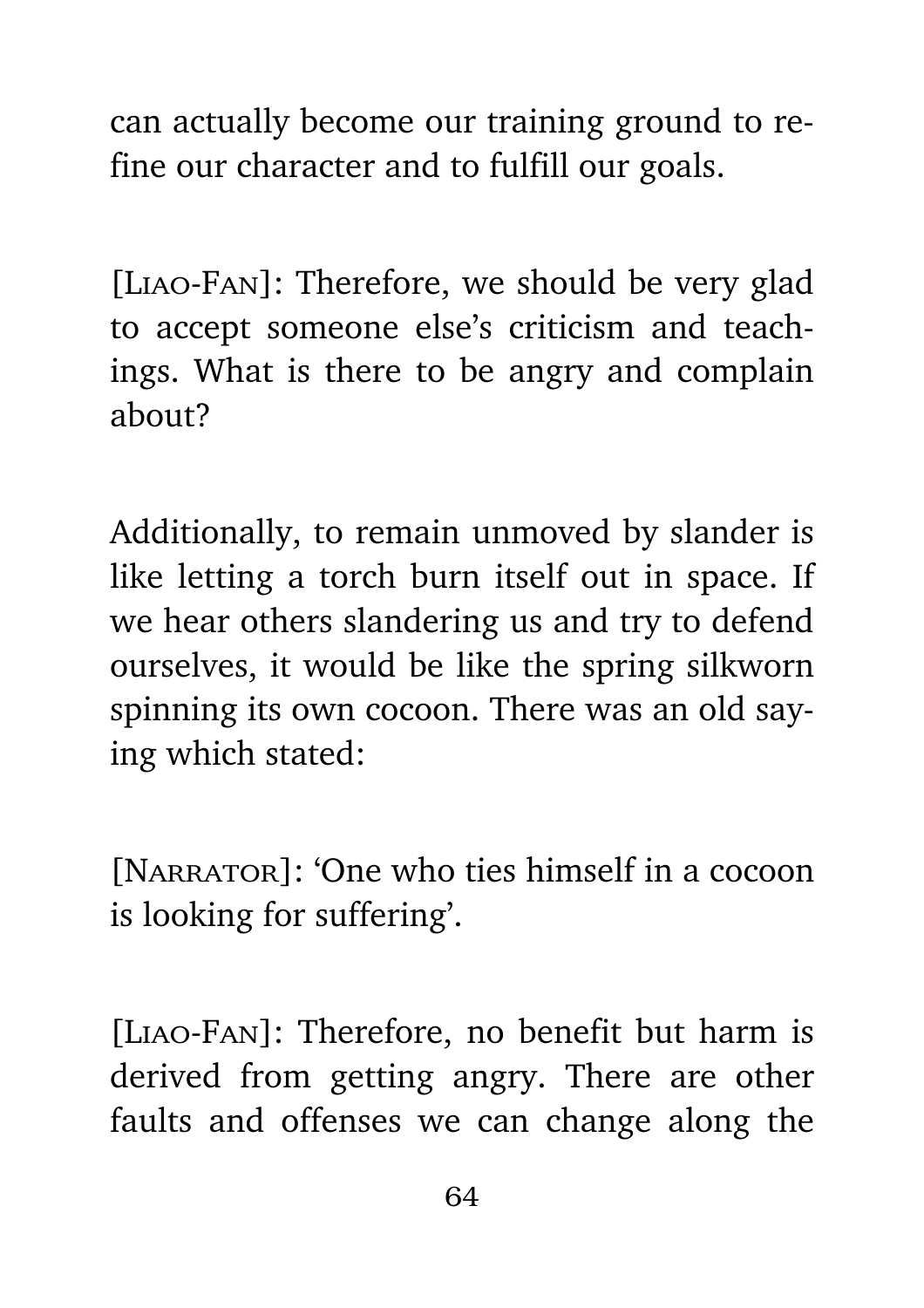can actually become our training ground to refine our character and to fulfill our goals.

[Liao-Fan]: Therefore, we should be very glad to accept someone else's criticism and teachings. What is there to be angry and complain about?

Additionally, to remain unmoved by slander is like letting a torch burn itself out in space. If we hear others slandering us and try to defend ourselves, it would be like the spring silkworn spinning its own cocoon. There was an old saying which stated:

[NARRATOR]: 'One who ties himself in a cocoon is looking for suffering'.

[Liao-Fan]: Therefore, no benefit but harm is derived from getting angry. There are other faults and offenses we can change along the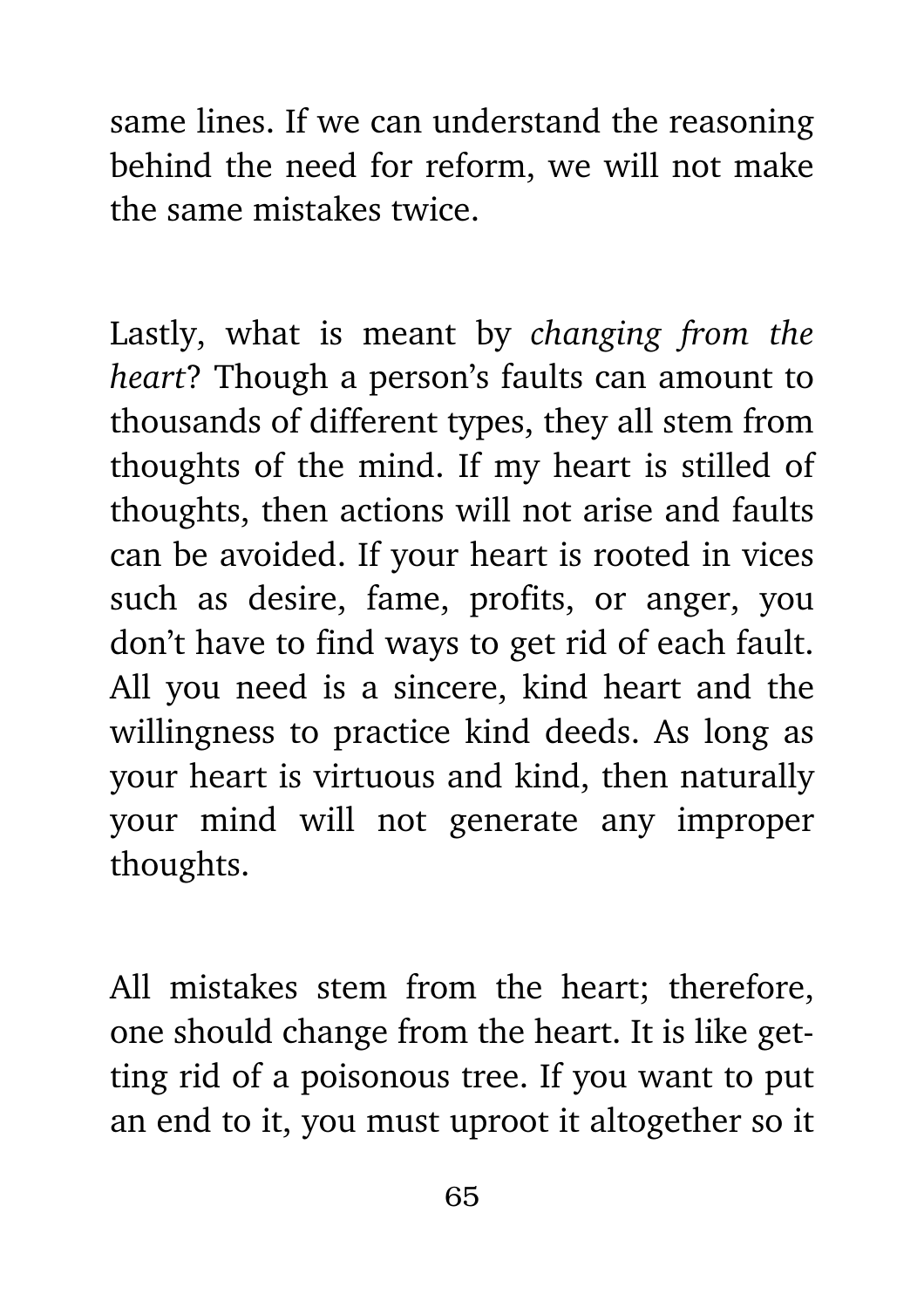same lines. If we can understand the reasoning behind the need for reform, we will not make the same mistakes twice.

Lastly, what is meant by *changing from the heart*? Though a person's faults can amount to thousands of different types, they all stem from thoughts of the mind. If my heart is stilled of thoughts, then actions will not arise and faults can be avoided. If your heart is rooted in vices such as desire, fame, profits, or anger, you don't have to find ways to get rid of each fault. All you need is a sincere, kind heart and the willingness to practice kind deeds. As long as your heart is virtuous and kind, then naturally your mind will not generate any improper thoughts.

All mistakes stem from the heart; therefore, one should change from the heart. It is like getting rid of a poisonous tree. If you want to put an end to it, you must uproot it altogether so it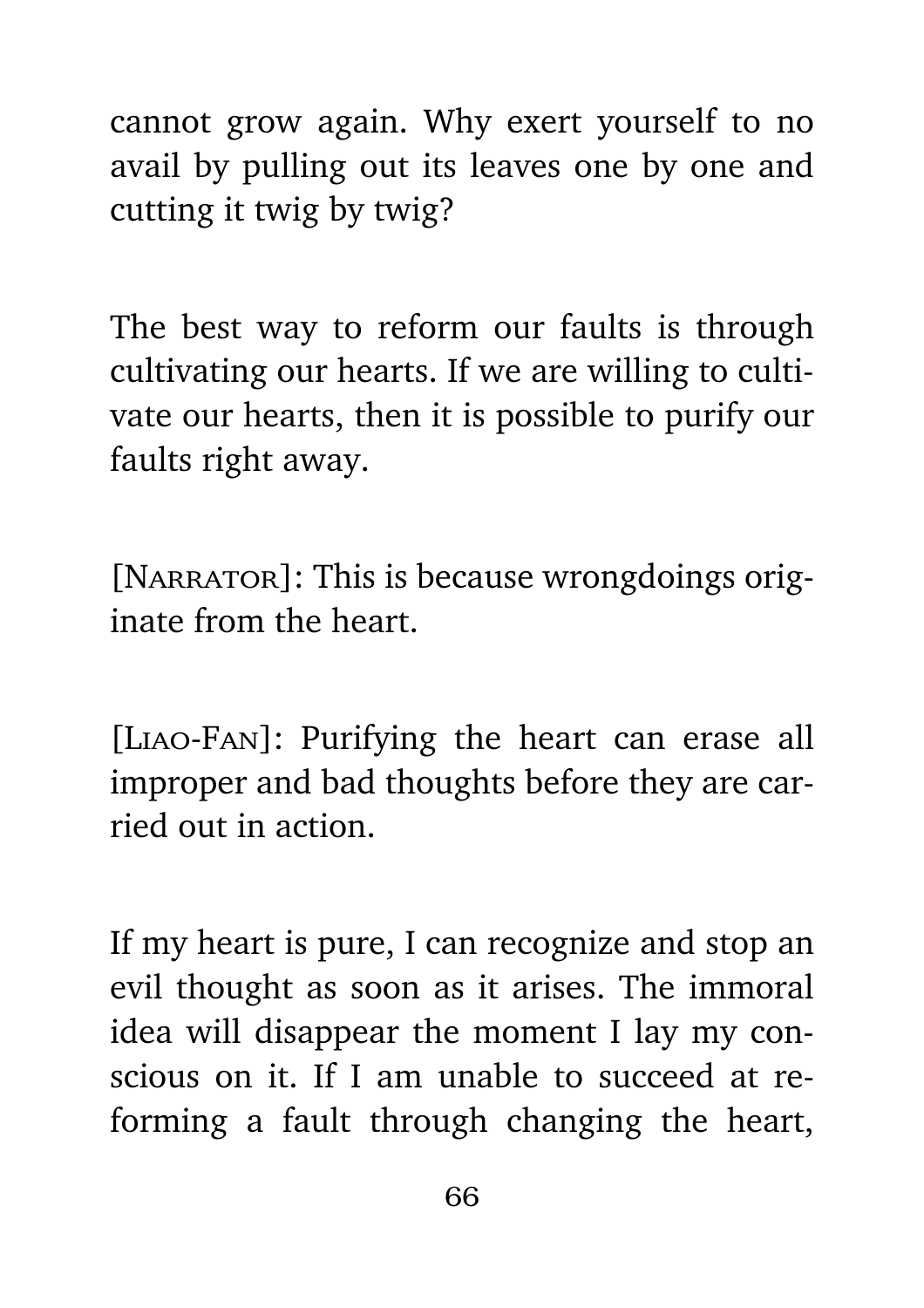cannot grow again. Why exert yourself to no avail by pulling out its leaves one by one and cutting it twig by twig?

The best way to reform our faults is through cultivating our hearts. If we are willing to cultivate our hearts, then it is possible to purify our faults right away.

[NARRATOR]: This is because wrongdoings originate from the heart.

[Liao-Fan]: Purifying the heart can erase all improper and bad thoughts before they are carried out in action.

If my heart is pure, I can recognize and stop an evil thought as soon as it arises. The immoral idea will disappear the moment I lay my conscious on it. If I am unable to succeed at reforming a fault through changing the heart,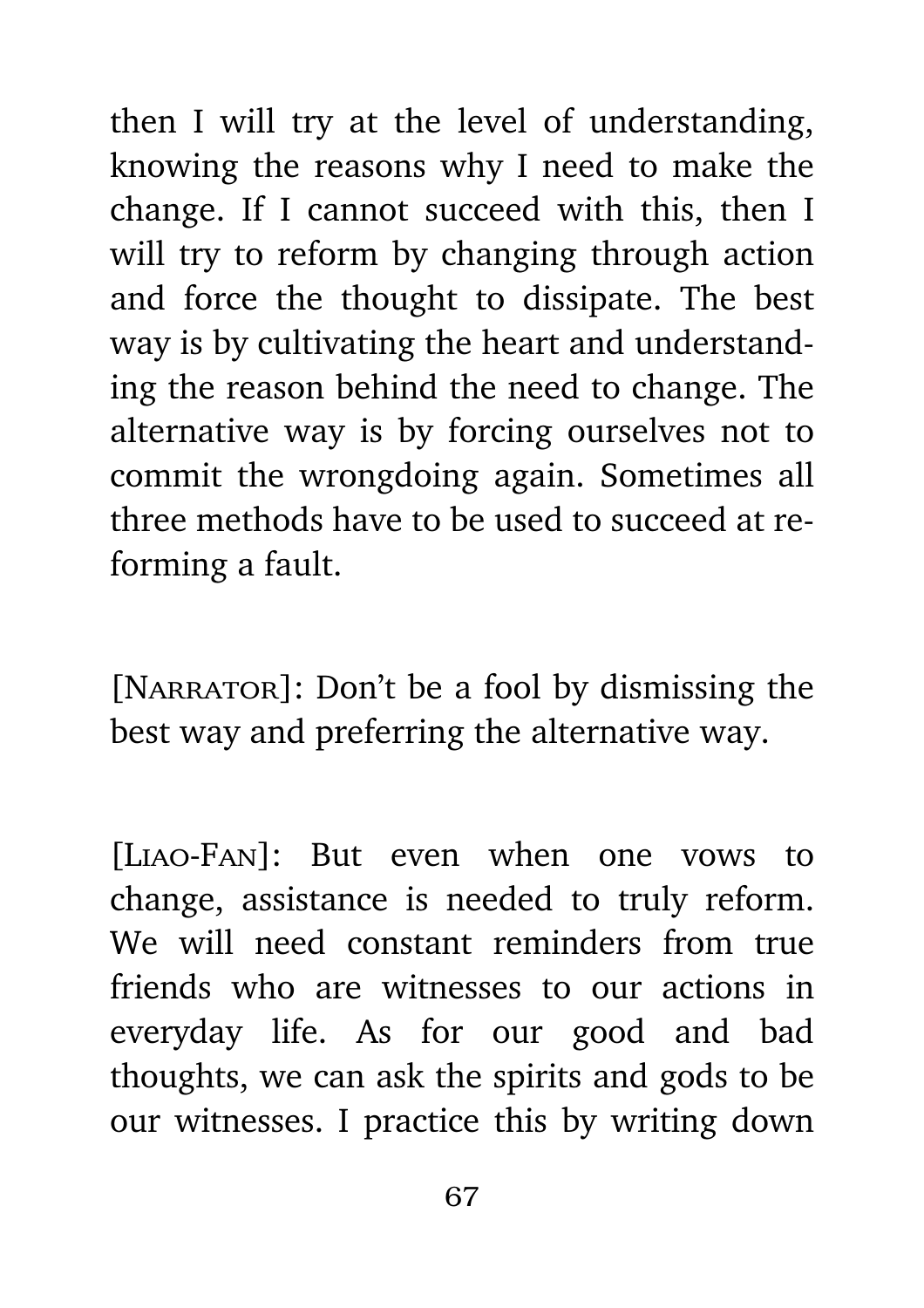then I will try at the level of understanding, knowing the reasons why I need to make the change. If I cannot succeed with this, then I will try to reform by changing through action and force the thought to dissipate. The best way is by cultivating the heart and understanding the reason behind the need to change. The alternative way is by forcing ourselves not to commit the wrongdoing again. Sometimes all three methods have to be used to succeed at reforming a fault.

[NARRATOR]: Don't be a fool by dismissing the best way and preferring the alternative way.

[Liao-Fan]: But even when one vows to change, assistance is needed to truly reform. We will need constant reminders from true friends who are witnesses to our actions in everyday life. As for our good and bad thoughts, we can ask the spirits and gods to be our witnesses. I practice this by writing down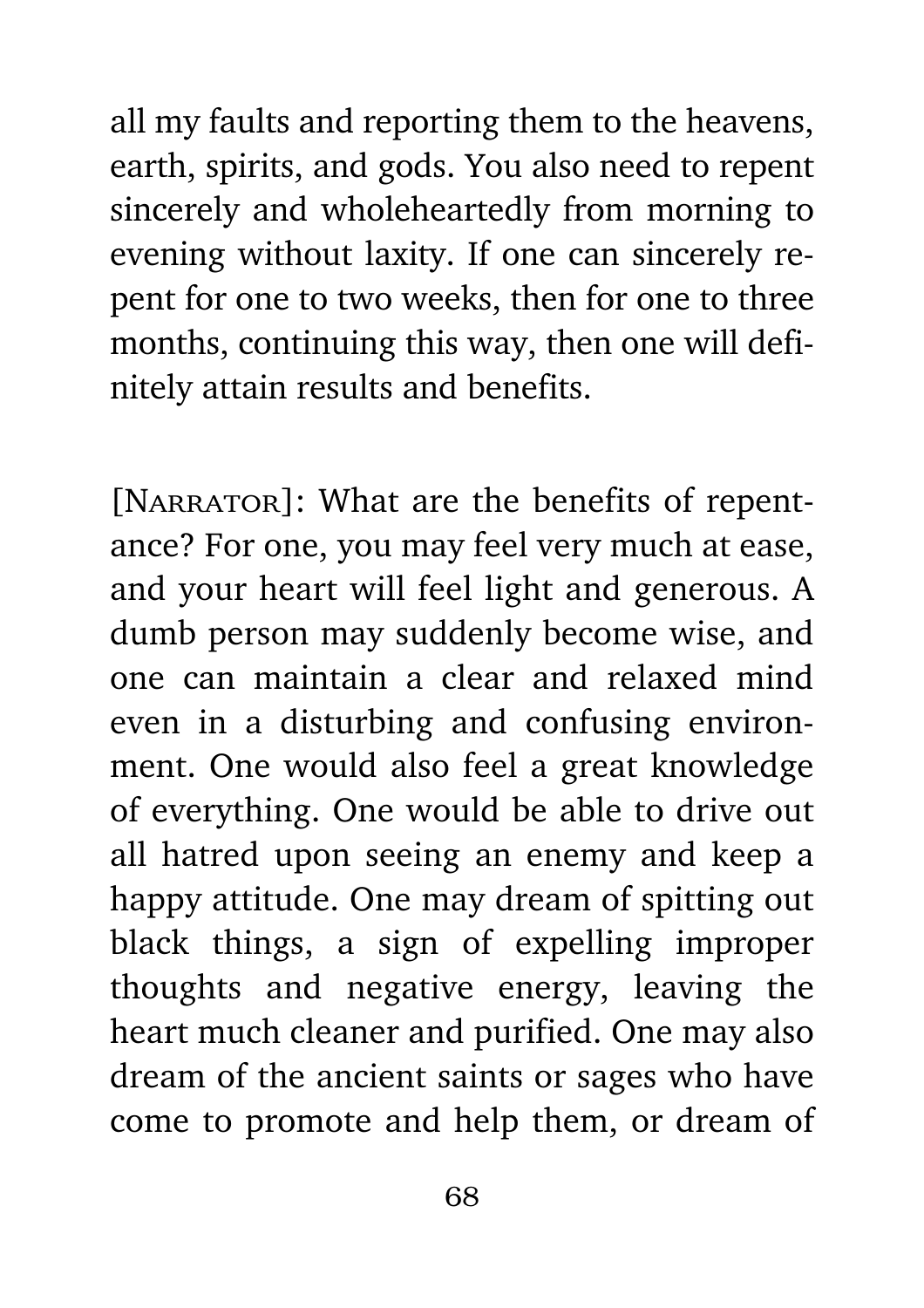all my faults and reporting them to the heavens, earth, spirits, and gods. You also need to repent sincerely and wholeheartedly from morning to evening without laxity. If one can sincerely repent for one to two weeks, then for one to three months, continuing this way, then one will definitely attain results and benefits.

[NARRATOR]: What are the benefits of repentance? For one, you may feel very much at ease, and your heart will feel light and generous. A dumb person may suddenly become wise, and one can maintain a clear and relaxed mind even in a disturbing and confusing environment. One would also feel a great knowledge of everything. One would be able to drive out all hatred upon seeing an enemy and keep a happy attitude. One may dream of spitting out black things, a sign of expelling improper thoughts and negative energy, leaving the heart much cleaner and purified. One may also dream of the ancient saints or sages who have come to promote and help them, or dream of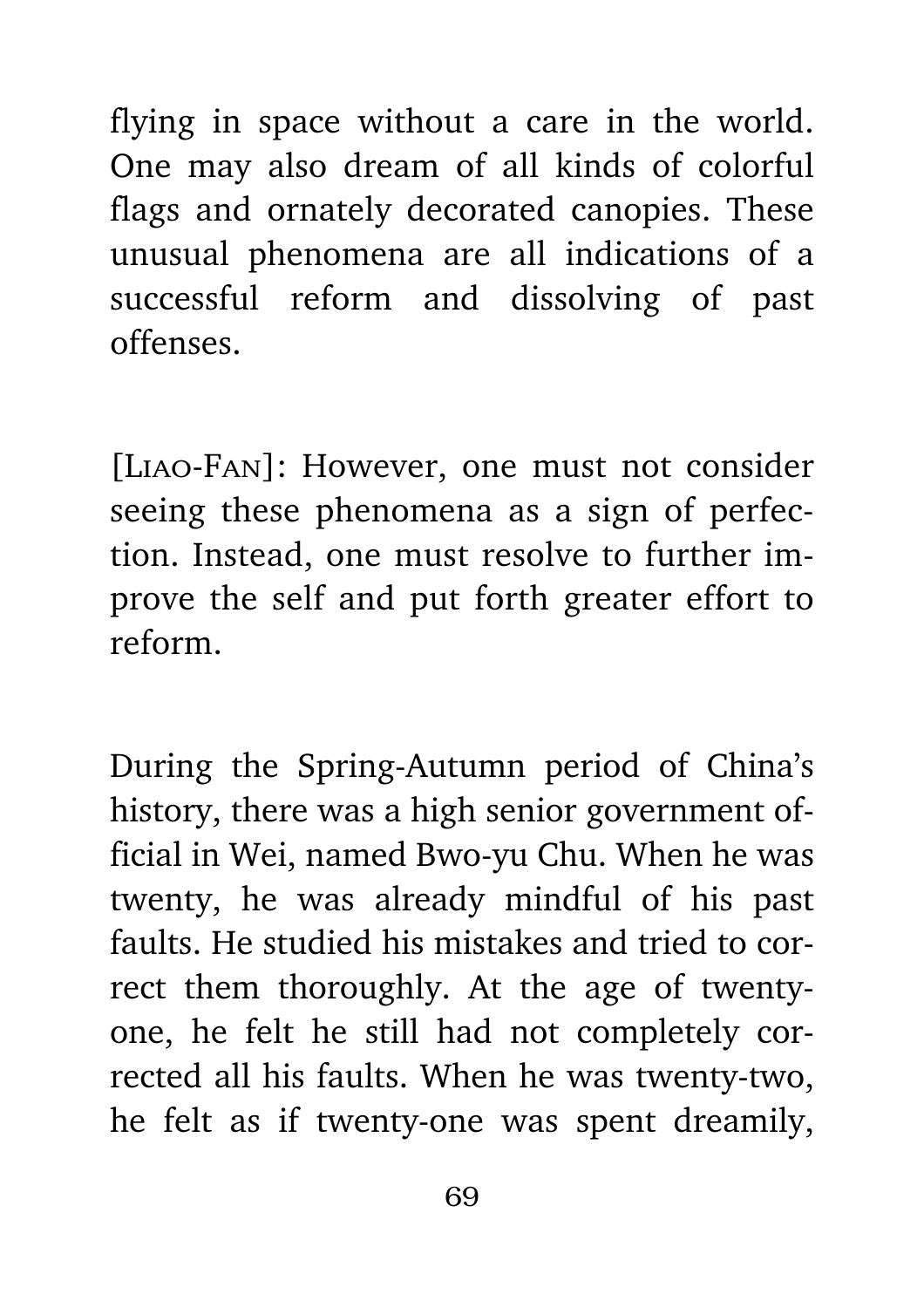flying in space without a care in the world. One may also dream of all kinds of colorful flags and ornately decorated canopies. These unusual phenomena are all indications of a successful reform and dissolving of past offenses.

[Liao-Fan]: However, one must not consider seeing these phenomena as a sign of perfection. Instead, one must resolve to further improve the self and put forth greater effort to reform.

During the Spring-Autumn period of China's history, there was a high senior government official in Wei, named Bwo-yu Chu. When he was twenty, he was already mindful of his past faults. He studied his mistakes and tried to correct them thoroughly. At the age of twentyone, he felt he still had not completely corrected all his faults. When he was twenty-two, he felt as if twenty-one was spent dreamily,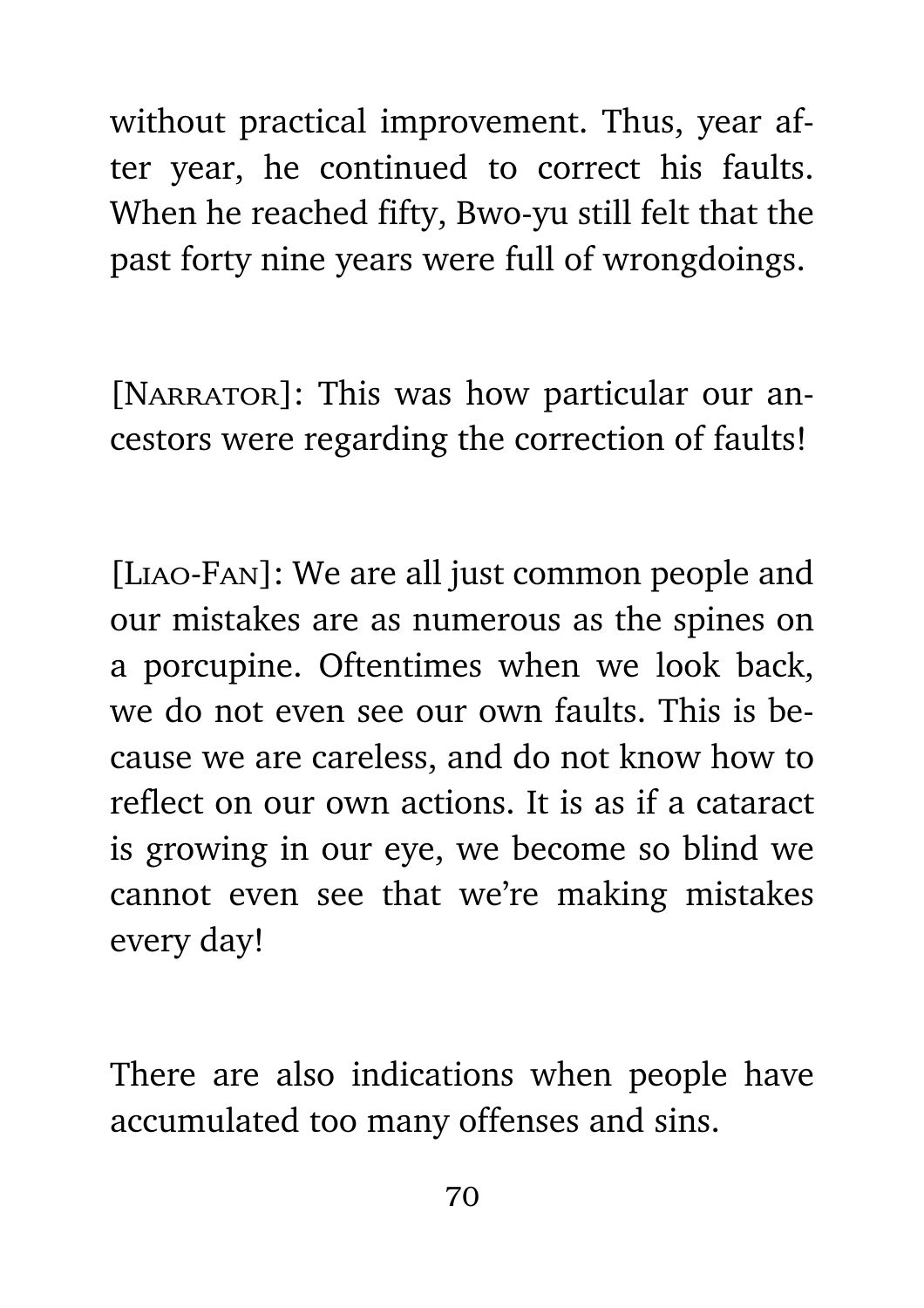without practical improvement. Thus, year after year, he continued to correct his faults. When he reached fifty, Bwo-yu still felt that the past forty nine years were full of wrongdoings.

[NARRATOR]: This was how particular our ancestors were regarding the correction of faults!

[Liao-Fan]: We are all just common people and our mistakes are as numerous as the spines on a porcupine. Oftentimes when we look back, we do not even see our own faults. This is because we are careless, and do not know how to reflect on our own actions. It is as if a cataract is growing in our eye, we become so blind we cannot even see that we're making mistakes every day!

There are also indications when people have accumulated too many offenses and sins.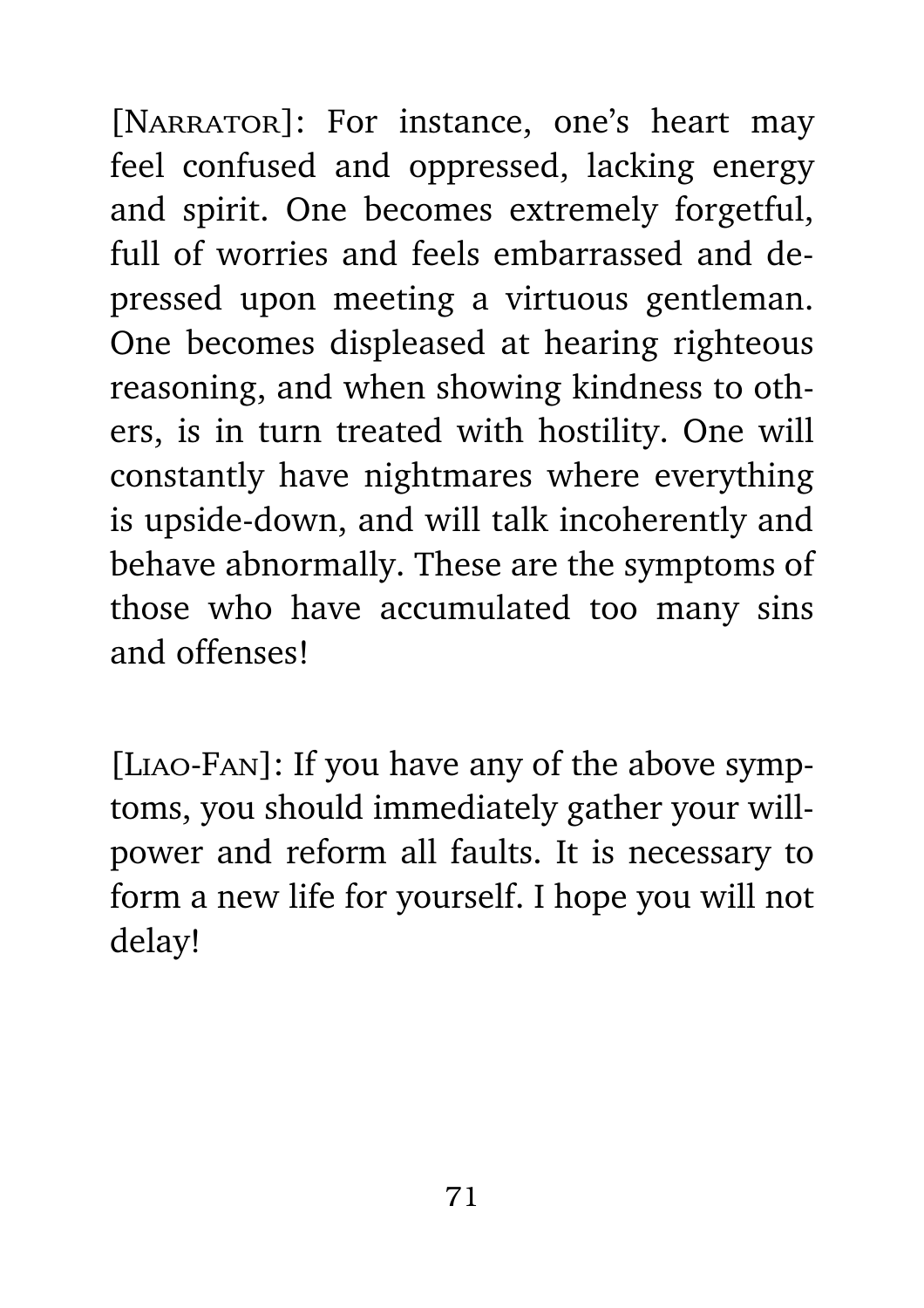[NARRATOR]: For instance, one's heart may feel confused and oppressed, lacking energy and spirit. One becomes extremely forgetful, full of worries and feels embarrassed and depressed upon meeting a virtuous gentleman. One becomes displeased at hearing righteous reasoning, and when showing kindness to others, is in turn treated with hostility. One will constantly have nightmares where everything is upside-down, and will talk incoherently and behave abnormally. These are the symptoms of those who have accumulated too many sins and offenses!

[Liao-Fan]: If you have any of the above symptoms, you should immediately gather your willpower and reform all faults. It is necessary to form a new life for yourself. I hope you will not delay!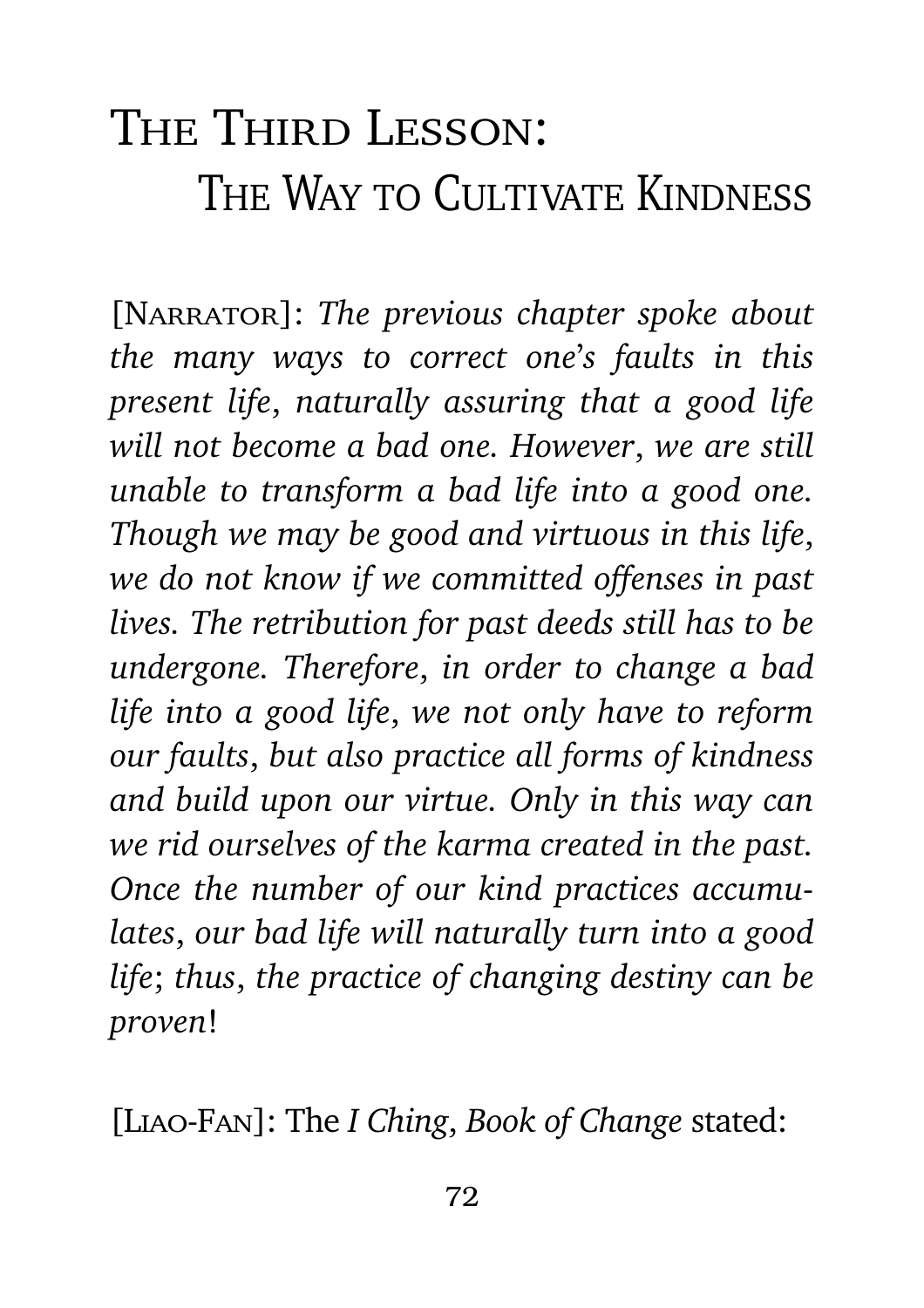## The Third Lesson: THE WAY TO CULTIVATE KINDNESS

[Narrator]: *The previous chapter spoke about the many ways to correct one*'*s faults in this present life*, *naturally assuring that a good life will not become a bad one. However*, *we are still unable to transform a bad life into a good one. Though we may be good and virtuous in this life*, *we do not know if we committed offenses in past lives. The retribution for past deeds still has to be undergone. Therefore*, *in order to change a bad life into a good life*, *we not only have to reform our faults*, *but also practice all forms of kindness and build upon our virtue. Only in this way can we rid ourselves of the karma created in the past. Once the number of our kind practices accumulates*, *our bad life will naturally turn into a good life*; *thus*, *the practice of changing destiny can be proven*!

[Liao-Fan]: The *I Ching*, *Book of Change* stated: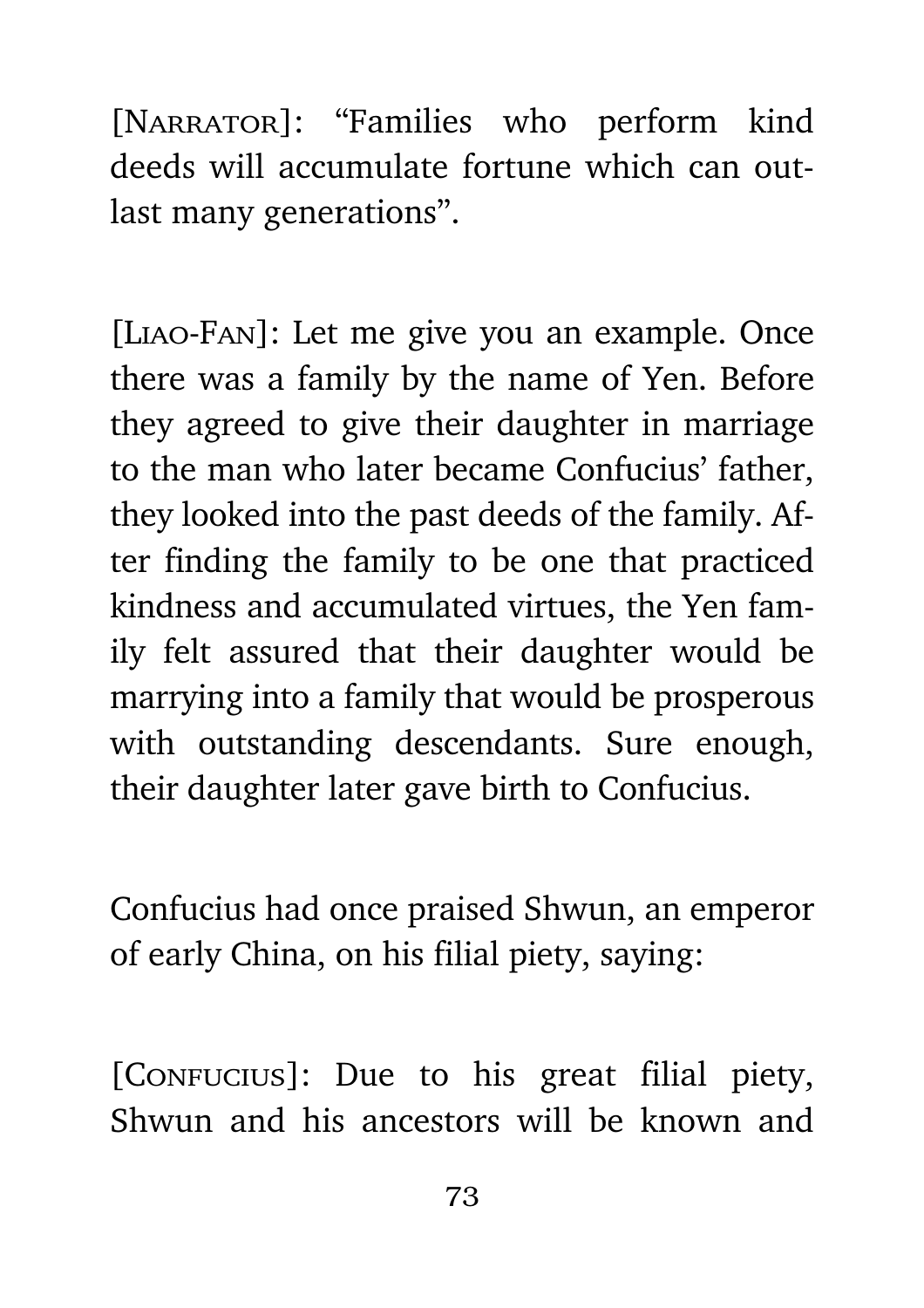[NARRATOR]: "Families who perform kind deeds will accumulate fortune which can outlast many generations".

[Liao-Fan]: Let me give you an example. Once there was a family by the name of Yen. Before they agreed to give their daughter in marriage to the man who later became Confucius' father, they looked into the past deeds of the family. After finding the family to be one that practiced kindness and accumulated virtues, the Yen family felt assured that their daughter would be marrying into a family that would be prosperous with outstanding descendants. Sure enough, their daughter later gave birth to Confucius.

Confucius had once praised Shwun, an emperor of early China, on his filial piety, saying:

[CONFUCIUS]: Due to his great filial piety, Shwun and his ancestors will be known and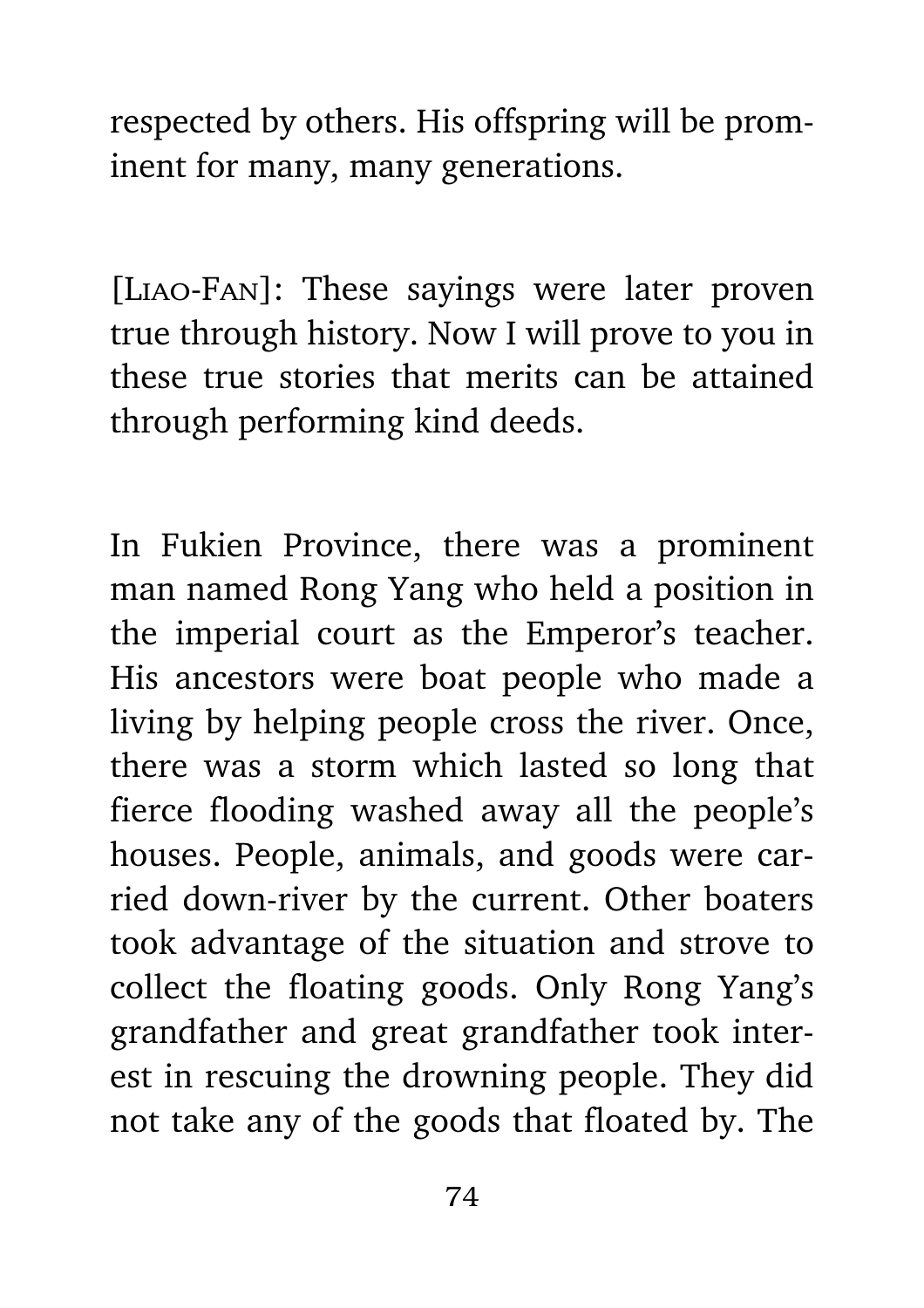respected by others. His offspring will be prominent for many, many generations.

[Liao-Fan]: These sayings were later proven true through history. Now I will prove to you in these true stories that merits can be attained through performing kind deeds.

In Fukien Province, there was a prominent man named Rong Yang who held a position in the imperial court as the Emperor's teacher. His ancestors were boat people who made a living by helping people cross the river. Once, there was a storm which lasted so long that fierce flooding washed away all the people's houses. People, animals, and goods were carried down-river by the current. Other boaters took advantage of the situation and strove to collect the floating goods. Only Rong Yang's grandfather and great grandfather took interest in rescuing the drowning people. They did not take any of the goods that floated by. The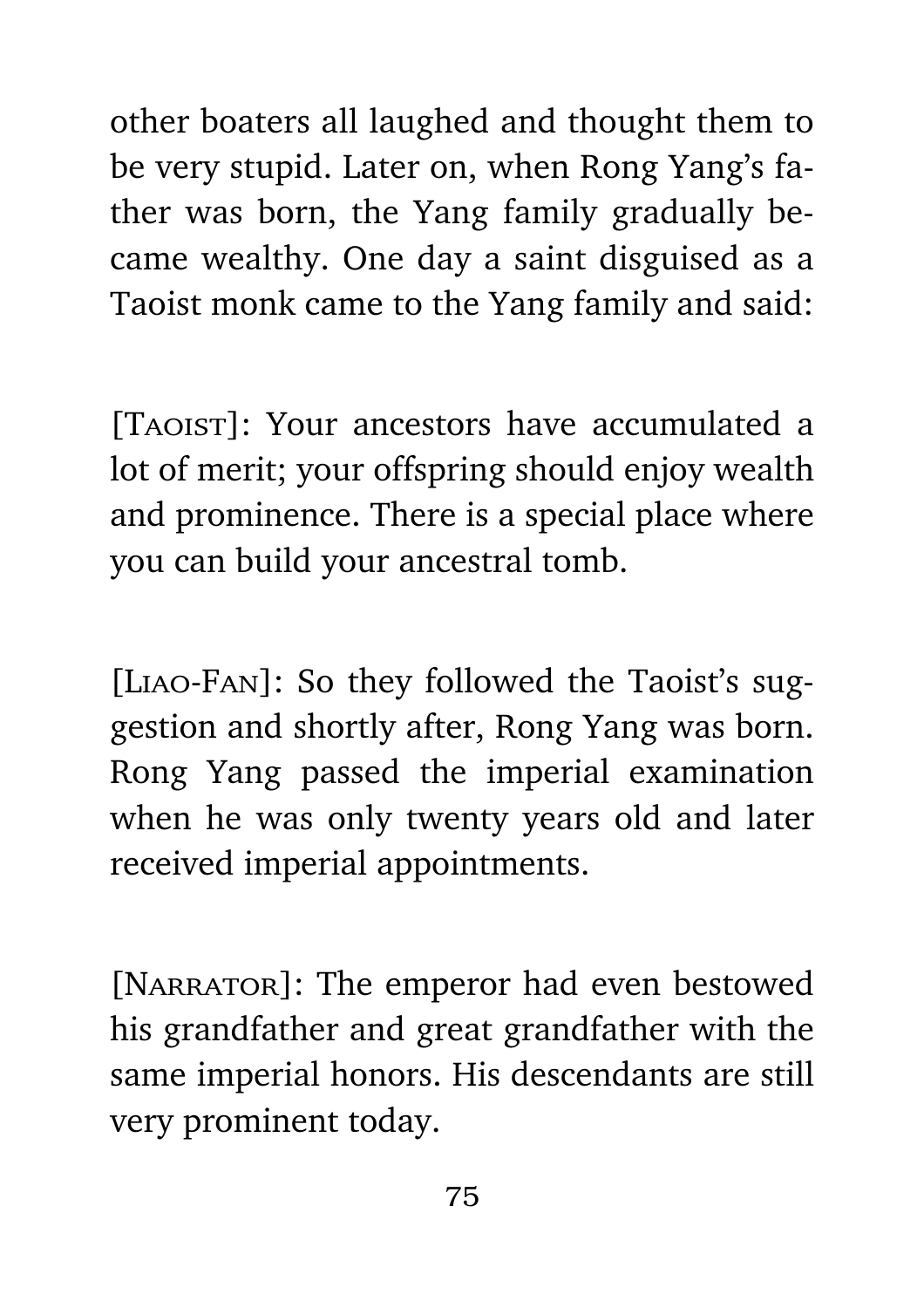other boaters all laughed and thought them to be very stupid. Later on, when Rong Yang's father was born, the Yang family gradually became wealthy. One day a saint disguised as a Taoist monk came to the Yang family and said:

[Taoist]: Your ancestors have accumulated a lot of merit; your offspring should enjoy wealth and prominence. There is a special place where you can build your ancestral tomb.

[Liao-Fan]: So they followed the Taoist's suggestion and shortly after, Rong Yang was born. Rong Yang passed the imperial examination when he was only twenty years old and later received imperial appointments.

[NARRATOR]: The emperor had even bestowed his grandfather and great grandfather with the same imperial honors. His descendants are still very prominent today.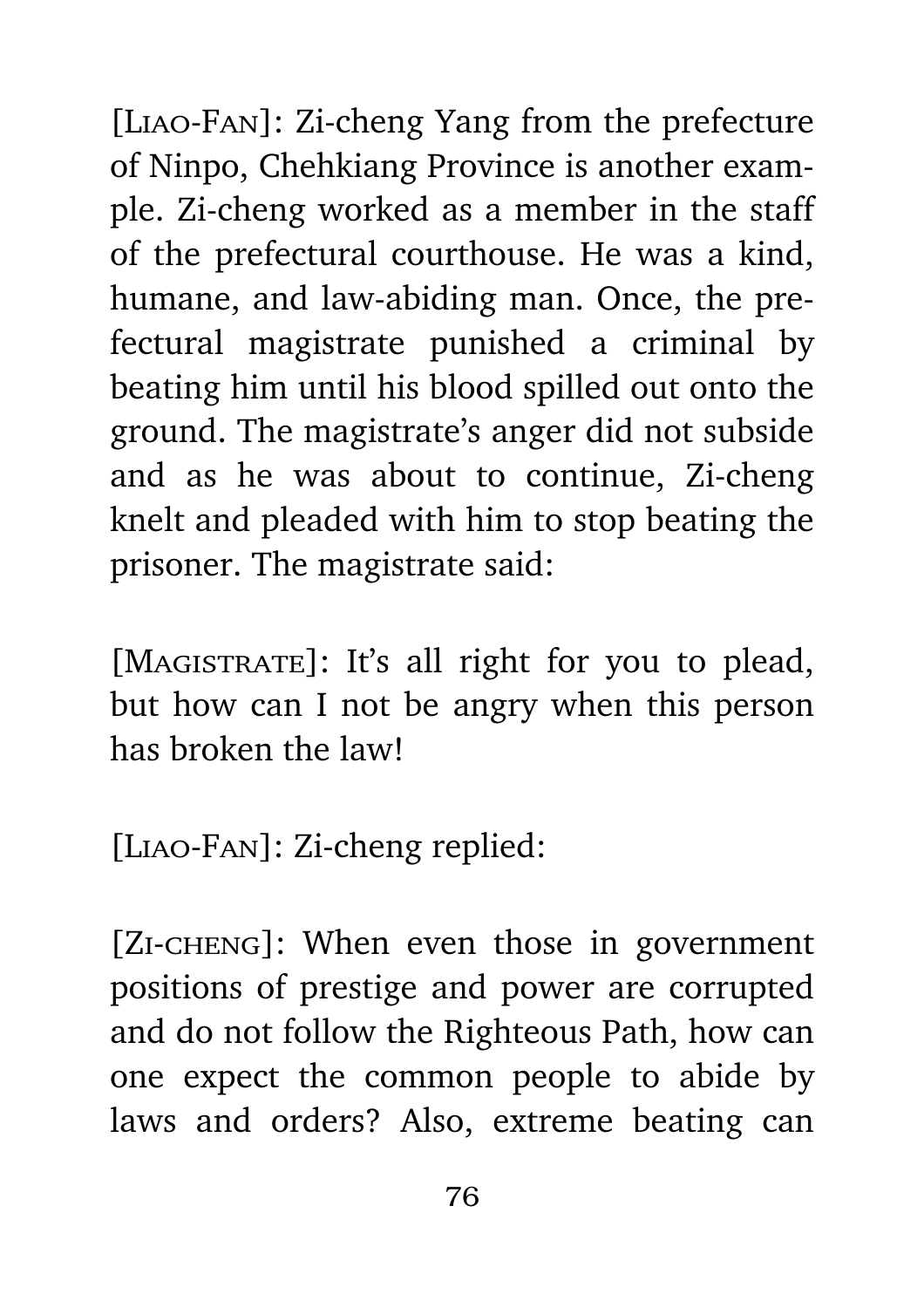[Liao-Fan]: Zi-cheng Yang from the prefecture of Ninpo, Chehkiang Province is another example. Zi-cheng worked as a member in the staff of the prefectural courthouse. He was a kind, humane, and law-abiding man. Once, the prefectural magistrate punished a criminal by beating him until his blood spilled out onto the ground. The magistrate's anger did not subside and as he was about to continue, Zi-cheng knelt and pleaded with him to stop beating the prisoner. The magistrate said:

[MAGISTRATE]: It's all right for you to plead, but how can I not be angry when this person has broken the law!

[Liao-Fan]: Zi-cheng replied:

[ZI-CHENG]: When even those in government positions of prestige and power are corrupted and do not follow the Righteous Path, how can one expect the common people to abide by laws and orders? Also, extreme beating can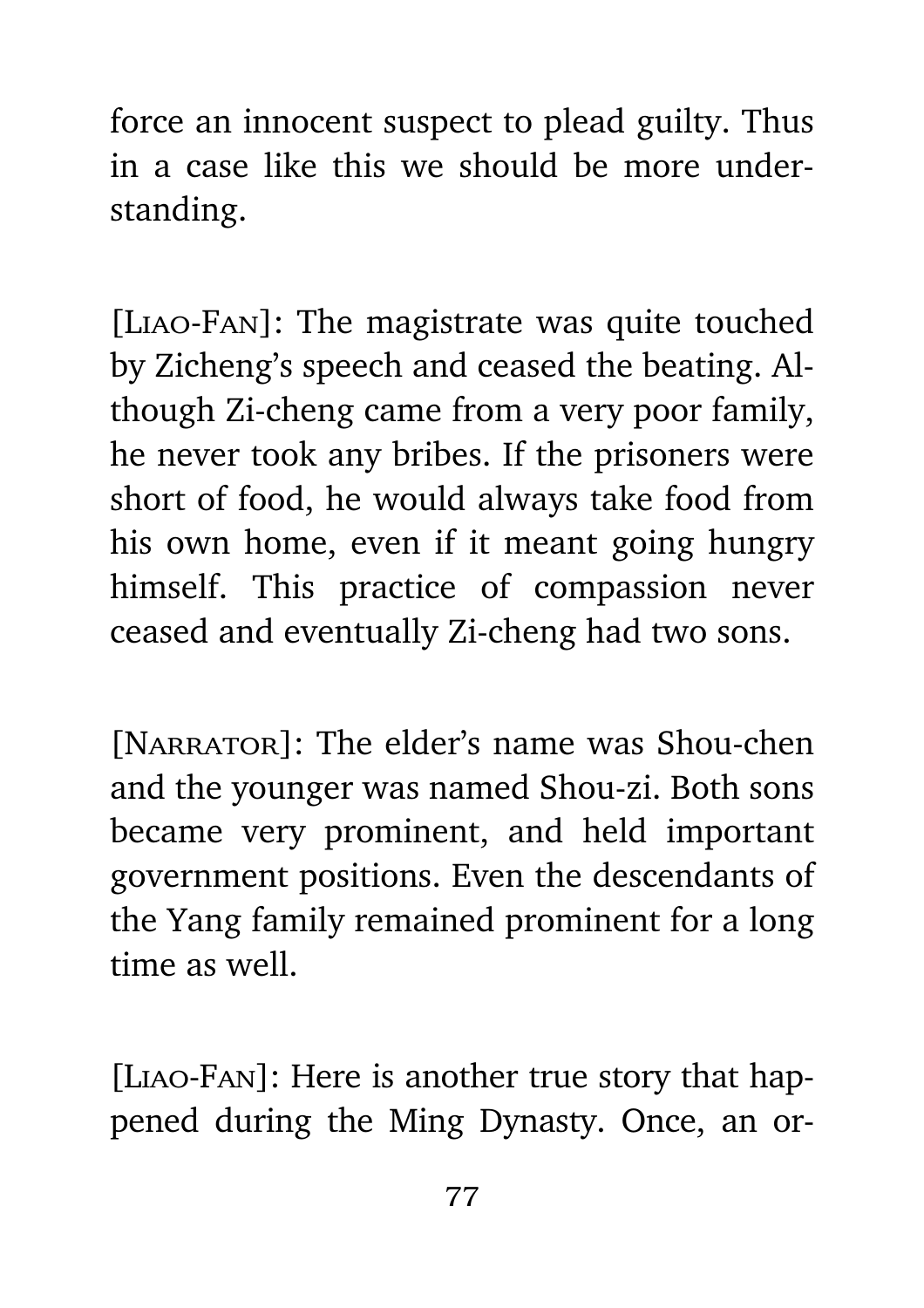force an innocent suspect to plead guilty. Thus in a case like this we should be more understanding.

[Liao-Fan]: The magistrate was quite touched by Zicheng's speech and ceased the beating. Although Zi-cheng came from a very poor family, he never took any bribes. If the prisoners were short of food, he would always take food from his own home, even if it meant going hungry himself. This practice of compassion never ceased and eventually Zi-cheng had two sons.

[NARRATOR]: The elder's name was Shou-chen and the younger was named Shou-zi. Both sons became very prominent, and held important government positions. Even the descendants of the Yang family remained prominent for a long time as well.

[Liao-Fan]: Here is another true story that happened during the Ming Dynasty. Once, an or-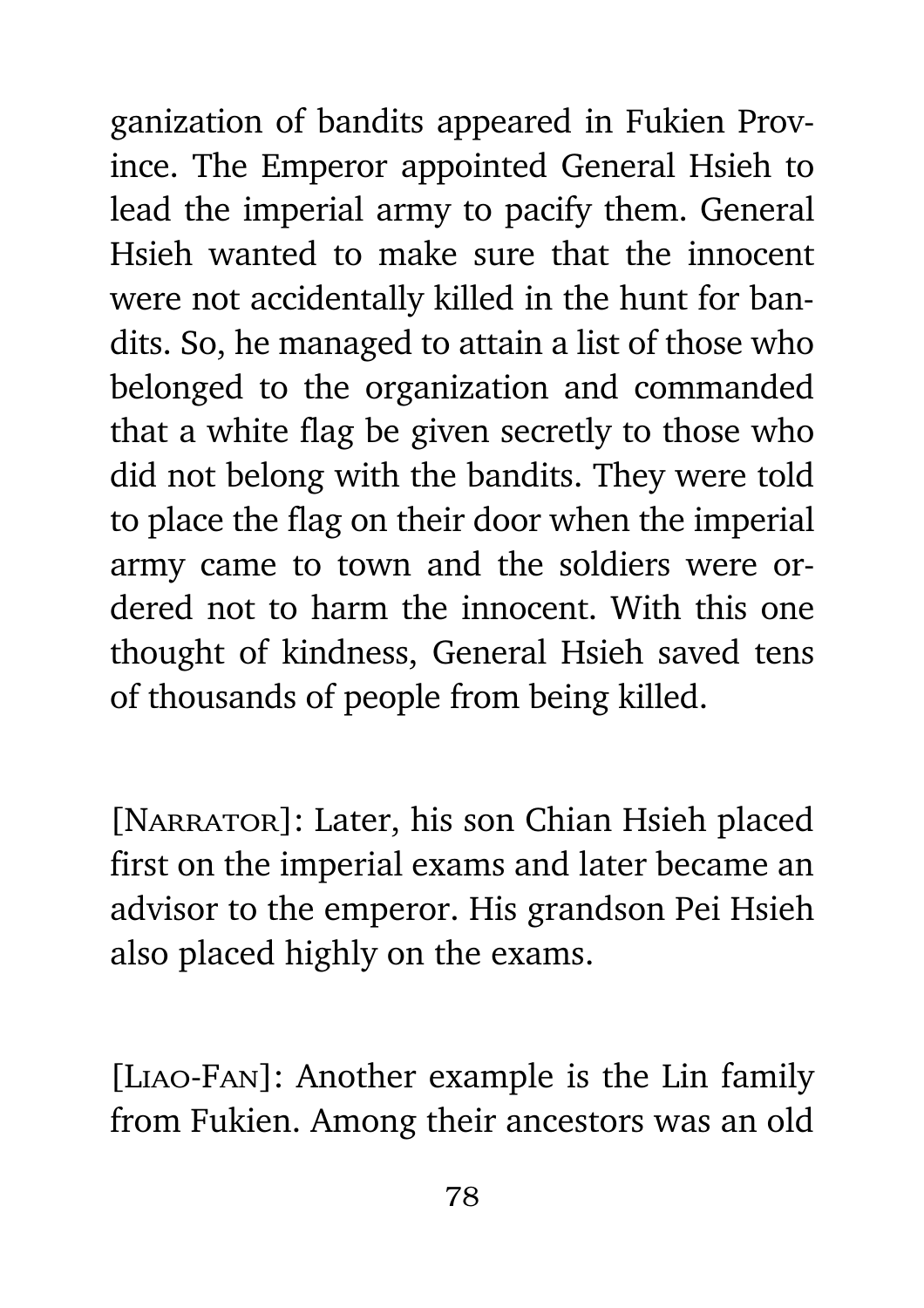ganization of bandits appeared in Fukien Province. The Emperor appointed General Hsieh to lead the imperial army to pacify them. General Hsieh wanted to make sure that the innocent were not accidentally killed in the hunt for bandits. So, he managed to attain a list of those who belonged to the organization and commanded that a white flag be given secretly to those who did not belong with the bandits. They were told to place the flag on their door when the imperial army came to town and the soldiers were ordered not to harm the innocent. With this one thought of kindness, General Hsieh saved tens of thousands of people from being killed.

[NARRATOR]: Later, his son Chian Hsieh placed first on the imperial exams and later became an advisor to the emperor. His grandson Pei Hsieh also placed highly on the exams.

[Liao-Fan]: Another example is the Lin family from Fukien. Among their ancestors was an old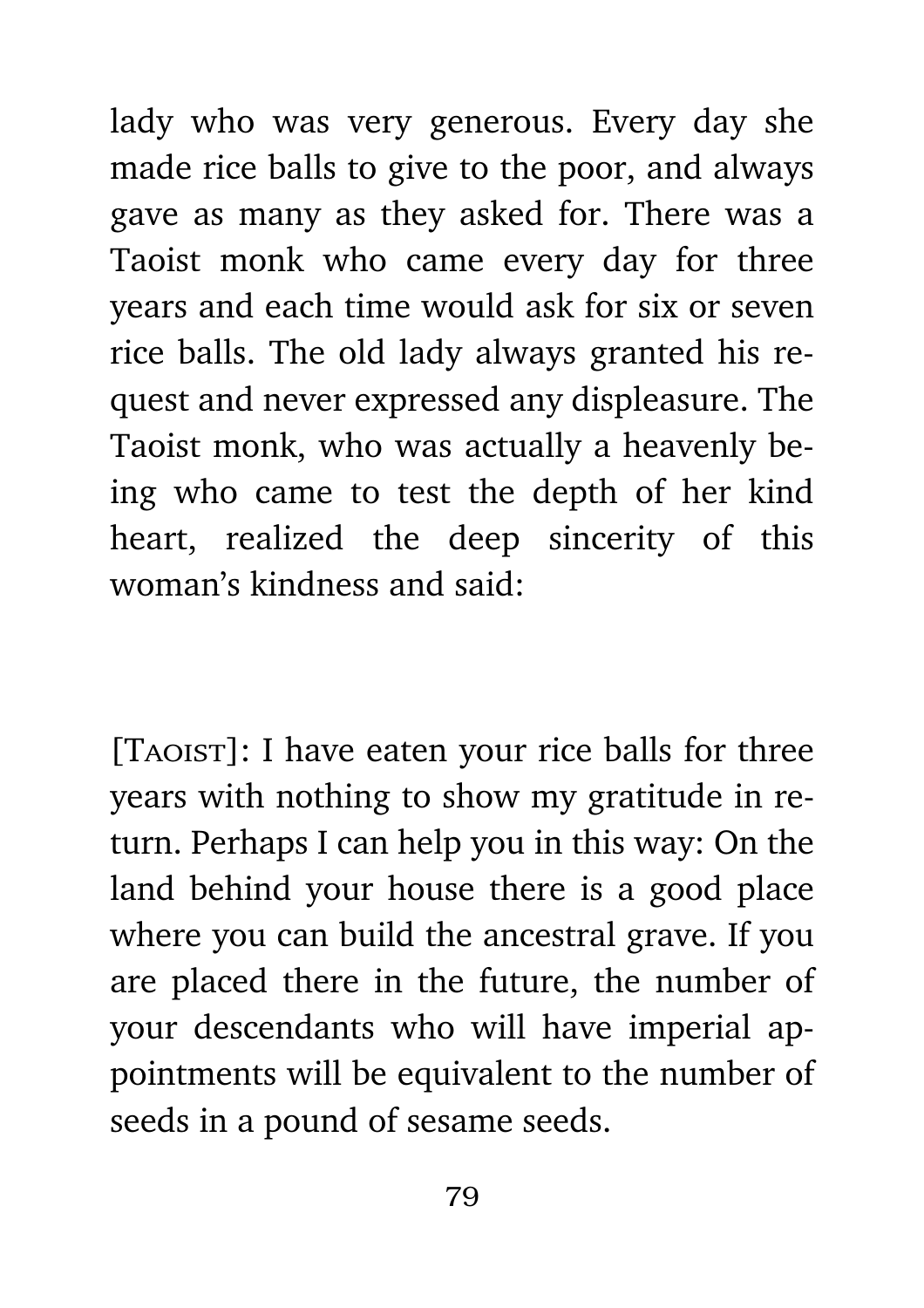lady who was very generous. Every day she made rice balls to give to the poor, and always gave as many as they asked for. There was a Taoist monk who came every day for three years and each time would ask for six or seven rice balls. The old lady always granted his request and never expressed any displeasure. The Taoist monk, who was actually a heavenly being who came to test the depth of her kind heart, realized the deep sincerity of this woman's kindness and said:

[TAOIST]: I have eaten your rice balls for three years with nothing to show my gratitude in return. Perhaps I can help you in this way: On the land behind your house there is a good place where you can build the ancestral grave. If you are placed there in the future, the number of your descendants who will have imperial appointments will be equivalent to the number of seeds in a pound of sesame seeds.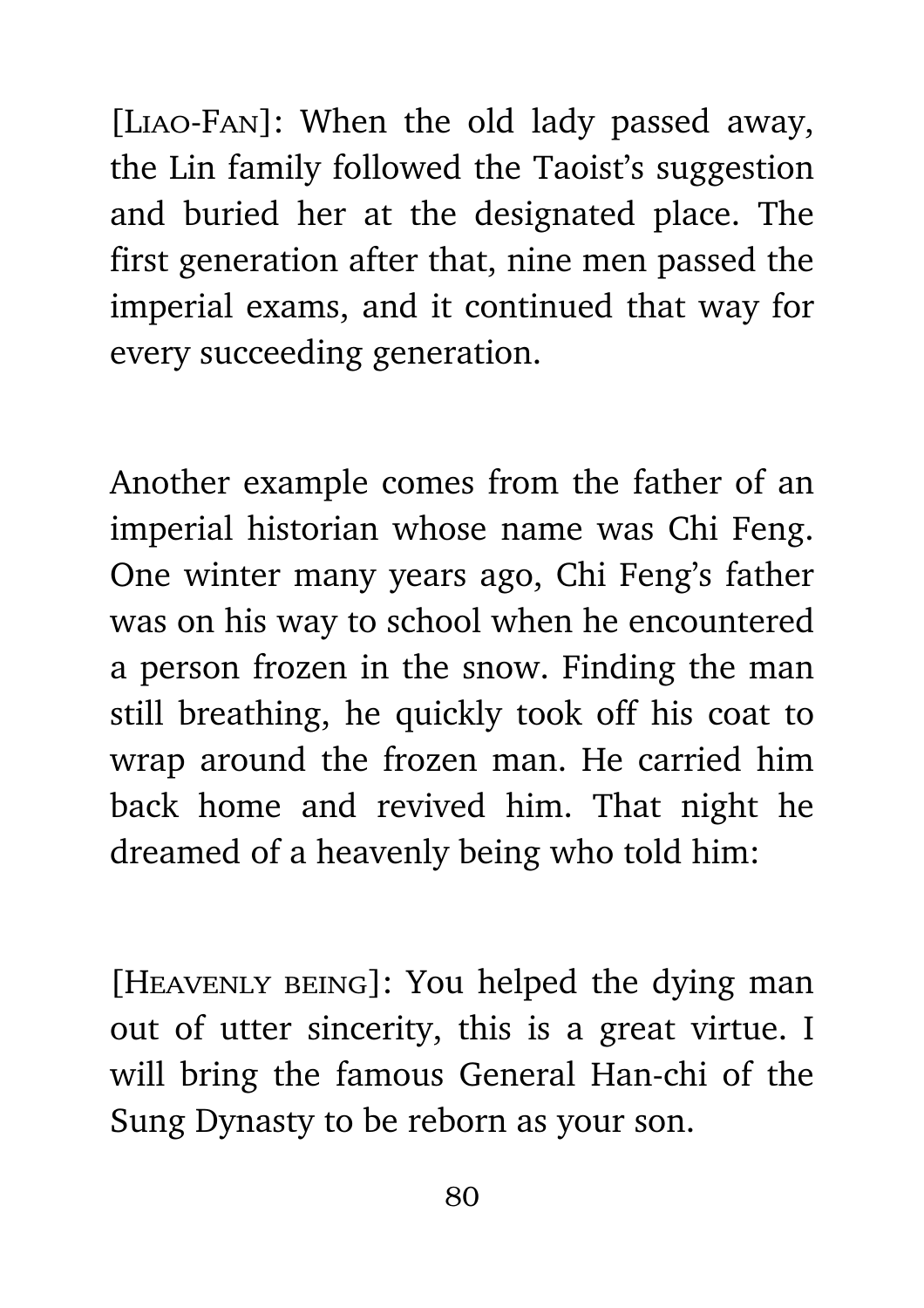[LIAO-FAN]: When the old lady passed away, the Lin family followed the Taoist's suggestion and buried her at the designated place. The first generation after that, nine men passed the imperial exams, and it continued that way for every succeeding generation.

Another example comes from the father of an imperial historian whose name was Chi Feng. One winter many years ago, Chi Feng's father was on his way to school when he encountered a person frozen in the snow. Finding the man still breathing, he quickly took off his coat to wrap around the frozen man. He carried him back home and revived him. That night he dreamed of a heavenly being who told him:

[Heavenly being]: You helped the dying man out of utter sincerity, this is a great virtue. I will bring the famous General Han-chi of the Sung Dynasty to be reborn as your son.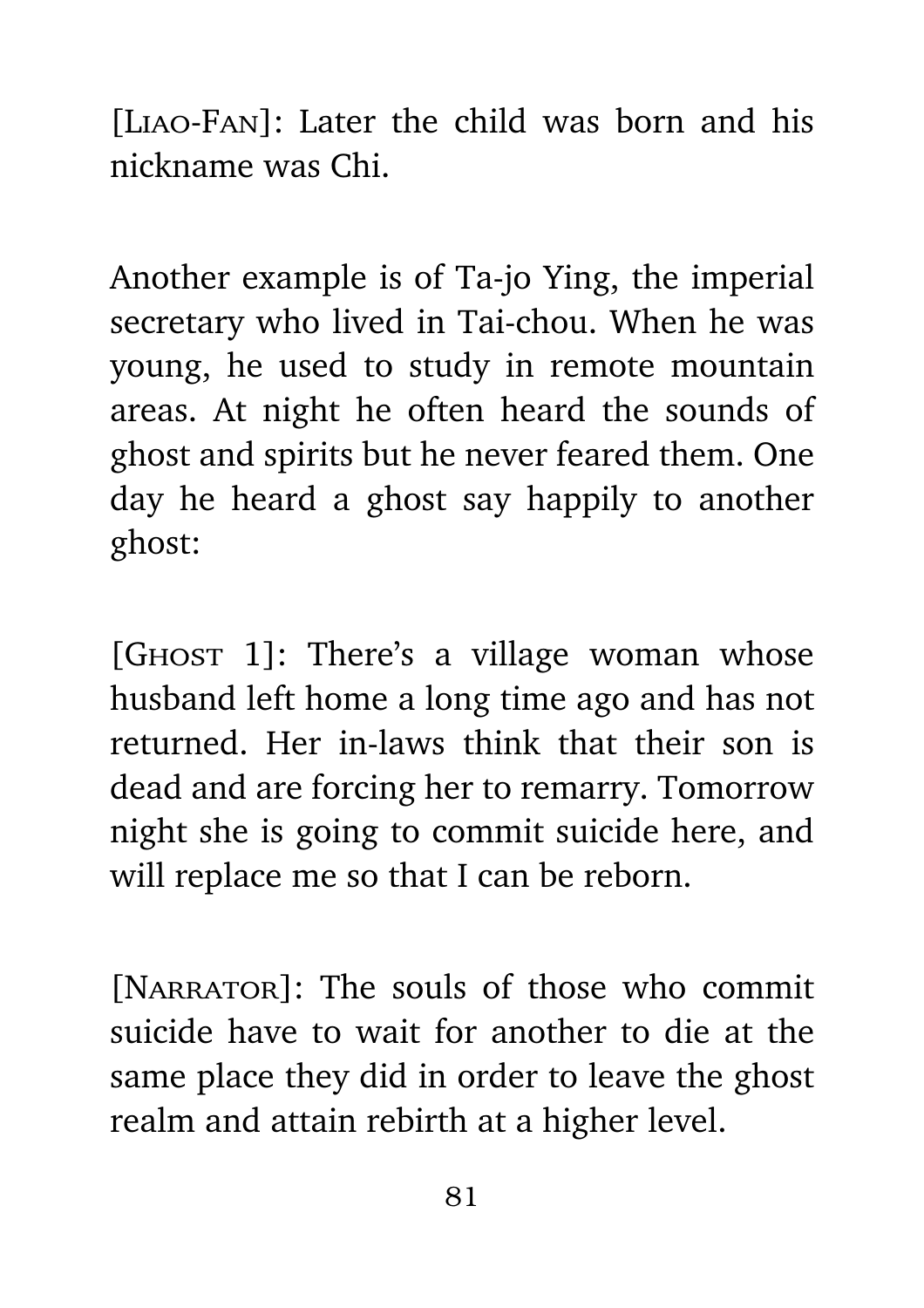[Liao-Fan]: Later the child was born and his nickname was Chi.

Another example is of Ta-jo Ying, the imperial secretary who lived in Tai-chou. When he was young, he used to study in remote mountain areas. At night he often heard the sounds of ghost and spirits but he never feared them. One day he heard a ghost say happily to another ghost:

[GHOST 1]: There's a village woman whose husband left home a long time ago and has not returned. Her in-laws think that their son is dead and are forcing her to remarry. Tomorrow night she is going to commit suicide here, and will replace me so that I can be reborn.

[NARRATOR]: The souls of those who commit suicide have to wait for another to die at the same place they did in order to leave the ghost realm and attain rebirth at a higher level.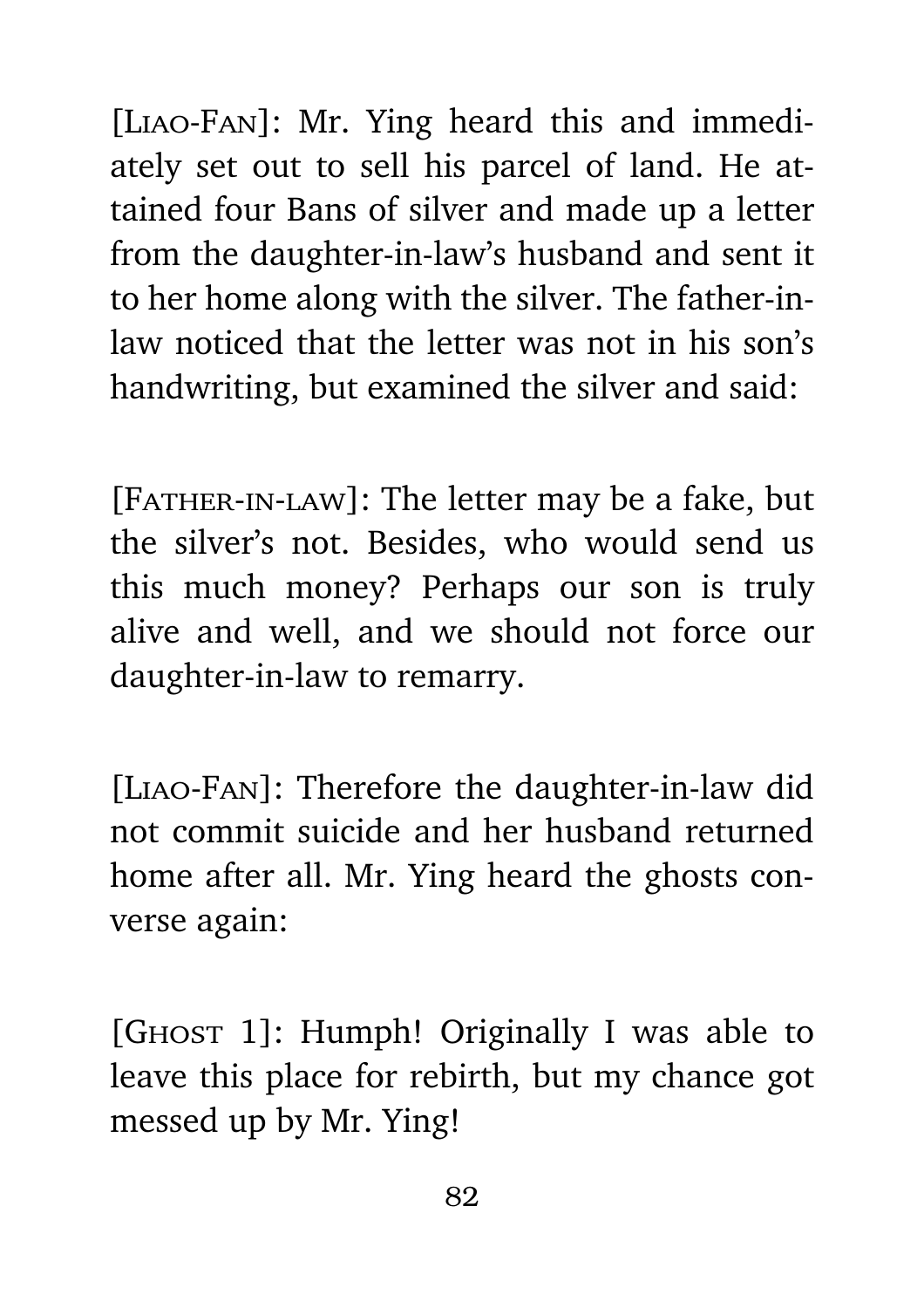[Liao-Fan]: Mr. Ying heard this and immediately set out to sell his parcel of land. He attained four Bans of silver and made up a letter from the daughter-in-law's husband and sent it to her home along with the silver. The father-inlaw noticed that the letter was not in his son's handwriting, but examined the silver and said:

[FATHER-IN-LAW]: The letter may be a fake, but the silver's not. Besides, who would send us this much money? Perhaps our son is truly alive and well, and we should not force our daughter-in-law to remarry.

[Liao-Fan]: Therefore the daughter-in-law did not commit suicide and her husband returned home after all. Mr. Ying heard the ghosts converse again:

[GHOST 1]: Humph! Originally I was able to leave this place for rebirth, but my chance got messed up by Mr. Ying!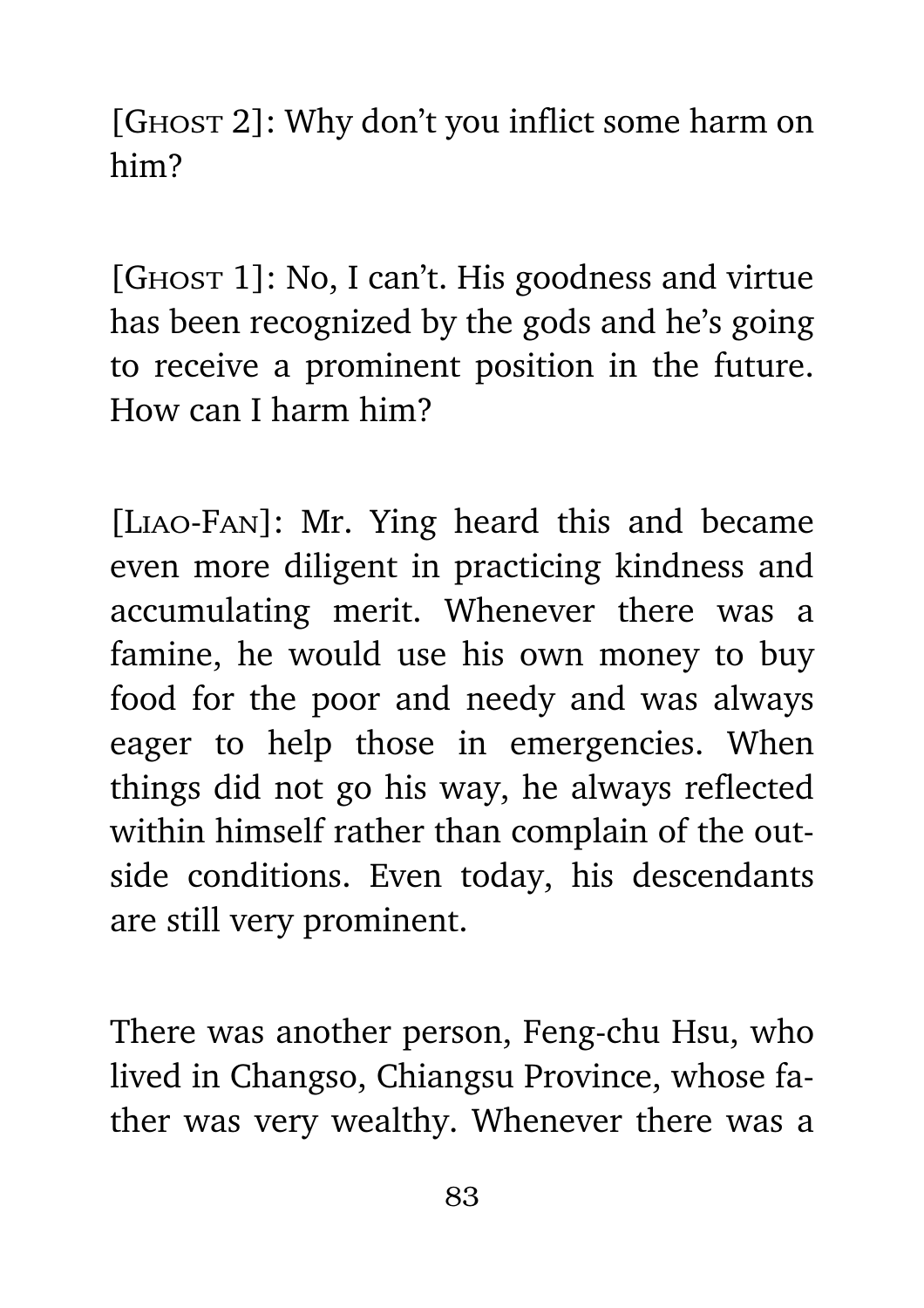[GHOST 2]: Why don't you inflict some harm on him?

[GHOST 1]: No, I can't. His goodness and virtue has been recognized by the gods and he's going to receive a prominent position in the future. How can I harm him?

[Liao-Fan]: Mr. Ying heard this and became even more diligent in practicing kindness and accumulating merit. Whenever there was a famine, he would use his own money to buy food for the poor and needy and was always eager to help those in emergencies. When things did not go his way, he always reflected within himself rather than complain of the outside conditions. Even today, his descendants are still very prominent.

There was another person, Feng-chu Hsu, who lived in Changso, Chiangsu Province, whose father was very wealthy. Whenever there was a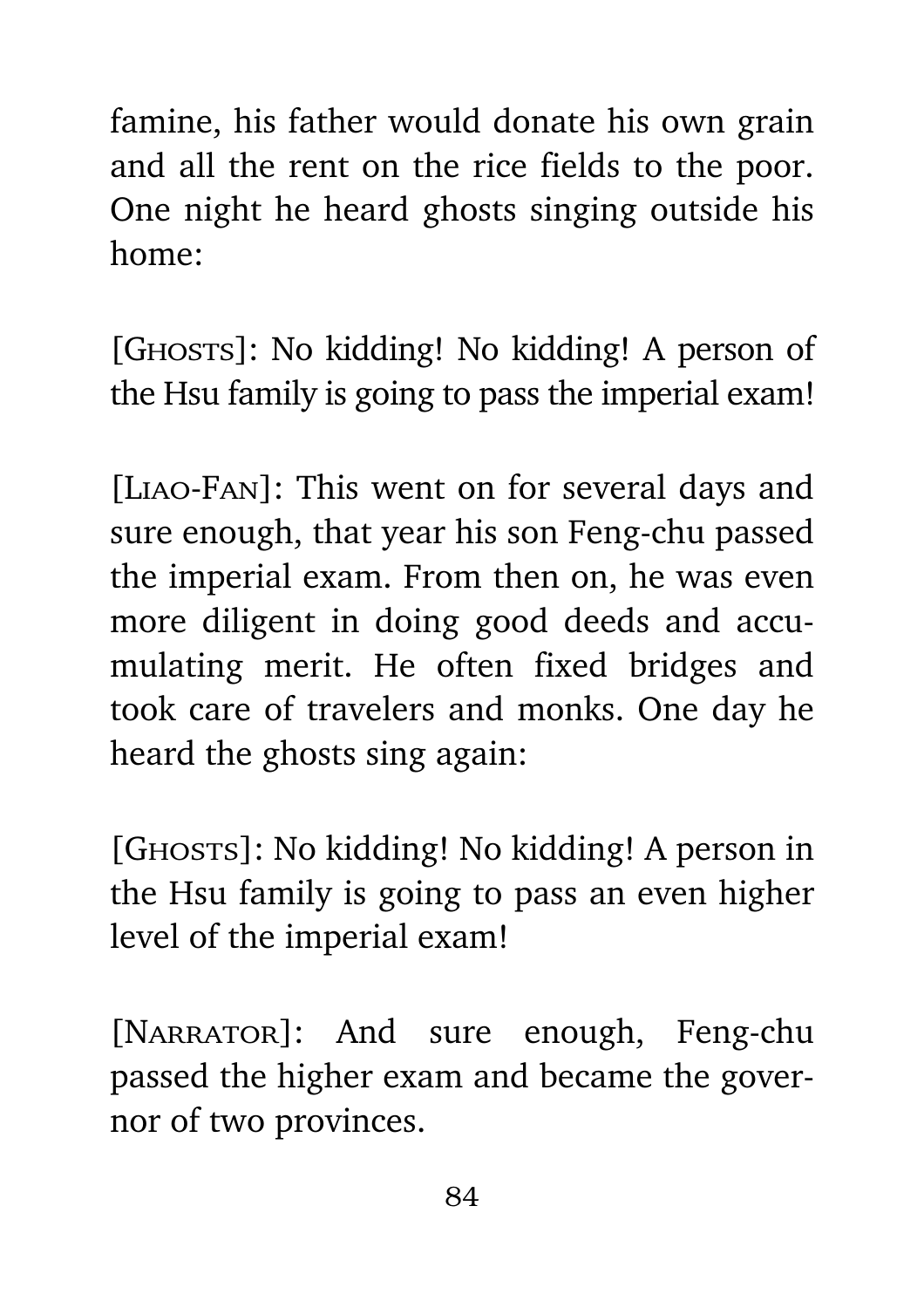famine, his father would donate his own grain and all the rent on the rice fields to the poor. One night he heard ghosts singing outside his home:

[GHOSTS]: No kidding! No kidding! A person of the Hsu family is going to pass the imperial exam!

[Liao-Fan]: This went on for several days and sure enough, that year his son Feng-chu passed the imperial exam. From then on, he was even more diligent in doing good deeds and accumulating merit. He often fixed bridges and took care of travelers and monks. One day he heard the ghosts sing again:

[GHOSTS]: No kidding! No kidding! A person in the Hsu family is going to pass an even higher level of the imperial exam!

[NARRATOR]: And sure enough, Feng-chu passed the higher exam and became the governor of two provinces.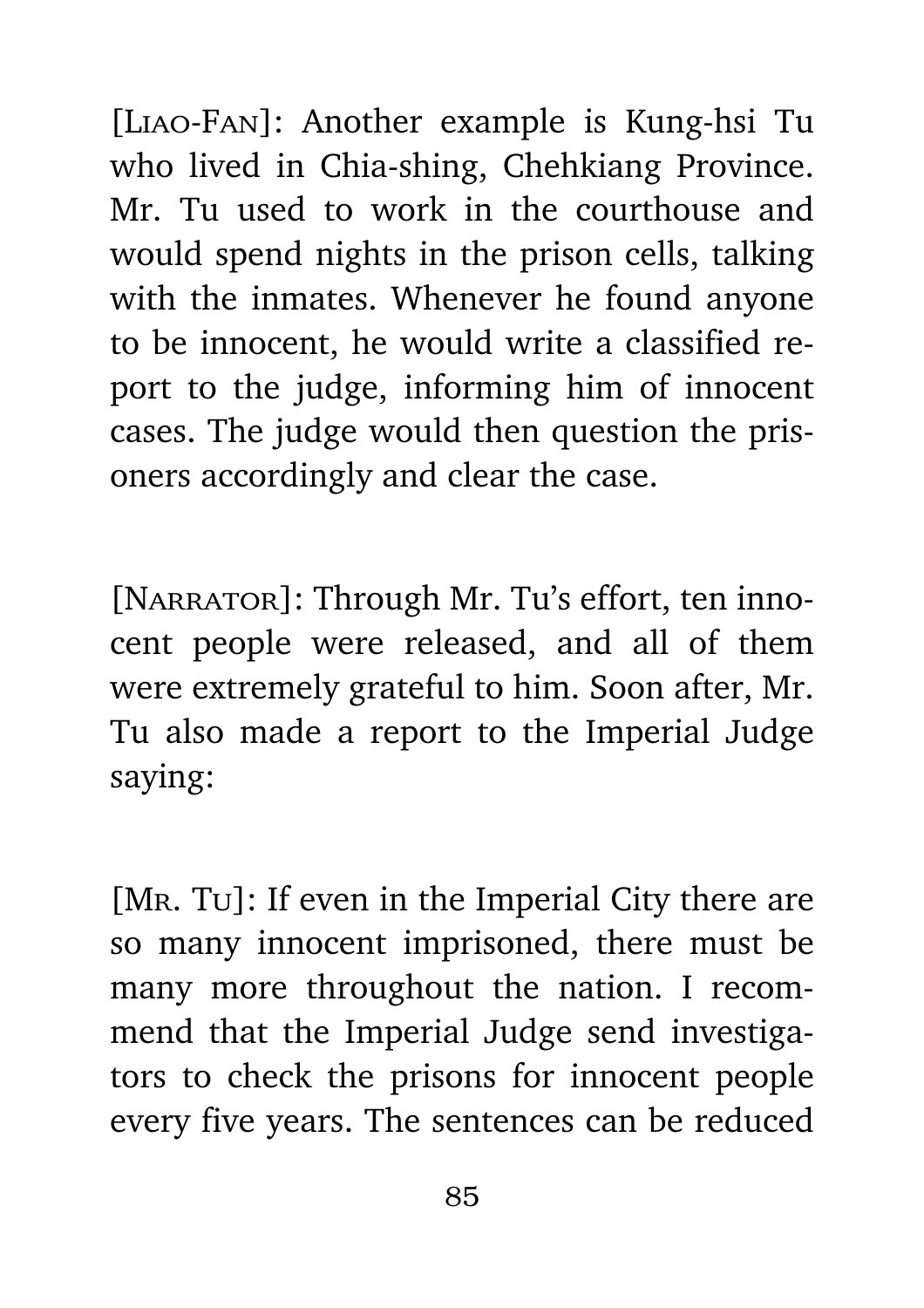[Liao-Fan]: Another example is Kung-hsi Tu who lived in Chia-shing, Chehkiang Province. Mr. Tu used to work in the courthouse and would spend nights in the prison cells, talking with the inmates. Whenever he found anyone to be innocent, he would write a classified report to the judge, informing him of innocent cases. The judge would then question the prisoners accordingly and clear the case.

[NARRATOR]: Through Mr. Tu's effort, ten innocent people were released, and all of them were extremely grateful to him. Soon after, Mr. Tu also made a report to the Imperial Judge saying:

[MR. Tu]: If even in the Imperial City there are so many innocent imprisoned, there must be many more throughout the nation. I recommend that the Imperial Judge send investigators to check the prisons for innocent people every five years. The sentences can be reduced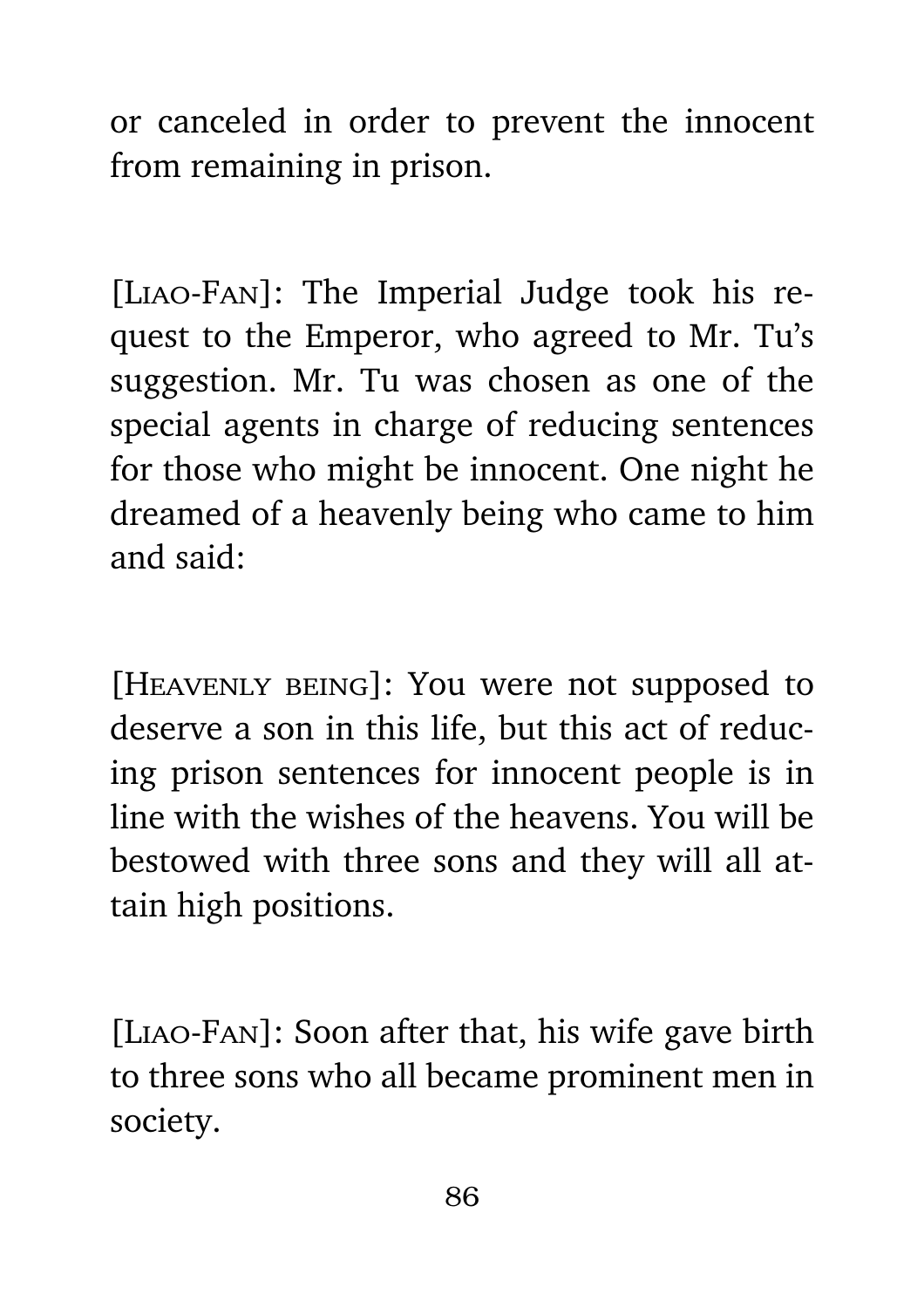or canceled in order to prevent the innocent from remaining in prison.

[Liao-Fan]: The Imperial Judge took his request to the Emperor, who agreed to Mr. Tu's suggestion. Mr. Tu was chosen as one of the special agents in charge of reducing sentences for those who might be innocent. One night he dreamed of a heavenly being who came to him and said:

[Heavenly being]: You were not supposed to deserve a son in this life, but this act of reducing prison sentences for innocent people is in line with the wishes of the heavens. You will be bestowed with three sons and they will all attain high positions.

[Liao-Fan]: Soon after that, his wife gave birth to three sons who all became prominent men in society.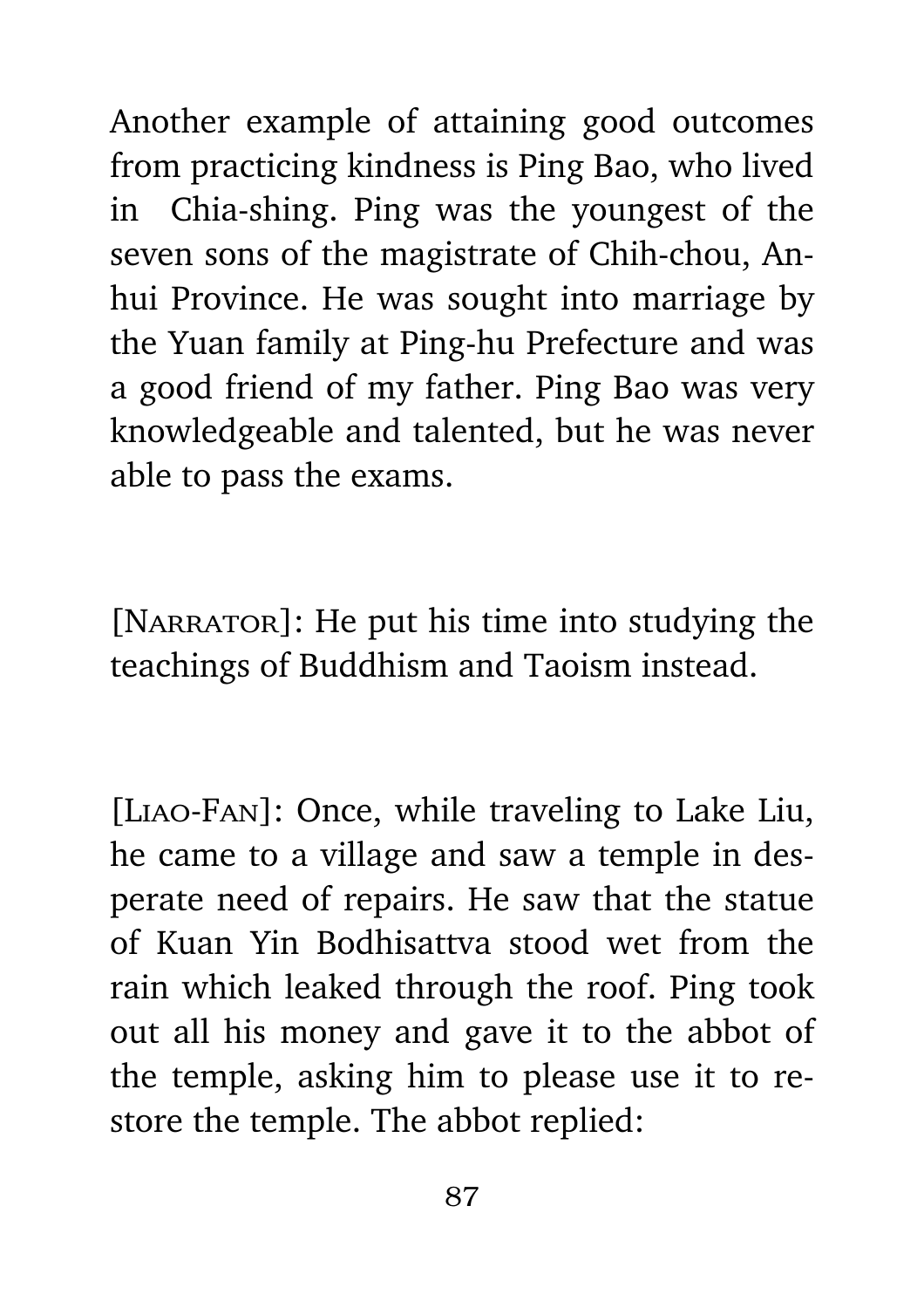Another example of attaining good outcomes from practicing kindness is Ping Bao, who lived in Chia-shing. Ping was the youngest of the seven sons of the magistrate of Chih-chou, Anhui Province. He was sought into marriage by the Yuan family at Ping-hu Prefecture and was a good friend of my father. Ping Bao was very knowledgeable and talented, but he was never able to pass the exams.

[NARRATOR]: He put his time into studying the teachings of Buddhism and Taoism instead.

[Liao-Fan]: Once, while traveling to Lake Liu, he came to a village and saw a temple in desperate need of repairs. He saw that the statue of Kuan Yin Bodhisattva stood wet from the rain which leaked through the roof. Ping took out all his money and gave it to the abbot of the temple, asking him to please use it to restore the temple. The abbot replied: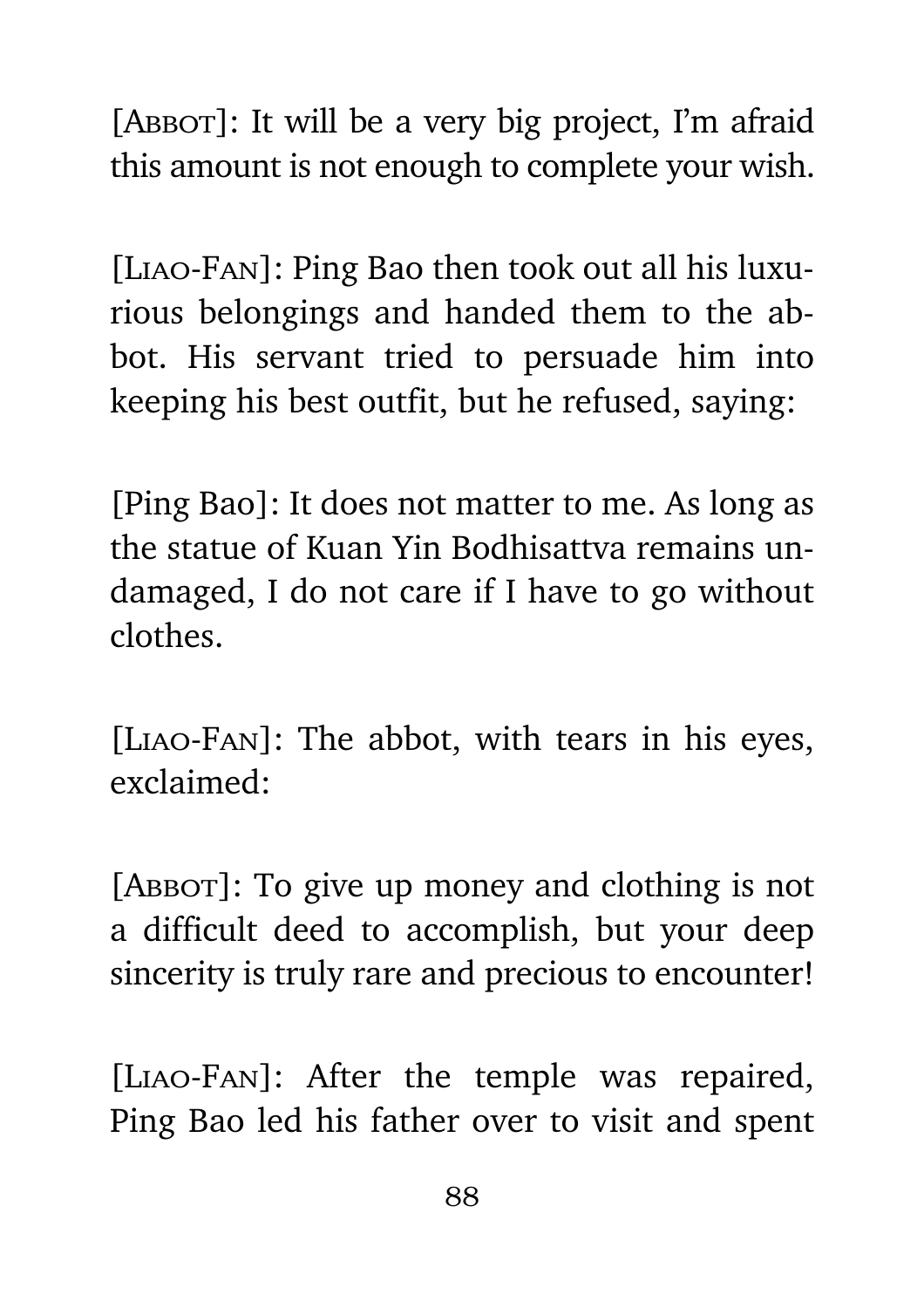[ABBOT]: It will be a very big project, I'm afraid this amount is not enough to complete your wish.

[Liao-Fan]: Ping Bao then took out all his luxurious belongings and handed them to the abbot. His servant tried to persuade him into keeping his best outfit, but he refused, saying:

[Ping Bao]: It does not matter to me. As long as the statue of Kuan Yin Bodhisattva remains undamaged, I do not care if I have to go without clothes.

[Liao-Fan]: The abbot, with tears in his eyes, exclaimed:

[ABBOT]: To give up money and clothing is not a difficult deed to accomplish, but your deep sincerity is truly rare and precious to encounter!

[Liao-Fan]: After the temple was repaired, Ping Bao led his father over to visit and spent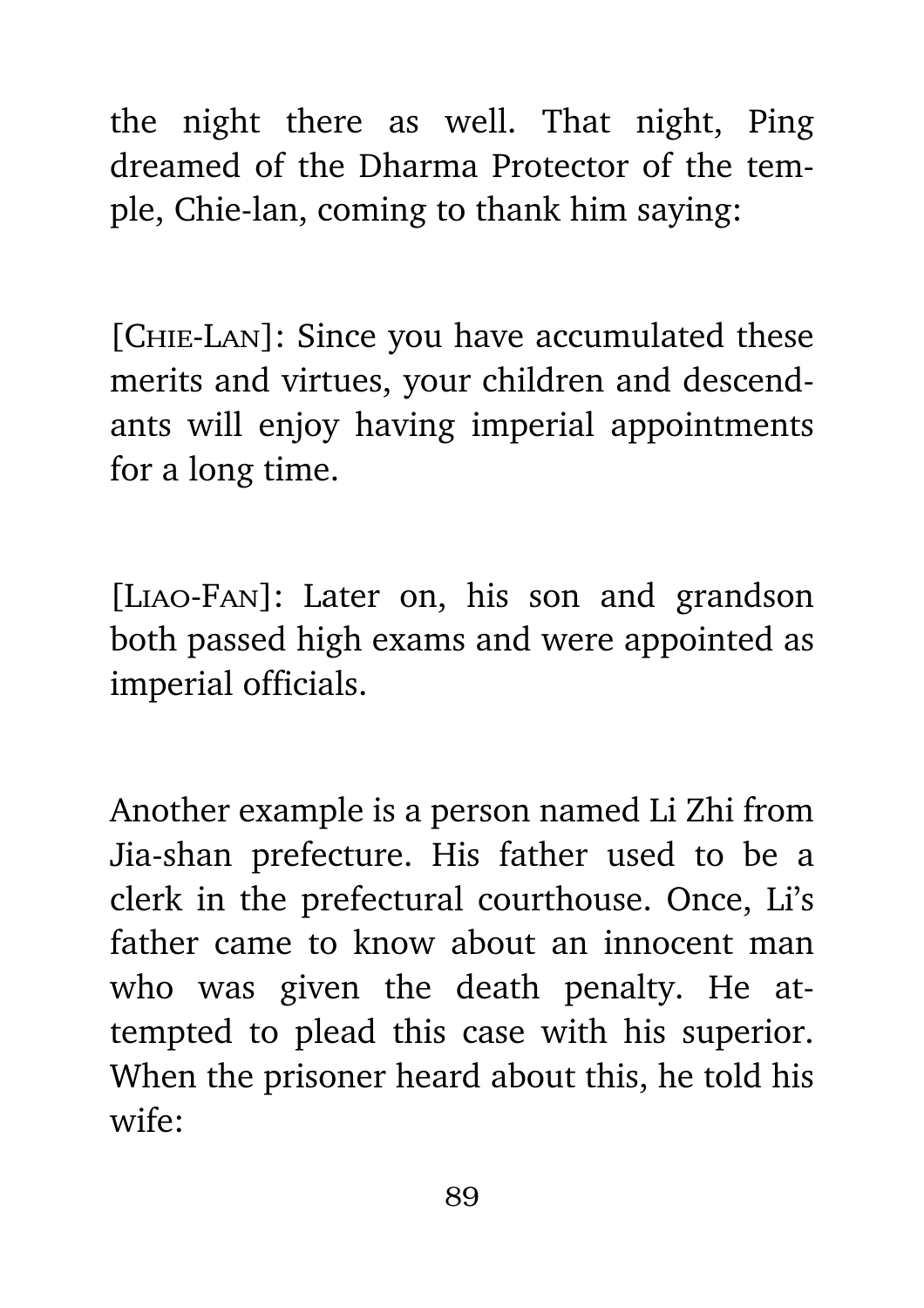the night there as well. That night, Ping dreamed of the Dharma Protector of the temple, Chie-lan, coming to thank him saying:

[Chie-Lan]: Since you have accumulated these merits and virtues, your children and descendants will enjoy having imperial appointments for a long time.

[Liao-Fan]: Later on, his son and grandson both passed high exams and were appointed as imperial officials.

Another example is a person named Li Zhi from Jia-shan prefecture. His father used to be a clerk in the prefectural courthouse. Once, Li's father came to know about an innocent man who was given the death penalty. He attempted to plead this case with his superior. When the prisoner heard about this, he told his wife: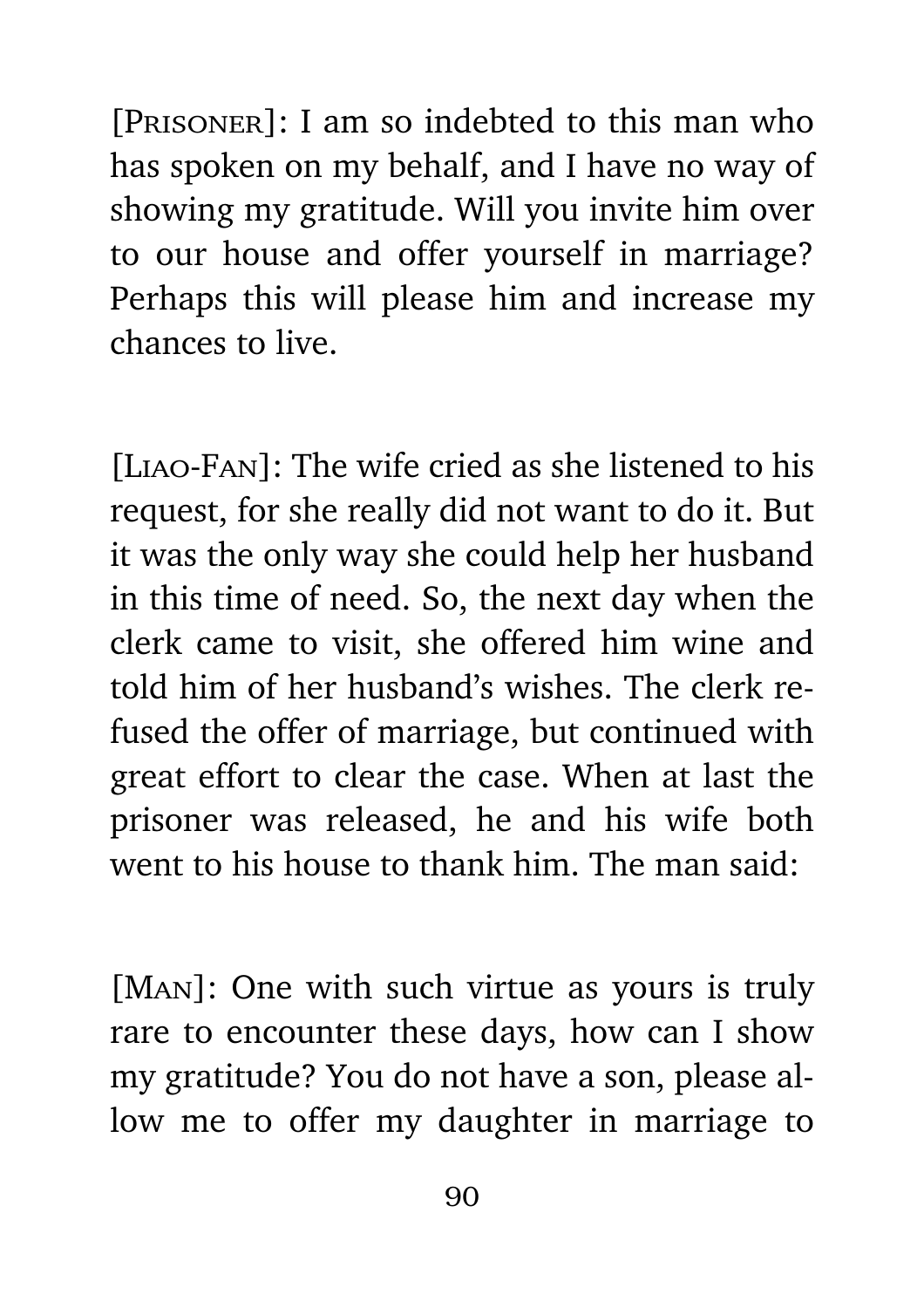[PRISONER]: I am so indebted to this man who has spoken on my behalf, and I have no way of showing my gratitude. Will you invite him over to our house and offer yourself in marriage? Perhaps this will please him and increase my chances to live.

[Liao-Fan]: The wife cried as she listened to his request, for she really did not want to do it. But it was the only way she could help her husband in this time of need. So, the next day when the clerk came to visit, she offered him wine and told him of her husband's wishes. The clerk refused the offer of marriage, but continued with great effort to clear the case. When at last the prisoner was released, he and his wife both went to his house to thank him. The man said:

[Man]: One with such virtue as yours is truly rare to encounter these days, how can I show my gratitude? You do not have a son, please allow me to offer my daughter in marriage to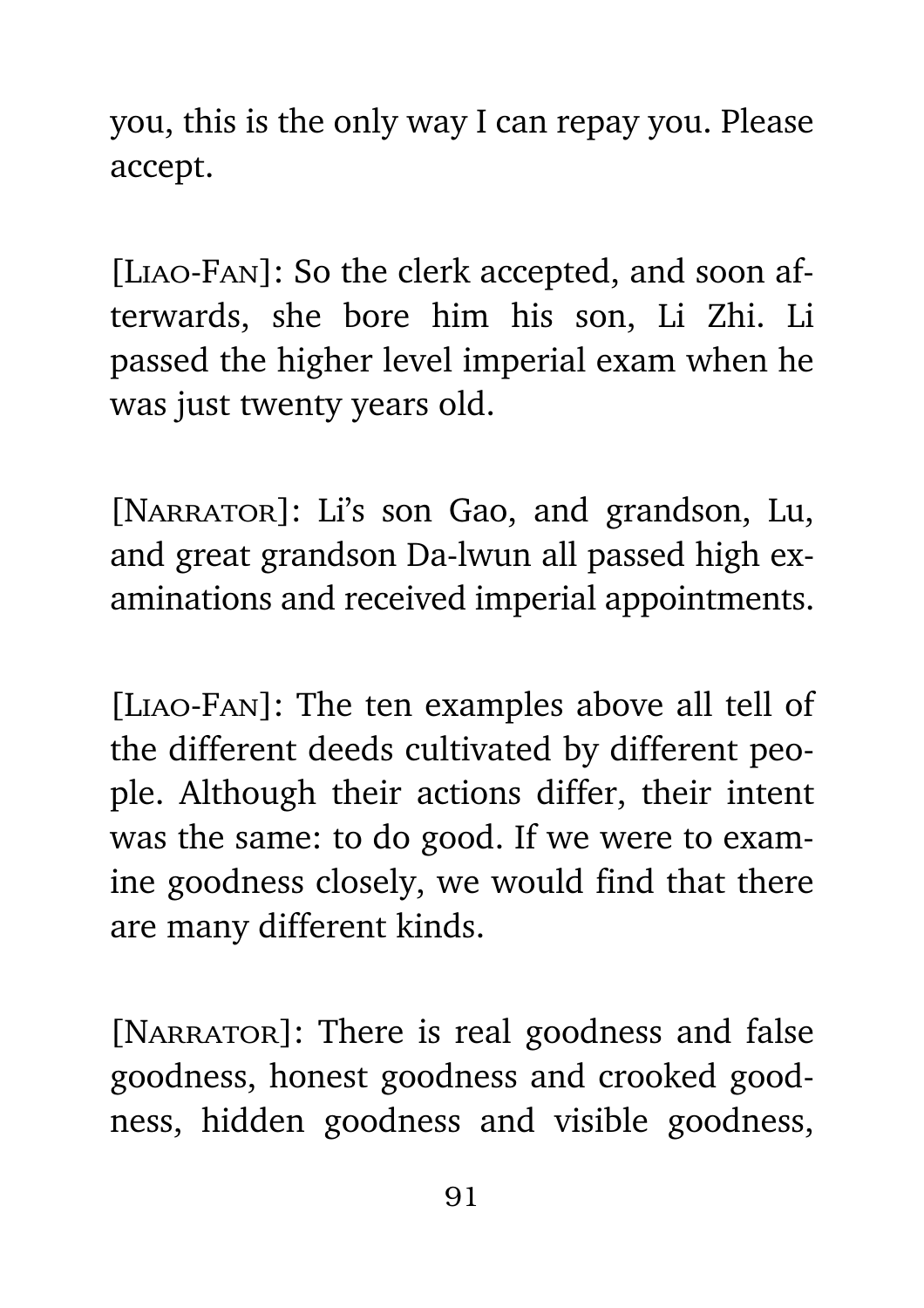you, this is the only way I can repay you. Please accept.

[Liao-Fan]: So the clerk accepted, and soon afterwards, she bore him his son, Li Zhi. Li passed the higher level imperial exam when he was just twenty years old.

[NARRATOR]: Li's son Gao, and grandson, Lu, and great grandson Da-lwun all passed high examinations and received imperial appointments.

[Liao-Fan]: The ten examples above all tell of the different deeds cultivated by different people. Although their actions differ, their intent was the same: to do good. If we were to examine goodness closely, we would find that there are many different kinds.

[NARRATOR]: There is real goodness and false goodness, honest goodness and crooked goodness, hidden goodness and visible goodness,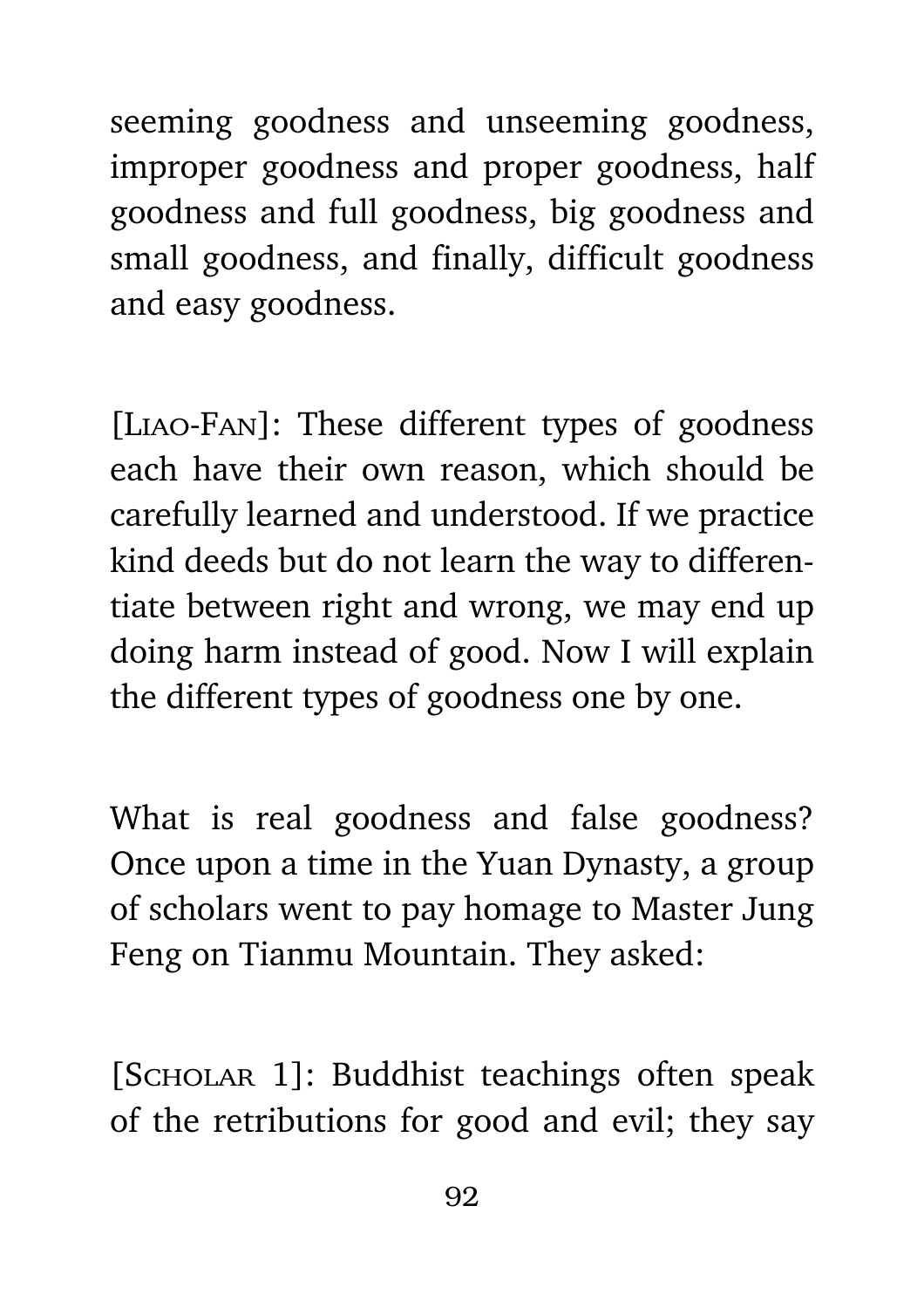seeming goodness and unseeming goodness, improper goodness and proper goodness, half goodness and full goodness, big goodness and small goodness, and finally, difficult goodness and easy goodness.

[Liao-Fan]: These different types of goodness each have their own reason, which should be carefully learned and understood. If we practice kind deeds but do not learn the way to differentiate between right and wrong, we may end up doing harm instead of good. Now I will explain the different types of goodness one by one.

What is real goodness and false goodness? Once upon a time in the Yuan Dynasty, a group of scholars went to pay homage to Master Jung Feng on Tianmu Mountain. They asked:

[SCHOLAR 1]: Buddhist teachings often speak of the retributions for good and evil; they say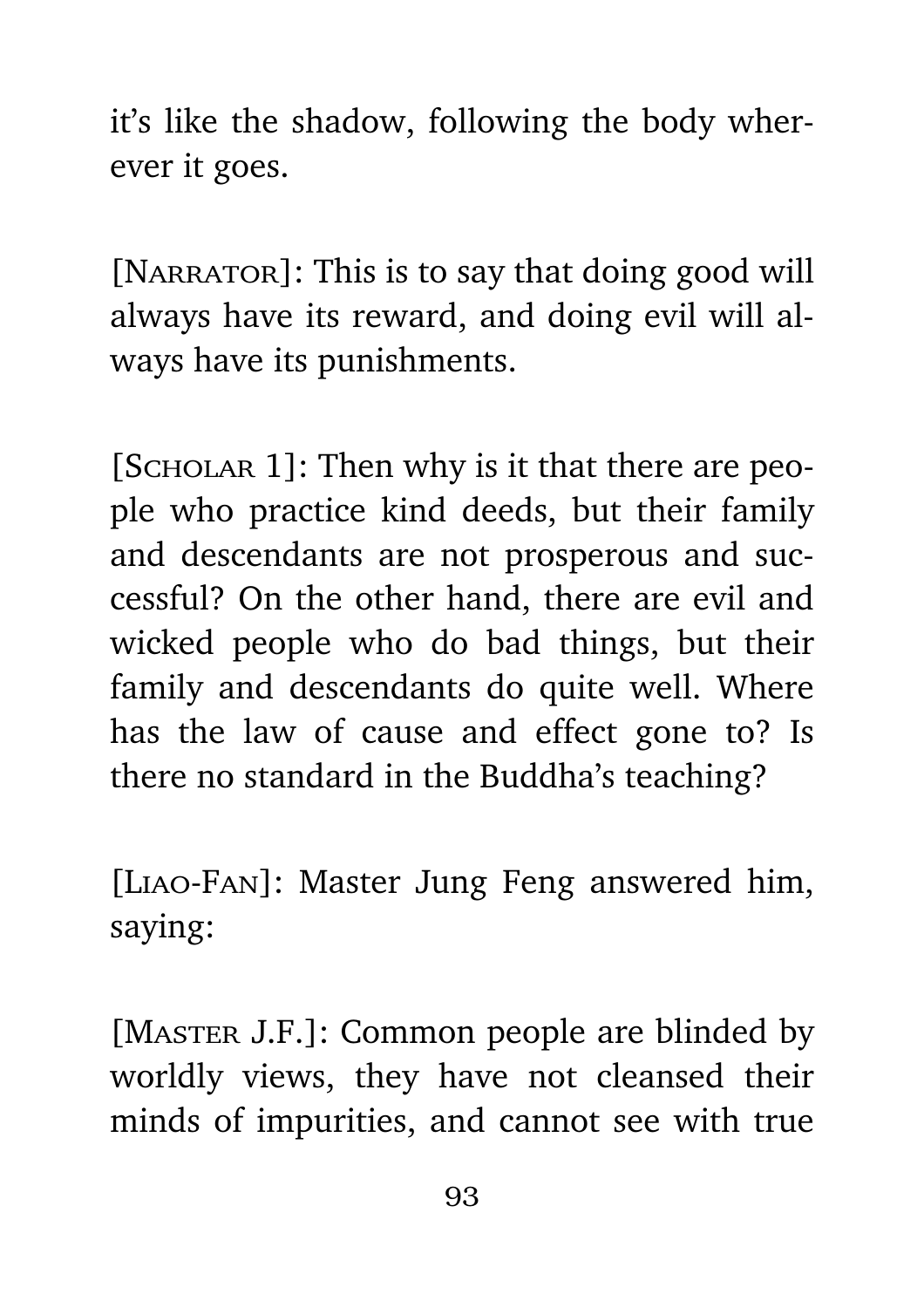it's like the shadow, following the body wherever it goes.

[NARRATOR]: This is to say that doing good will always have its reward, and doing evil will always have its punishments.

[SCHOLAR 1]: Then why is it that there are people who practice kind deeds, but their family and descendants are not prosperous and successful? On the other hand, there are evil and wicked people who do bad things, but their family and descendants do quite well. Where has the law of cause and effect gone to? Is there no standard in the Buddha's teaching?

[Liao-Fan]: Master Jung Feng answered him, saying:

[MASTER J.F.]: Common people are blinded by worldly views, they have not cleansed their minds of impurities, and cannot see with true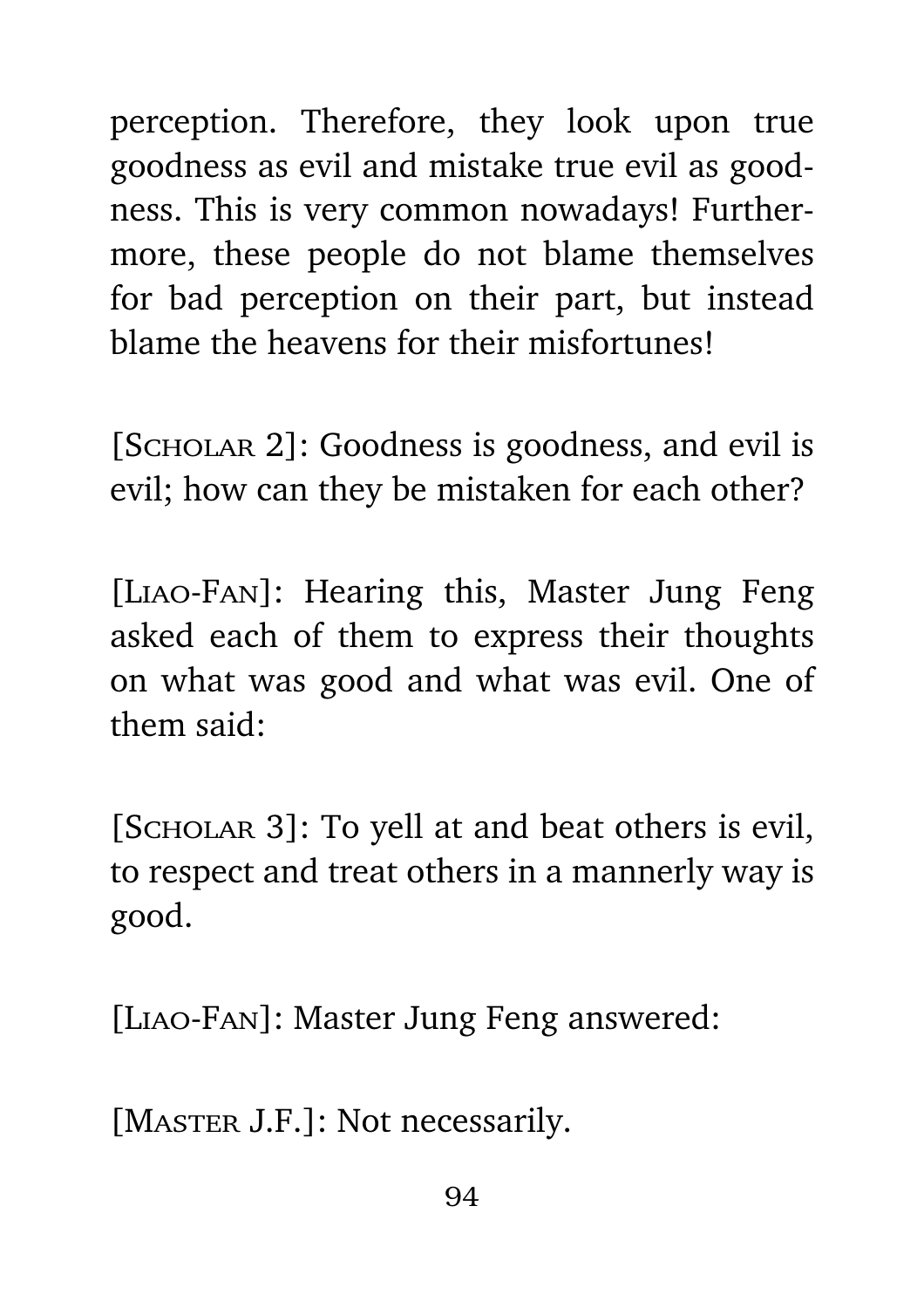perception. Therefore, they look upon true goodness as evil and mistake true evil as goodness. This is very common nowadays! Furthermore, these people do not blame themselves for bad perception on their part, but instead blame the heavens for their misfortunes!

[Scholar 2]: Goodness is goodness, and evil is evil; how can they be mistaken for each other?

[Liao-Fan]: Hearing this, Master Jung Feng asked each of them to express their thoughts on what was good and what was evil. One of them said:

[SCHOLAR 3]: To yell at and beat others is evil, to respect and treat others in a mannerly way is good.

[Liao-Fan]: Master Jung Feng answered:

[MASTER J.F.]: Not necessarily.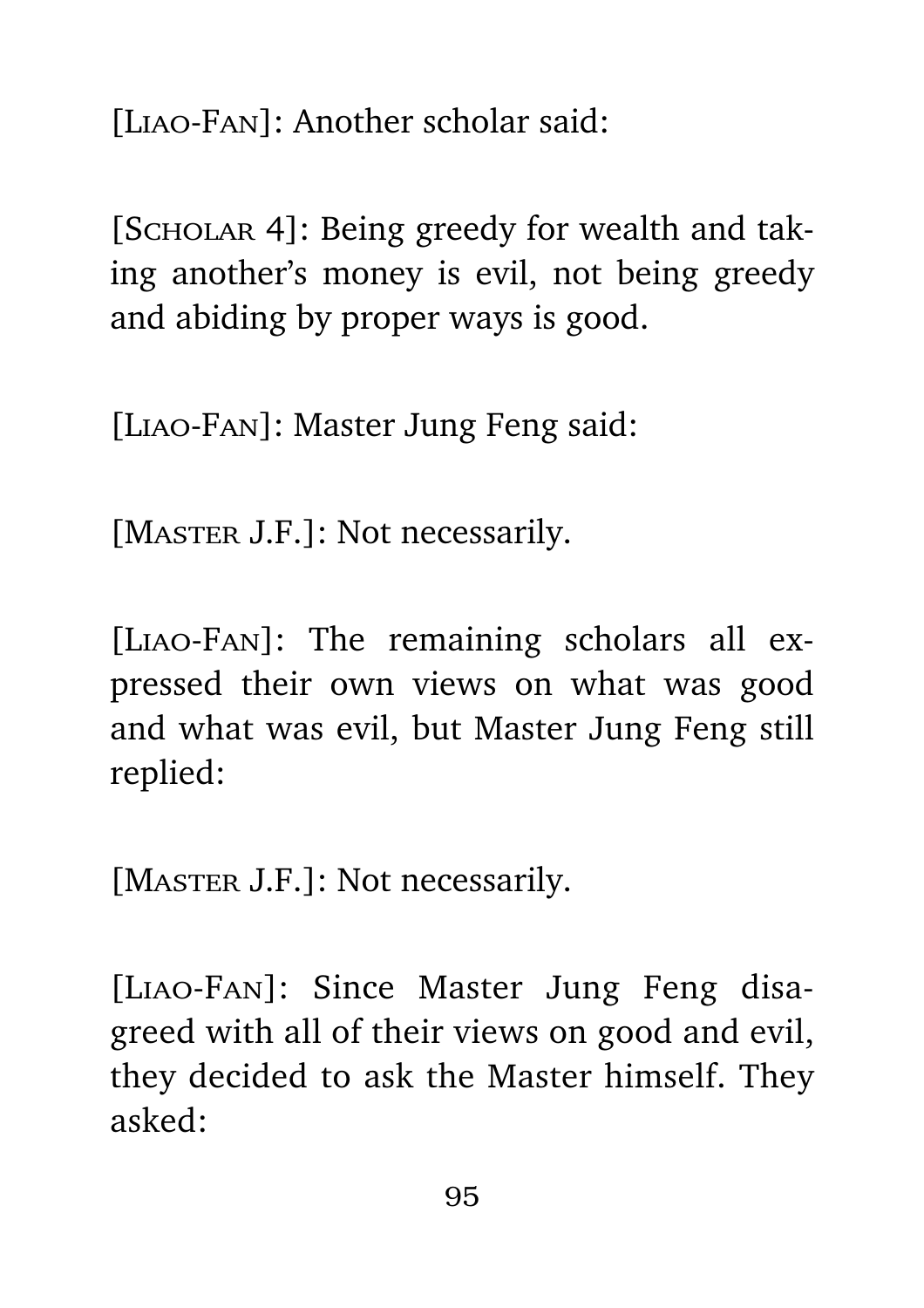[Liao-Fan]: Another scholar said:

[SCHOLAR 4]: Being greedy for wealth and taking another's money is evil, not being greedy and abiding by proper ways is good.

[Liao-Fan]: Master Jung Feng said:

[MASTER J.F.]: Not necessarily.

[Liao-Fan]: The remaining scholars all expressed their own views on what was good and what was evil, but Master Jung Feng still replied:

[MASTER J.F.]: Not necessarily.

[Liao-Fan]: Since Master Jung Feng disagreed with all of their views on good and evil, they decided to ask the Master himself. They asked: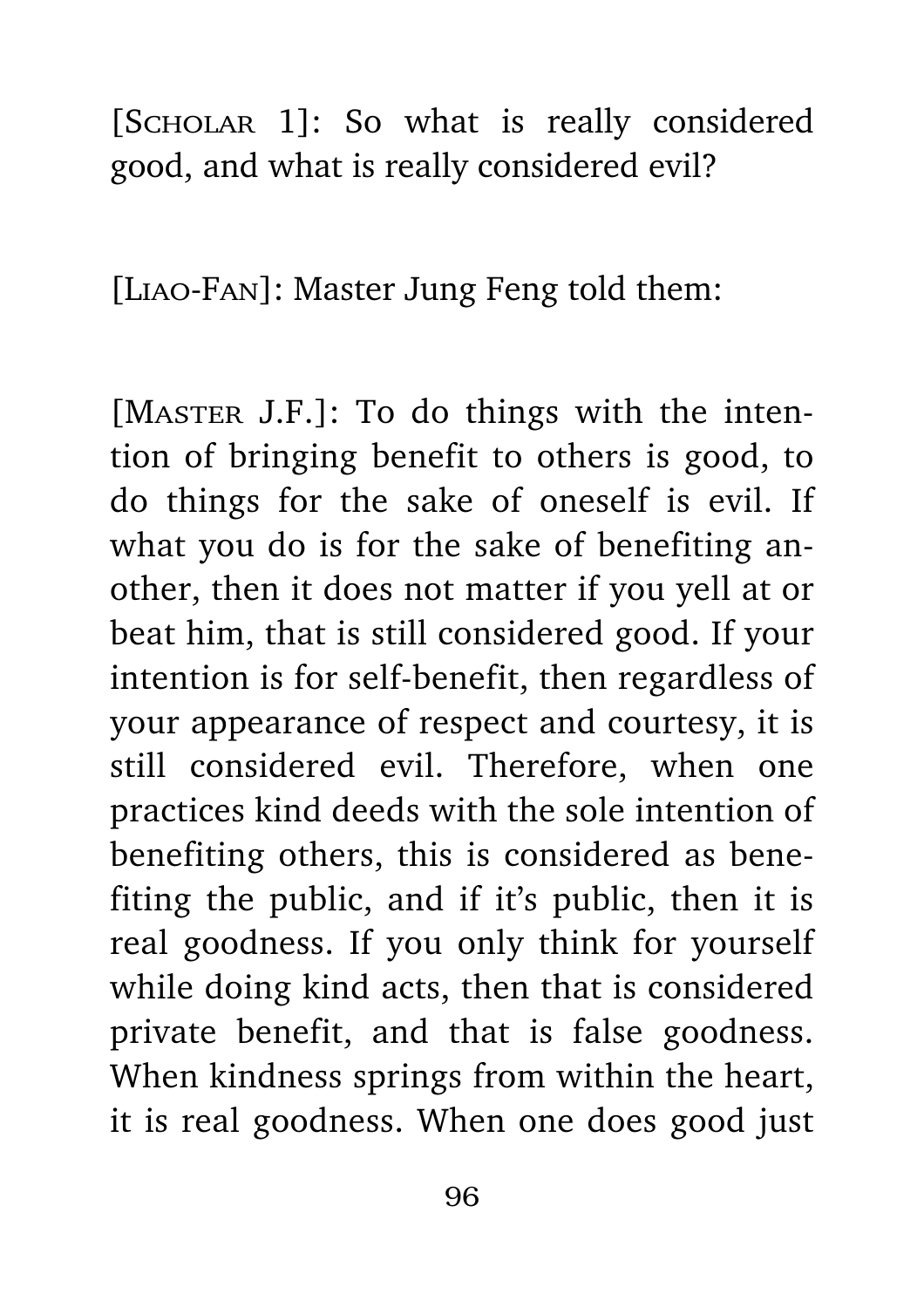[SCHOLAR 1]: So what is really considered good, and what is really considered evil?

[Liao-Fan]: Master Jung Feng told them:

[MASTER J.F.]: To do things with the intention of bringing benefit to others is good, to do things for the sake of oneself is evil. If what you do is for the sake of benefiting another, then it does not matter if you yell at or beat him, that is still considered good. If your intention is for self-benefit, then regardless of your appearance of respect and courtesy, it is still considered evil. Therefore, when one practices kind deeds with the sole intention of benefiting others, this is considered as benefiting the public, and if it's public, then it is real goodness. If you only think for yourself while doing kind acts, then that is considered private benefit, and that is false goodness. When kindness springs from within the heart, it is real goodness. When one does good just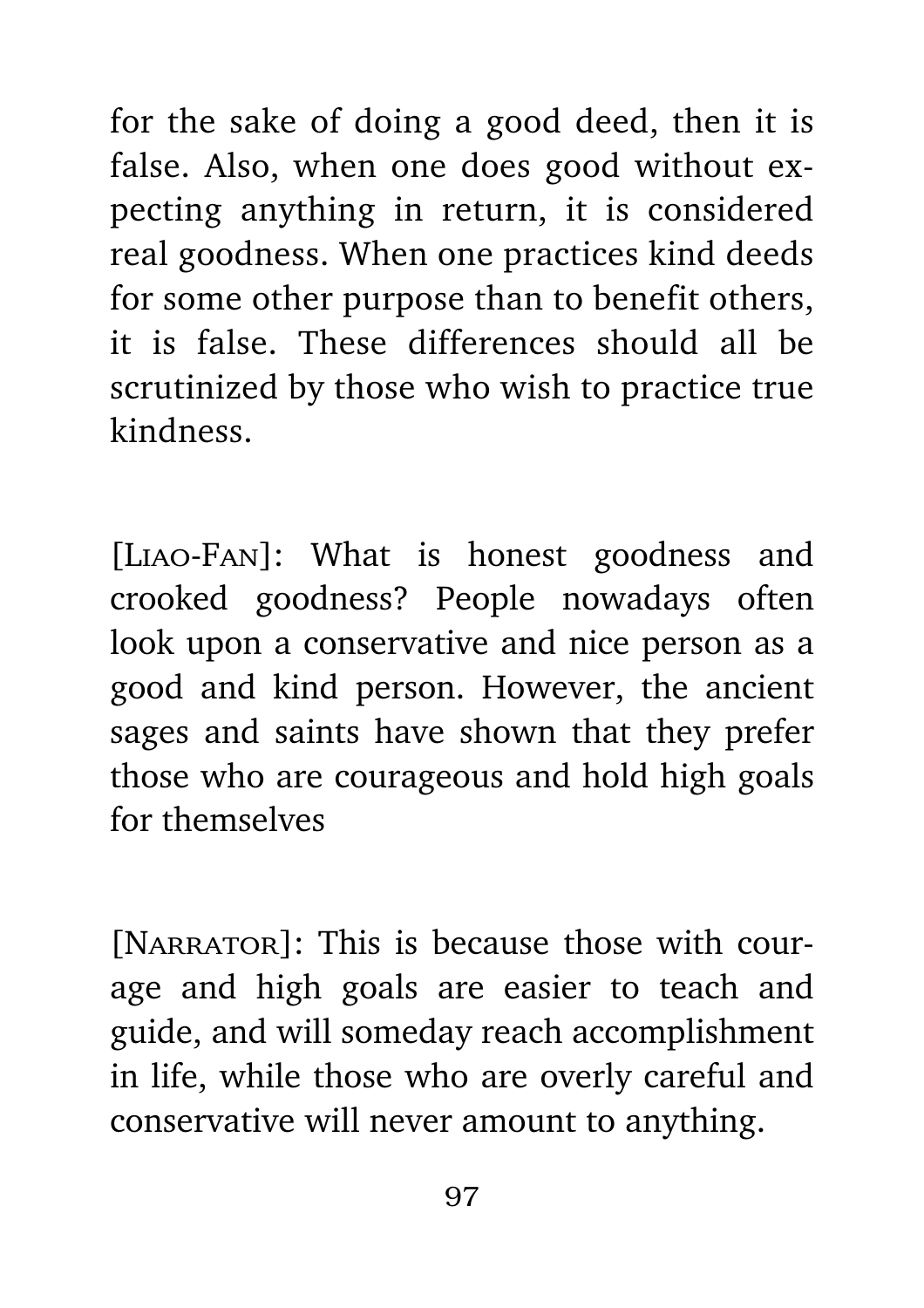for the sake of doing a good deed, then it is false. Also, when one does good without expecting anything in return, it is considered real goodness. When one practices kind deeds for some other purpose than to benefit others, it is false. These differences should all be scrutinized by those who wish to practice true kindness.

[Liao-Fan]: What is honest goodness and crooked goodness? People nowadays often look upon a conservative and nice person as a good and kind person. However, the ancient sages and saints have shown that they prefer those who are courageous and hold high goals for themselves

[NARRATOR]: This is because those with courage and high goals are easier to teach and guide, and will someday reach accomplishment in life, while those who are overly careful and conservative will never amount to anything.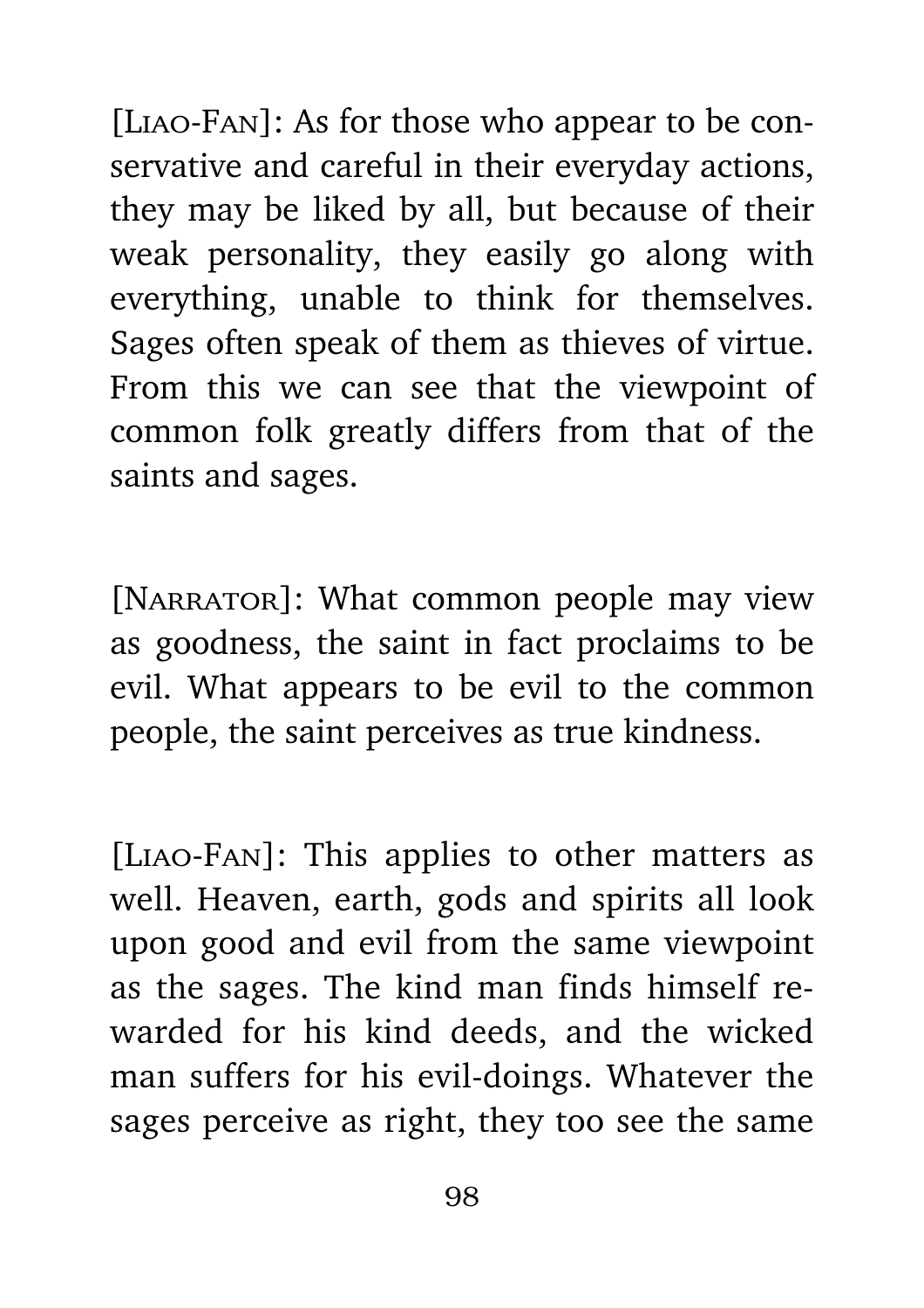[Liao-Fan]: As for those who appear to be conservative and careful in their everyday actions, they may be liked by all, but because of their weak personality, they easily go along with everything, unable to think for themselves. Sages often speak of them as thieves of virtue. From this we can see that the viewpoint of common folk greatly differs from that of the saints and sages.

[NARRATOR]: What common people may view as goodness, the saint in fact proclaims to be evil. What appears to be evil to the common people, the saint perceives as true kindness.

[Liao-Fan]: This applies to other matters as well. Heaven, earth, gods and spirits all look upon good and evil from the same viewpoint as the sages. The kind man finds himself rewarded for his kind deeds, and the wicked man suffers for his evil-doings. Whatever the sages perceive as right, they too see the same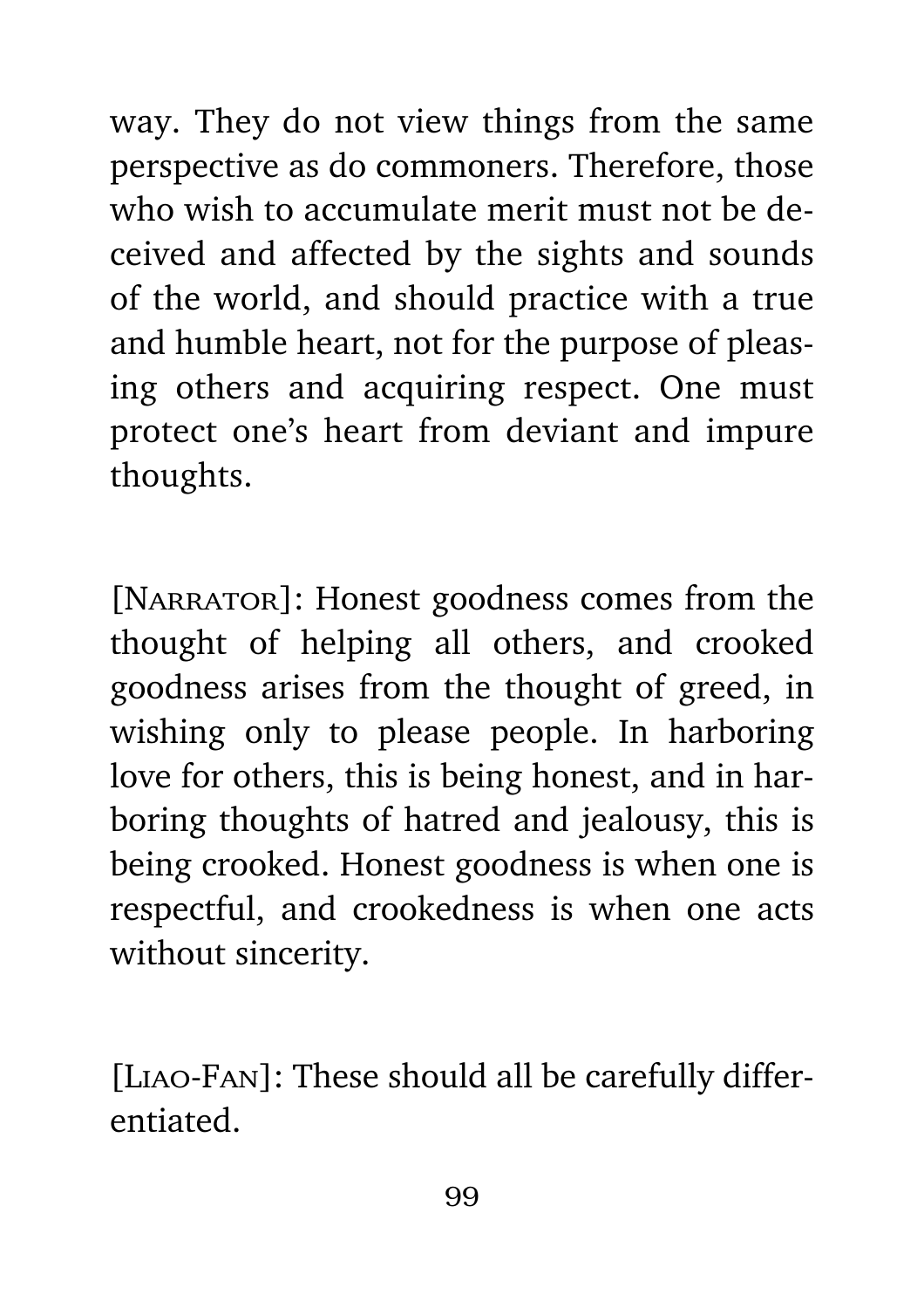way. They do not view things from the same perspective as do commoners. Therefore, those who wish to accumulate merit must not be deceived and affected by the sights and sounds of the world, and should practice with a true and humble heart, not for the purpose of pleasing others and acquiring respect. One must protect one's heart from deviant and impure thoughts.

[NARRATOR]: Honest goodness comes from the thought of helping all others, and crooked goodness arises from the thought of greed, in wishing only to please people. In harboring love for others, this is being honest, and in harboring thoughts of hatred and jealousy, this is being crooked. Honest goodness is when one is respectful, and crookedness is when one acts without sincerity.

[Liao-Fan]: These should all be carefully differentiated.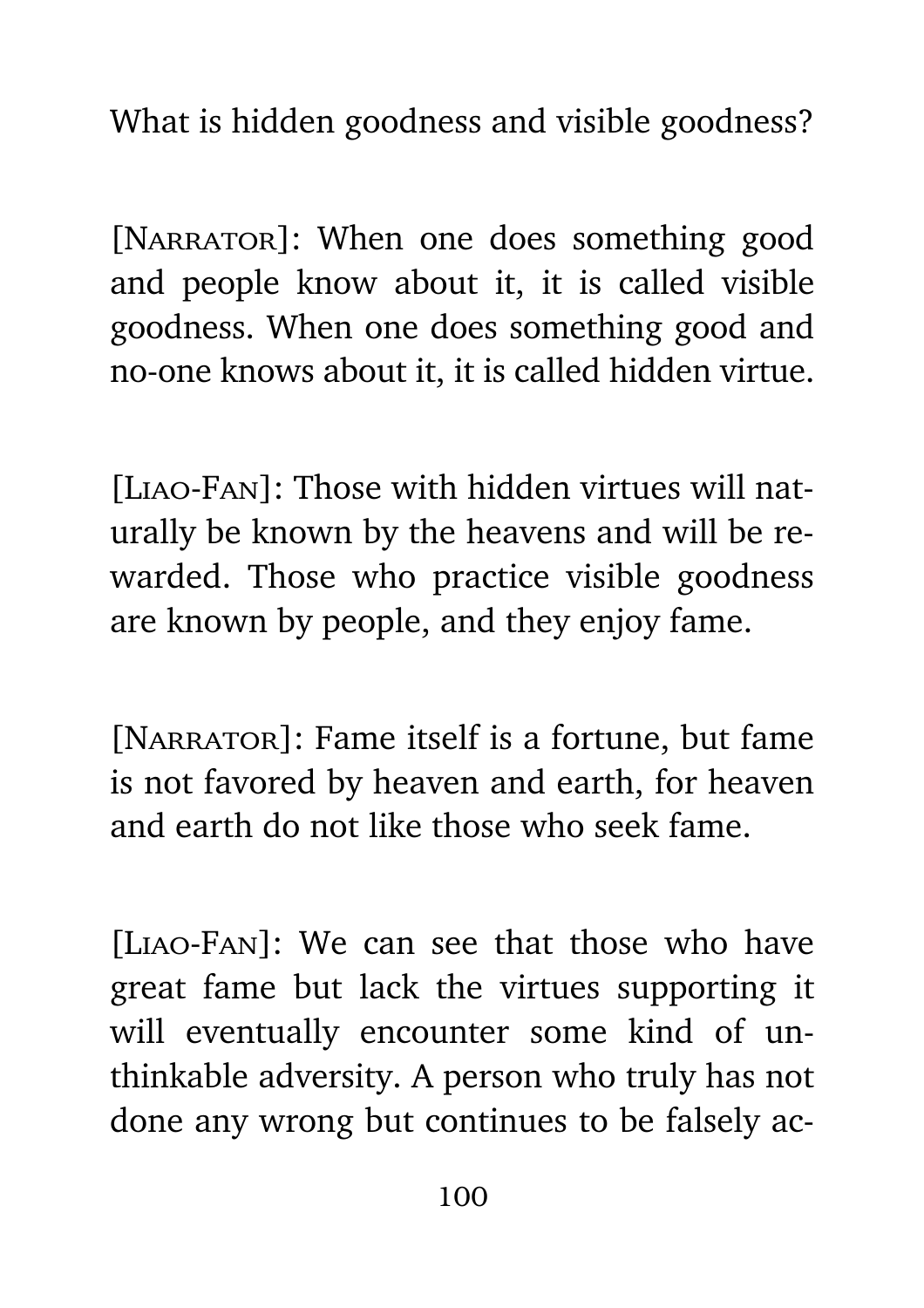What is hidden goodness and visible goodness?

[NARRATOR]: When one does something good and people know about it, it is called visible goodness. When one does something good and no-one knows about it, it is called hidden virtue.

[Liao-Fan]: Those with hidden virtues will naturally be known by the heavens and will be rewarded. Those who practice visible goodness are known by people, and they enjoy fame.

[NARRATOR]: Fame itself is a fortune, but fame is not favored by heaven and earth, for heaven and earth do not like those who seek fame.

[Liao-Fan]: We can see that those who have great fame but lack the virtues supporting it will eventually encounter some kind of unthinkable adversity. A person who truly has not done any wrong but continues to be falsely ac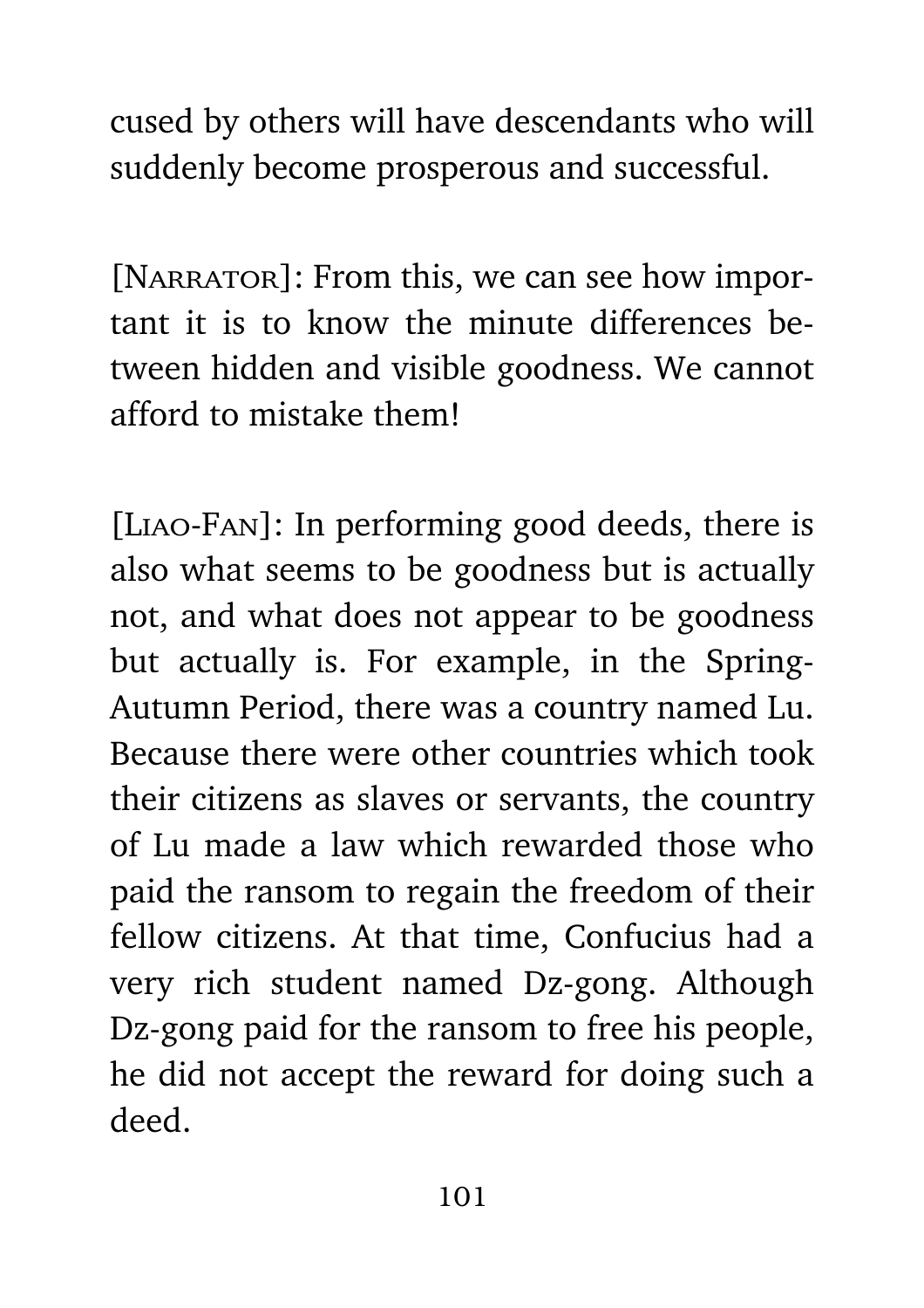cused by others will have descendants who will suddenly become prosperous and successful.

[NARRATOR]: From this, we can see how important it is to know the minute differences between hidden and visible goodness. We cannot afford to mistake them!

[Liao-Fan]: In performing good deeds, there is also what seems to be goodness but is actually not, and what does not appear to be goodness but actually is. For example, in the Spring-Autumn Period, there was a country named Lu. Because there were other countries which took their citizens as slaves or servants, the country of Lu made a law which rewarded those who paid the ransom to regain the freedom of their fellow citizens. At that time, Confucius had a very rich student named Dz-gong. Although Dz-gong paid for the ransom to free his people, he did not accept the reward for doing such a deed.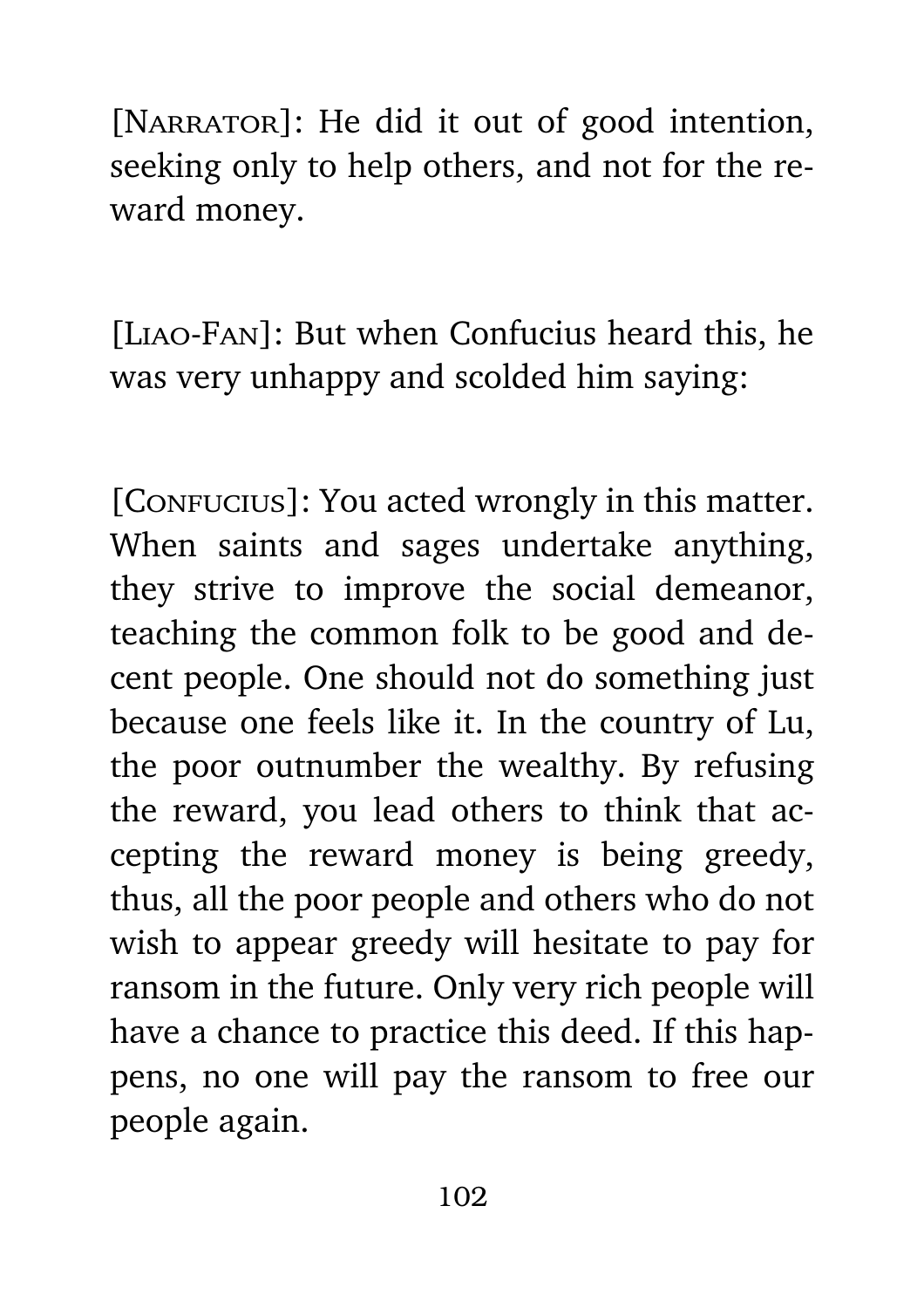[NARRATOR]: He did it out of good intention, seeking only to help others, and not for the reward money.

[Liao-Fan]: But when Confucius heard this, he was very unhappy and scolded him saying:

[CONFUCIUS]: You acted wrongly in this matter. When saints and sages undertake anything, they strive to improve the social demeanor, teaching the common folk to be good and decent people. One should not do something just because one feels like it. In the country of Lu, the poor outnumber the wealthy. By refusing the reward, you lead others to think that accepting the reward money is being greedy, thus, all the poor people and others who do not wish to appear greedy will hesitate to pay for ransom in the future. Only very rich people will have a chance to practice this deed. If this happens, no one will pay the ransom to free our people again.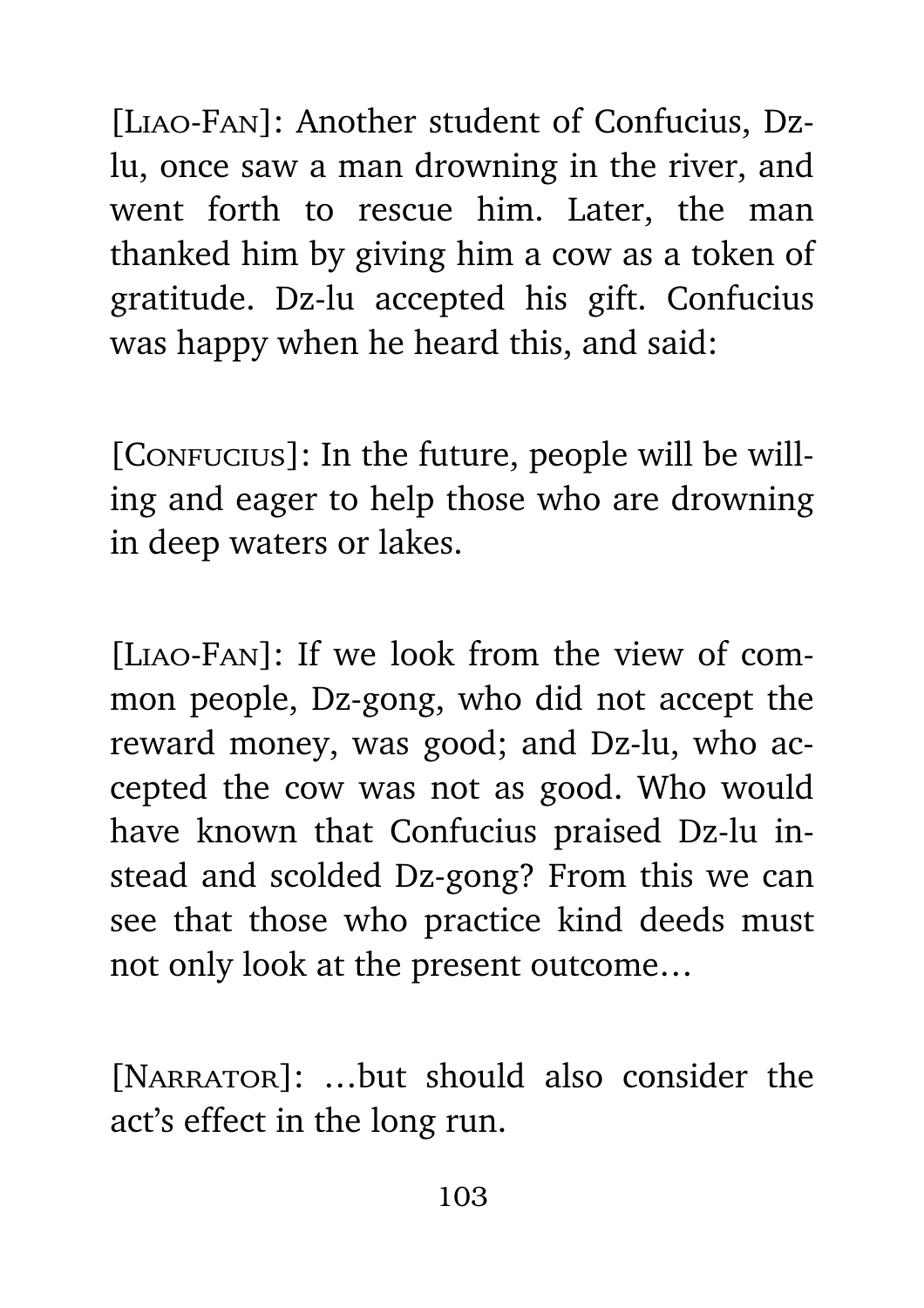[Liao-Fan]: Another student of Confucius, Dzlu, once saw a man drowning in the river, and went forth to rescue him. Later, the man thanked him by giving him a cow as a token of gratitude. Dz-lu accepted his gift. Confucius was happy when he heard this, and said:

[CONFUCIUS]: In the future, people will be willing and eager to help those who are drowning in deep waters or lakes.

[Liao-Fan]: If we look from the view of common people, Dz-gong, who did not accept the reward money, was good; and Dz-lu, who accepted the cow was not as good. Who would have known that Confucius praised Dz-lu instead and scolded Dz-gong? From this we can see that those who practice kind deeds must not only look at the present outcome…

[NARRATOR]: ...but should also consider the act's effect in the long run.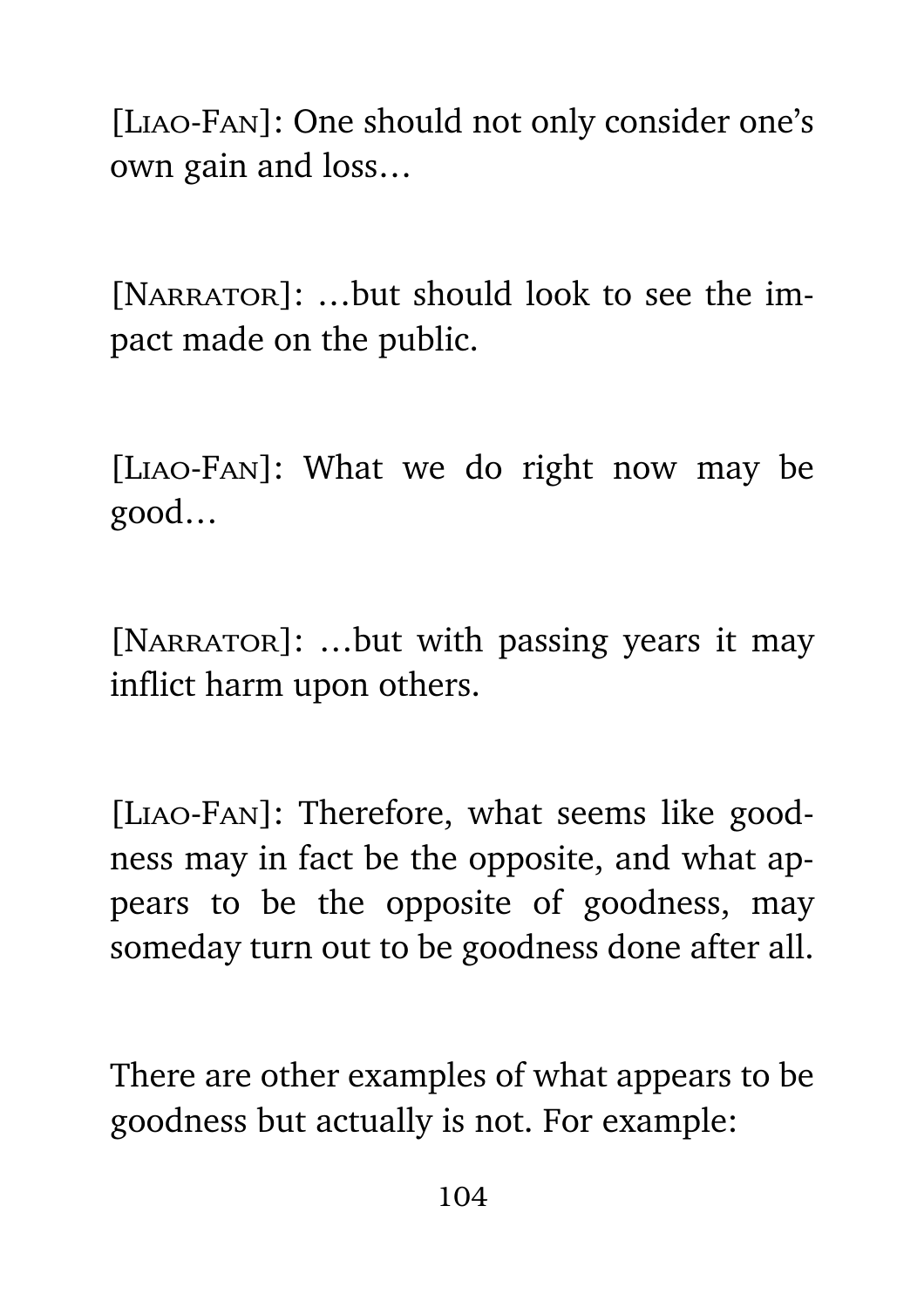[Liao-Fan]: One should not only consider one's own gain and loss…

[NARRATOR]: ...but should look to see the impact made on the public.

[Liao-Fan]: What we do right now may be good…

[NARRATOR]: ...but with passing years it may inflict harm upon others.

[Liao-Fan]: Therefore, what seems like goodness may in fact be the opposite, and what appears to be the opposite of goodness, may someday turn out to be goodness done after all.

There are other examples of what appears to be goodness but actually is not. For example: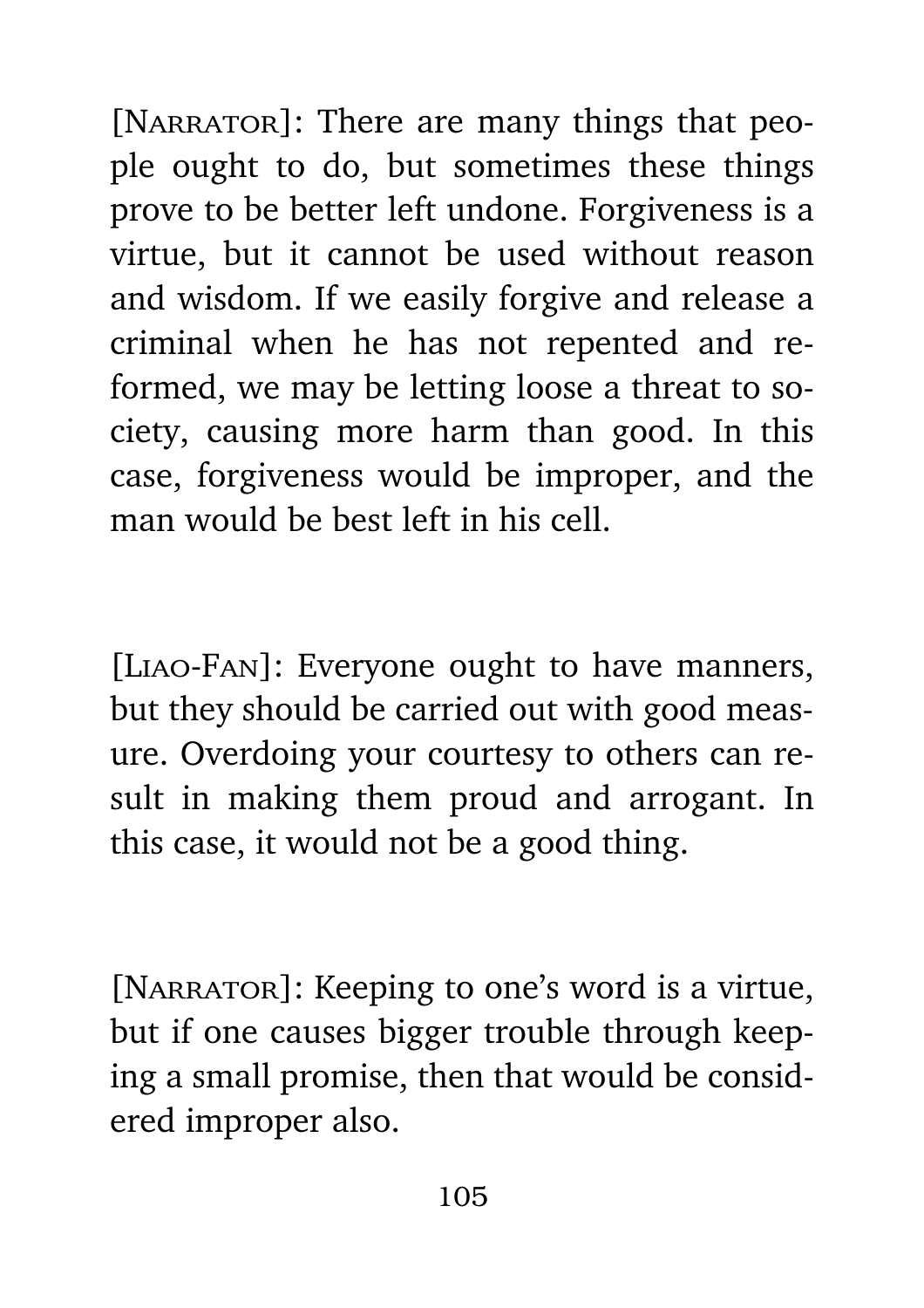[NARRATOR]: There are many things that people ought to do, but sometimes these things prove to be better left undone. Forgiveness is a virtue, but it cannot be used without reason and wisdom. If we easily forgive and release a criminal when he has not repented and reformed, we may be letting loose a threat to society, causing more harm than good. In this case, forgiveness would be improper, and the man would be best left in his cell.

[Liao-Fan]: Everyone ought to have manners, but they should be carried out with good measure. Overdoing your courtesy to others can result in making them proud and arrogant. In this case, it would not be a good thing.

[NARRATOR]: Keeping to one's word is a virtue, but if one causes bigger trouble through keeping a small promise, then that would be considered improper also.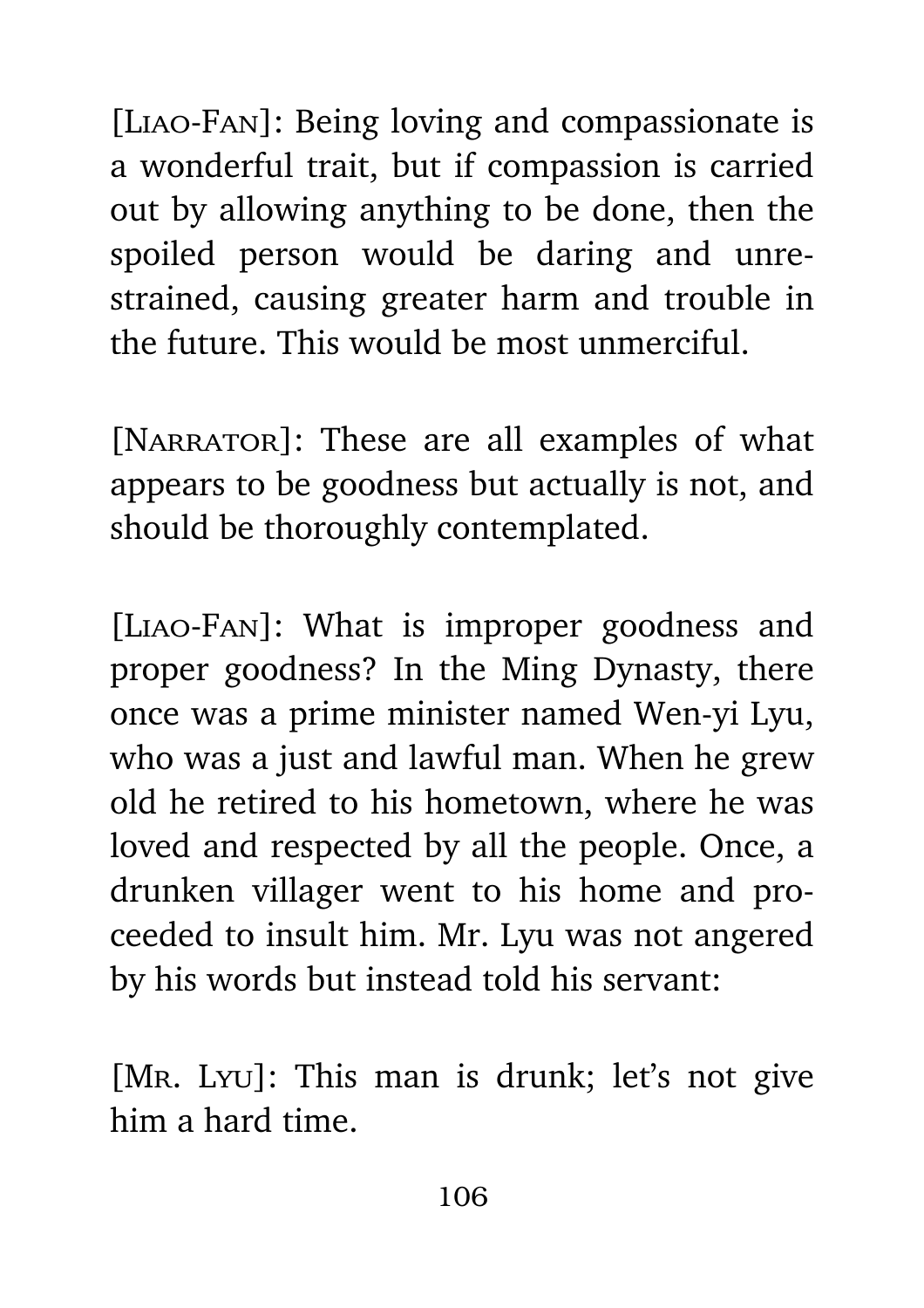[Liao-Fan]: Being loving and compassionate is a wonderful trait, but if compassion is carried out by allowing anything to be done, then the spoiled person would be daring and unrestrained, causing greater harm and trouble in the future. This would be most unmerciful.

[NARRATOR]: These are all examples of what appears to be goodness but actually is not, and should be thoroughly contemplated.

[Liao-Fan]: What is improper goodness and proper goodness? In the Ming Dynasty, there once was a prime minister named Wen-yi Lyu, who was a just and lawful man. When he grew old he retired to his hometown, where he was loved and respected by all the people. Once, a drunken villager went to his home and proceeded to insult him. Mr. Lyu was not angered by his words but instead told his servant:

[Mr. Lyu]: This man is drunk; let's not give him a hard time.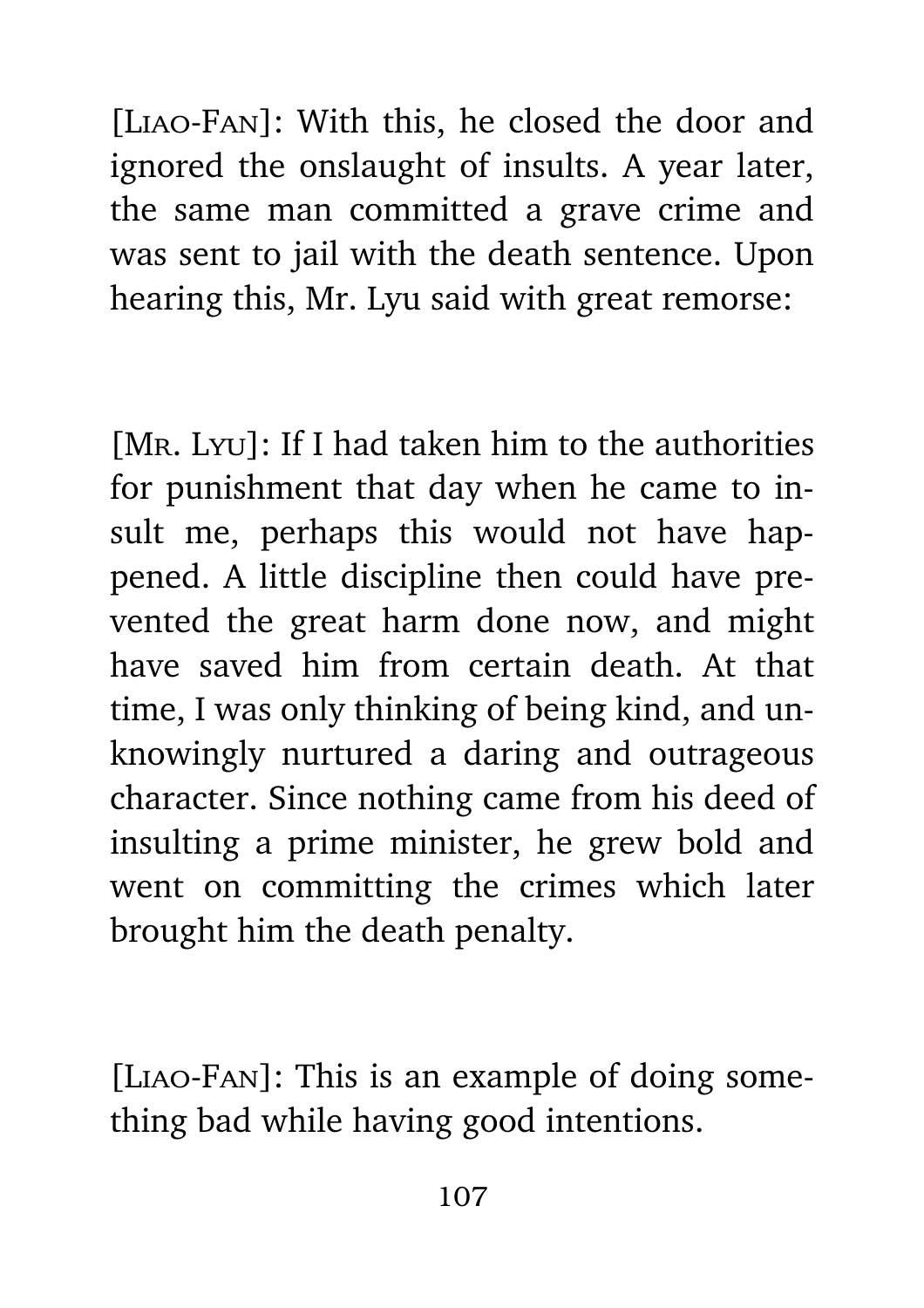[Liao-Fan]: With this, he closed the door and ignored the onslaught of insults. A year later, the same man committed a grave crime and was sent to jail with the death sentence. Upon hearing this, Mr. Lyu said with great remorse:

[MR. Lyu]: If I had taken him to the authorities for punishment that day when he came to insult me, perhaps this would not have happened. A little discipline then could have prevented the great harm done now, and might have saved him from certain death. At that time, I was only thinking of being kind, and unknowingly nurtured a daring and outrageous character. Since nothing came from his deed of insulting a prime minister, he grew bold and went on committing the crimes which later brought him the death penalty.

[Liao-Fan]: This is an example of doing something bad while having good intentions.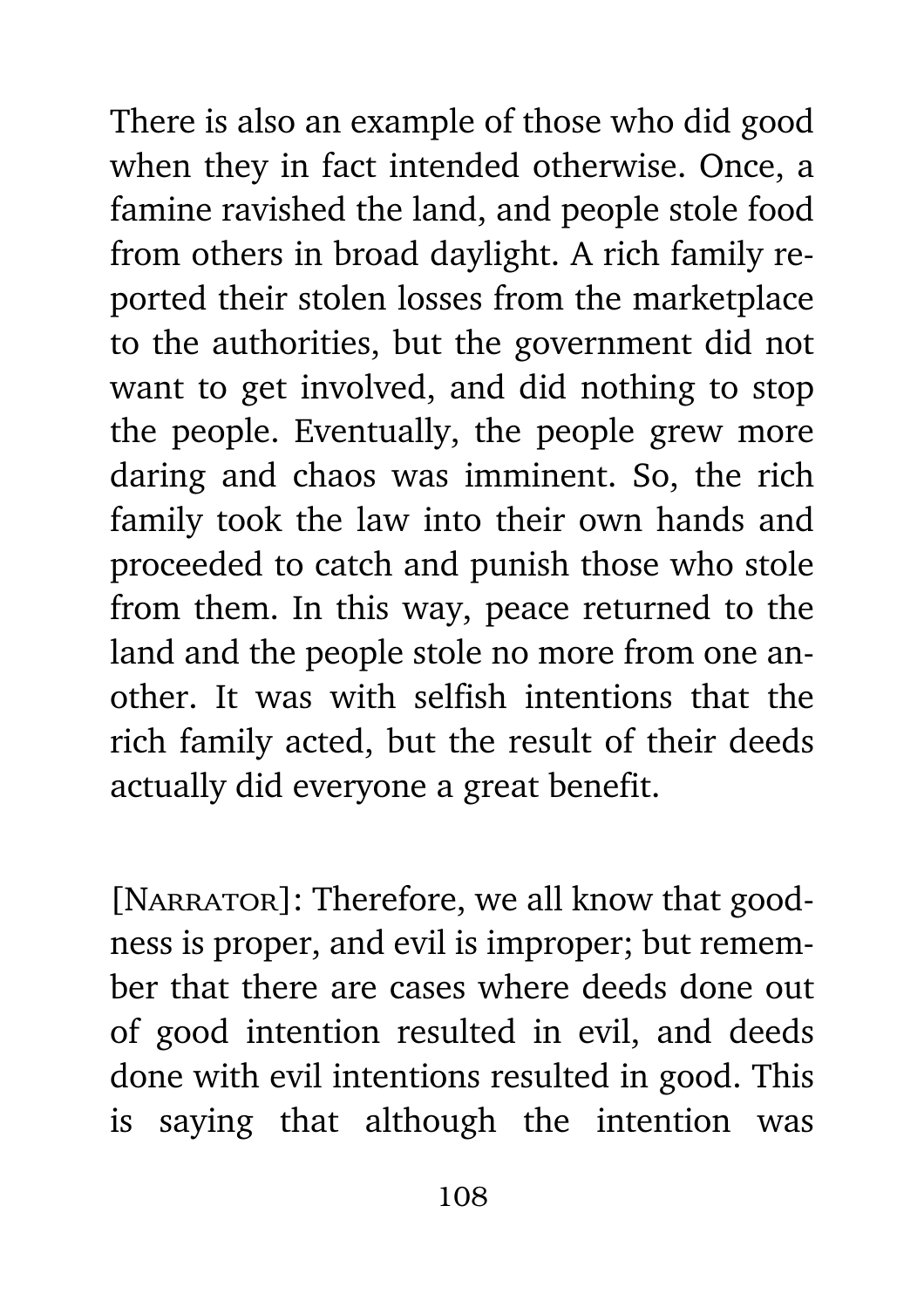There is also an example of those who did good when they in fact intended otherwise. Once, a famine ravished the land, and people stole food from others in broad daylight. A rich family reported their stolen losses from the marketplace to the authorities, but the government did not want to get involved, and did nothing to stop the people. Eventually, the people grew more daring and chaos was imminent. So, the rich family took the law into their own hands and proceeded to catch and punish those who stole from them. In this way, peace returned to the land and the people stole no more from one another. It was with selfish intentions that the rich family acted, but the result of their deeds actually did everyone a great benefit.

[NARRATOR]: Therefore, we all know that goodness is proper, and evil is improper; but remember that there are cases where deeds done out of good intention resulted in evil, and deeds done with evil intentions resulted in good. This is saying that although the intention was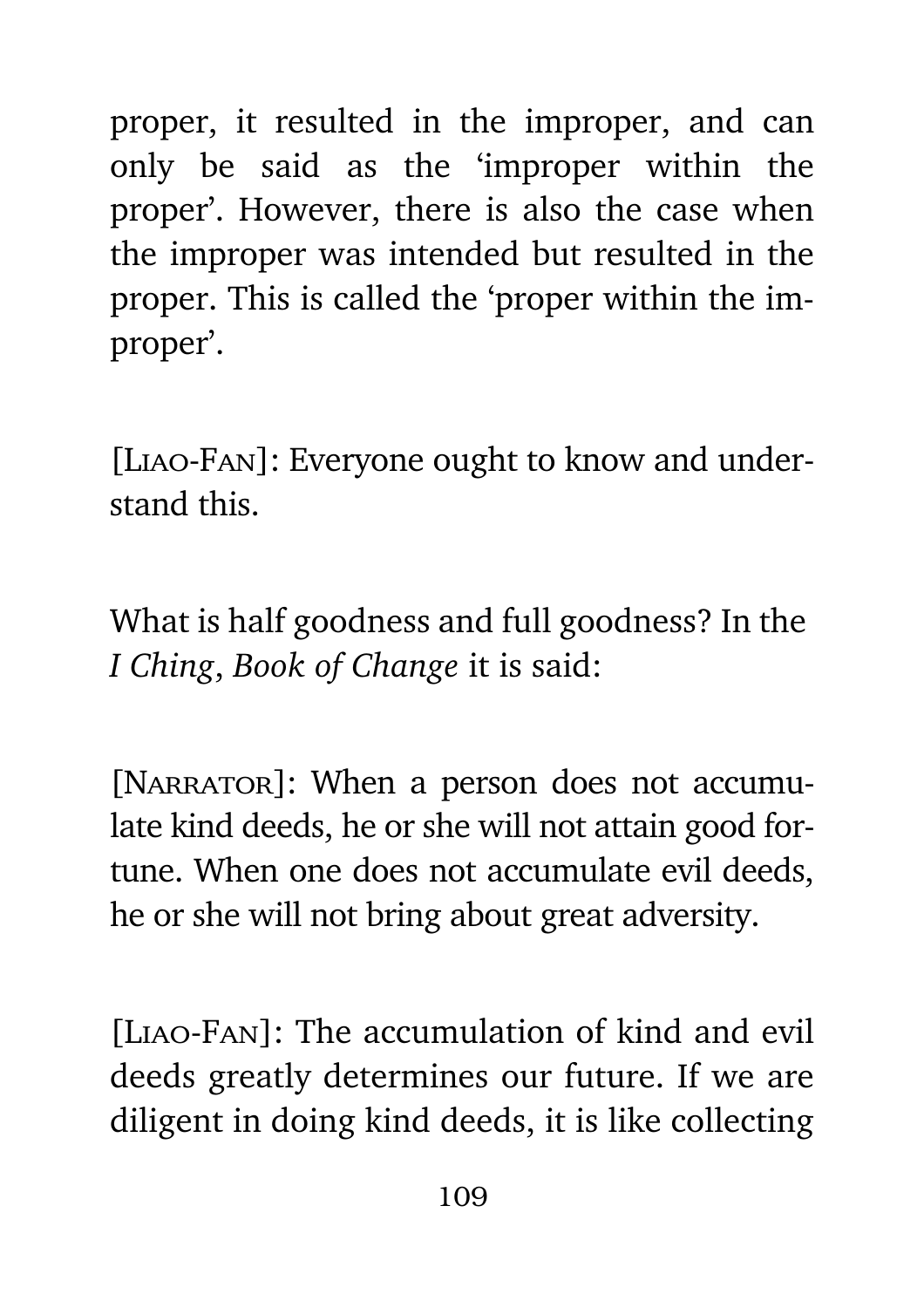proper, it resulted in the improper, and can only be said as the 'improper within the proper'. However, there is also the case when the improper was intended but resulted in the proper. This is called the 'proper within the improper'.

[Liao-Fan]: Everyone ought to know and understand this.

What is half goodness and full goodness? In the *I Ching*, *Book of Change* it is said:

[NARRATOR]: When a person does not accumulate kind deeds, he or she will not attain good fortune. When one does not accumulate evil deeds, he or she will not bring about great adversity.

[Liao-Fan]: The accumulation of kind and evil deeds greatly determines our future. If we are diligent in doing kind deeds, it is like collecting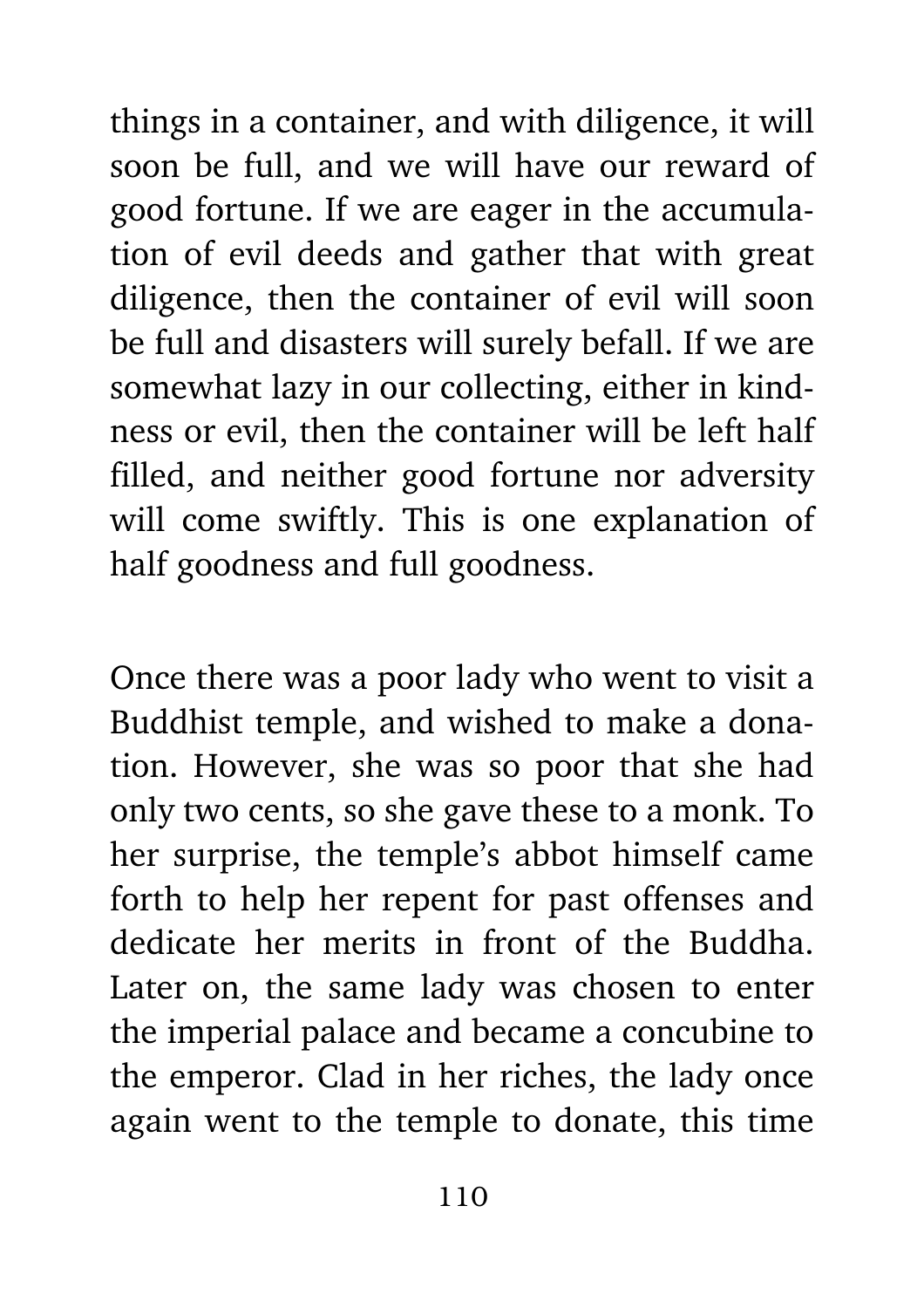things in a container, and with diligence, it will soon be full, and we will have our reward of good fortune. If we are eager in the accumulation of evil deeds and gather that with great diligence, then the container of evil will soon be full and disasters will surely befall. If we are somewhat lazy in our collecting, either in kindness or evil, then the container will be left half filled, and neither good fortune nor adversity will come swiftly. This is one explanation of half goodness and full goodness.

Once there was a poor lady who went to visit a Buddhist temple, and wished to make a donation. However, she was so poor that she had only two cents, so she gave these to a monk. To her surprise, the temple's abbot himself came forth to help her repent for past offenses and dedicate her merits in front of the Buddha. Later on, the same lady was chosen to enter the imperial palace and became a concubine to the emperor. Clad in her riches, the lady once again went to the temple to donate, this time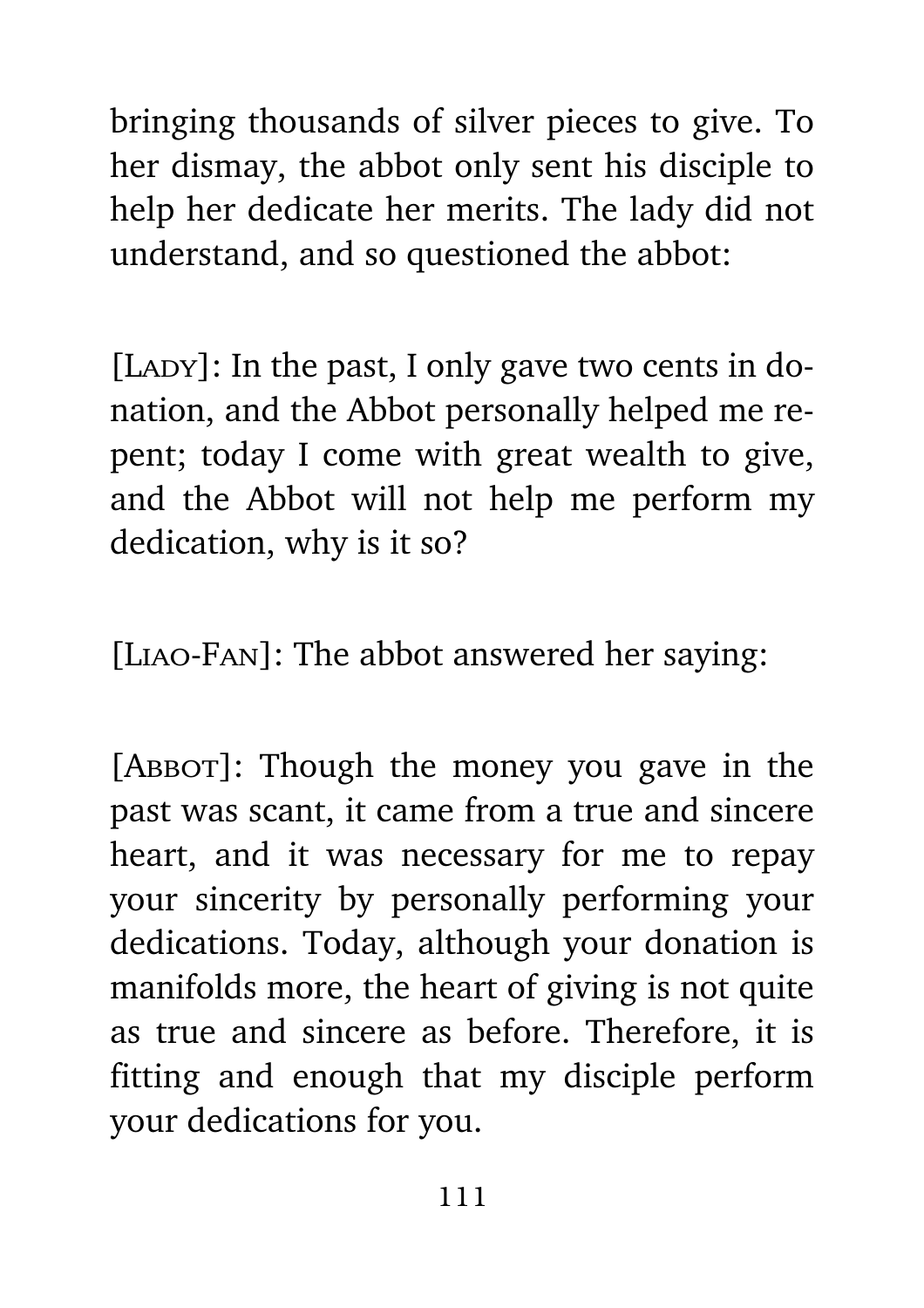bringing thousands of silver pieces to give. To her dismay, the abbot only sent his disciple to help her dedicate her merits. The lady did not understand, and so questioned the abbot:

 $[$ LADY $]$ : In the past, I only gave two cents in donation, and the Abbot personally helped me repent; today I come with great wealth to give, and the Abbot will not help me perform my dedication, why is it so?

[Liao-Fan]: The abbot answered her saying:

[ABBOT]: Though the money you gave in the past was scant, it came from a true and sincere heart, and it was necessary for me to repay your sincerity by personally performing your dedications. Today, although your donation is manifolds more, the heart of giving is not quite as true and sincere as before. Therefore, it is fitting and enough that my disciple perform your dedications for you.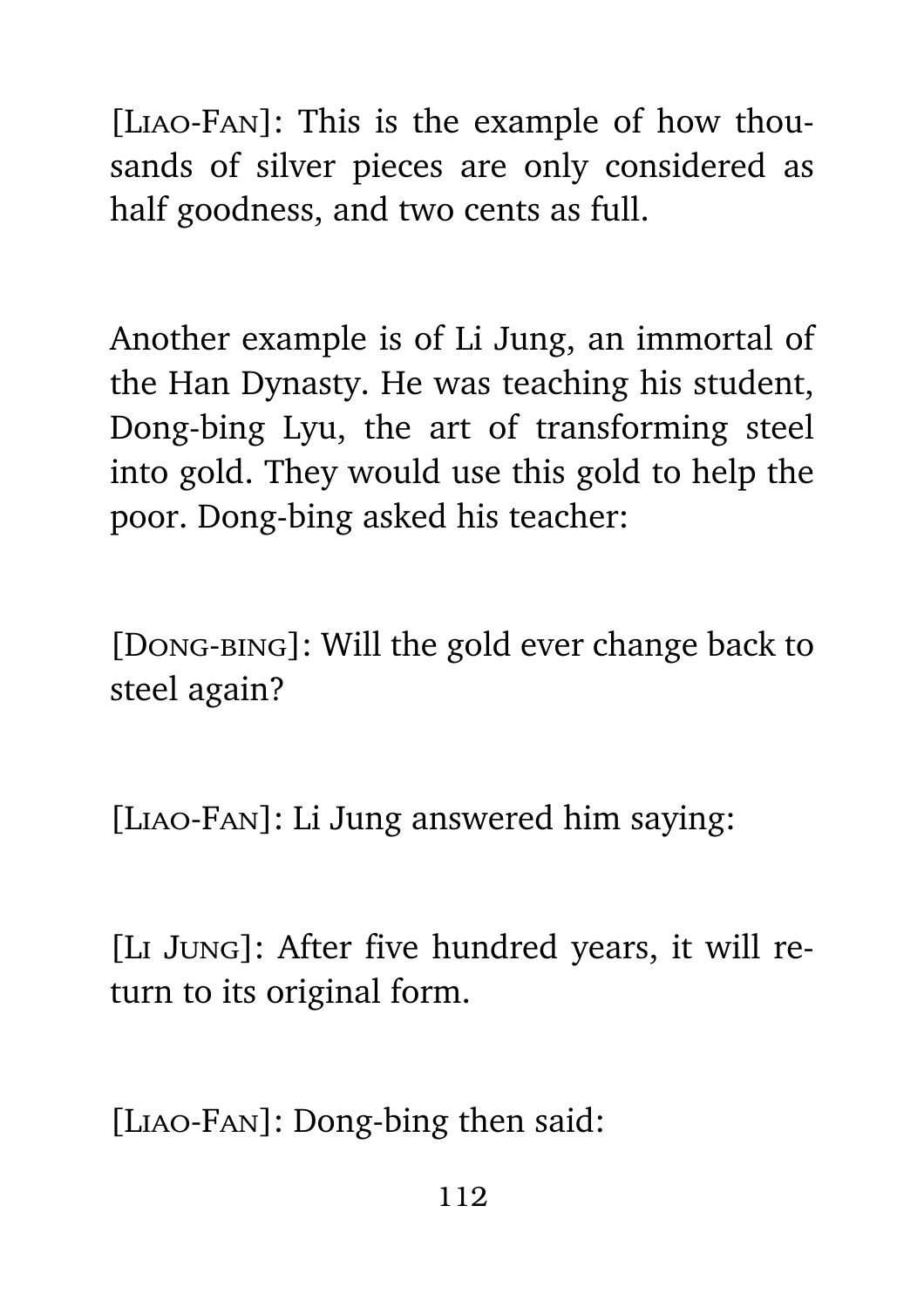[Liao-Fan]: This is the example of how thousands of silver pieces are only considered as half goodness, and two cents as full.

Another example is of Li Jung, an immortal of the Han Dynasty. He was teaching his student, Dong-bing Lyu, the art of transforming steel into gold. They would use this gold to help the poor. Dong-bing asked his teacher:

[Dong-bing]: Will the gold ever change back to steel again?

[Liao-Fan]: Li Jung answered him saying:

[Li Jung]: After five hundred years, it will return to its original form.

[Liao-Fan]: Dong-bing then said: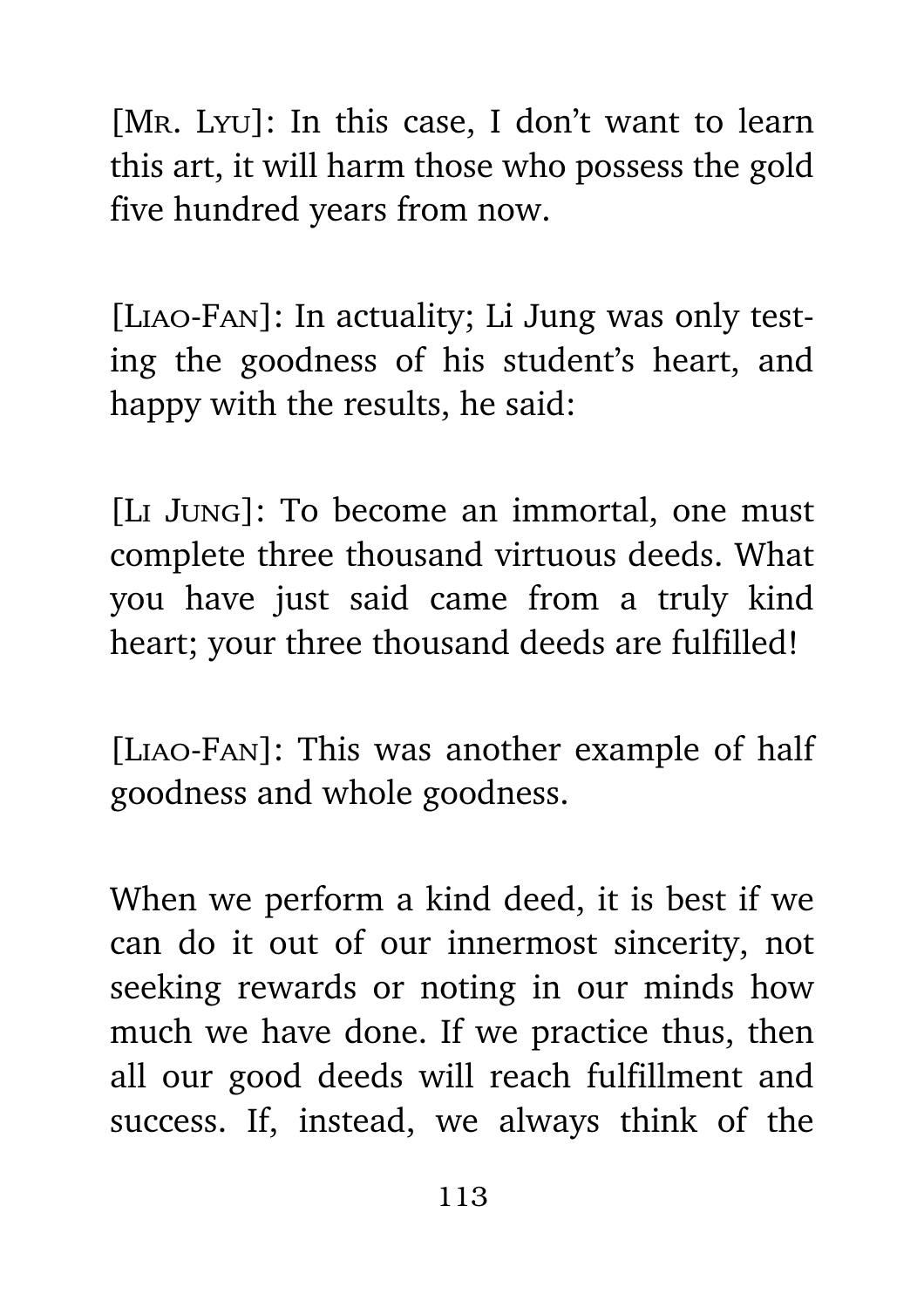[MR. Lyu]: In this case, I don't want to learn this art, it will harm those who possess the gold five hundred years from now.

[Liao-Fan]: In actuality; Li Jung was only testing the goodness of his student's heart, and happy with the results, he said:

[Li Jung]: To become an immortal, one must complete three thousand virtuous deeds. What you have just said came from a truly kind heart; your three thousand deeds are fulfilled!

[Liao-Fan]: This was another example of half goodness and whole goodness.

When we perform a kind deed, it is best if we can do it out of our innermost sincerity, not seeking rewards or noting in our minds how much we have done. If we practice thus, then all our good deeds will reach fulfillment and success. If, instead, we always think of the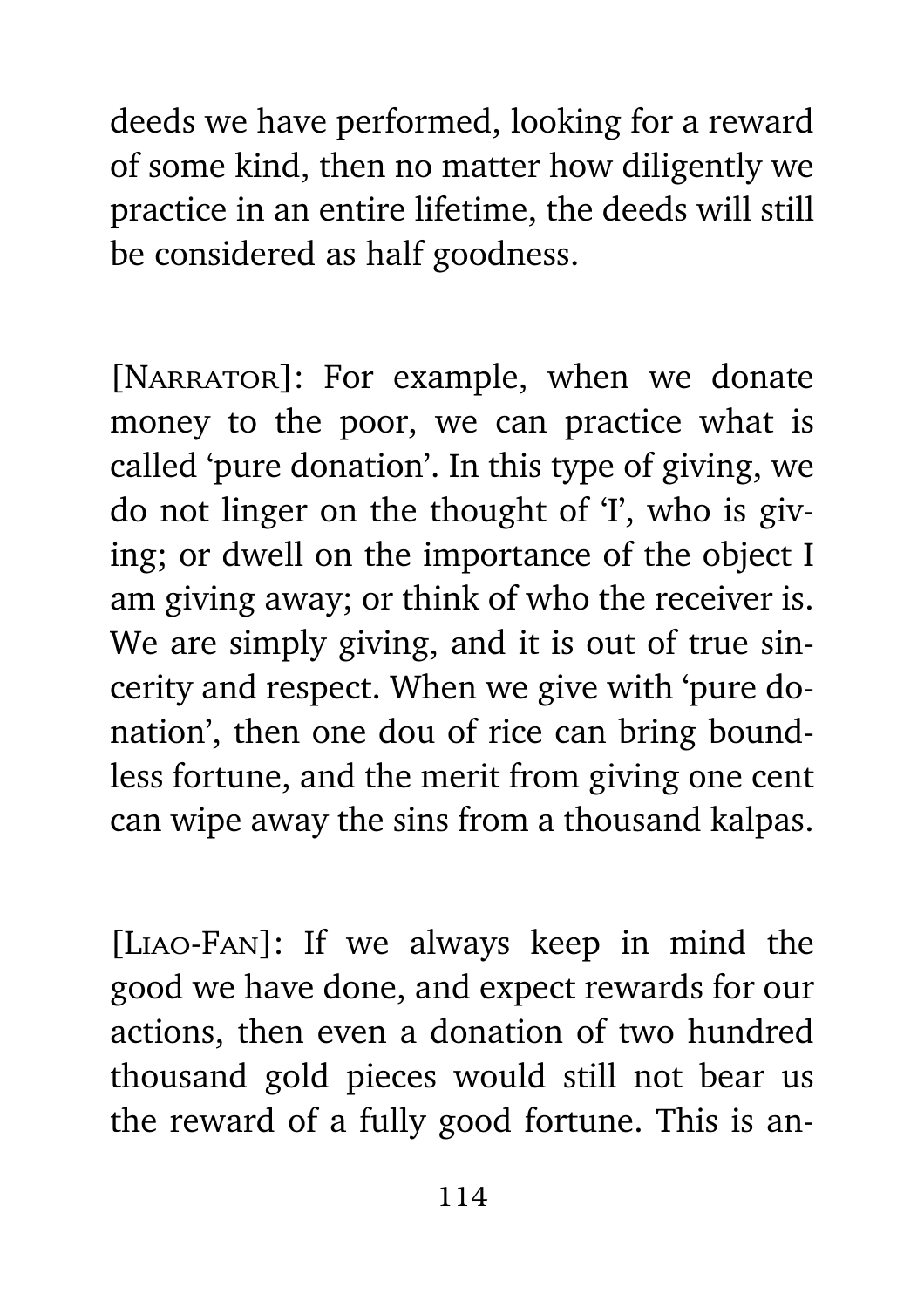deeds we have performed, looking for a reward of some kind, then no matter how diligently we practice in an entire lifetime, the deeds will still be considered as half goodness.

[NARRATOR]: For example, when we donate money to the poor, we can practice what is called 'pure donation'. In this type of giving, we do not linger on the thought of 'I', who is giving; or dwell on the importance of the object I am giving away; or think of who the receiver is. We are simply giving, and it is out of true sincerity and respect. When we give with 'pure donation', then one dou of rice can bring boundless fortune, and the merit from giving one cent can wipe away the sins from a thousand kalpas.

[Liao-Fan]: If we always keep in mind the good we have done, and expect rewards for our actions, then even a donation of two hundred thousand gold pieces would still not bear us the reward of a fully good fortune. This is an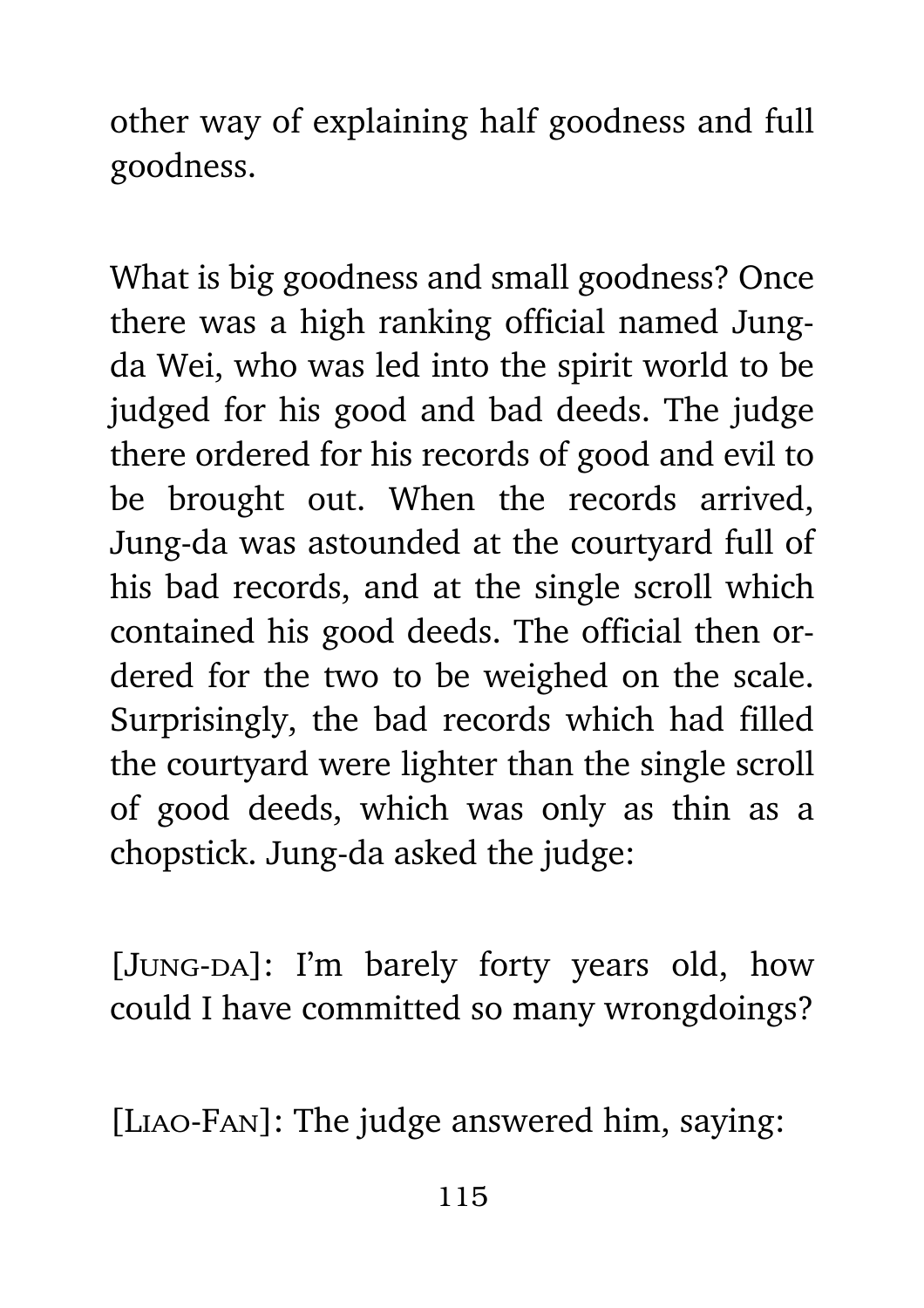other way of explaining half goodness and full goodness.

What is big goodness and small goodness? Once there was a high ranking official named Jungda Wei, who was led into the spirit world to be judged for his good and bad deeds. The judge there ordered for his records of good and evil to be brought out. When the records arrived, Jung-da was astounded at the courtyard full of his bad records, and at the single scroll which contained his good deeds. The official then ordered for the two to be weighed on the scale. Surprisingly, the bad records which had filled the courtyard were lighter than the single scroll of good deeds, which was only as thin as a chopstick. Jung-da asked the judge:

[JUNG-DA]: I'm barely forty years old, how could I have committed so many wrongdoings?

[Liao-Fan]: The judge answered him, saying: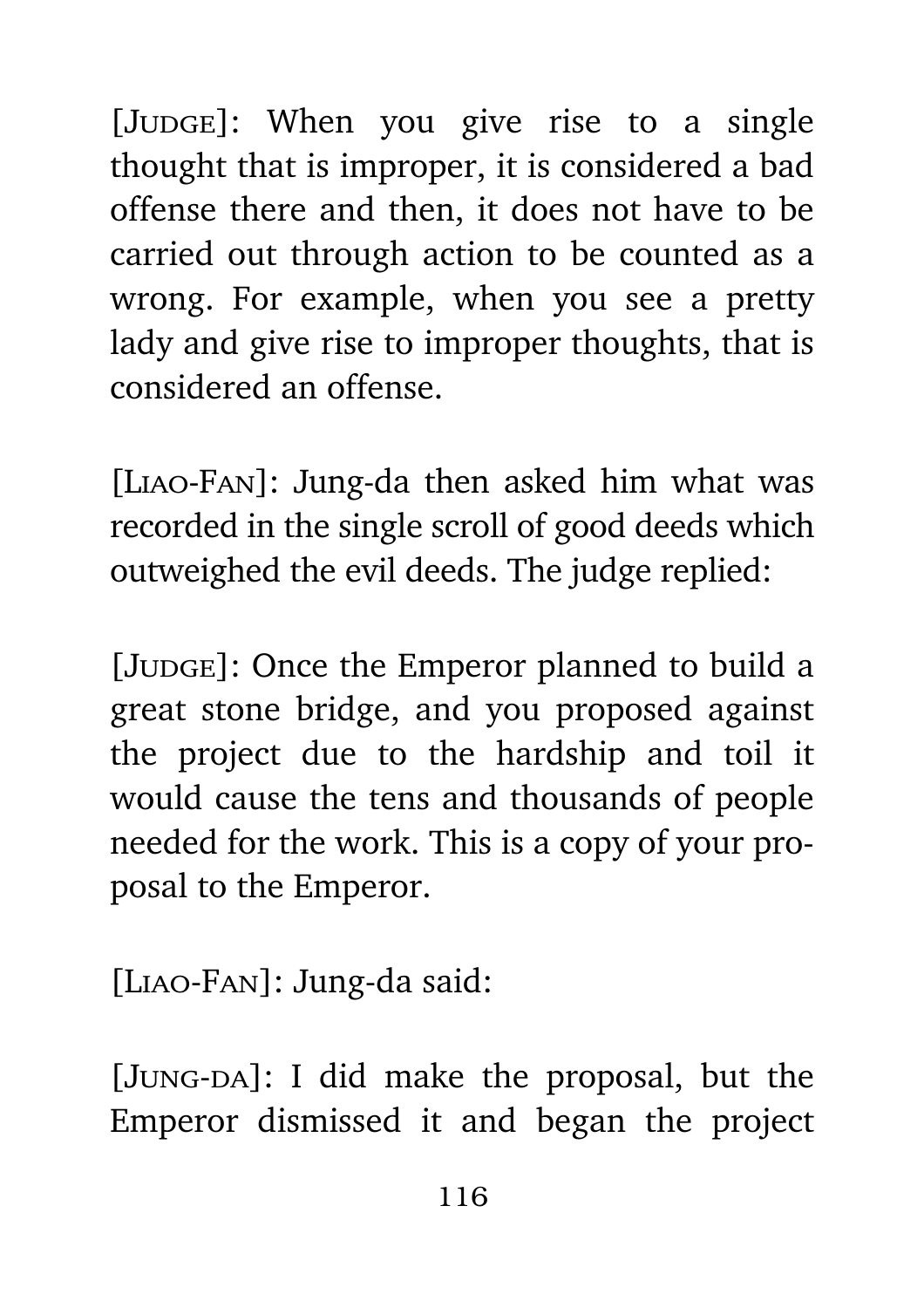[Judge]: When you give rise to a single thought that is improper, it is considered a bad offense there and then, it does not have to be carried out through action to be counted as a wrong. For example, when you see a pretty lady and give rise to improper thoughts, that is considered an offense.

[Liao-Fan]: Jung-da then asked him what was recorded in the single scroll of good deeds which outweighed the evil deeds. The judge replied:

[JUDGE]: Once the Emperor planned to build a great stone bridge, and you proposed against the project due to the hardship and toil it would cause the tens and thousands of people needed for the work. This is a copy of your proposal to the Emperor.

[Liao-Fan]: Jung-da said:

[JUNG-DA]: I did make the proposal, but the Emperor dismissed it and began the project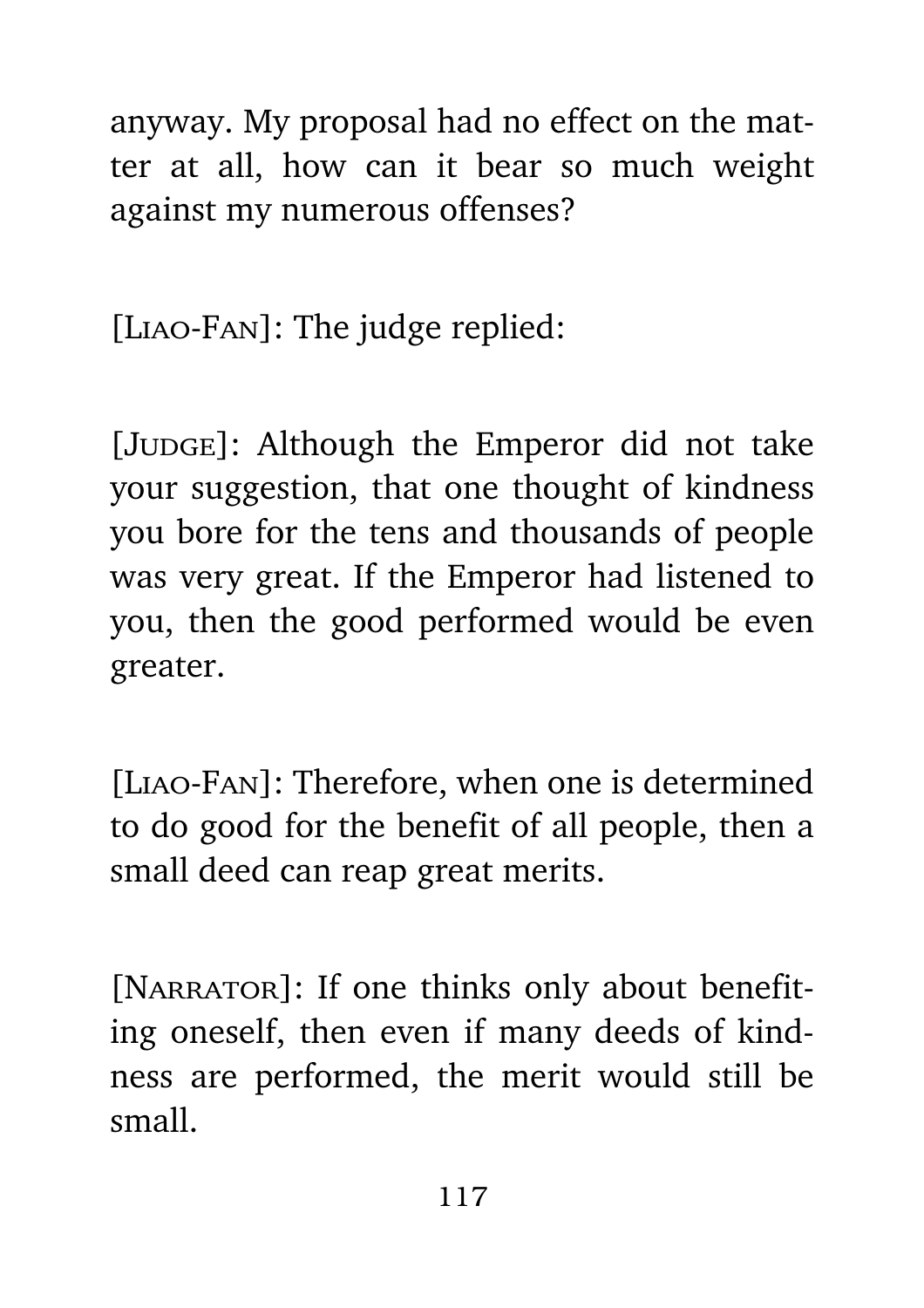anyway. My proposal had no effect on the matter at all, how can it bear so much weight against my numerous offenses?

[Liao-Fan]: The judge replied:

[JUDGE]: Although the Emperor did not take your suggestion, that one thought of kindness you bore for the tens and thousands of people was very great. If the Emperor had listened to you, then the good performed would be even greater.

[Liao-Fan]: Therefore, when one is determined to do good for the benefit of all people, then a small deed can reap great merits.

[NARRATOR]: If one thinks only about benefiting oneself, then even if many deeds of kindness are performed, the merit would still be small.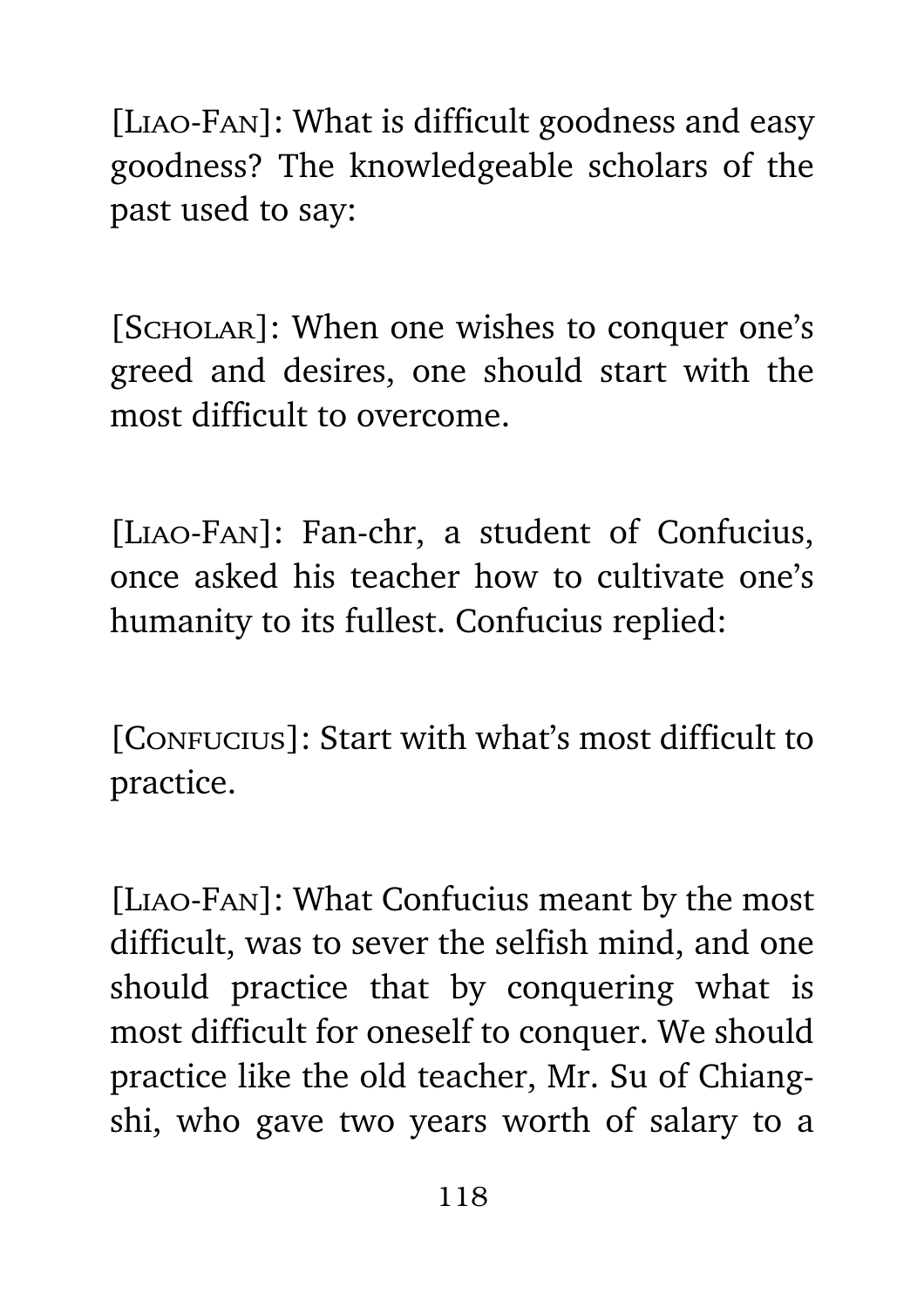[Liao-Fan]: What is difficult goodness and easy goodness? The knowledgeable scholars of the past used to say:

[SCHOLAR]: When one wishes to conquer one's greed and desires, one should start with the most difficult to overcome.

[Liao-Fan]: Fan-chr, a student of Confucius, once asked his teacher how to cultivate one's humanity to its fullest. Confucius replied:

[Confucius]: Start with what's most difficult to practice.

[Liao-Fan]: What Confucius meant by the most difficult, was to sever the selfish mind, and one should practice that by conquering what is most difficult for oneself to conquer. We should practice like the old teacher, Mr. Su of Chiangshi, who gave two years worth of salary to a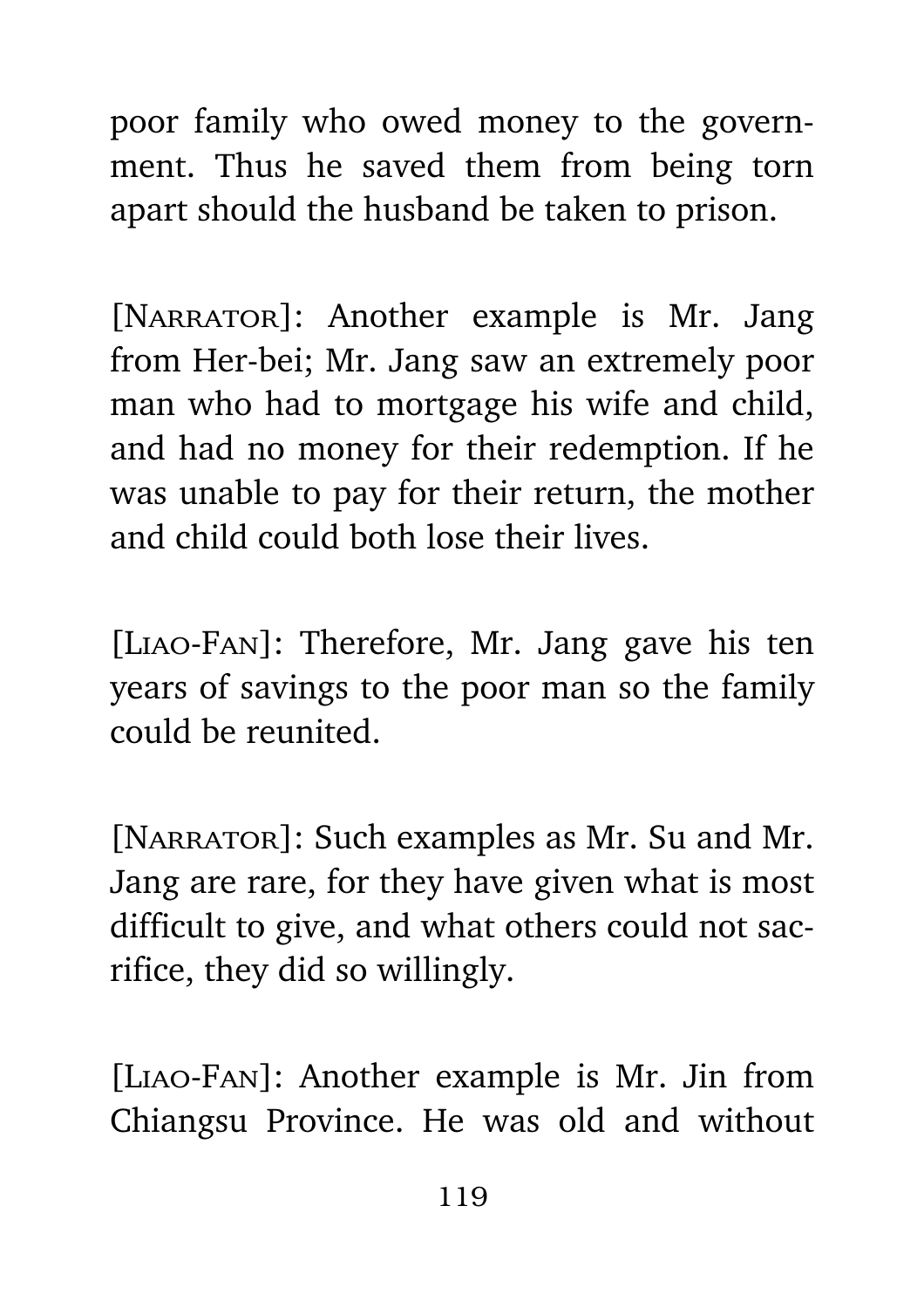poor family who owed money to the government. Thus he saved them from being torn apart should the husband be taken to prison.

[NARRATOR]: Another example is Mr. Jang from Her-bei; Mr. Jang saw an extremely poor man who had to mortgage his wife and child, and had no money for their redemption. If he was unable to pay for their return, the mother and child could both lose their lives.

[Liao-Fan]: Therefore, Mr. Jang gave his ten years of savings to the poor man so the family could be reunited.

[NARRATOR]: Such examples as Mr. Su and Mr. Jang are rare, for they have given what is most difficult to give, and what others could not sacrifice, they did so willingly.

[Liao-Fan]: Another example is Mr. Jin from Chiangsu Province. He was old and without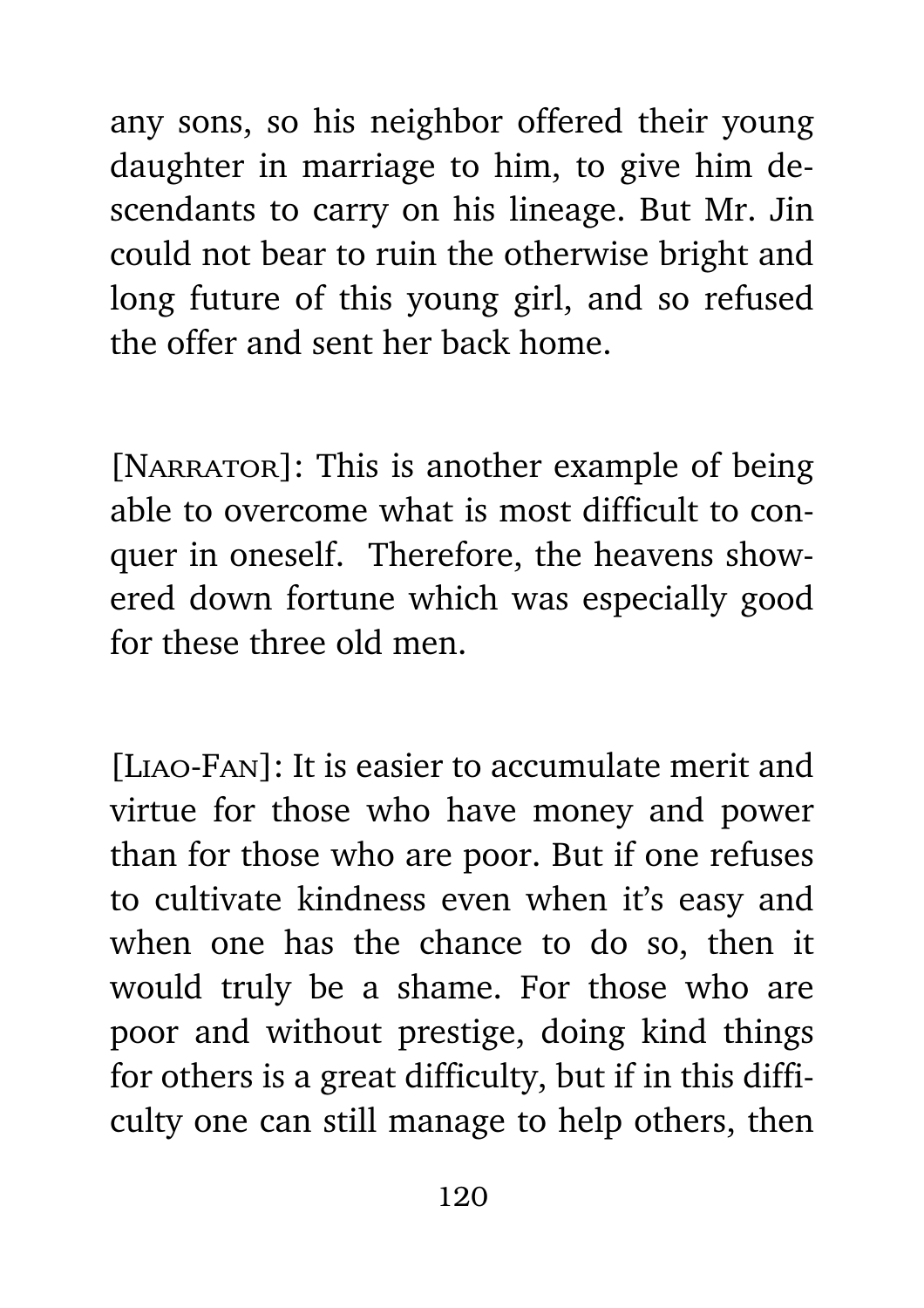any sons, so his neighbor offered their young daughter in marriage to him, to give him descendants to carry on his lineage. But Mr. Jin could not bear to ruin the otherwise bright and long future of this young girl, and so refused the offer and sent her back home.

[NARRATOR]: This is another example of being able to overcome what is most difficult to conquer in oneself. Therefore, the heavens showered down fortune which was especially good for these three old men.

[Liao-Fan]: It is easier to accumulate merit and virtue for those who have money and power than for those who are poor. But if one refuses to cultivate kindness even when it's easy and when one has the chance to do so, then it would truly be a shame. For those who are poor and without prestige, doing kind things for others is a great difficulty, but if in this difficulty one can still manage to help others, then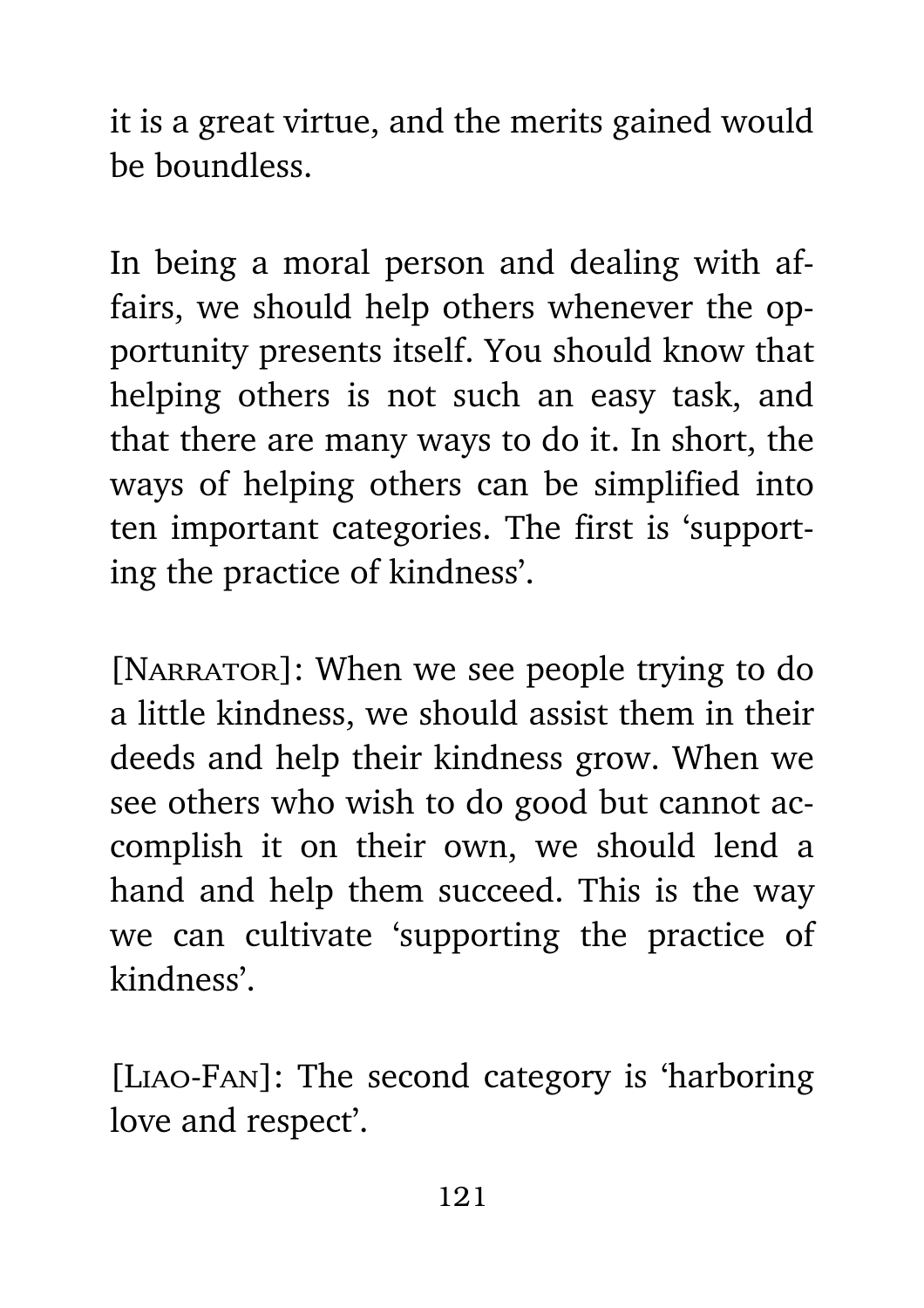it is a great virtue, and the merits gained would be boundless.

In being a moral person and dealing with affairs, we should help others whenever the opportunity presents itself. You should know that helping others is not such an easy task, and that there are many ways to do it. In short, the ways of helping others can be simplified into ten important categories. The first is 'supporting the practice of kindness'.

[NARRATOR]: When we see people trying to do a little kindness, we should assist them in their deeds and help their kindness grow. When we see others who wish to do good but cannot accomplish it on their own, we should lend a hand and help them succeed. This is the way we can cultivate 'supporting the practice of kindness'.

[Liao-Fan]: The second category is 'harboring love and respect'.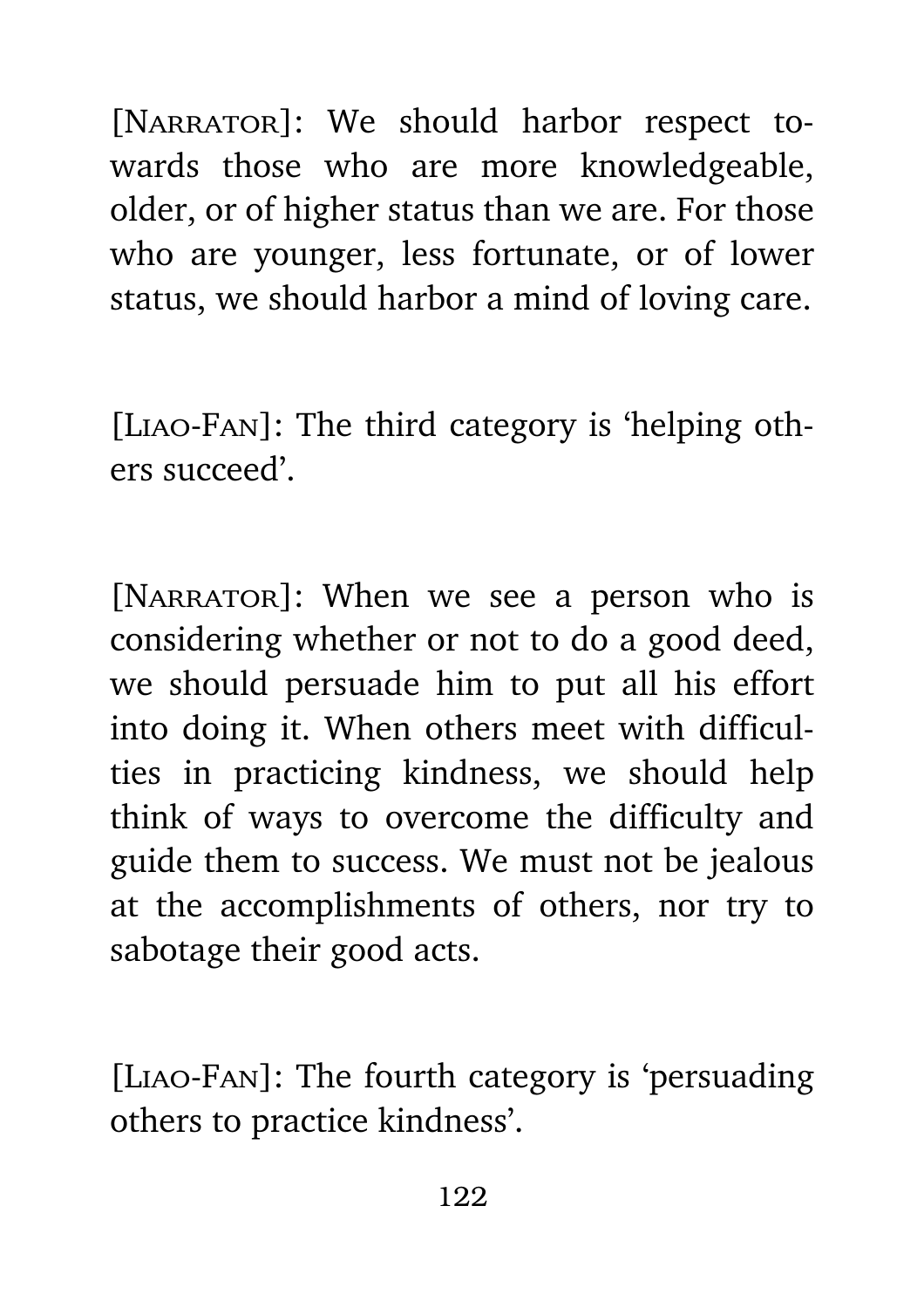[NARRATOR]: We should harbor respect towards those who are more knowledgeable, older, or of higher status than we are. For those who are younger, less fortunate, or of lower status, we should harbor a mind of loving care.

[Liao-Fan]: The third category is 'helping others succeed'.

[NARRATOR]: When we see a person who is considering whether or not to do a good deed, we should persuade him to put all his effort into doing it. When others meet with difficulties in practicing kindness, we should help think of ways to overcome the difficulty and guide them to success. We must not be jealous at the accomplishments of others, nor try to sabotage their good acts.

[Liao-Fan]: The fourth category is 'persuading others to practice kindness'.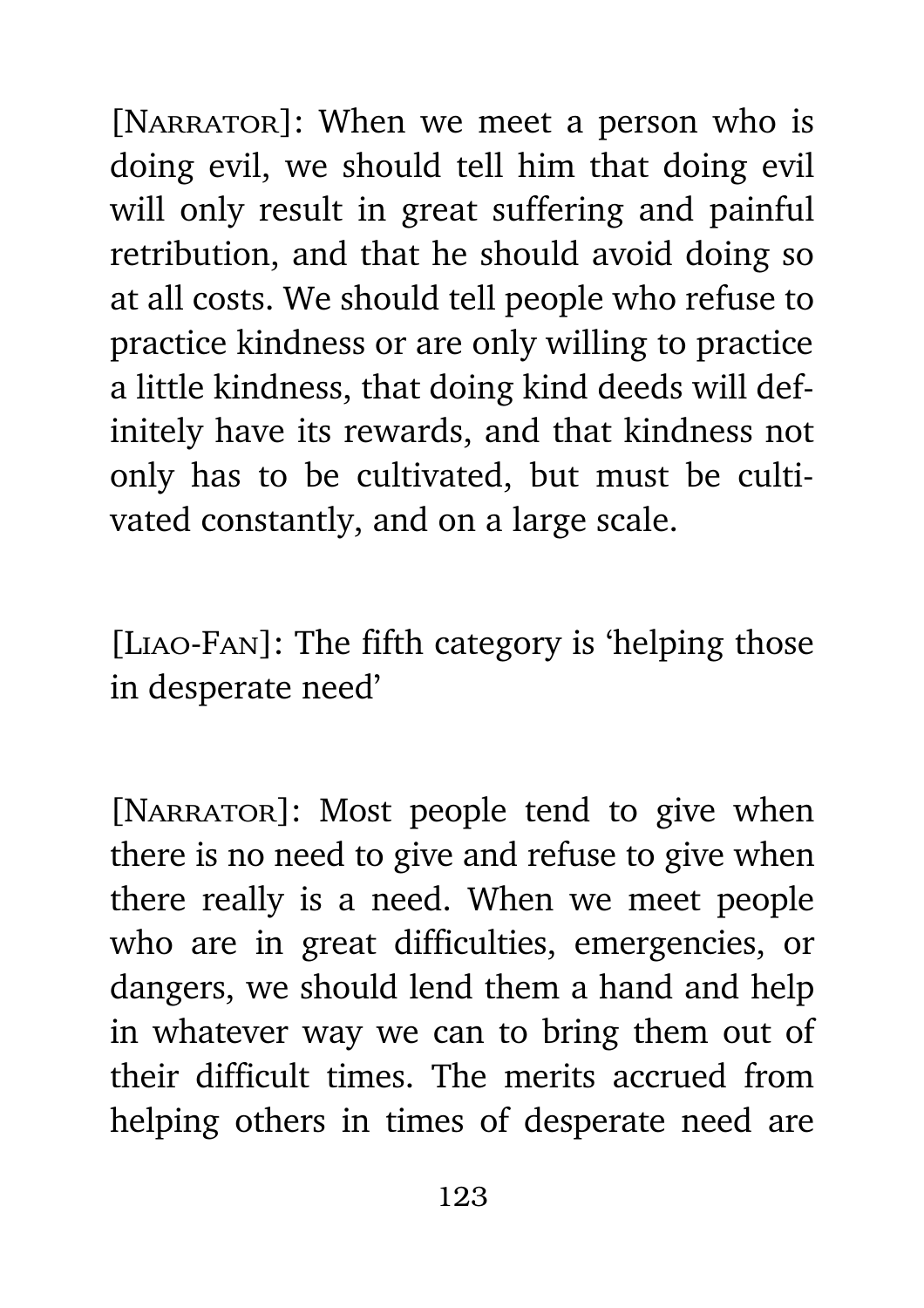[NARRATOR]: When we meet a person who is doing evil, we should tell him that doing evil will only result in great suffering and painful retribution, and that he should avoid doing so at all costs. We should tell people who refuse to practice kindness or are only willing to practice a little kindness, that doing kind deeds will definitely have its rewards, and that kindness not only has to be cultivated, but must be cultivated constantly, and on a large scale.

[Liao-Fan]: The fifth category is 'helping those in desperate need'

[NARRATOR]: Most people tend to give when there is no need to give and refuse to give when there really is a need. When we meet people who are in great difficulties, emergencies, or dangers, we should lend them a hand and help in whatever way we can to bring them out of their difficult times. The merits accrued from helping others in times of desperate need are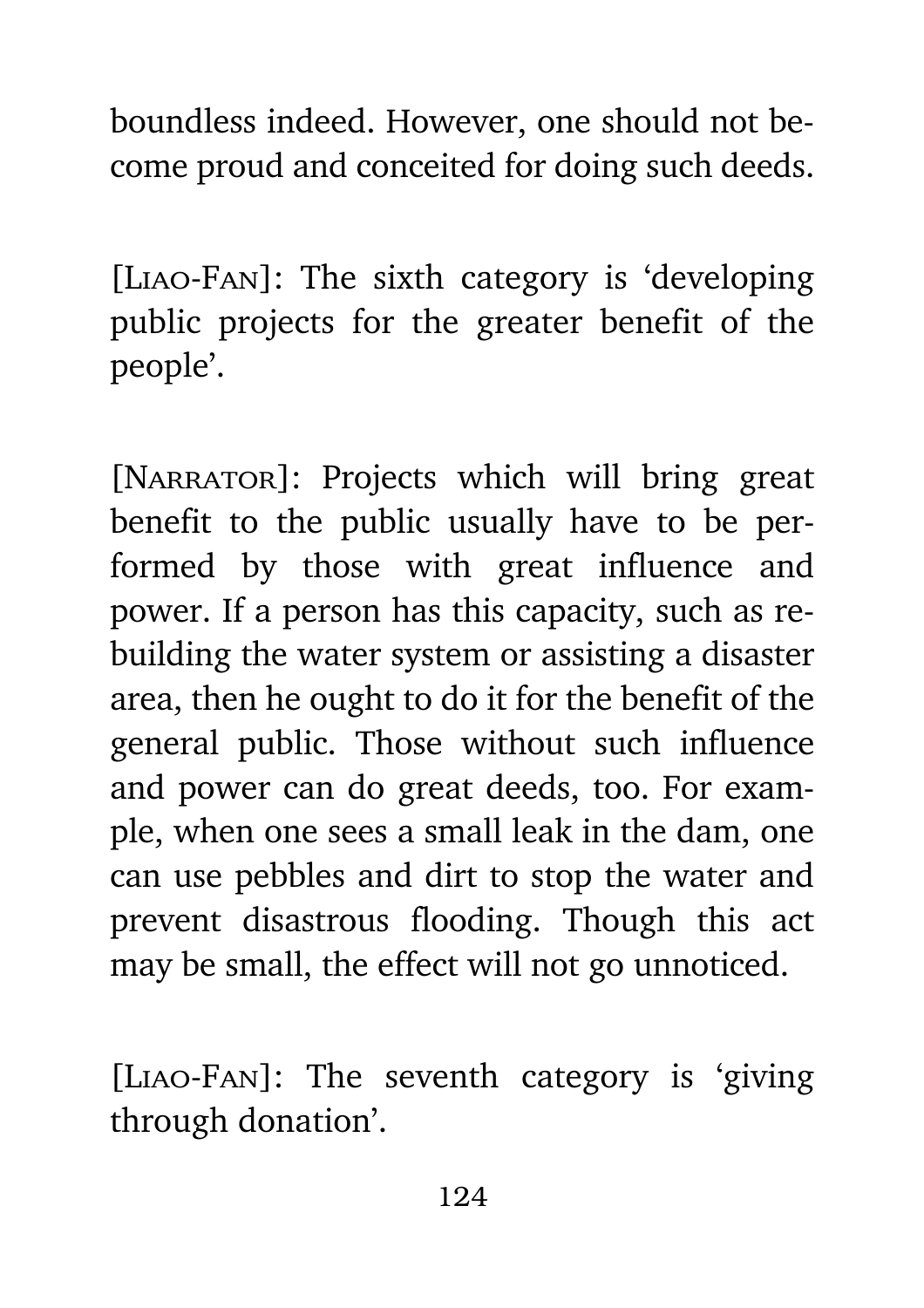boundless indeed. However, one should not become proud and conceited for doing such deeds.

[Liao-Fan]: The sixth category is 'developing public projects for the greater benefit of the people'.

[NARRATOR]: Projects which will bring great benefit to the public usually have to be performed by those with great influence and power. If a person has this capacity, such as rebuilding the water system or assisting a disaster area, then he ought to do it for the benefit of the general public. Those without such influence and power can do great deeds, too. For example, when one sees a small leak in the dam, one can use pebbles and dirt to stop the water and prevent disastrous flooding. Though this act may be small, the effect will not go unnoticed.

[Liao-Fan]: The seventh category is 'giving through donation'.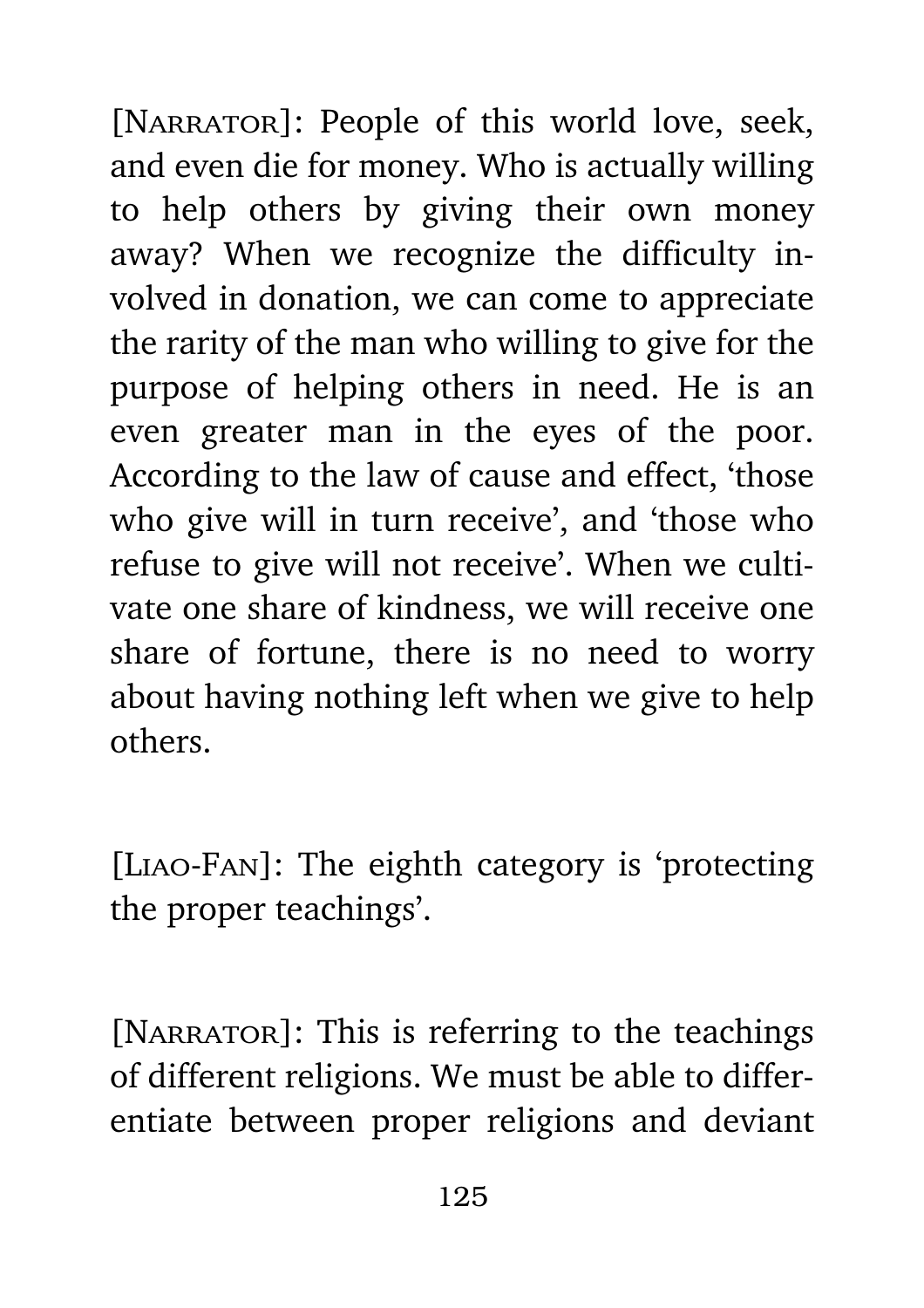[NARRATOR]: People of this world love, seek, and even die for money. Who is actually willing to help others by giving their own money away? When we recognize the difficulty involved in donation, we can come to appreciate the rarity of the man who willing to give for the purpose of helping others in need. He is an even greater man in the eyes of the poor. According to the law of cause and effect, 'those who give will in turn receive', and 'those who refuse to give will not receive'. When we cultivate one share of kindness, we will receive one share of fortune, there is no need to worry about having nothing left when we give to help others.

[Liao-Fan]: The eighth category is 'protecting the proper teachings'.

[NARRATOR]: This is referring to the teachings of different religions. We must be able to differentiate between proper religions and deviant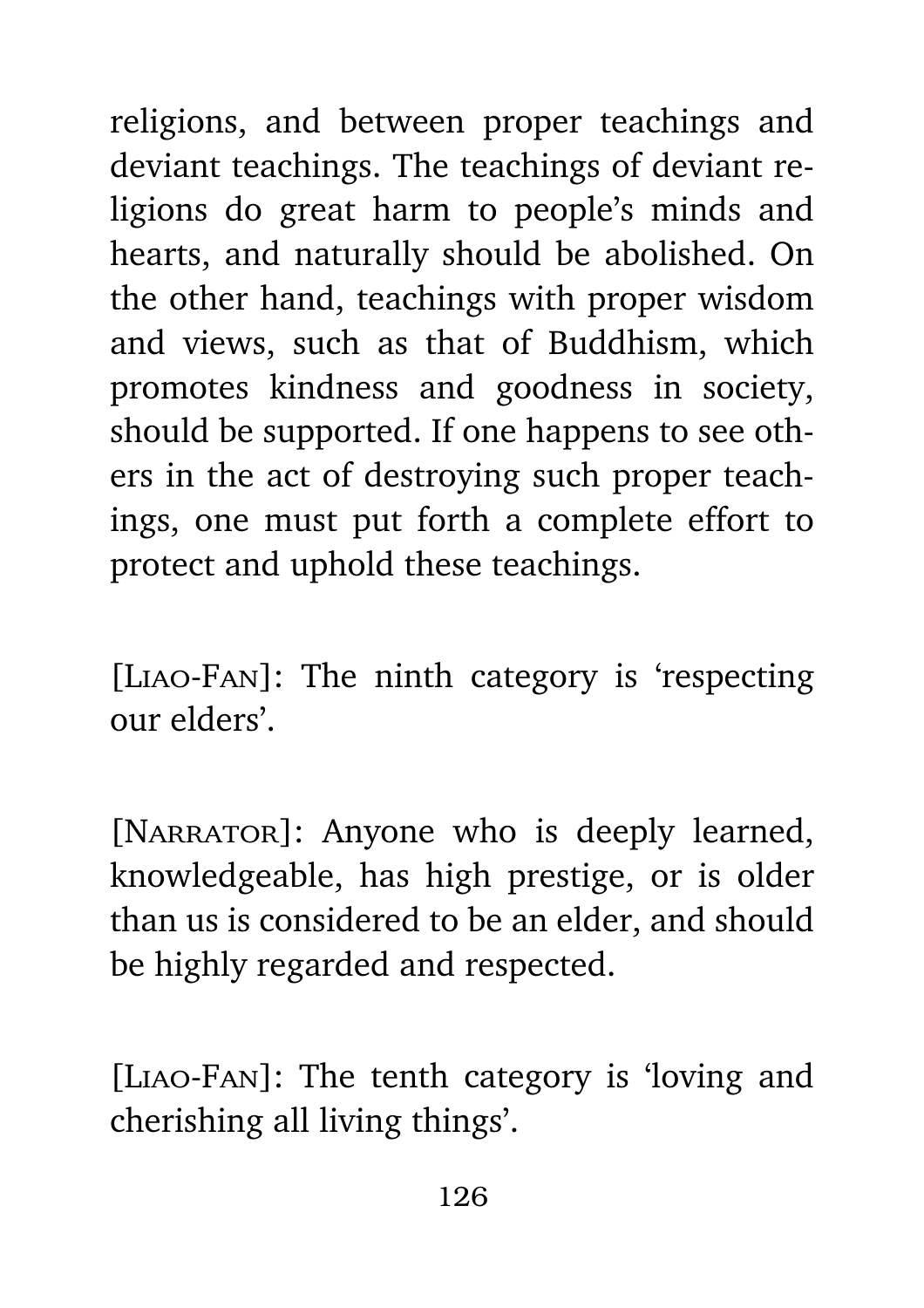religions, and between proper teachings and deviant teachings. The teachings of deviant religions do great harm to people's minds and hearts, and naturally should be abolished. On the other hand, teachings with proper wisdom and views, such as that of Buddhism, which promotes kindness and goodness in society, should be supported. If one happens to see others in the act of destroying such proper teachings, one must put forth a complete effort to protect and uphold these teachings.

[Liao-Fan]: The ninth category is 'respecting our elders'.

[NARRATOR]: Anyone who is deeply learned, knowledgeable, has high prestige, or is older than us is considered to be an elder, and should be highly regarded and respected.

[Liao-Fan]: The tenth category is 'loving and cherishing all living things'.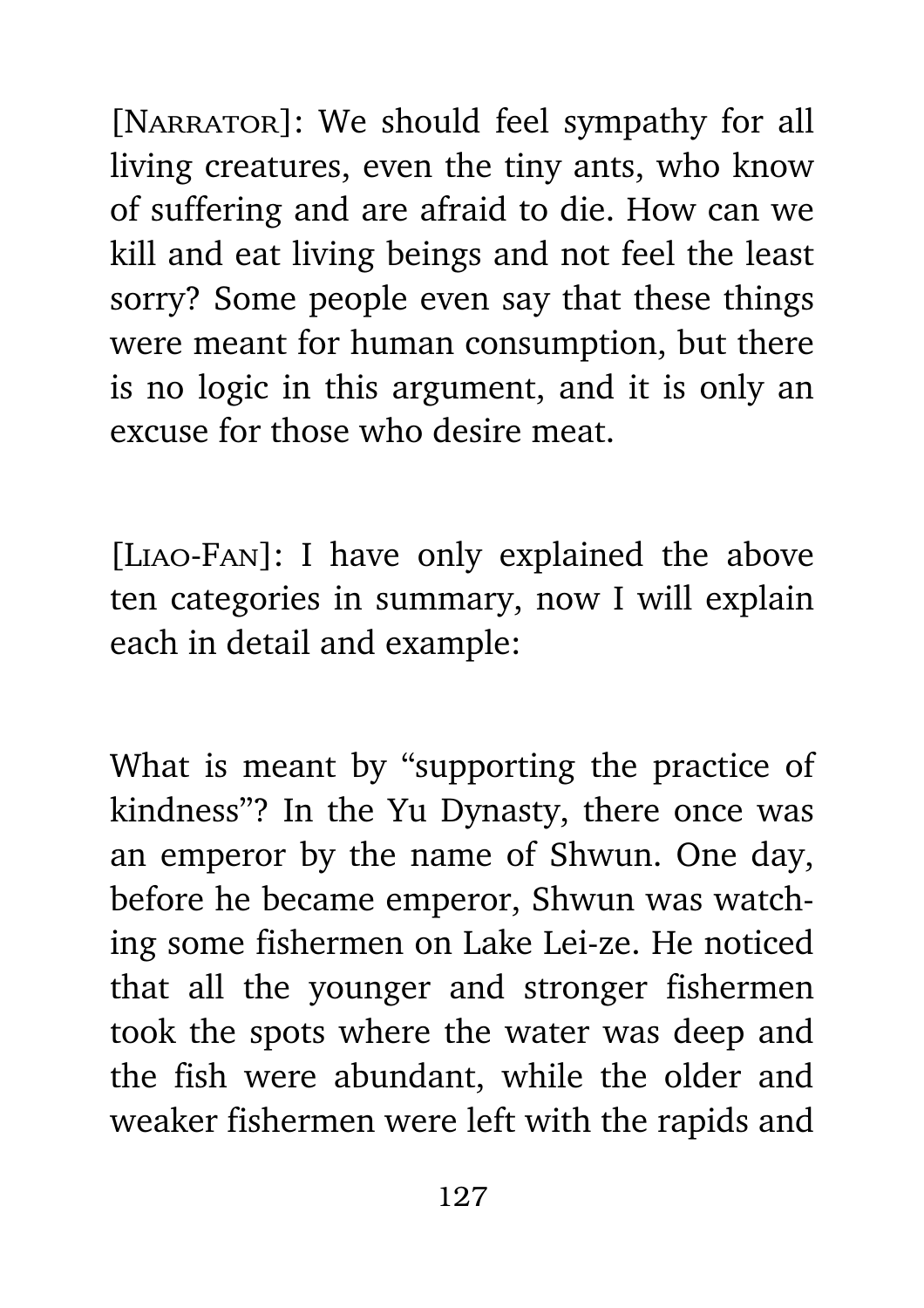[NARRATOR]: We should feel sympathy for all living creatures, even the tiny ants, who know of suffering and are afraid to die. How can we kill and eat living beings and not feel the least sorry? Some people even say that these things were meant for human consumption, but there is no logic in this argument, and it is only an excuse for those who desire meat.

[Liao-Fan]: I have only explained the above ten categories in summary, now I will explain each in detail and example:

What is meant by "supporting the practice of kindness"? In the Yu Dynasty, there once was an emperor by the name of Shwun. One day, before he became emperor, Shwun was watching some fishermen on Lake Lei-ze. He noticed that all the younger and stronger fishermen took the spots where the water was deep and the fish were abundant, while the older and weaker fishermen were left with the rapids and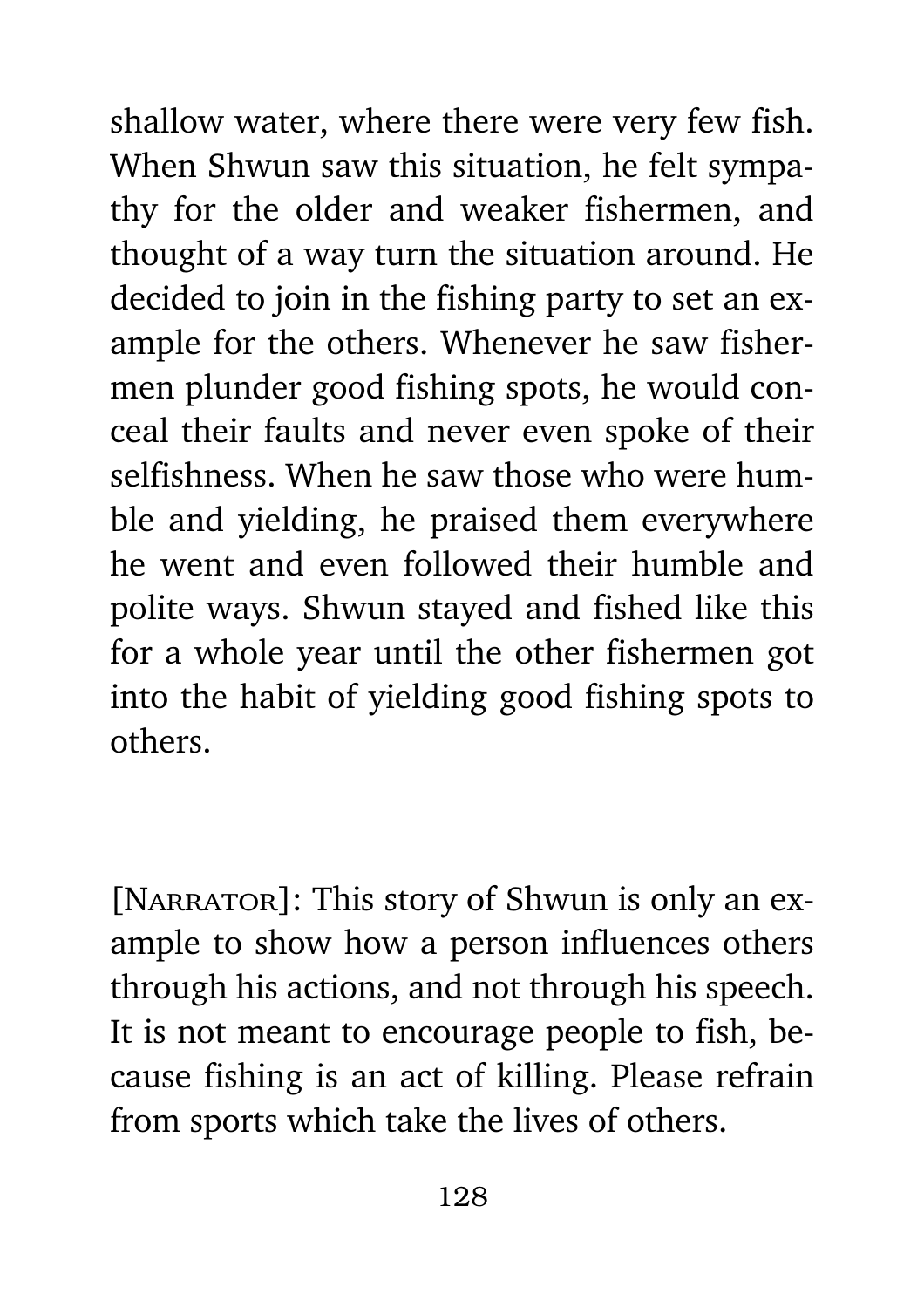shallow water, where there were very few fish. When Shwun saw this situation, he felt sympathy for the older and weaker fishermen, and thought of a way turn the situation around. He decided to join in the fishing party to set an example for the others. Whenever he saw fishermen plunder good fishing spots, he would conceal their faults and never even spoke of their selfishness. When he saw those who were humble and yielding, he praised them everywhere he went and even followed their humble and polite ways. Shwun stayed and fished like this for a whole year until the other fishermen got into the habit of yielding good fishing spots to others.

[NARRATOR]: This story of Shwun is only an example to show how a person influences others through his actions, and not through his speech. It is not meant to encourage people to fish, because fishing is an act of killing. Please refrain from sports which take the lives of others.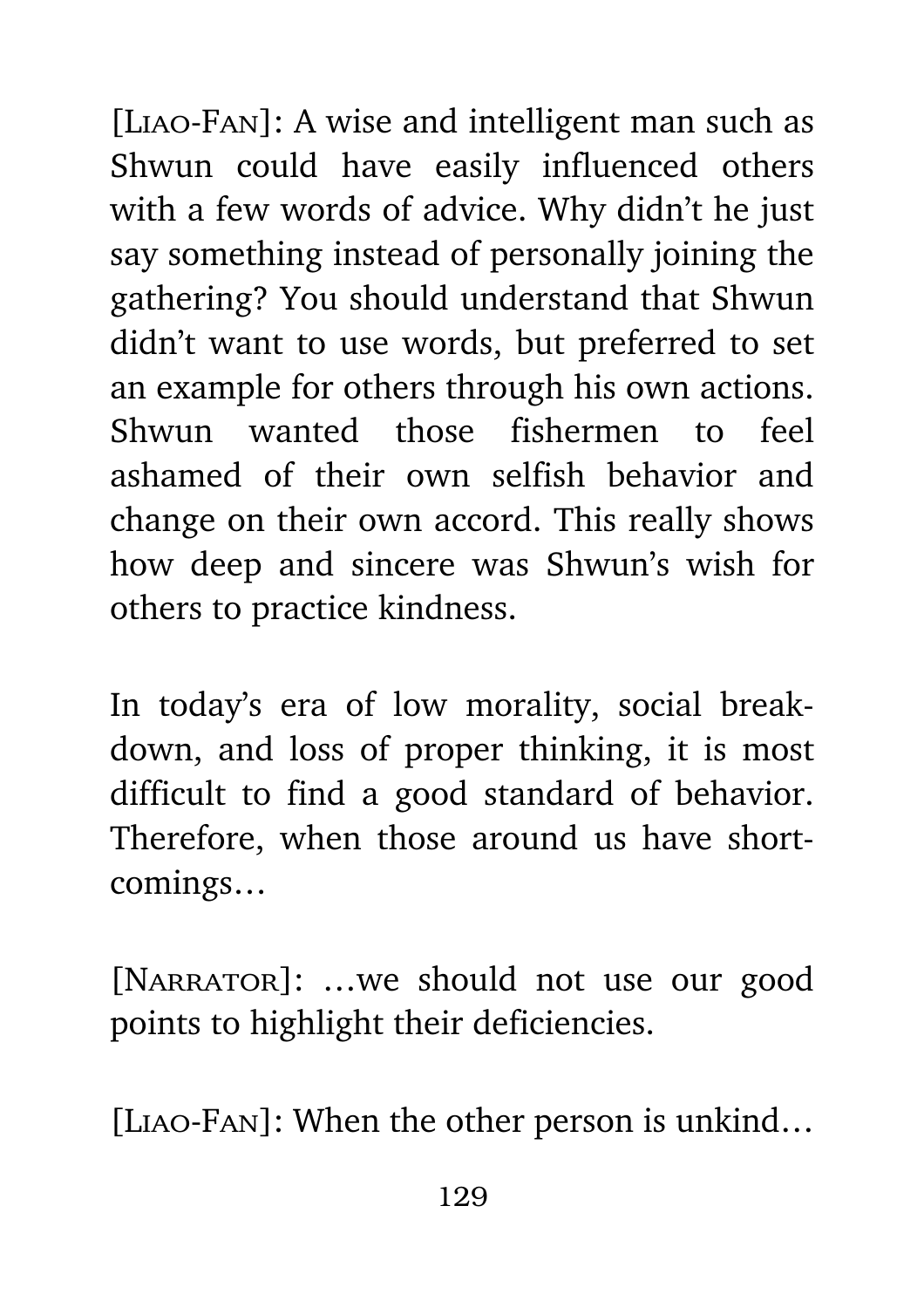[Liao-Fan]: A wise and intelligent man such as Shwun could have easily influenced others with a few words of advice. Why didn't he just say something instead of personally joining the gathering? You should understand that Shwun didn't want to use words, but preferred to set an example for others through his own actions. Shwun wanted those fishermen to feel ashamed of their own selfish behavior and change on their own accord. This really shows how deep and sincere was Shwun's wish for others to practice kindness.

In today's era of low morality, social breakdown, and loss of proper thinking, it is most difficult to find a good standard of behavior. Therefore, when those around us have shortcomings…

[NARRATOR]: ...we should not use our good points to highlight their deficiencies.

[Liao-Fan]: When the other person is unkind…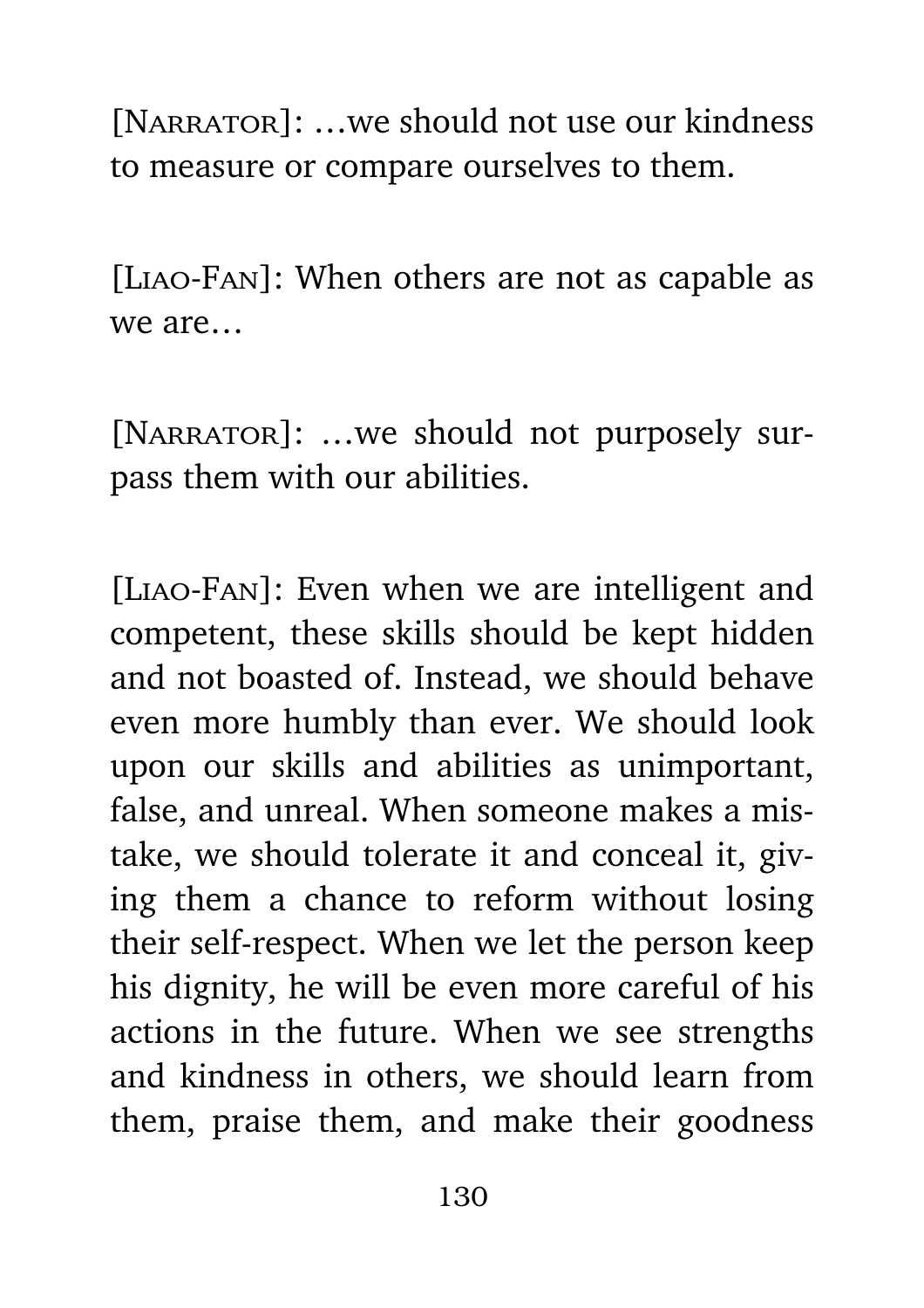[NARRATOR]: ...we should not use our kindness to measure or compare ourselves to them.

[Liao-Fan]: When others are not as capable as we are…

[NARRATOR]: ...we should not purposely surpass them with our abilities.

[Liao-Fan]: Even when we are intelligent and competent, these skills should be kept hidden and not boasted of. Instead, we should behave even more humbly than ever. We should look upon our skills and abilities as unimportant, false, and unreal. When someone makes a mistake, we should tolerate it and conceal it, giving them a chance to reform without losing their self-respect. When we let the person keep his dignity, he will be even more careful of his actions in the future. When we see strengths and kindness in others, we should learn from them, praise them, and make their goodness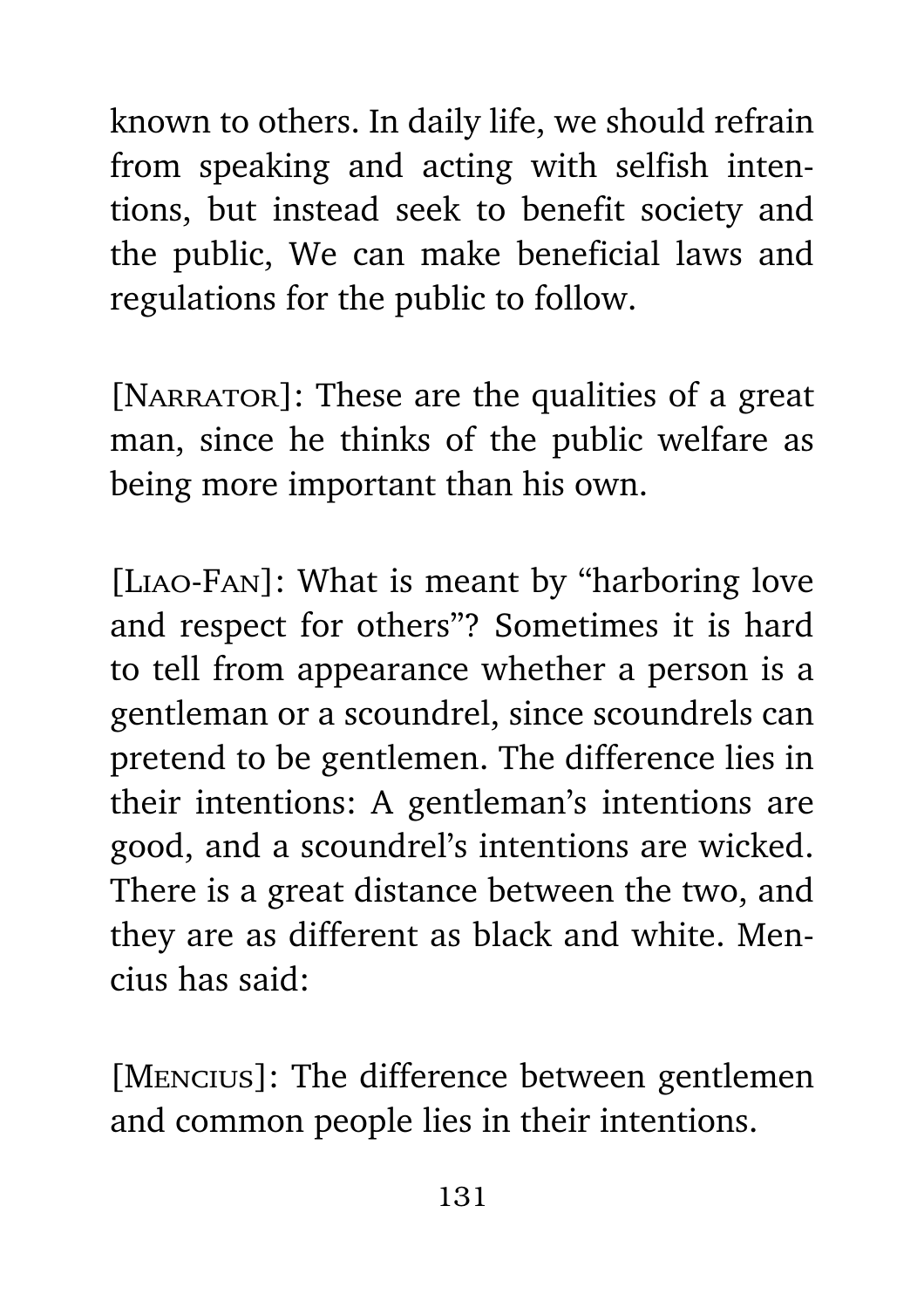known to others. In daily life, we should refrain from speaking and acting with selfish intentions, but instead seek to benefit society and the public, We can make beneficial laws and regulations for the public to follow.

[NARRATOR]: These are the qualities of a great man, since he thinks of the public welfare as being more important than his own.

[Liao-Fan]: What is meant by "harboring love and respect for others"? Sometimes it is hard to tell from appearance whether a person is a gentleman or a scoundrel, since scoundrels can pretend to be gentlemen. The difference lies in their intentions: A gentleman's intentions are good, and a scoundrel's intentions are wicked. There is a great distance between the two, and they are as different as black and white. Mencius has said:

[Mencius]: The difference between gentlemen and common people lies in their intentions.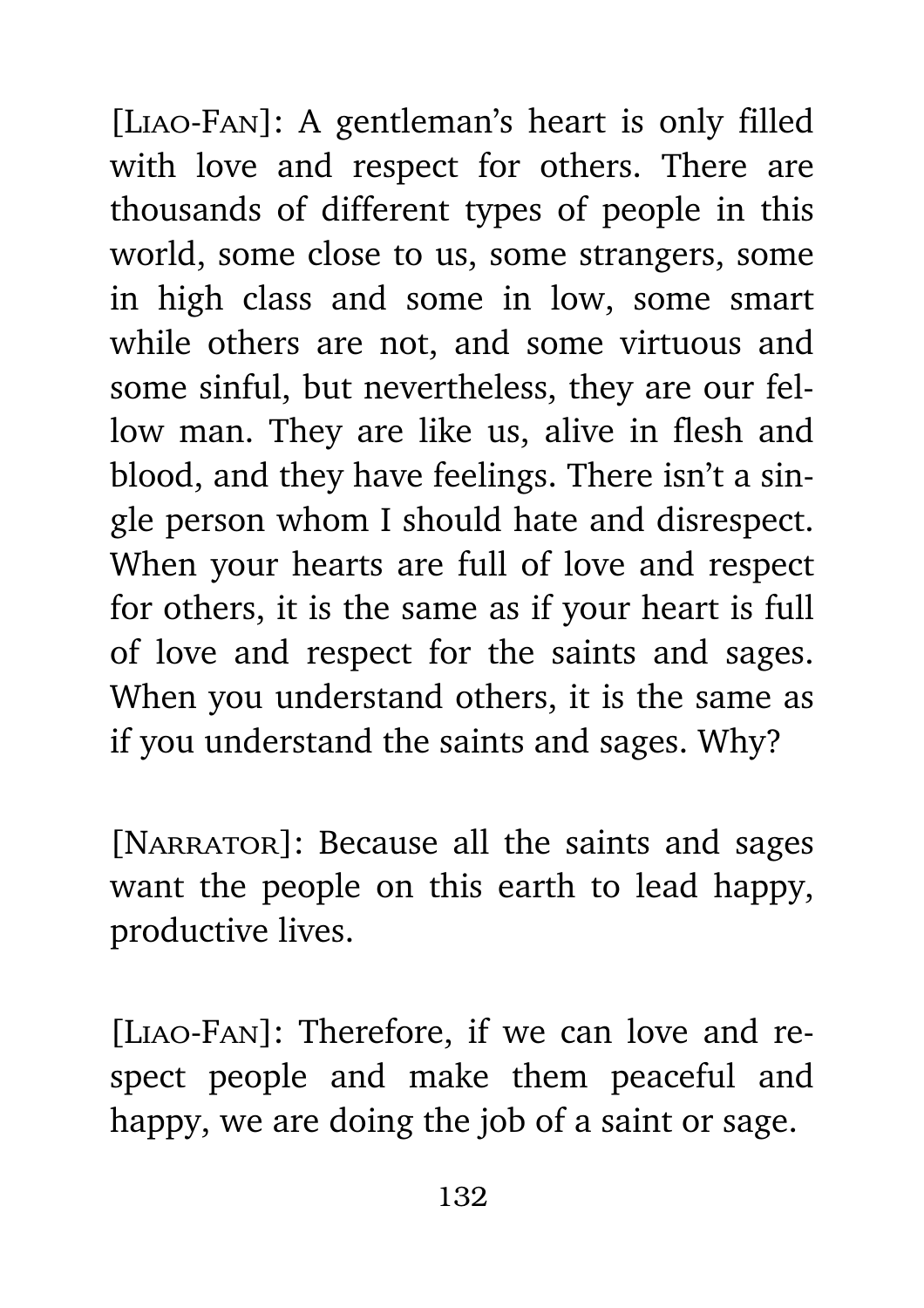[Liao-Fan]: A gentleman's heart is only filled with love and respect for others. There are thousands of different types of people in this world, some close to us, some strangers, some in high class and some in low, some smart while others are not, and some virtuous and some sinful, but nevertheless, they are our fellow man. They are like us, alive in flesh and blood, and they have feelings. There isn't a single person whom I should hate and disrespect. When your hearts are full of love and respect for others, it is the same as if your heart is full of love and respect for the saints and sages. When you understand others, it is the same as if you understand the saints and sages. Why?

[NARRATOR]: Because all the saints and sages want the people on this earth to lead happy, productive lives.

[Liao-Fan]: Therefore, if we can love and respect people and make them peaceful and happy, we are doing the job of a saint or sage.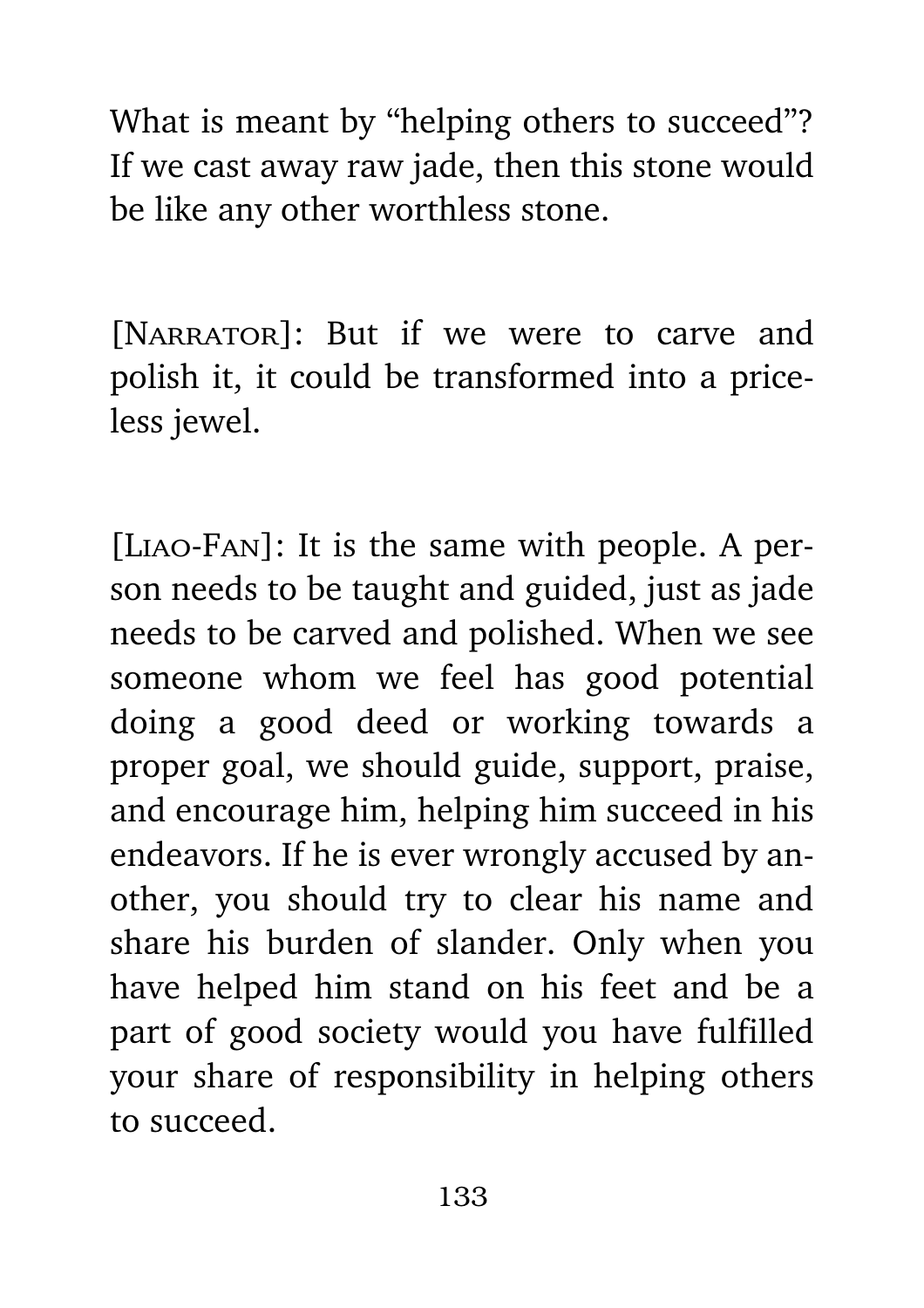What is meant by "helping others to succeed"? If we cast away raw jade, then this stone would be like any other worthless stone.

[NARRATOR]: But if we were to carve and polish it, it could be transformed into a priceless jewel.

[Liao-Fan]: It is the same with people. A person needs to be taught and guided, just as jade needs to be carved and polished. When we see someone whom we feel has good potential doing a good deed or working towards a proper goal, we should guide, support, praise, and encourage him, helping him succeed in his endeavors. If he is ever wrongly accused by another, you should try to clear his name and share his burden of slander. Only when you have helped him stand on his feet and be a part of good society would you have fulfilled your share of responsibility in helping others to succeed.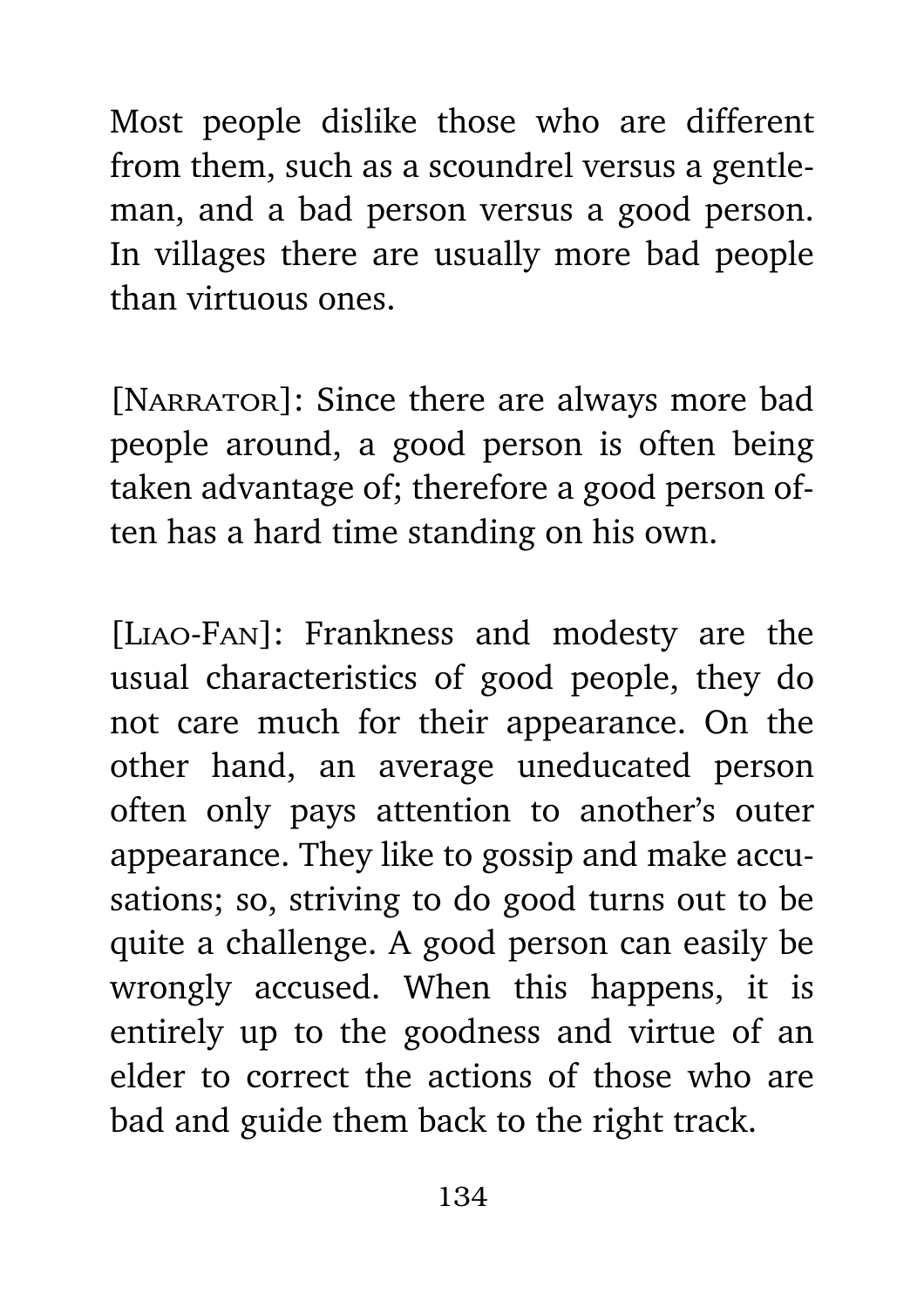Most people dislike those who are different from them, such as a scoundrel versus a gentleman, and a bad person versus a good person. In villages there are usually more bad people than virtuous ones.

[NARRATOR]: Since there are always more bad people around, a good person is often being taken advantage of; therefore a good person often has a hard time standing on his own.

[Liao-Fan]: Frankness and modesty are the usual characteristics of good people, they do not care much for their appearance. On the other hand, an average uneducated person often only pays attention to another's outer appearance. They like to gossip and make accusations; so, striving to do good turns out to be quite a challenge. A good person can easily be wrongly accused. When this happens, it is entirely up to the goodness and virtue of an elder to correct the actions of those who are bad and guide them back to the right track.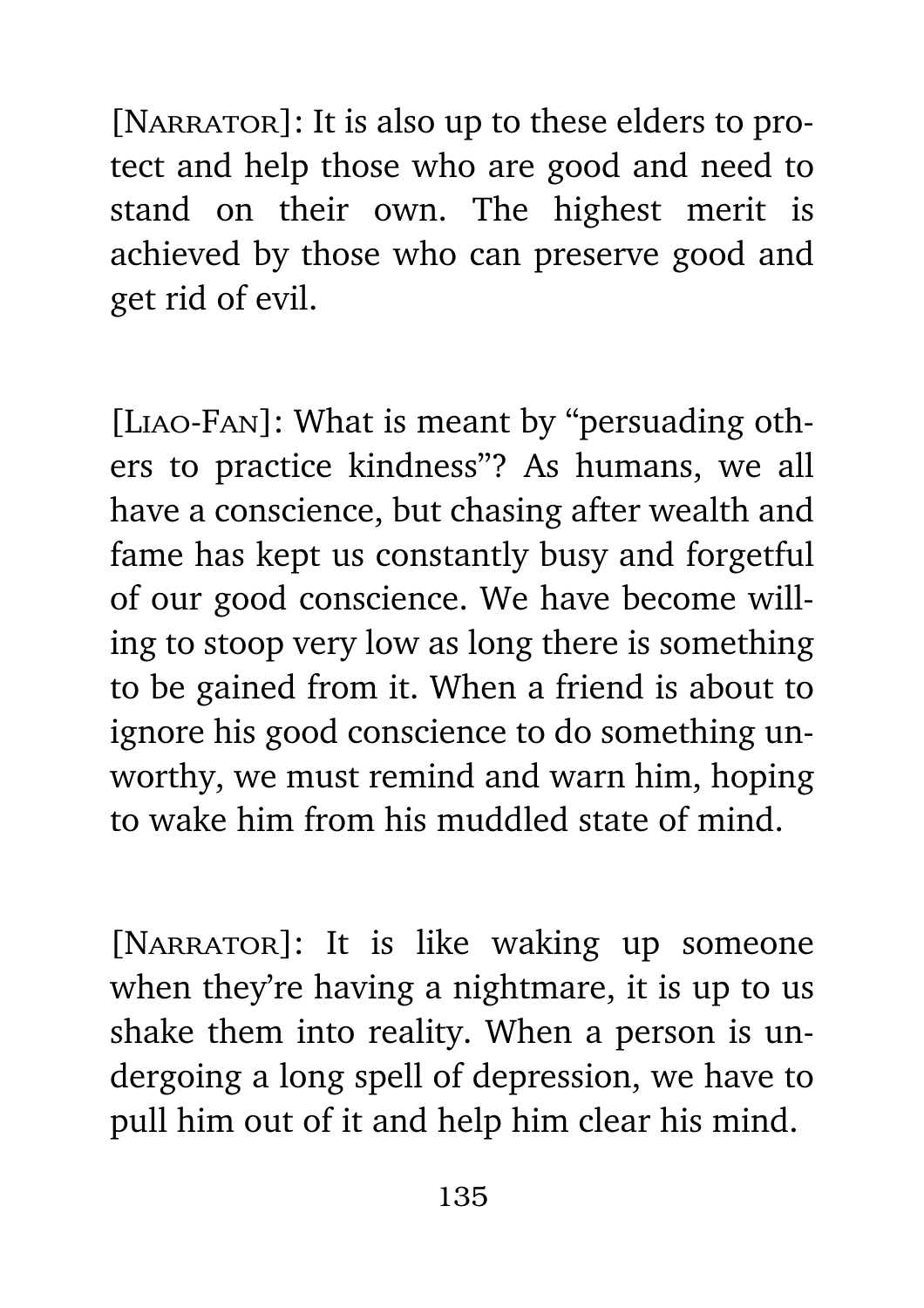[NARRATOR]: It is also up to these elders to protect and help those who are good and need to stand on their own. The highest merit is achieved by those who can preserve good and get rid of evil.

[Liao-Fan]: What is meant by "persuading others to practice kindness"? As humans, we all have a conscience, but chasing after wealth and fame has kept us constantly busy and forgetful of our good conscience. We have become willing to stoop very low as long there is something to be gained from it. When a friend is about to ignore his good conscience to do something unworthy, we must remind and warn him, hoping to wake him from his muddled state of mind.

[NARRATOR]: It is like waking up someone when they're having a nightmare, it is up to us shake them into reality. When a person is undergoing a long spell of depression, we have to pull him out of it and help him clear his mind.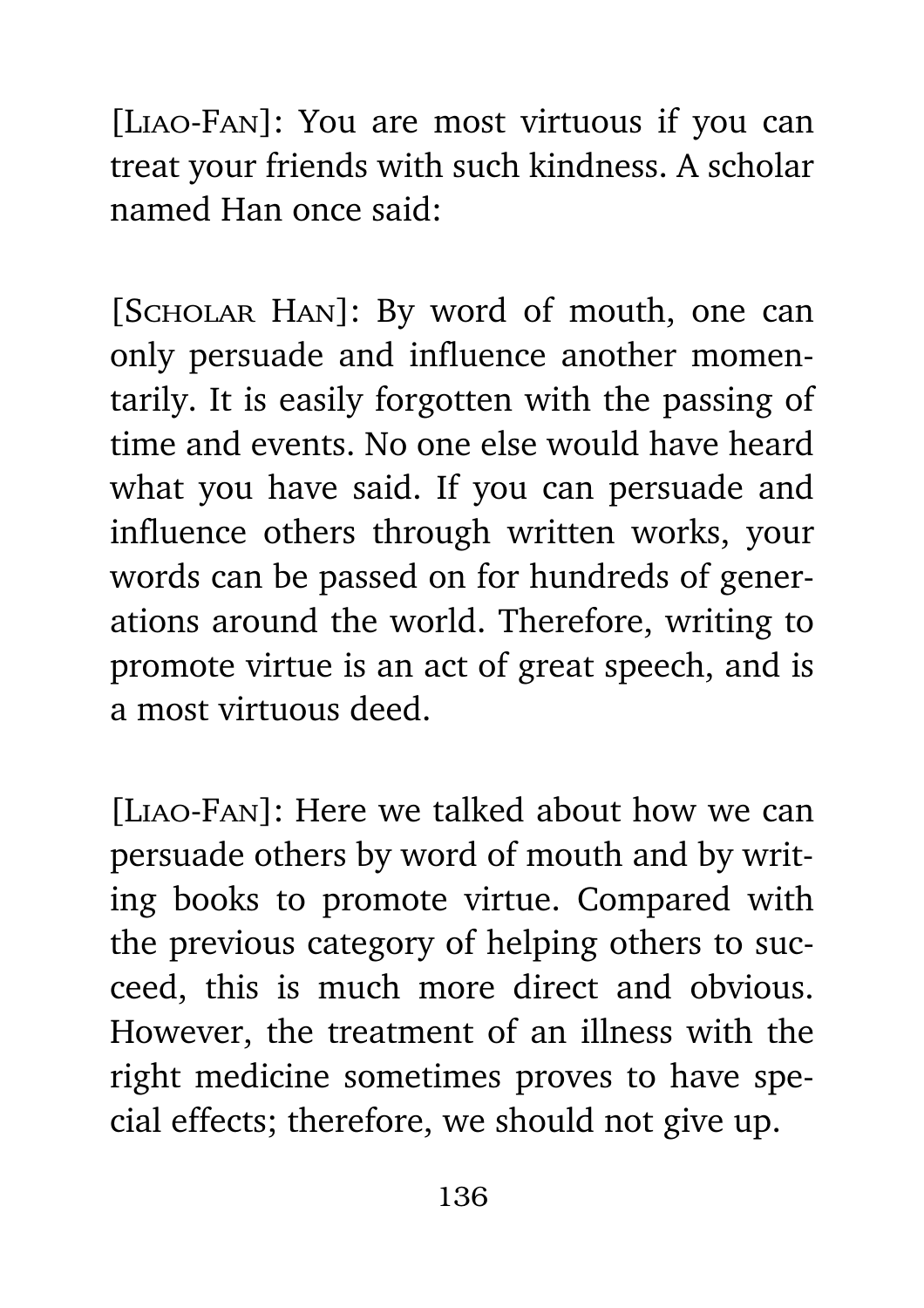[Liao-Fan]: You are most virtuous if you can treat your friends with such kindness. A scholar named Han once said:

[Scholar Han]: By word of mouth, one can only persuade and influence another momentarily. It is easily forgotten with the passing of time and events. No one else would have heard what you have said. If you can persuade and influence others through written works, your words can be passed on for hundreds of generations around the world. Therefore, writing to promote virtue is an act of great speech, and is a most virtuous deed.

[Liao-Fan]: Here we talked about how we can persuade others by word of mouth and by writing books to promote virtue. Compared with the previous category of helping others to succeed, this is much more direct and obvious. However, the treatment of an illness with the right medicine sometimes proves to have special effects; therefore, we should not give up.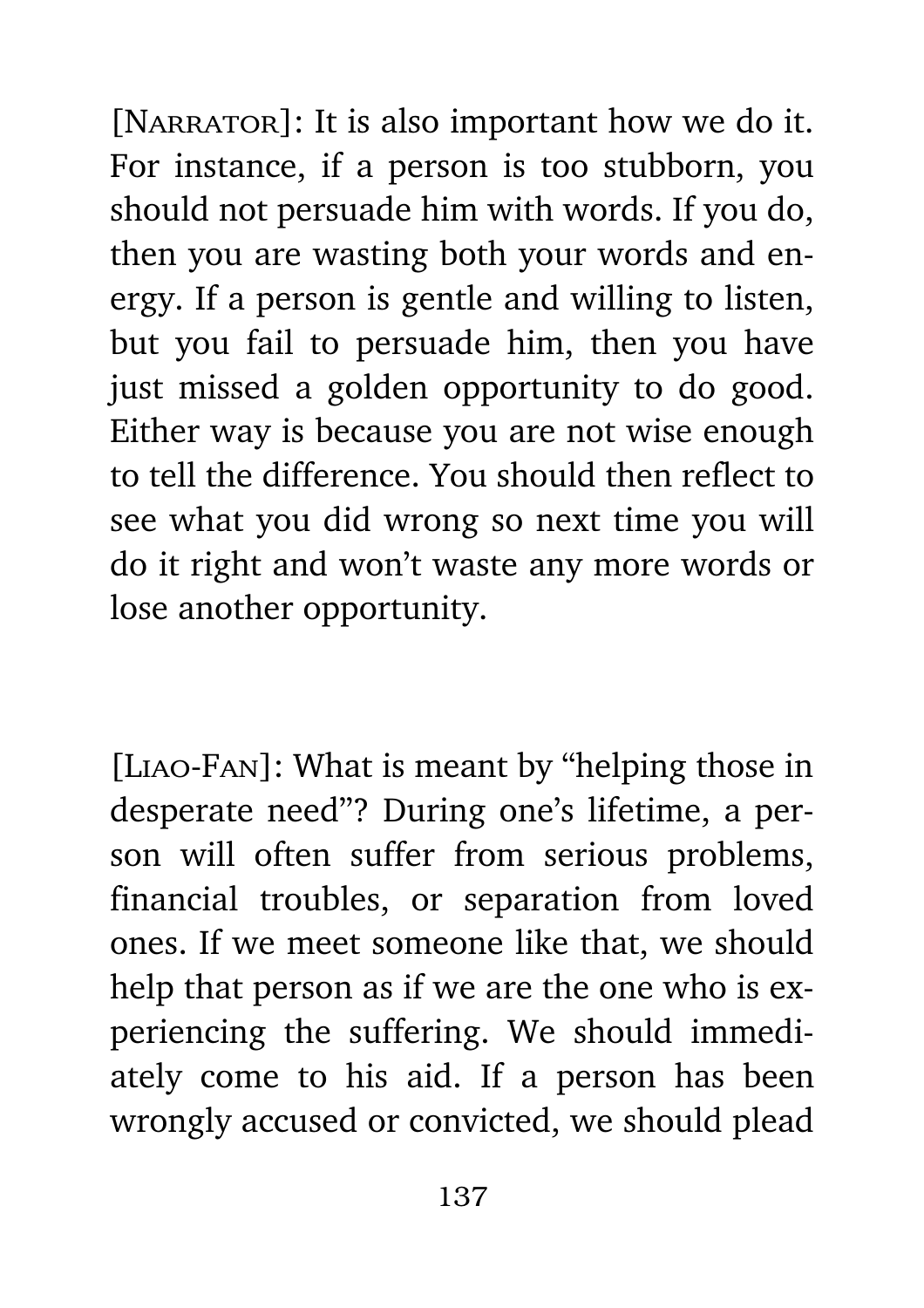[NARRATOR]: It is also important how we do it. For instance, if a person is too stubborn, you should not persuade him with words. If you do, then you are wasting both your words and energy. If a person is gentle and willing to listen, but you fail to persuade him, then you have just missed a golden opportunity to do good. Either way is because you are not wise enough to tell the difference. You should then reflect to see what you did wrong so next time you will do it right and won't waste any more words or lose another opportunity.

[Liao-Fan]: What is meant by "helping those in desperate need"? During one's lifetime, a person will often suffer from serious problems, financial troubles, or separation from loved ones. If we meet someone like that, we should help that person as if we are the one who is experiencing the suffering. We should immediately come to his aid. If a person has been wrongly accused or convicted, we should plead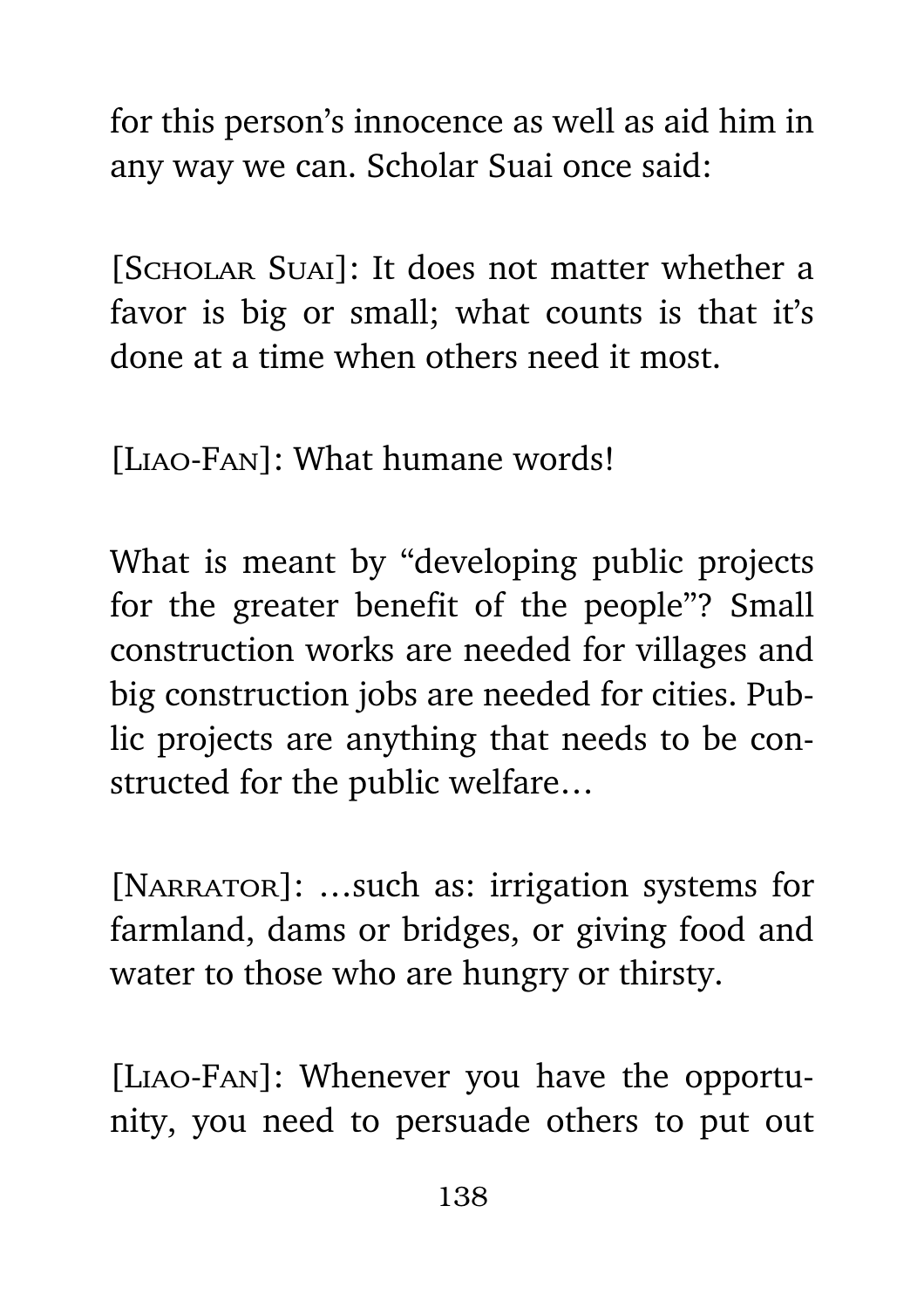for this person's innocence as well as aid him in any way we can. Scholar Suai once said:

[SCHOLAR SUAI]: It does not matter whether a favor is big or small; what counts is that it's done at a time when others need it most.

[LIAO-FAN]: What humane words!

What is meant by "developing public projects for the greater benefit of the people"? Small construction works are needed for villages and big construction jobs are needed for cities. Public projects are anything that needs to be constructed for the public welfare…

[NARRATOR]: ...such as: irrigation systems for farmland, dams or bridges, or giving food and water to those who are hungry or thirsty.

[Liao-Fan]: Whenever you have the opportunity, you need to persuade others to put out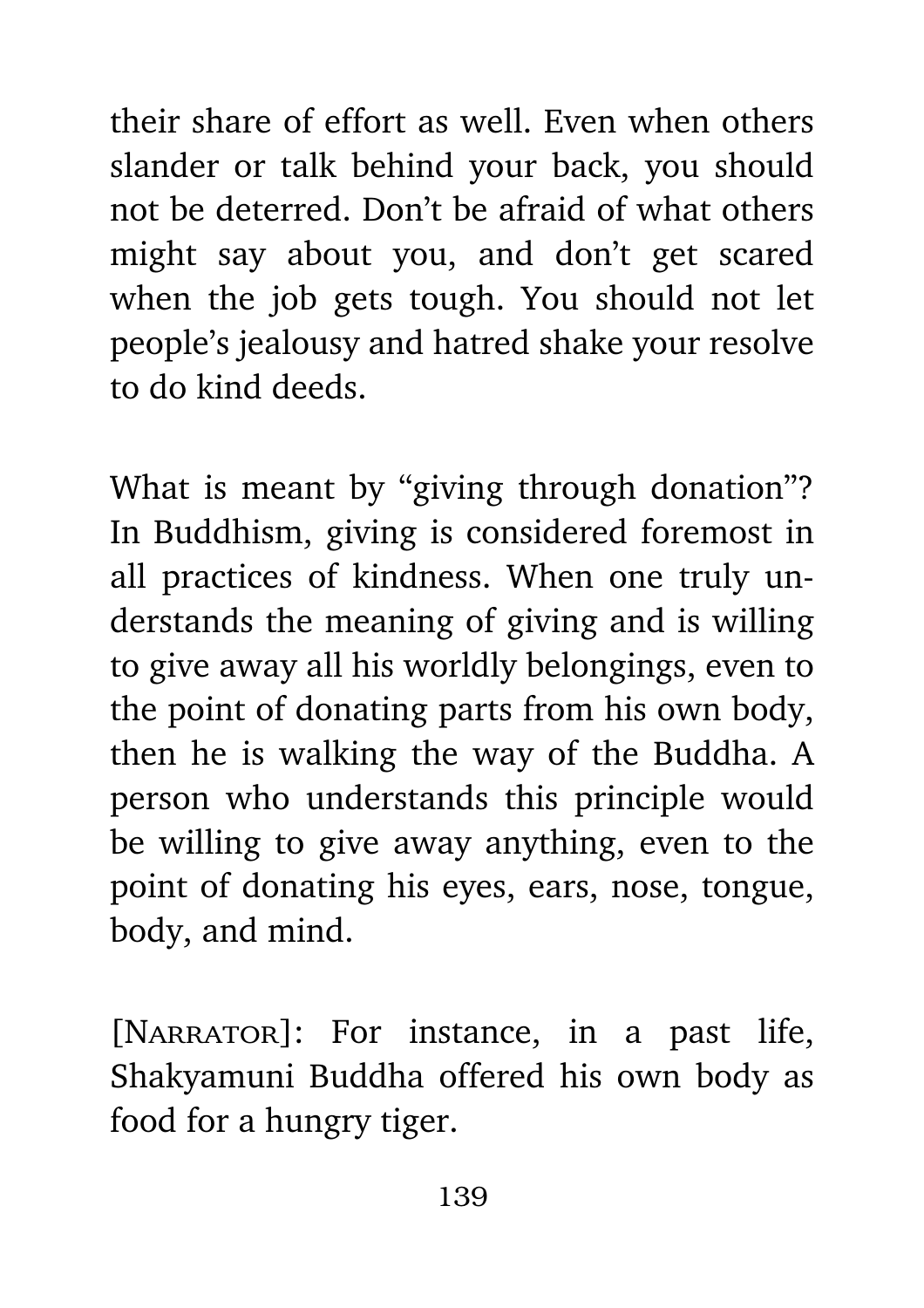their share of effort as well. Even when others slander or talk behind your back, you should not be deterred. Don't be afraid of what others might say about you, and don't get scared when the job gets tough. You should not let people's jealousy and hatred shake your resolve to do kind deeds.

What is meant by "giving through donation"? In Buddhism, giving is considered foremost in all practices of kindness. When one truly understands the meaning of giving and is willing to give away all his worldly belongings, even to the point of donating parts from his own body, then he is walking the way of the Buddha. A person who understands this principle would be willing to give away anything, even to the point of donating his eyes, ears, nose, tongue, body, and mind.

[NARRATOR]: For instance, in a past life, Shakyamuni Buddha offered his own body as food for a hungry tiger.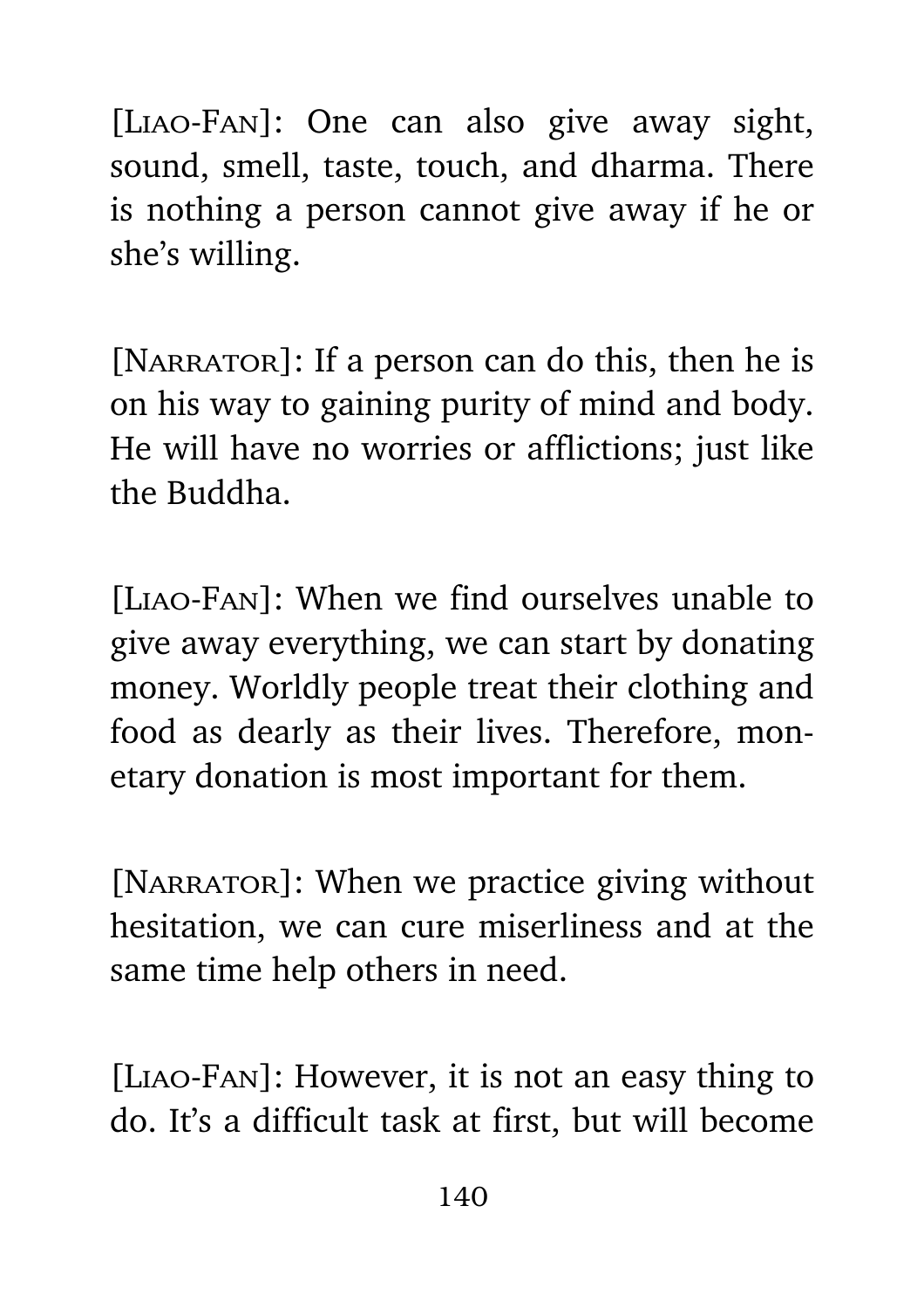[LIAO-FAN]: One can also give away sight, sound, smell, taste, touch, and dharma. There is nothing a person cannot give away if he or she's willing.

[NARRATOR]: If a person can do this, then he is on his way to gaining purity of mind and body. He will have no worries or afflictions; just like the Buddha.

[Liao-Fan]: When we find ourselves unable to give away everything, we can start by donating money. Worldly people treat their clothing and food as dearly as their lives. Therefore, monetary donation is most important for them.

[NARRATOR]: When we practice giving without hesitation, we can cure miserliness and at the same time help others in need.

[Liao-Fan]: However, it is not an easy thing to do. It's a difficult task at first, but will become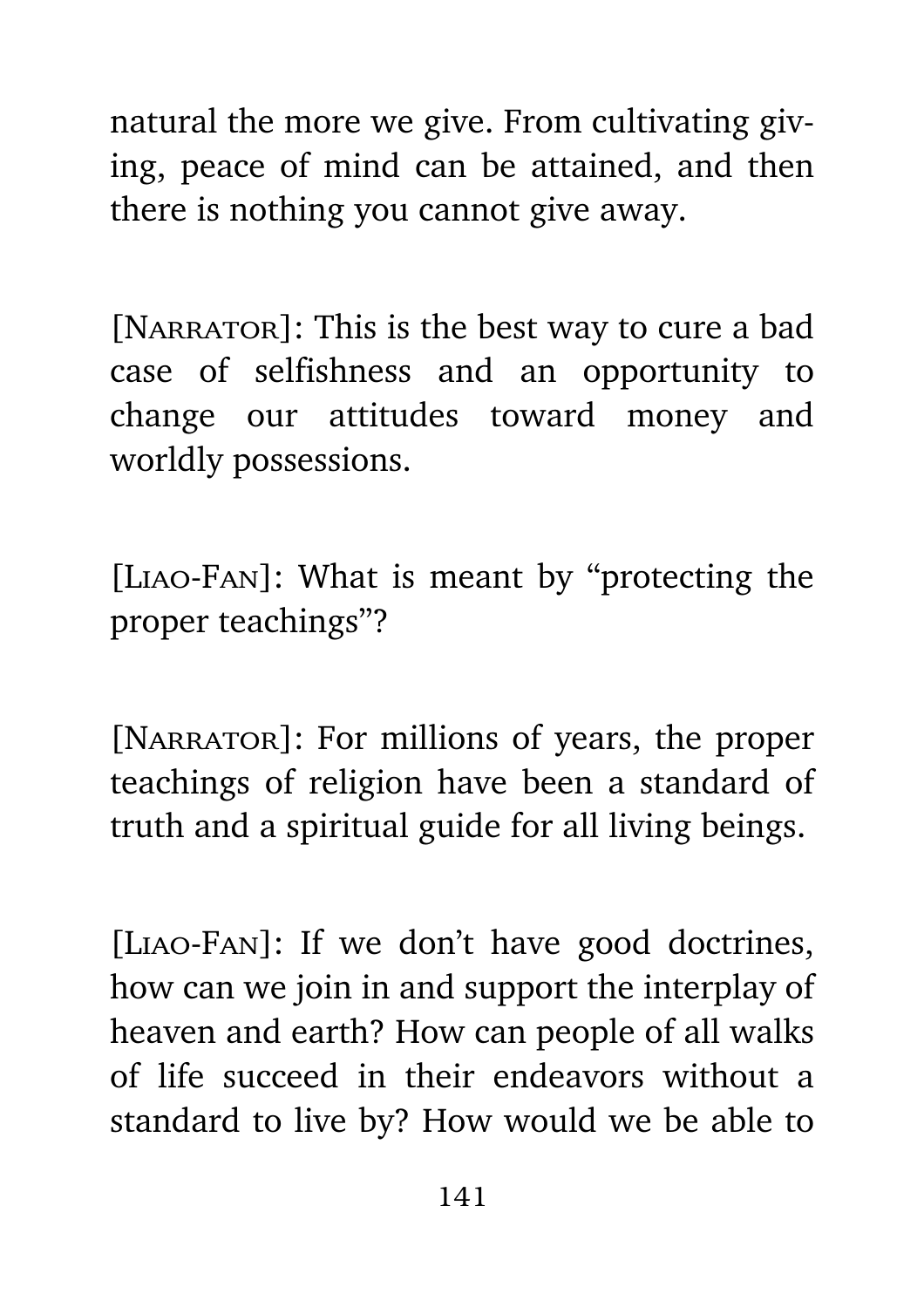natural the more we give. From cultivating giving, peace of mind can be attained, and then there is nothing you cannot give away.

[NARRATOR]: This is the best way to cure a bad case of selfishness and an opportunity to change our attitudes toward money and worldly possessions.

[Liao-Fan]: What is meant by "protecting the proper teachings"?

[NARRATOR]: For millions of years, the proper teachings of religion have been a standard of truth and a spiritual guide for all living beings.

[Liao-Fan]: If we don't have good doctrines, how can we join in and support the interplay of heaven and earth? How can people of all walks of life succeed in their endeavors without a standard to live by? How would we be able to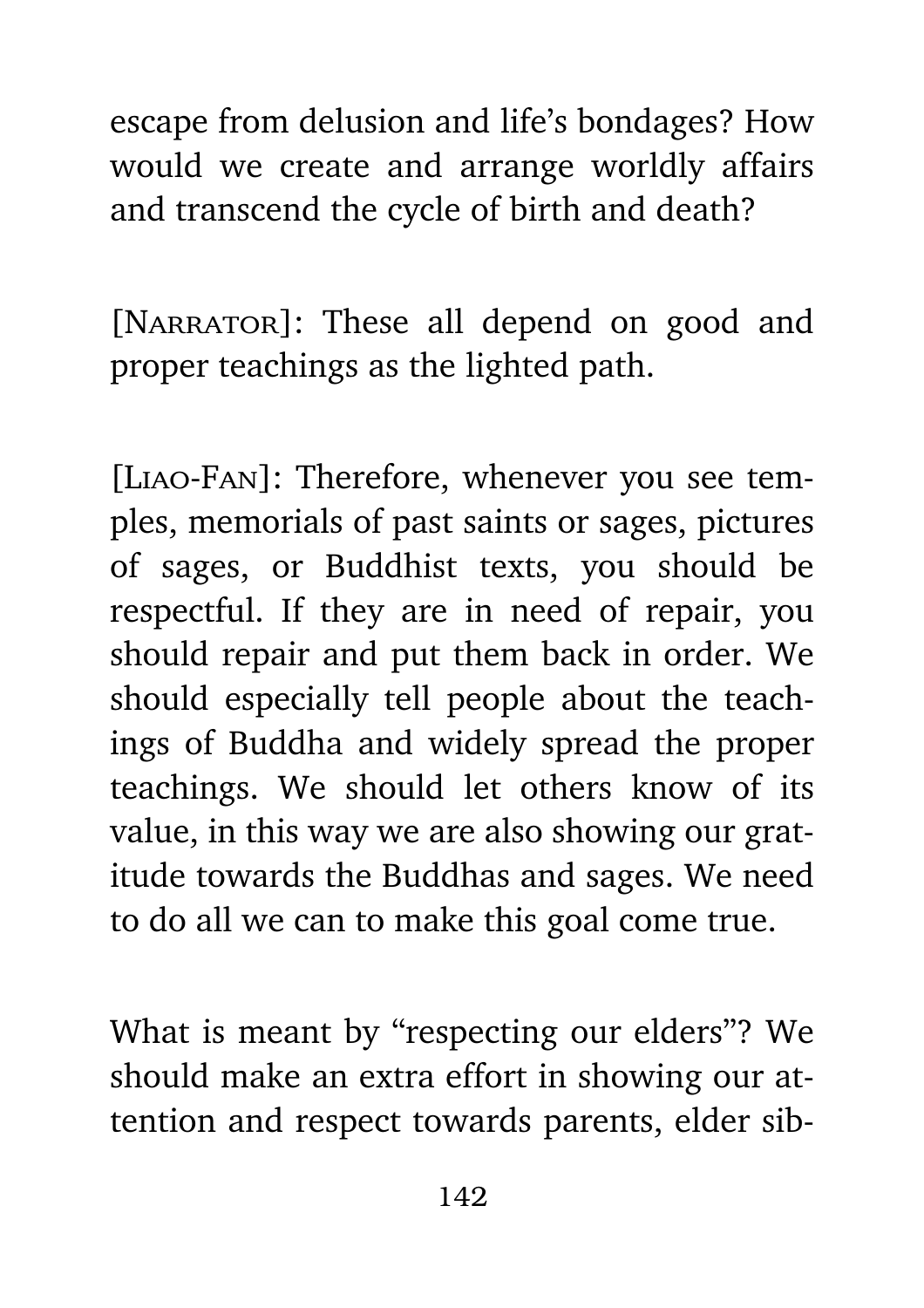escape from delusion and life's bondages? How would we create and arrange worldly affairs and transcend the cycle of birth and death?

[NARRATOR]: These all depend on good and proper teachings as the lighted path.

[Liao-Fan]: Therefore, whenever you see temples, memorials of past saints or sages, pictures of sages, or Buddhist texts, you should be respectful. If they are in need of repair, you should repair and put them back in order. We should especially tell people about the teachings of Buddha and widely spread the proper teachings. We should let others know of its value, in this way we are also showing our gratitude towards the Buddhas and sages. We need to do all we can to make this goal come true.

What is meant by "respecting our elders"? We should make an extra effort in showing our attention and respect towards parents, elder sib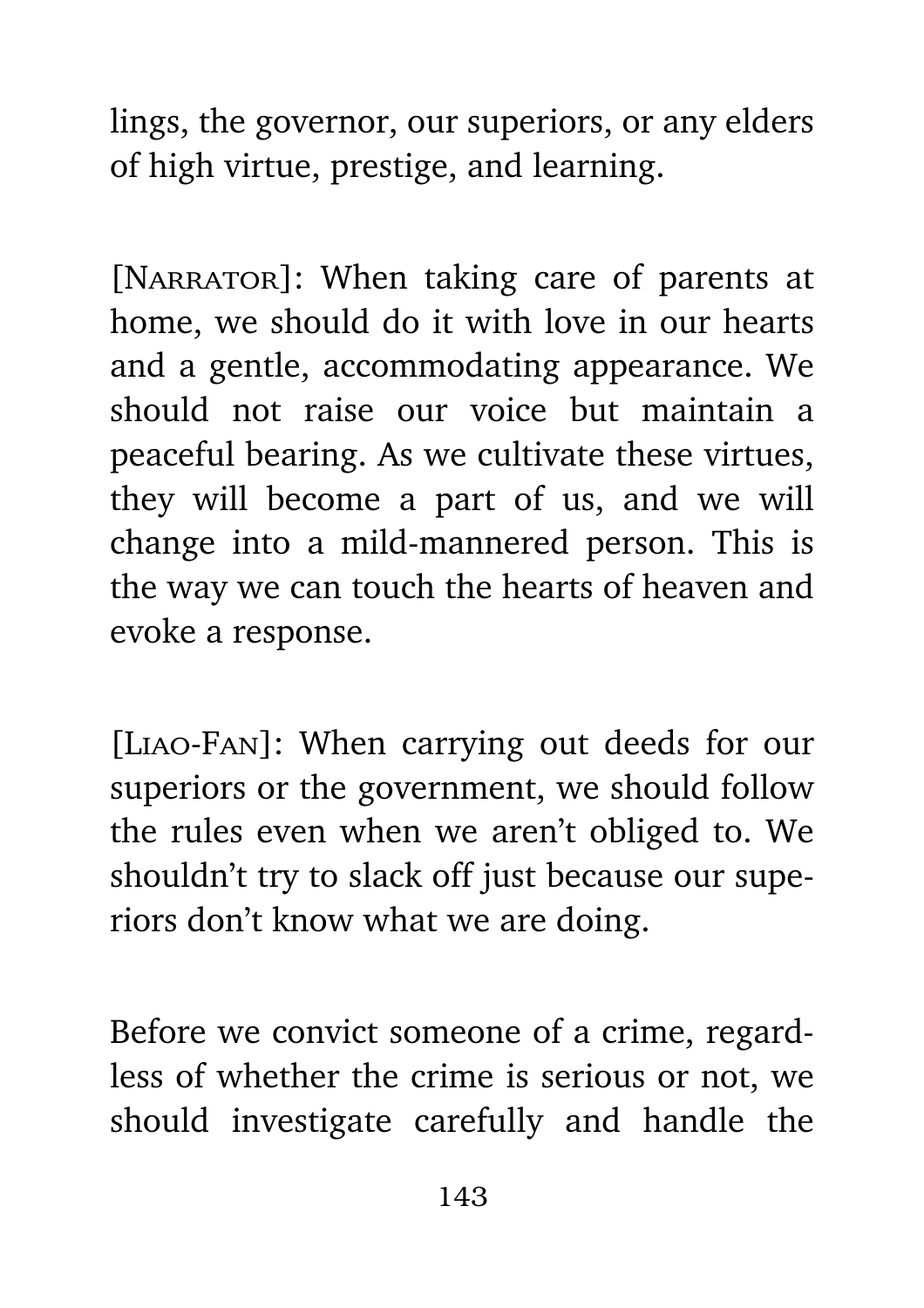lings, the governor, our superiors, or any elders of high virtue, prestige, and learning.

[NARRATOR]: When taking care of parents at home, we should do it with love in our hearts and a gentle, accommodating appearance. We should not raise our voice but maintain a peaceful bearing. As we cultivate these virtues, they will become a part of us, and we will change into a mild-mannered person. This is the way we can touch the hearts of heaven and evoke a response.

[Liao-Fan]: When carrying out deeds for our superiors or the government, we should follow the rules even when we aren't obliged to. We shouldn't try to slack off just because our superiors don't know what we are doing.

Before we convict someone of a crime, regardless of whether the crime is serious or not, we should investigate carefully and handle the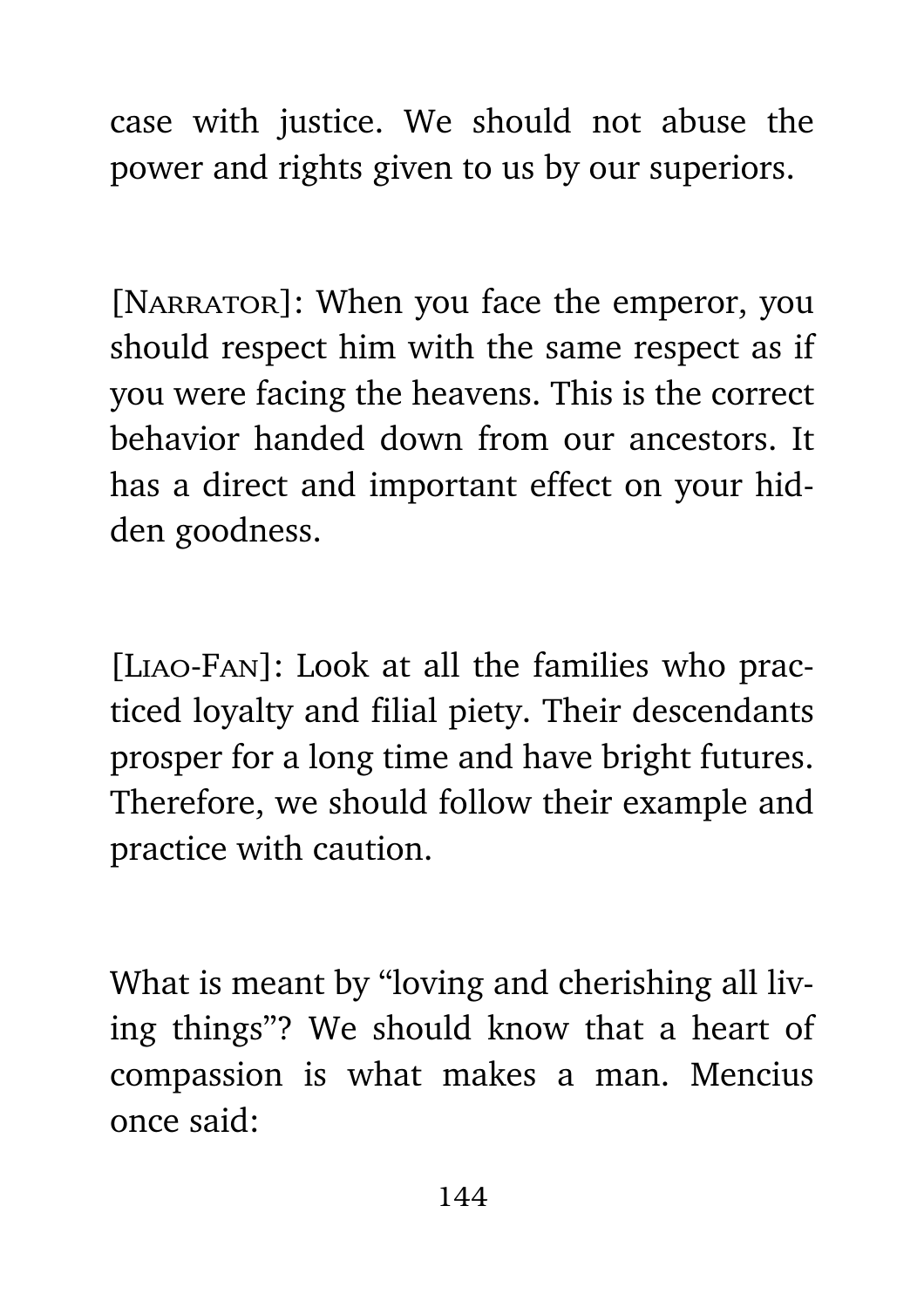case with justice. We should not abuse the power and rights given to us by our superiors.

[NARRATOR]: When you face the emperor, you should respect him with the same respect as if you were facing the heavens. This is the correct behavior handed down from our ancestors. It has a direct and important effect on your hidden goodness.

[Liao-Fan]: Look at all the families who practiced loyalty and filial piety. Their descendants prosper for a long time and have bright futures. Therefore, we should follow their example and practice with caution.

What is meant by "loving and cherishing all living things"? We should know that a heart of compassion is what makes a man. Mencius once said: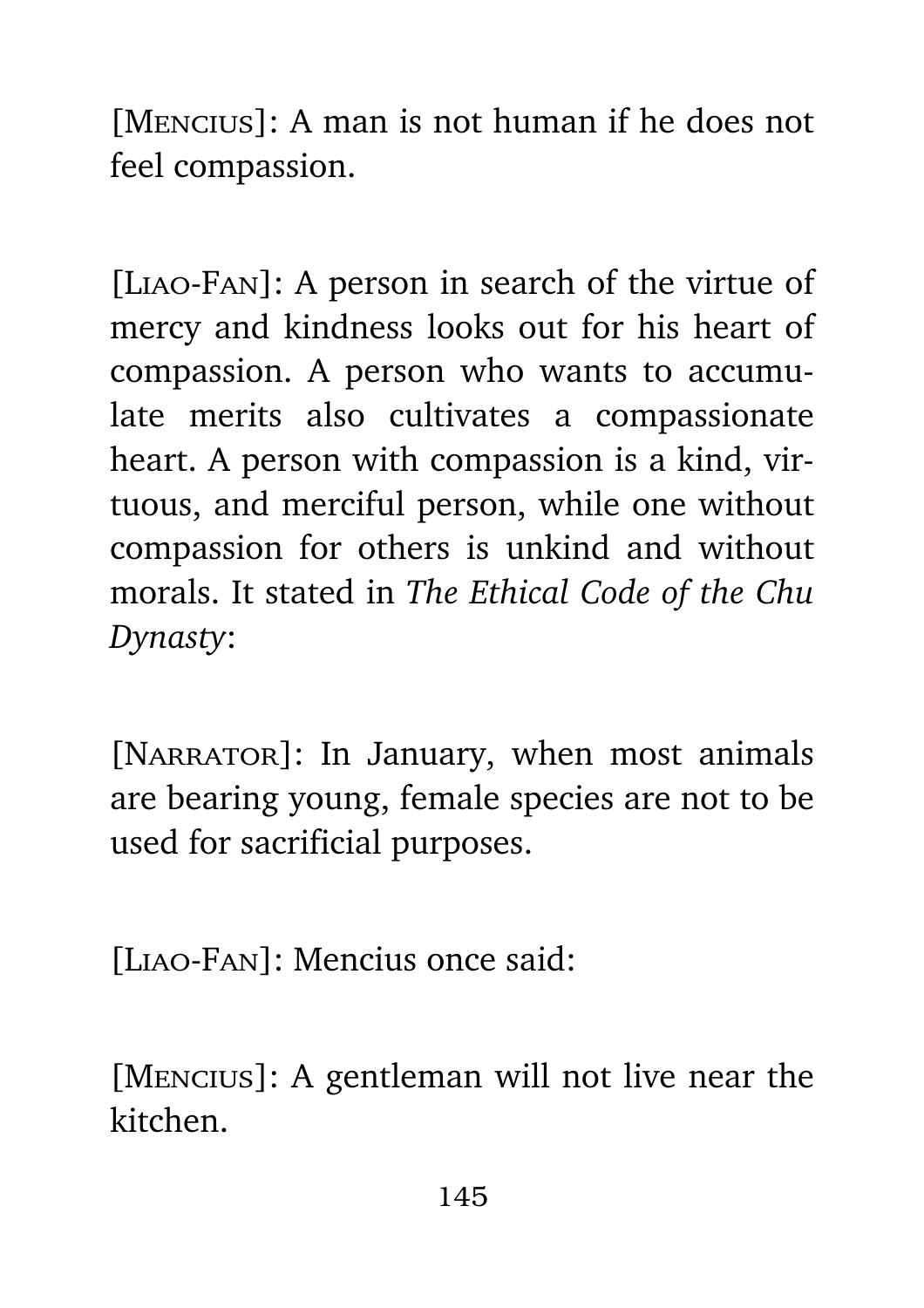[Mencius]: A man is not human if he does not feel compassion.

[Liao-Fan]: A person in search of the virtue of mercy and kindness looks out for his heart of compassion. A person who wants to accumulate merits also cultivates a compassionate heart. A person with compassion is a kind, virtuous, and merciful person, while one without compassion for others is unkind and without morals. It stated in *The Ethical Code of the Chu Dynasty*:

[NARRATOR]: In January, when most animals are bearing young, female species are not to be used for sacrificial purposes.

[Liao-Fan]: Mencius once said:

[Mencius]: A gentleman will not live near the kitchen.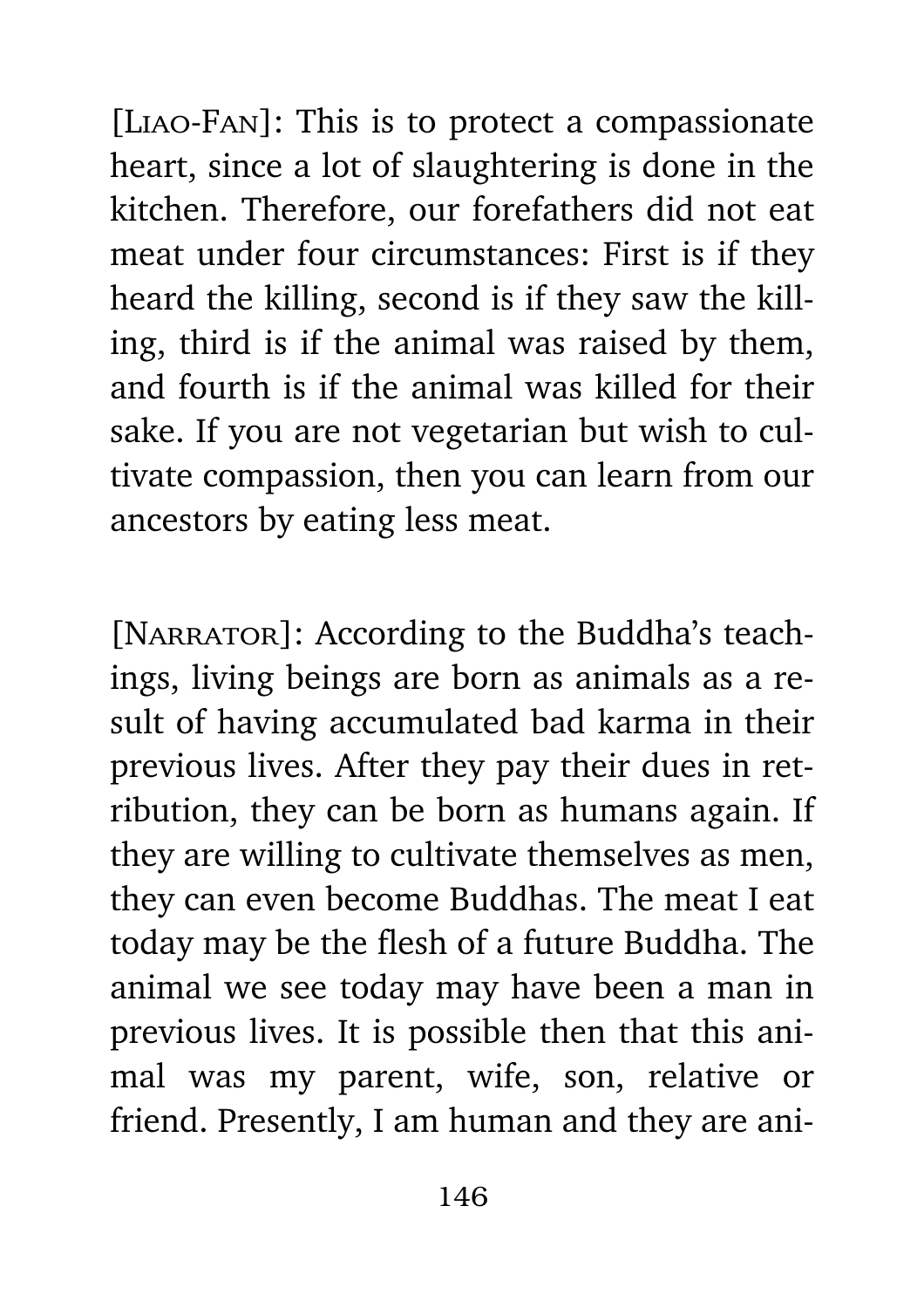[Liao-Fan]: This is to protect a compassionate heart, since a lot of slaughtering is done in the kitchen. Therefore, our forefathers did not eat meat under four circumstances: First is if they heard the killing, second is if they saw the killing, third is if the animal was raised by them, and fourth is if the animal was killed for their sake. If you are not vegetarian but wish to cultivate compassion, then you can learn from our ancestors by eating less meat.

[NARRATOR]: According to the Buddha's teachings, living beings are born as animals as a result of having accumulated bad karma in their previous lives. After they pay their dues in retribution, they can be born as humans again. If they are willing to cultivate themselves as men, they can even become Buddhas. The meat I eat today may be the flesh of a future Buddha. The animal we see today may have been a man in previous lives. It is possible then that this animal was my parent, wife, son, relative or friend. Presently, I am human and they are ani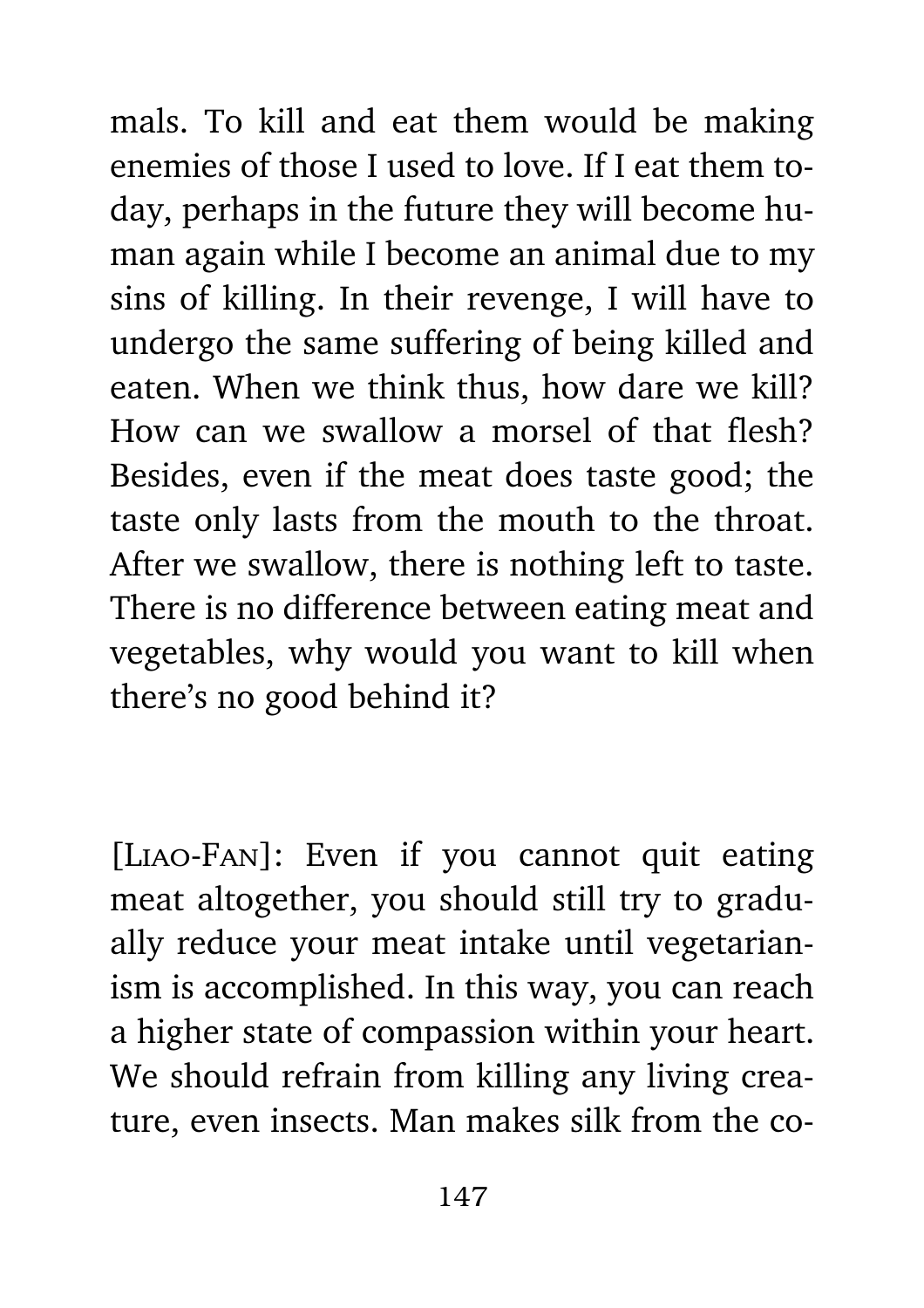mals. To kill and eat them would be making enemies of those I used to love. If I eat them today, perhaps in the future they will become human again while I become an animal due to my sins of killing. In their revenge, I will have to undergo the same suffering of being killed and eaten. When we think thus, how dare we kill? How can we swallow a morsel of that flesh? Besides, even if the meat does taste good; the taste only lasts from the mouth to the throat. After we swallow, there is nothing left to taste. There is no difference between eating meat and vegetables, why would you want to kill when there's no good behind it?

[Liao-Fan]: Even if you cannot quit eating meat altogether, you should still try to gradually reduce your meat intake until vegetarianism is accomplished. In this way, you can reach a higher state of compassion within your heart. We should refrain from killing any living creature, even insects. Man makes silk from the co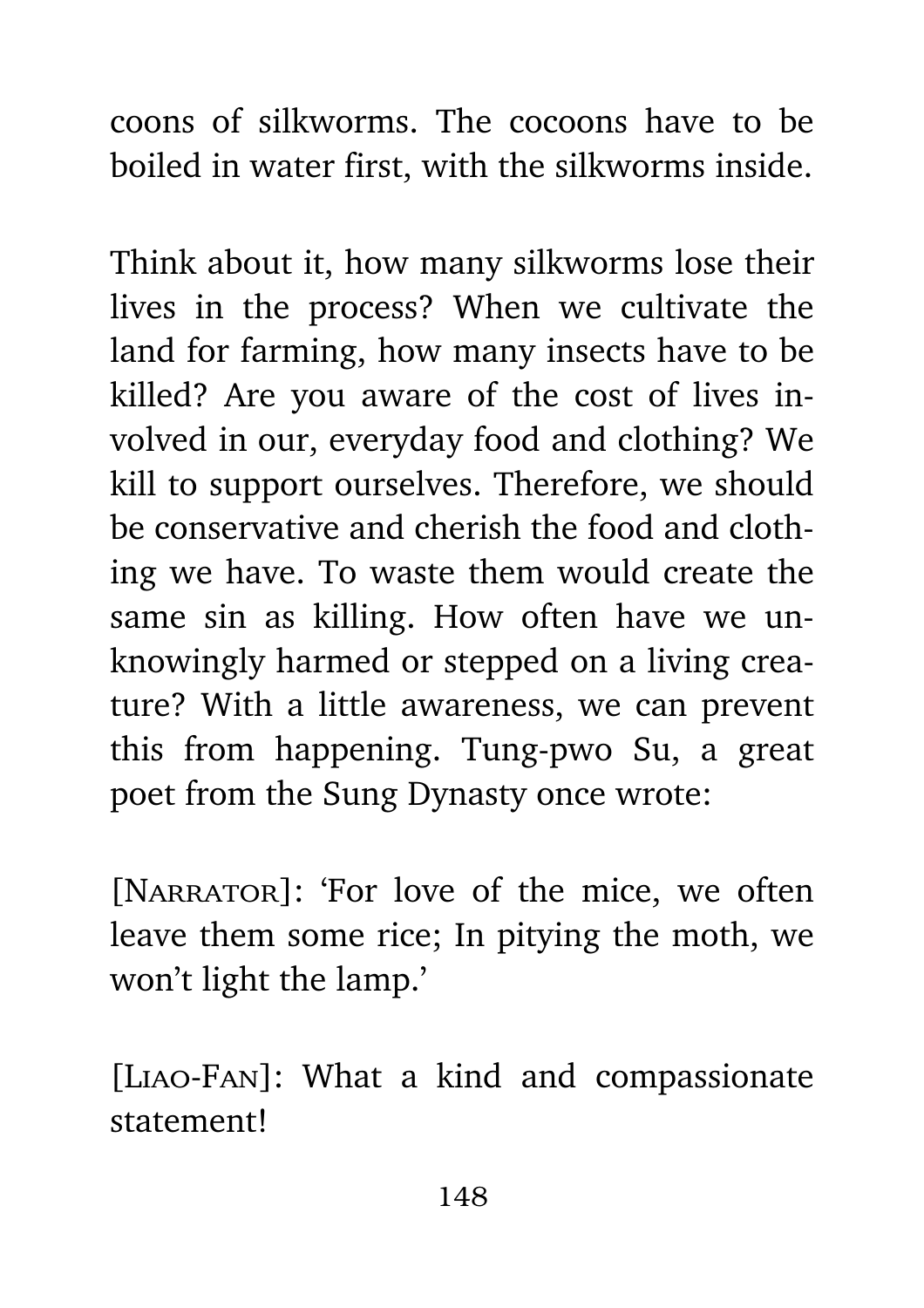coons of silkworms. The cocoons have to be boiled in water first, with the silkworms inside.

Think about it, how many silkworms lose their lives in the process? When we cultivate the land for farming, how many insects have to be killed? Are you aware of the cost of lives involved in our, everyday food and clothing? We kill to support ourselves. Therefore, we should be conservative and cherish the food and clothing we have. To waste them would create the same sin as killing. How often have we unknowingly harmed or stepped on a living creature? With a little awareness, we can prevent this from happening. Tung-pwo Su, a great poet from the Sung Dynasty once wrote:

[NARRATOR]: 'For love of the mice, we often leave them some rice; In pitying the moth, we won't light the lamp.'

[Liao-Fan]: What a kind and compassionate statement!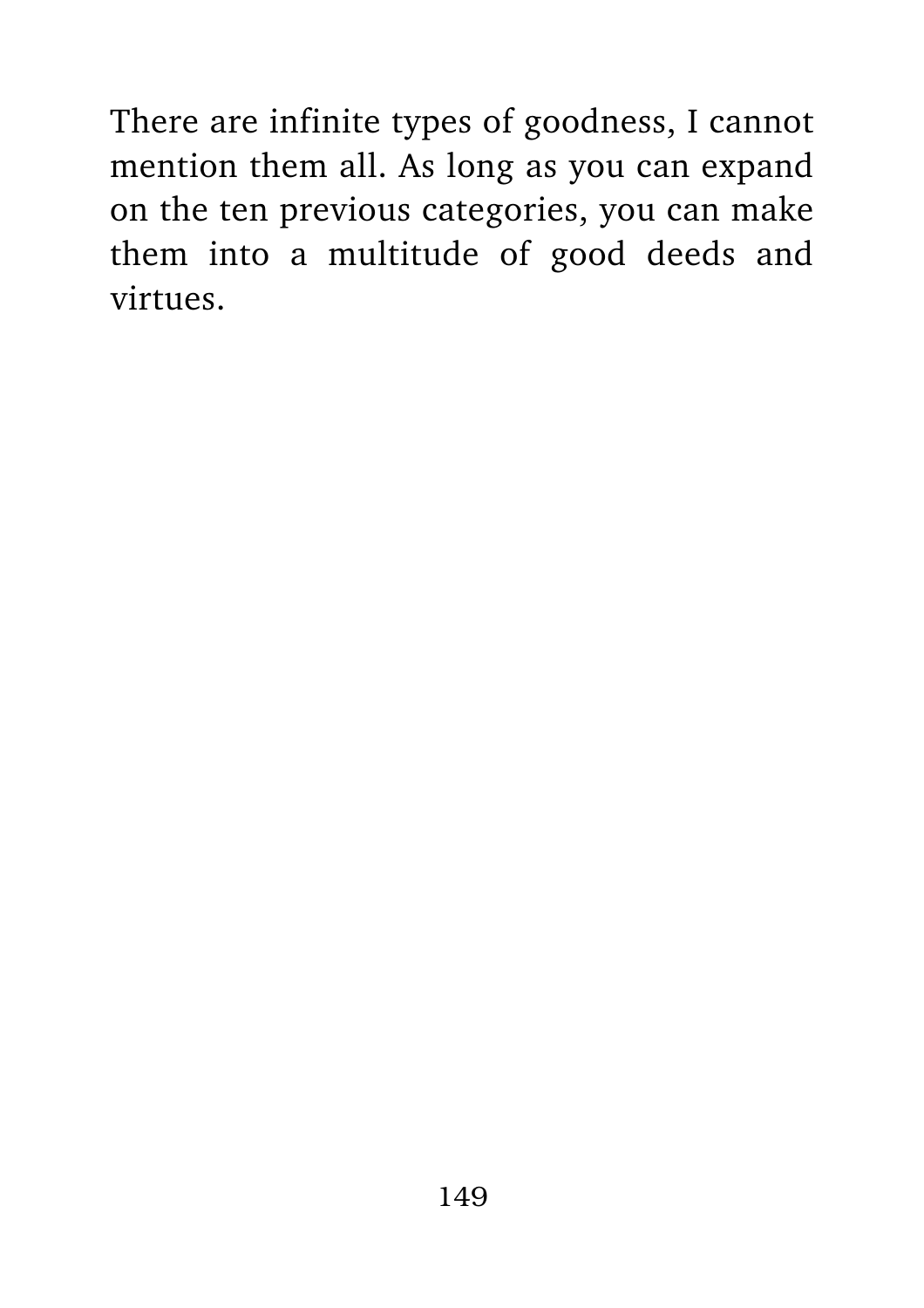There are infinite types of goodness, I cannot mention them all. As long as you can expand on the ten previous categories, you can make them into a multitude of good deeds and virtues.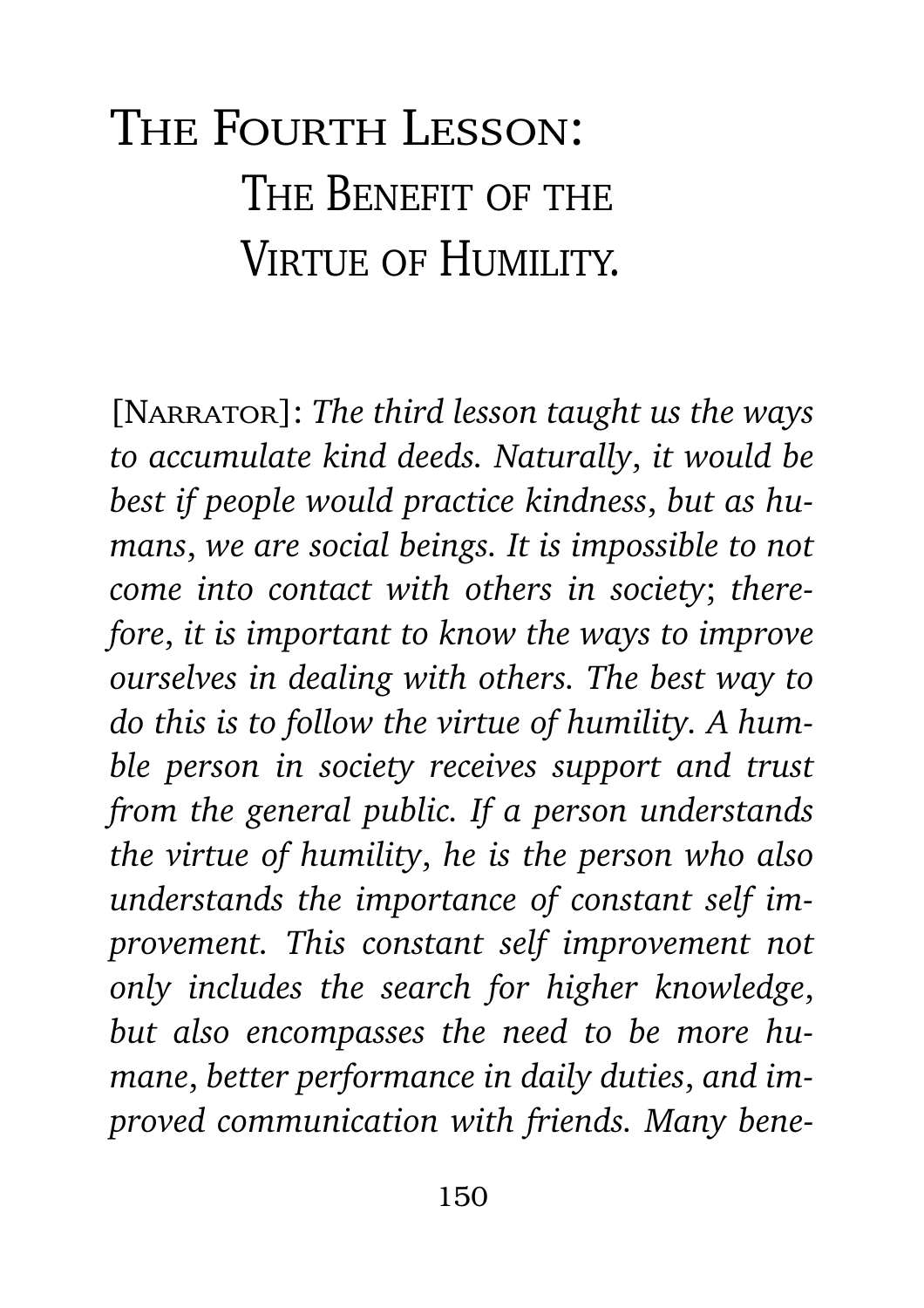## The Fourth Lesson: THE BENEFIT OF THE VIRTUE OF HUMILITY.

[Narrator]: *The third lesson taught us the ways to accumulate kind deeds. Naturally*, *it would be best if people would practice kindness*, *but as humans*, *we are social beings. It is impossible to not come into contact with others in society*; *therefore*, *it is important to know the ways to improve ourselves in dealing with others. The best way to do this is to follow the virtue of humility. A humble person in society receives support and trust from the general public. If a person understands the virtue of humility*, *he is the person who also understands the importance of constant self improvement. This constant self improvement not only includes the search for higher knowledge*, *but also encompasses the need to be more humane*, *better performance in daily duties*, *and improved communication with friends. Many bene-*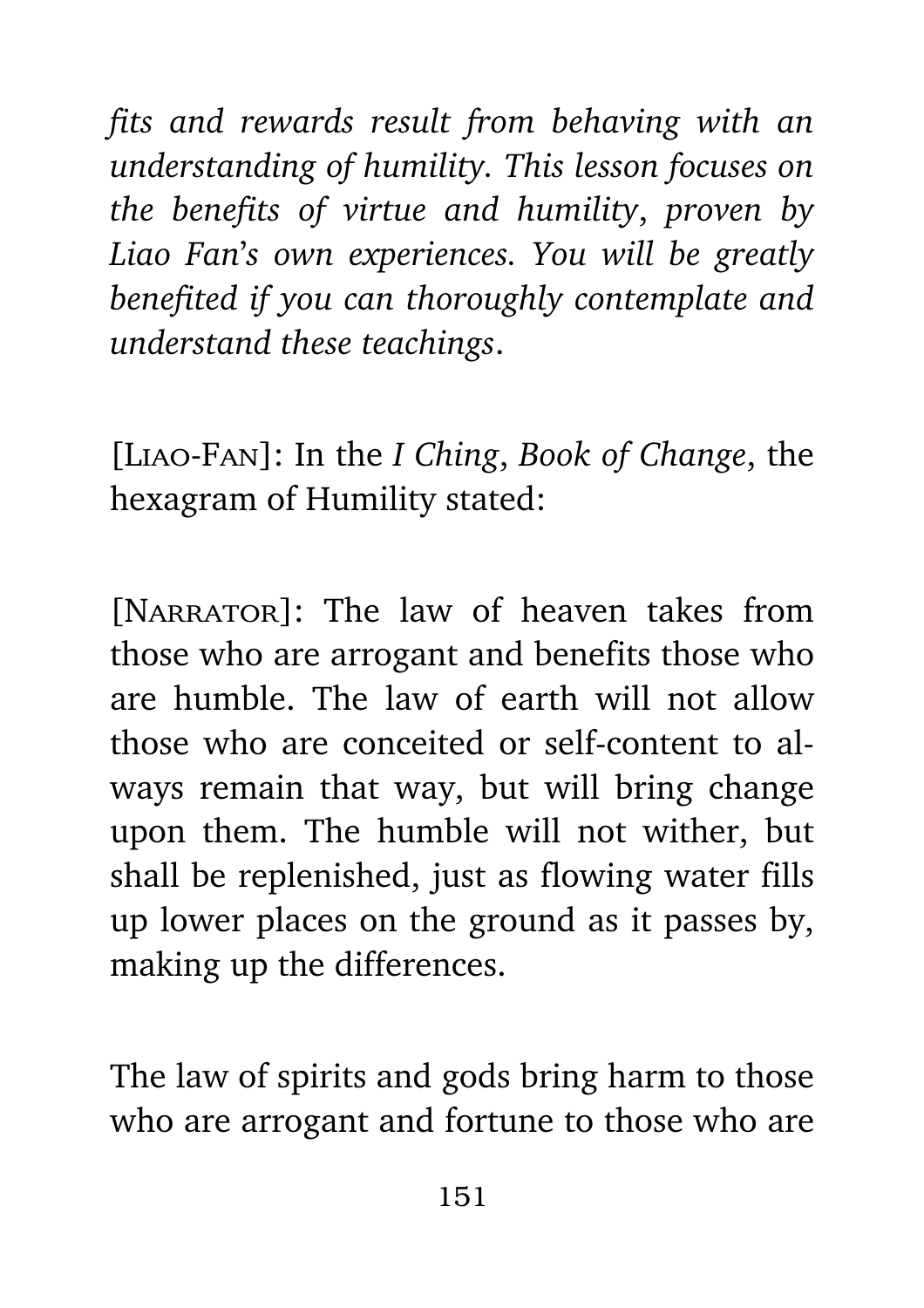*fits and rewards result from behaving with an understanding of humility. This lesson focuses on the benefits of virtue and humility*, *proven by Liao Fan*'*s own experiences. You will be greatly benefited if you can thoroughly contemplate and understand these teachings*.

[Liao-Fan]: In the *I Ching*, *Book of Change*, the hexagram of Humility stated:

[NARRATOR]: The law of heaven takes from those who are arrogant and benefits those who are humble. The law of earth will not allow those who are conceited or self-content to always remain that way, but will bring change upon them. The humble will not wither, but shall be replenished, just as flowing water fills up lower places on the ground as it passes by, making up the differences.

The law of spirits and gods bring harm to those who are arrogant and fortune to those who are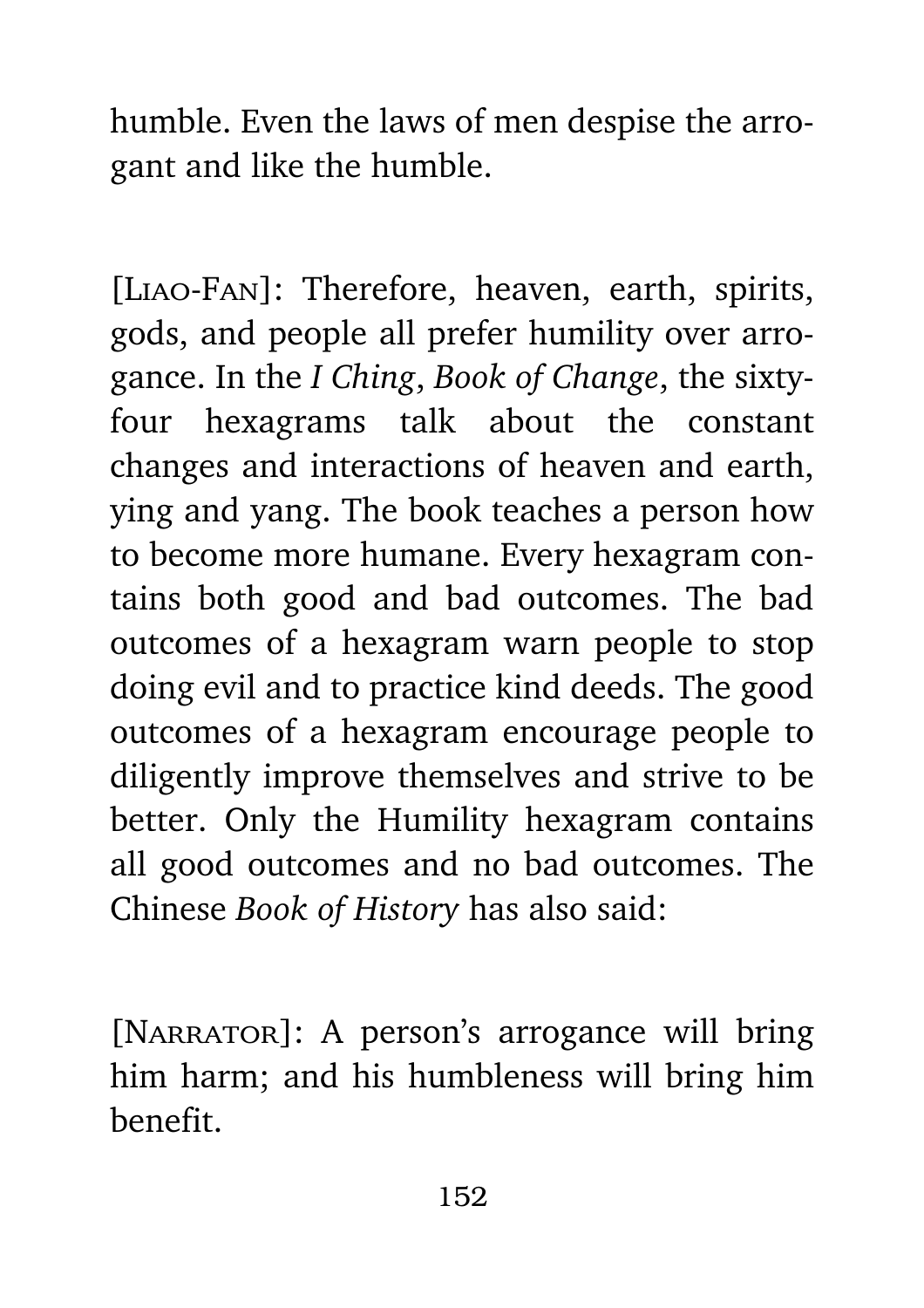humble. Even the laws of men despise the arrogant and like the humble.

[Liao-Fan]: Therefore, heaven, earth, spirits, gods, and people all prefer humility over arrogance. In the *I Ching*, *Book of Change*, the sixtyfour hexagrams talk about the constant changes and interactions of heaven and earth, ying and yang. The book teaches a person how to become more humane. Every hexagram contains both good and bad outcomes. The bad outcomes of a hexagram warn people to stop doing evil and to practice kind deeds. The good outcomes of a hexagram encourage people to diligently improve themselves and strive to be better. Only the Humility hexagram contains all good outcomes and no bad outcomes. The Chinese *Book of History* has also said:

[NARRATOR]: A person's arrogance will bring him harm; and his humbleness will bring him benefit.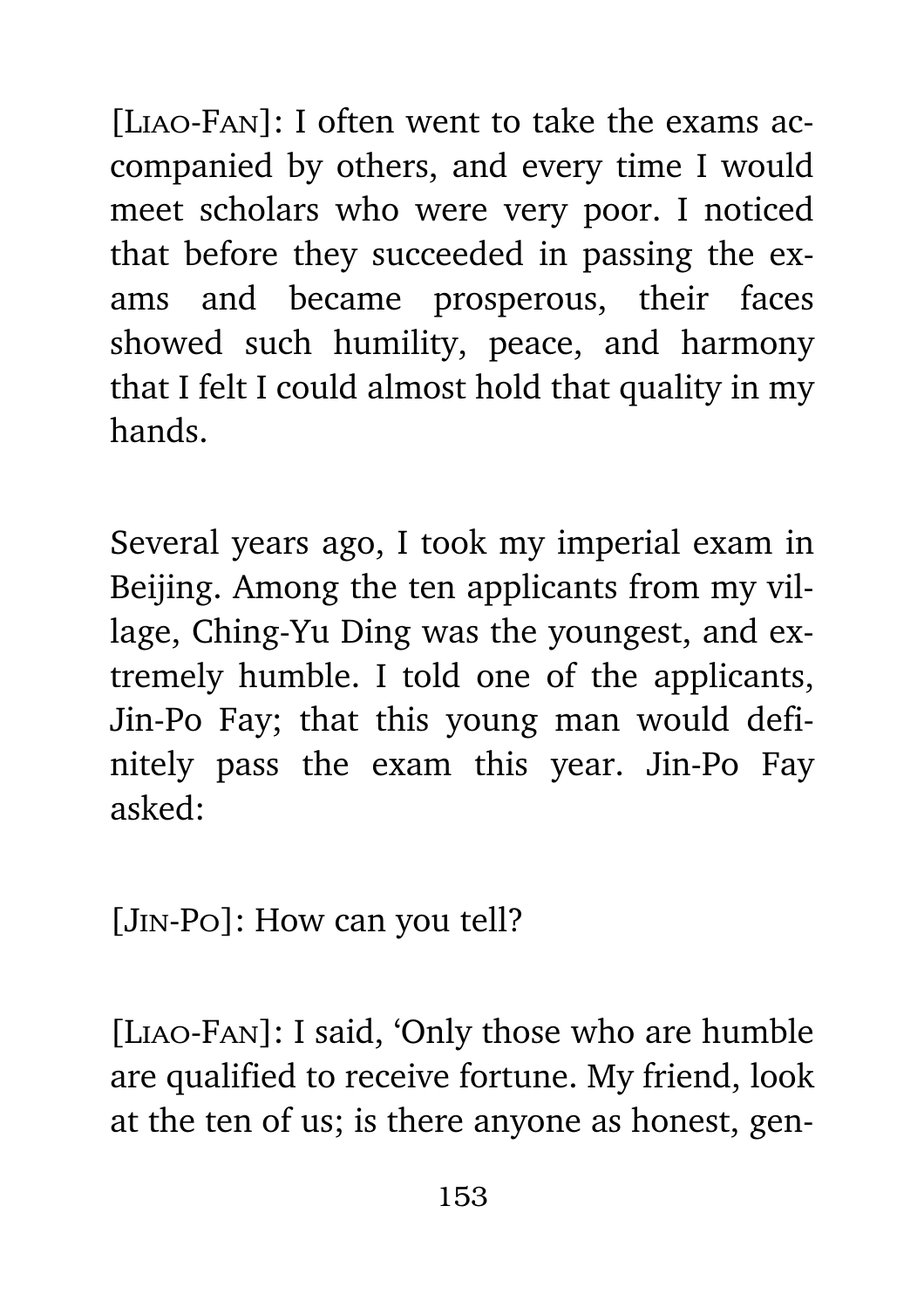[LIAO-FAN]: I often went to take the exams accompanied by others, and every time I would meet scholars who were very poor. I noticed that before they succeeded in passing the exams and became prosperous, their faces showed such humility, peace, and harmony that I felt I could almost hold that quality in my hands.

Several years ago, I took my imperial exam in Beijing. Among the ten applicants from my village, Ching-Yu Ding was the youngest, and extremely humble. I told one of the applicants, Jin-Po Fay; that this young man would definitely pass the exam this year. Jin-Po Fay asked:

[Jin-Po]: How can you tell?

[Liao-Fan]: I said, 'Only those who are humble are qualified to receive fortune. My friend, look at the ten of us; is there anyone as honest, gen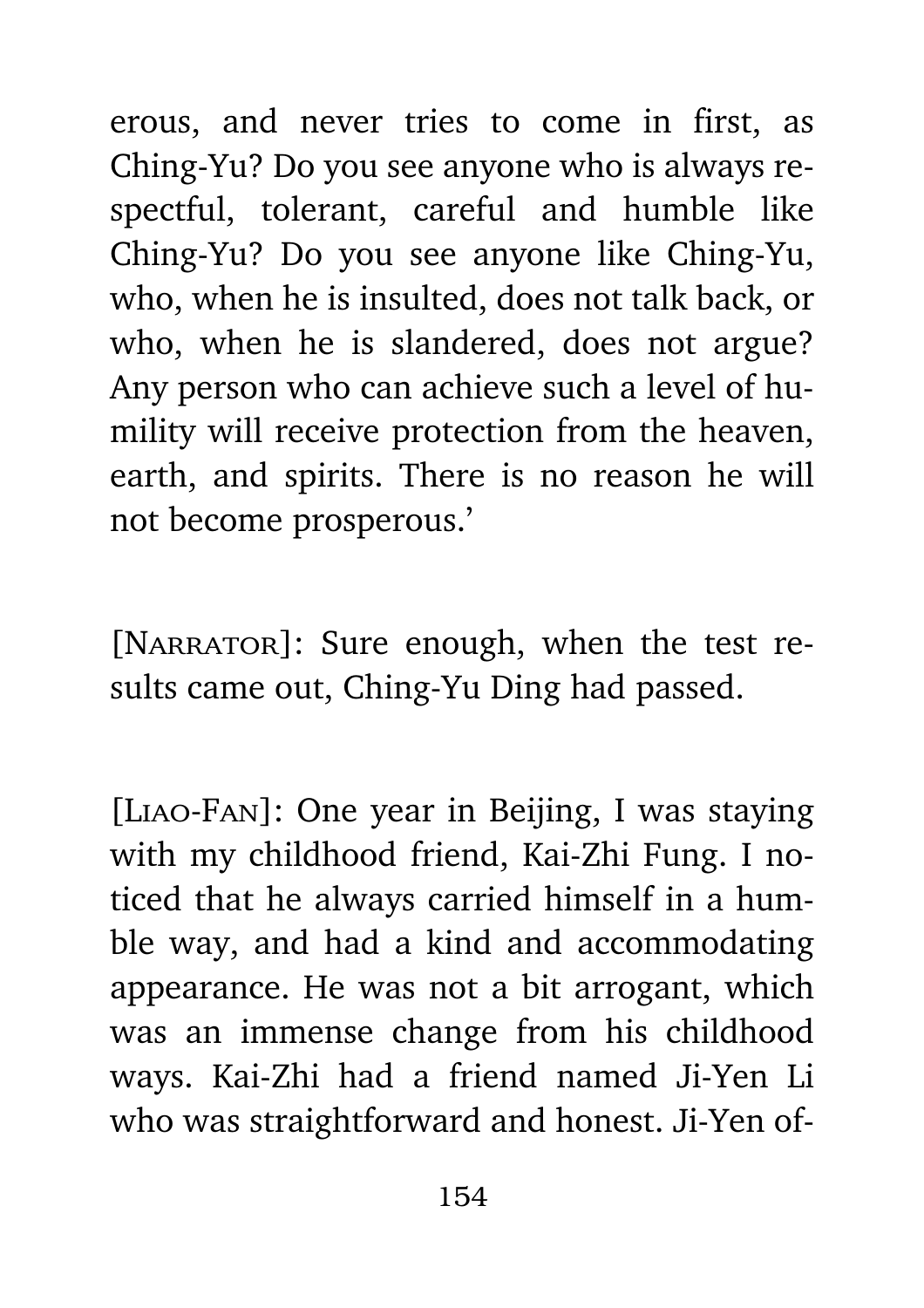erous, and never tries to come in first, as Ching-Yu? Do you see anyone who is always respectful, tolerant, careful and humble like Ching-Yu? Do you see anyone like Ching-Yu, who, when he is insulted, does not talk back, or who, when he is slandered, does not argue? Any person who can achieve such a level of humility will receive protection from the heaven, earth, and spirits. There is no reason he will not become prosperous.'

[NARRATOR]: Sure enough, when the test results came out, Ching-Yu Ding had passed.

[Liao-Fan]: One year in Beijing, I was staying with my childhood friend, Kai-Zhi Fung. I noticed that he always carried himself in a humble way, and had a kind and accommodating appearance. He was not a bit arrogant, which was an immense change from his childhood ways. Kai-Zhi had a friend named Ji-Yen Li who was straightforward and honest. Ji-Yen of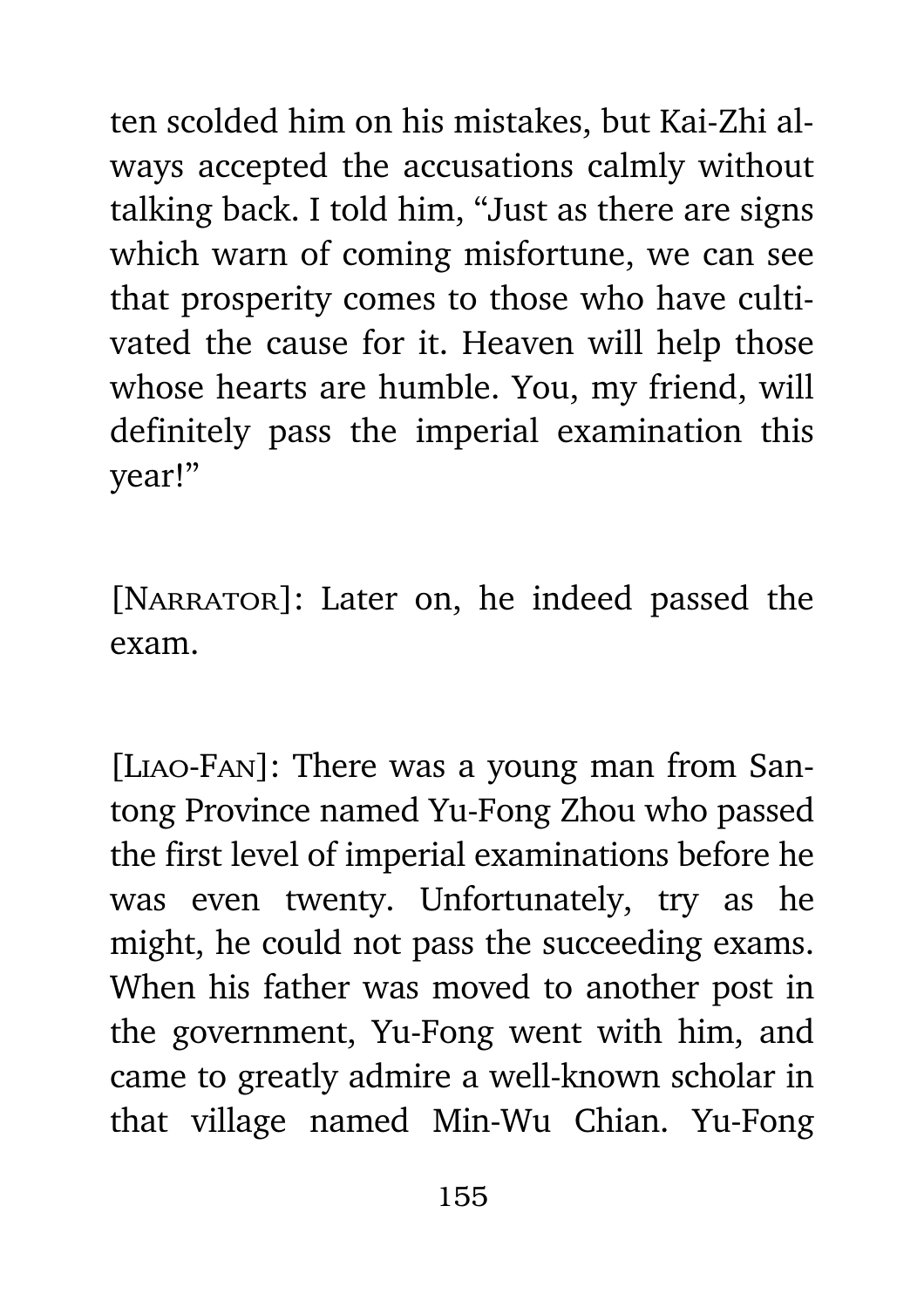ten scolded him on his mistakes, but Kai-Zhi always accepted the accusations calmly without talking back. I told him, "Just as there are signs which warn of coming misfortune, we can see that prosperity comes to those who have cultivated the cause for it. Heaven will help those whose hearts are humble. You, my friend, will definitely pass the imperial examination this year!"

[NARRATOR]: Later on, he indeed passed the exam.

[Liao-Fan]: There was a young man from Santong Province named Yu-Fong Zhou who passed the first level of imperial examinations before he was even twenty. Unfortunately, try as he might, he could not pass the succeeding exams. When his father was moved to another post in the government, Yu-Fong went with him, and came to greatly admire a well-known scholar in that village named Min-Wu Chian. Yu-Fong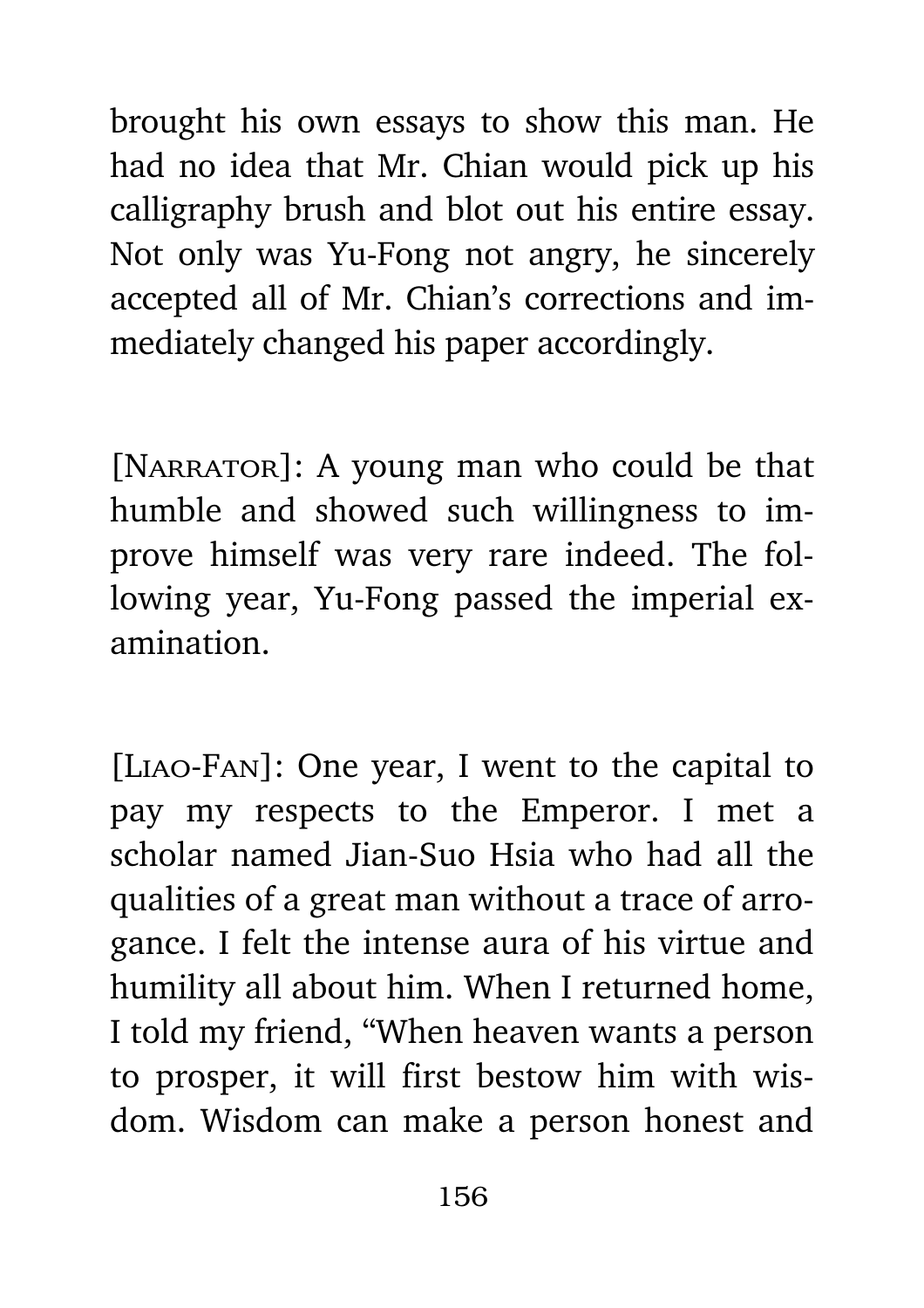brought his own essays to show this man. He had no idea that Mr. Chian would pick up his calligraphy brush and blot out his entire essay. Not only was Yu-Fong not angry, he sincerely accepted all of Mr. Chian's corrections and immediately changed his paper accordingly.

[NARRATOR]: A young man who could be that humble and showed such willingness to improve himself was very rare indeed. The following year, Yu-Fong passed the imperial examination.

[Liao-Fan]: One year, I went to the capital to pay my respects to the Emperor. I met a scholar named Jian-Suo Hsia who had all the qualities of a great man without a trace of arrogance. I felt the intense aura of his virtue and humility all about him. When I returned home, I told my friend, "When heaven wants a person to prosper, it will first bestow him with wisdom. Wisdom can make a person honest and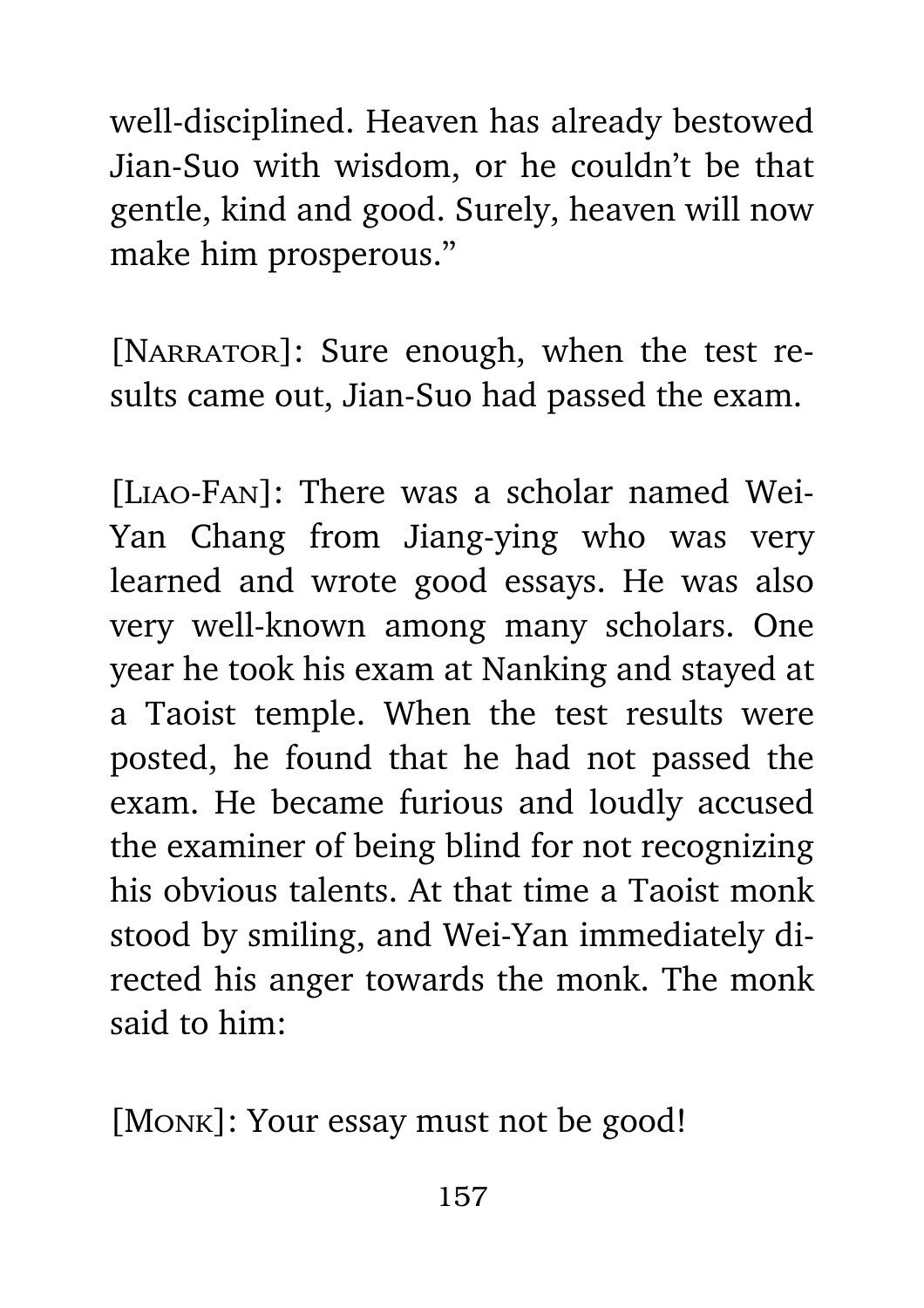well-disciplined. Heaven has already bestowed Jian-Suo with wisdom, or he couldn't be that gentle, kind and good. Surely, heaven will now make him prosperous."

[NARRATOR]: Sure enough, when the test results came out, Jian-Suo had passed the exam.

[Liao-Fan]: There was a scholar named Wei-Yan Chang from Jiang-ying who was very learned and wrote good essays. He was also very well-known among many scholars. One year he took his exam at Nanking and stayed at a Taoist temple. When the test results were posted, he found that he had not passed the exam. He became furious and loudly accused the examiner of being blind for not recognizing his obvious talents. At that time a Taoist monk stood by smiling, and Wei-Yan immediately directed his anger towards the monk. The monk said to him:

[Monk]: Your essay must not be good!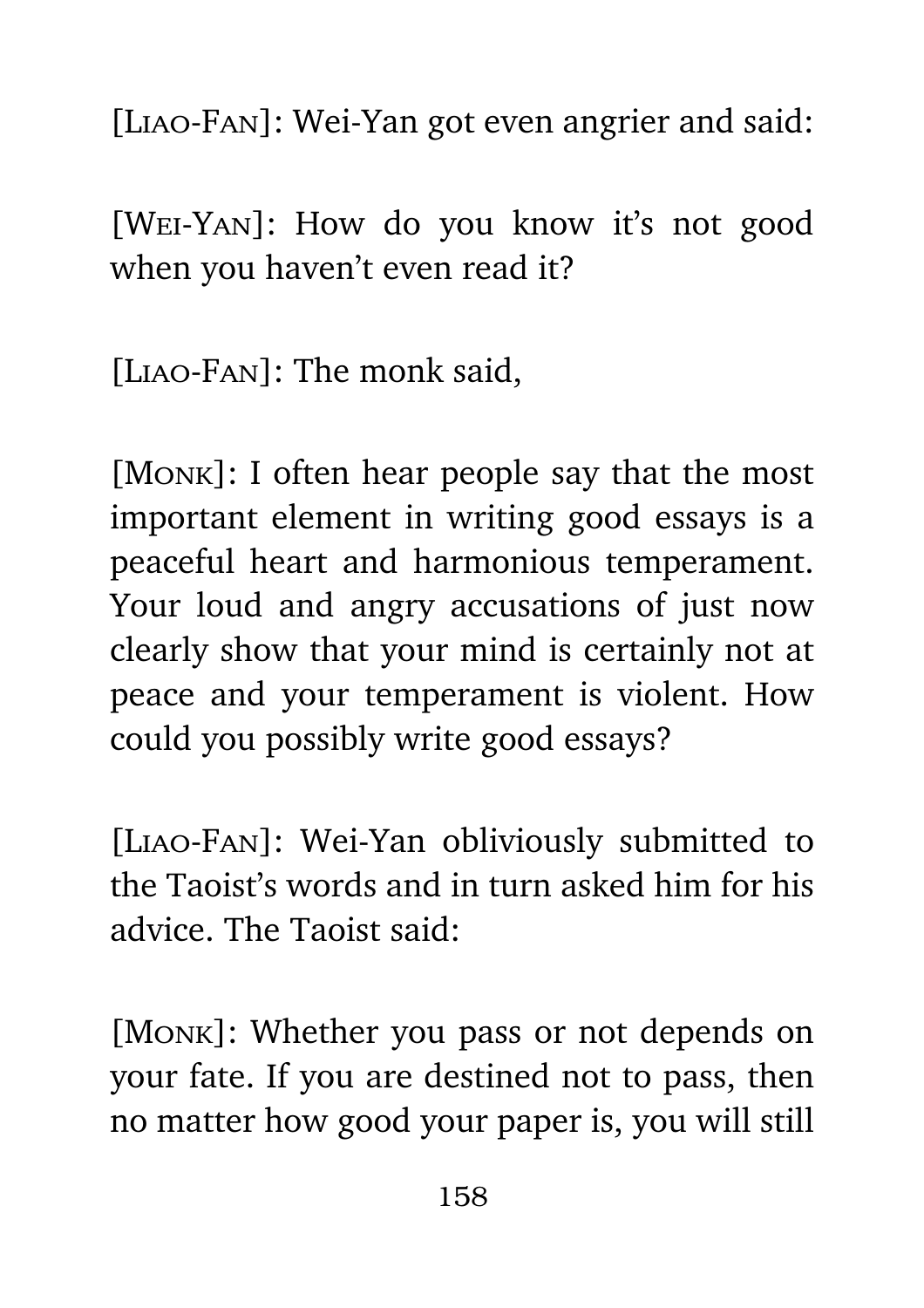[Liao-Fan]: Wei-Yan got even angrier and said:

[Wei-Yan]: How do you know it's not good when you haven't even read it?

[Liao-Fan]: The monk said,

[Monk]: I often hear people say that the most important element in writing good essays is a peaceful heart and harmonious temperament. Your loud and angry accusations of just now clearly show that your mind is certainly not at peace and your temperament is violent. How could you possibly write good essays?

[Liao-Fan]: Wei-Yan obliviously submitted to the Taoist's words and in turn asked him for his advice. The Taoist said:

[Monk]: Whether you pass or not depends on your fate. If you are destined not to pass, then no matter how good your paper is, you will still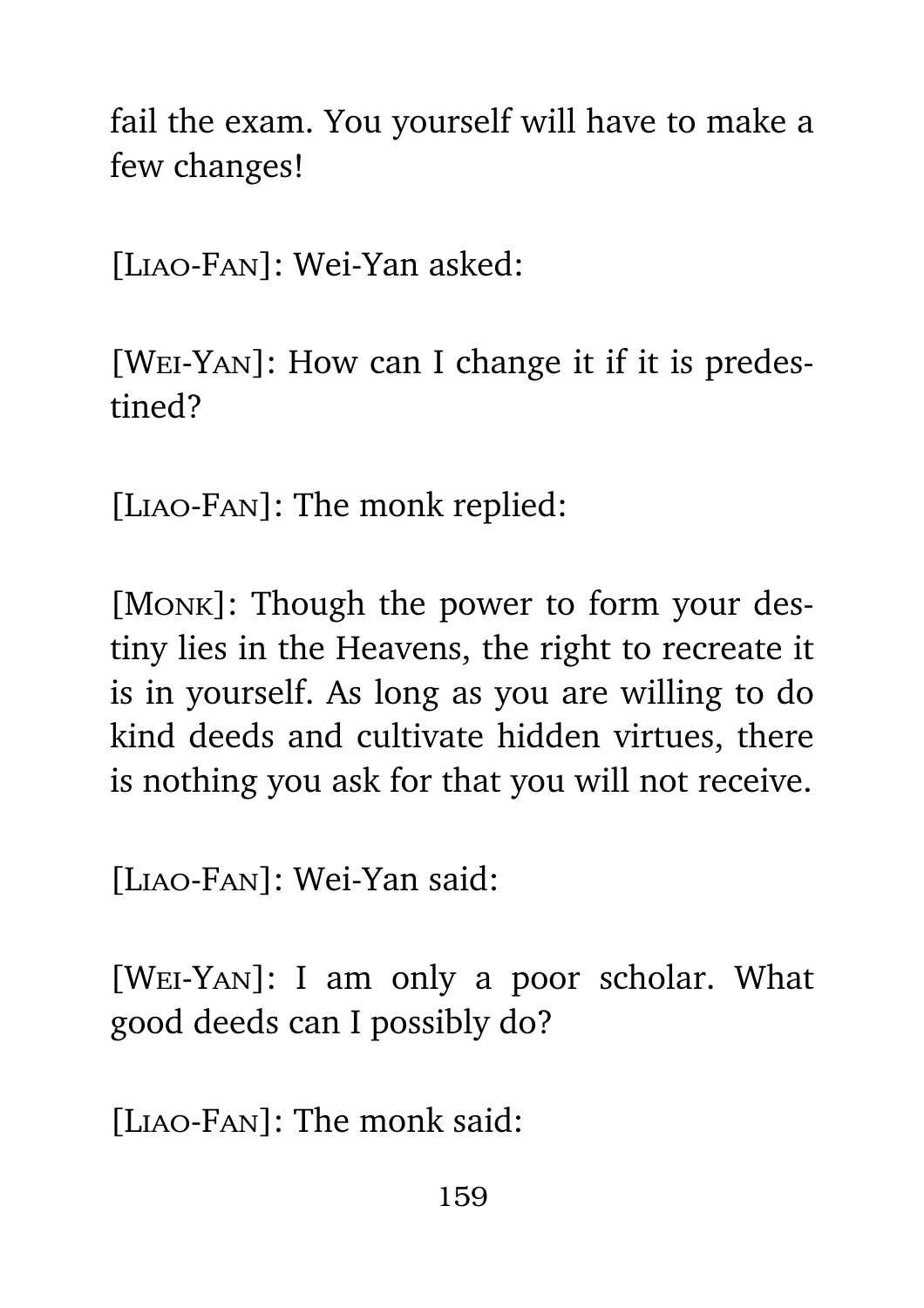fail the exam. You yourself will have to make a few changes!

[Liao-Fan]: Wei-Yan asked:

[Wei-Yan]: How can I change it if it is predestined?

[Liao-Fan]: The monk replied:

[Monk]: Though the power to form your destiny lies in the Heavens, the right to recreate it is in yourself. As long as you are willing to do kind deeds and cultivate hidden virtues, there is nothing you ask for that you will not receive.

[Liao-Fan]: Wei-Yan said:

[Wei-Yan]: I am only a poor scholar. What good deeds can I possibly do?

[LIAO-FAN]: The monk said: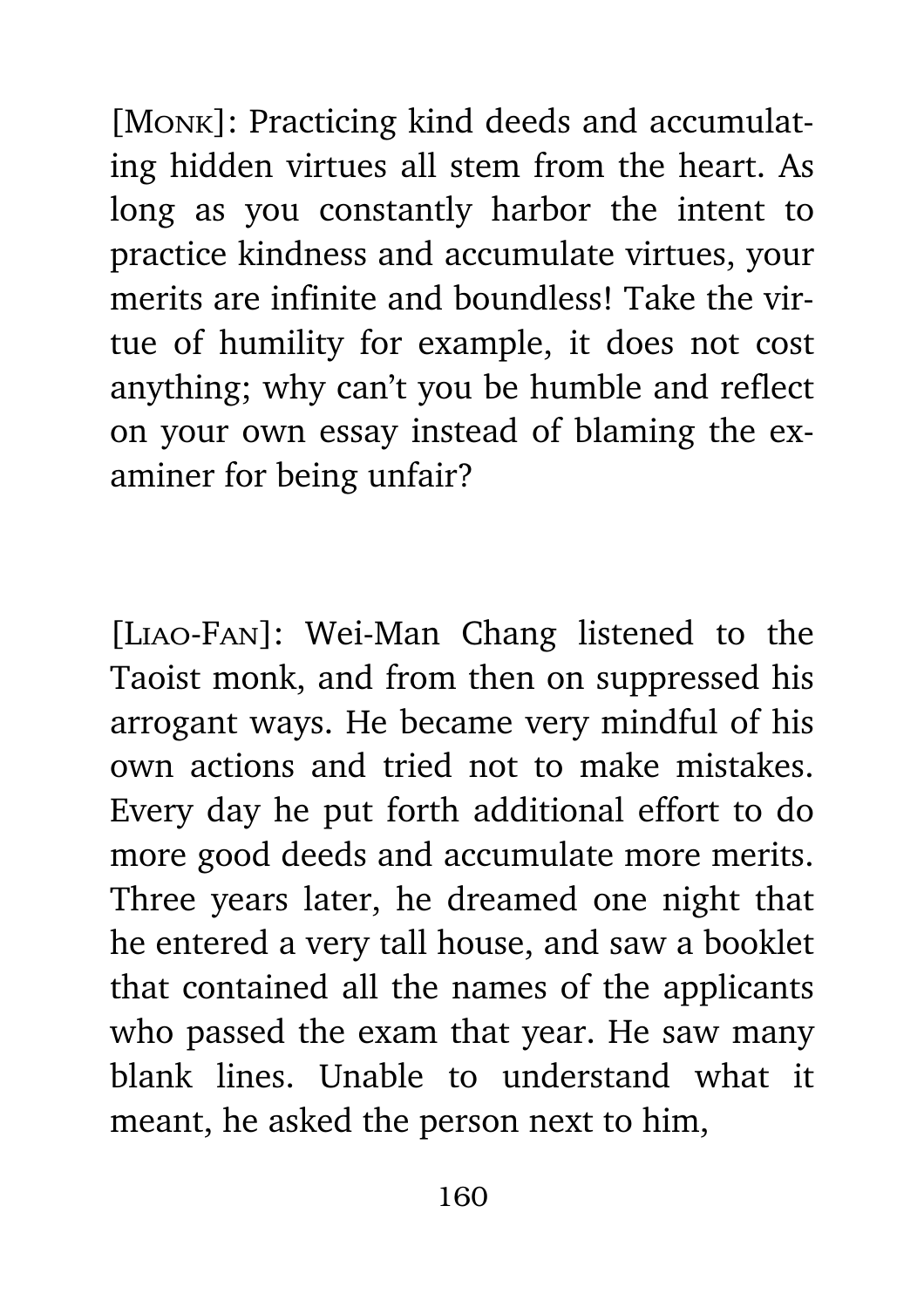[Monk]: Practicing kind deeds and accumulating hidden virtues all stem from the heart. As long as you constantly harbor the intent to practice kindness and accumulate virtues, your merits are infinite and boundless! Take the virtue of humility for example, it does not cost anything; why can't you be humble and reflect on your own essay instead of blaming the examiner for being unfair?

[Liao-Fan]: Wei-Man Chang listened to the Taoist monk, and from then on suppressed his arrogant ways. He became very mindful of his own actions and tried not to make mistakes. Every day he put forth additional effort to do more good deeds and accumulate more merits. Three years later, he dreamed one night that he entered a very tall house, and saw a booklet that contained all the names of the applicants who passed the exam that year. He saw many blank lines. Unable to understand what it meant, he asked the person next to him,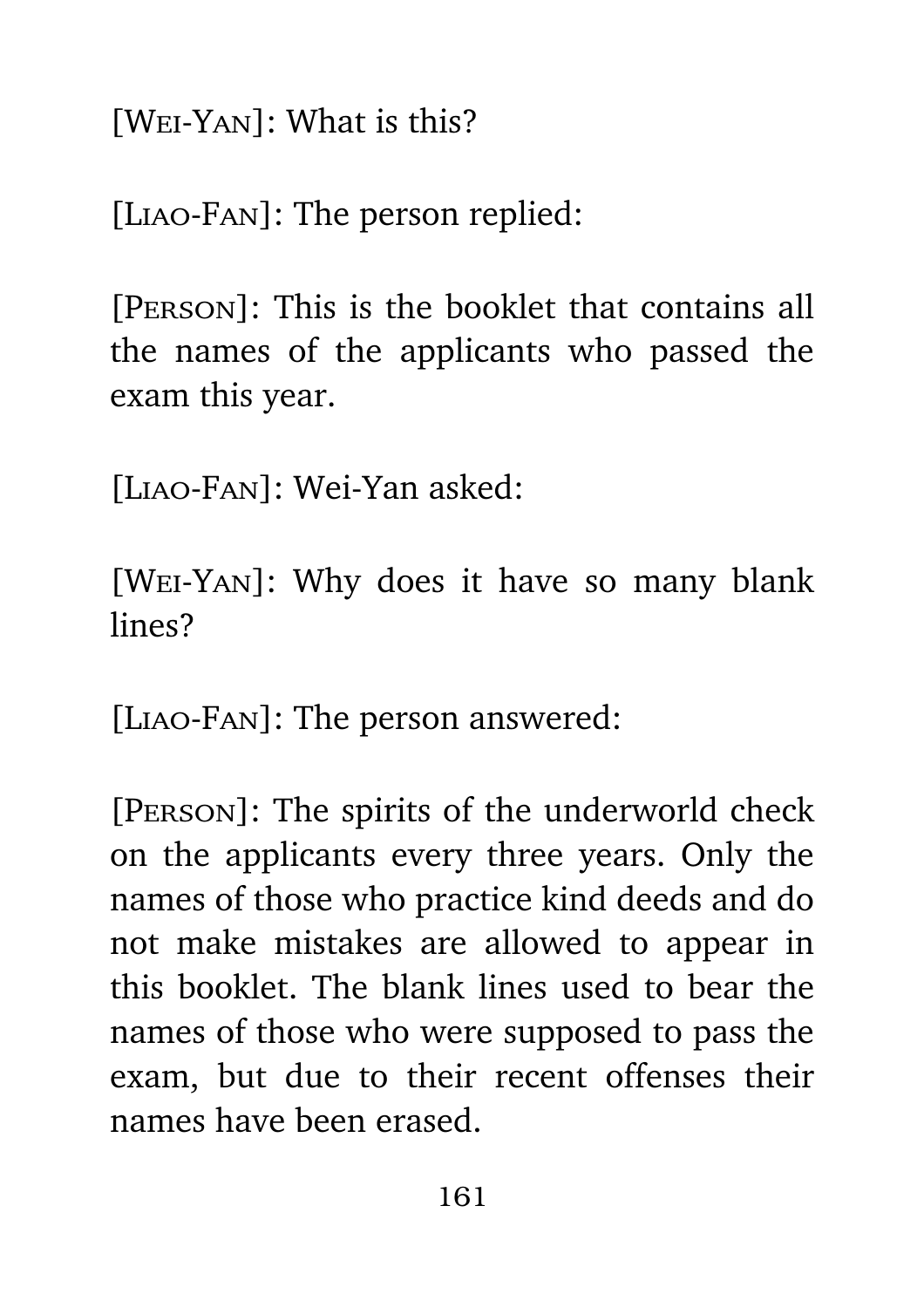[Wei-Yan]: What is this?

[Liao-Fan]: The person replied:

[Person]: This is the booklet that contains all the names of the applicants who passed the exam this year.

[Liao-Fan]: Wei-Yan asked:

[Wei-Yan]: Why does it have so many blank lines?

[Liao-Fan]: The person answered:

[Person]: The spirits of the underworld check on the applicants every three years. Only the names of those who practice kind deeds and do not make mistakes are allowed to appear in this booklet. The blank lines used to bear the names of those who were supposed to pass the exam, but due to their recent offenses their names have been erased.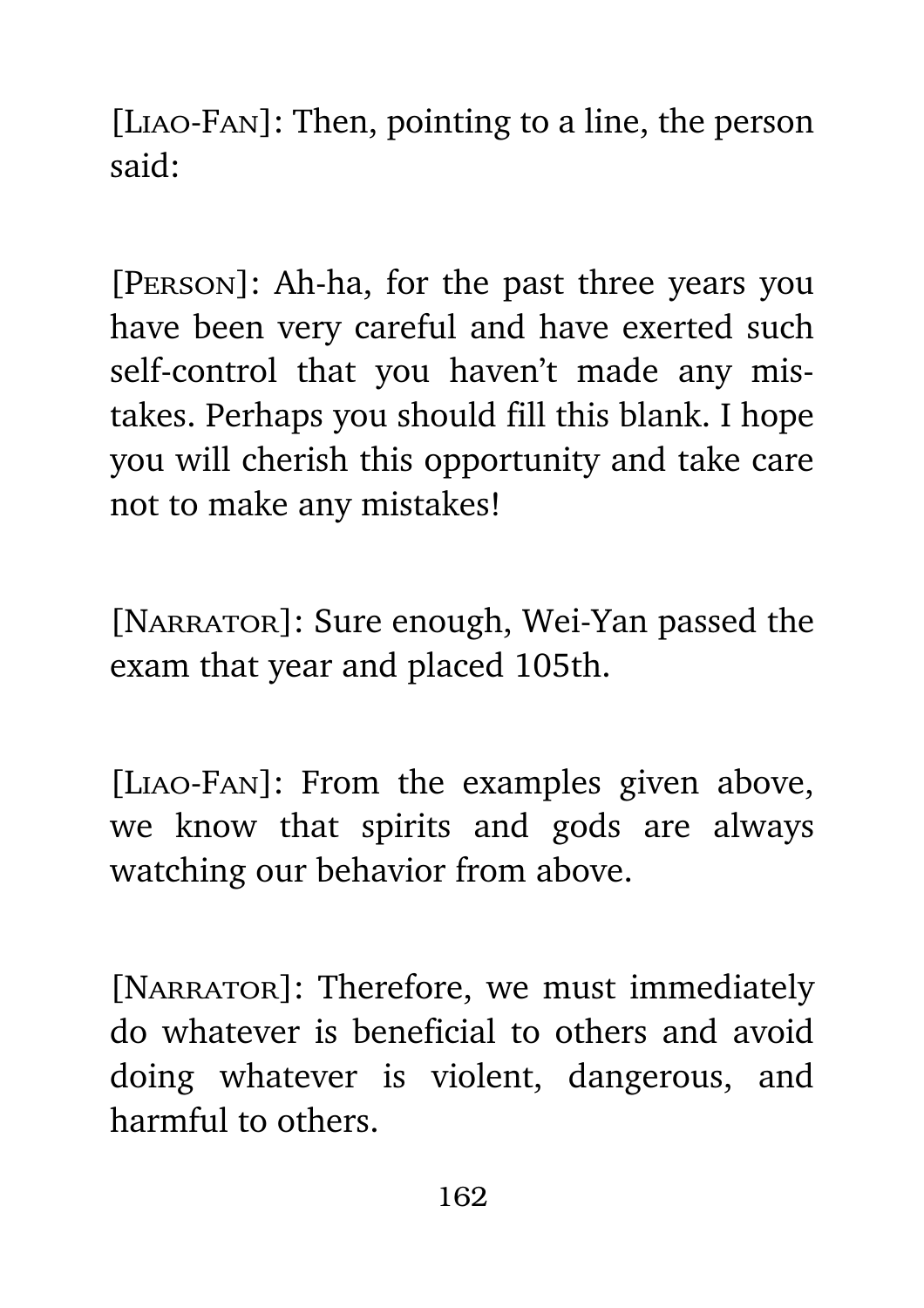[Liao-Fan]: Then, pointing to a line, the person said:

[Person]: Ah-ha, for the past three years you have been very careful and have exerted such self-control that you haven't made any mistakes. Perhaps you should fill this blank. I hope you will cherish this opportunity and take care not to make any mistakes!

[NARRATOR]: Sure enough, Wei-Yan passed the exam that year and placed 105th.

[Liao-Fan]: From the examples given above, we know that spirits and gods are always watching our behavior from above.

[NARRATOR]: Therefore, we must immediately do whatever is beneficial to others and avoid doing whatever is violent, dangerous, and harmful to others.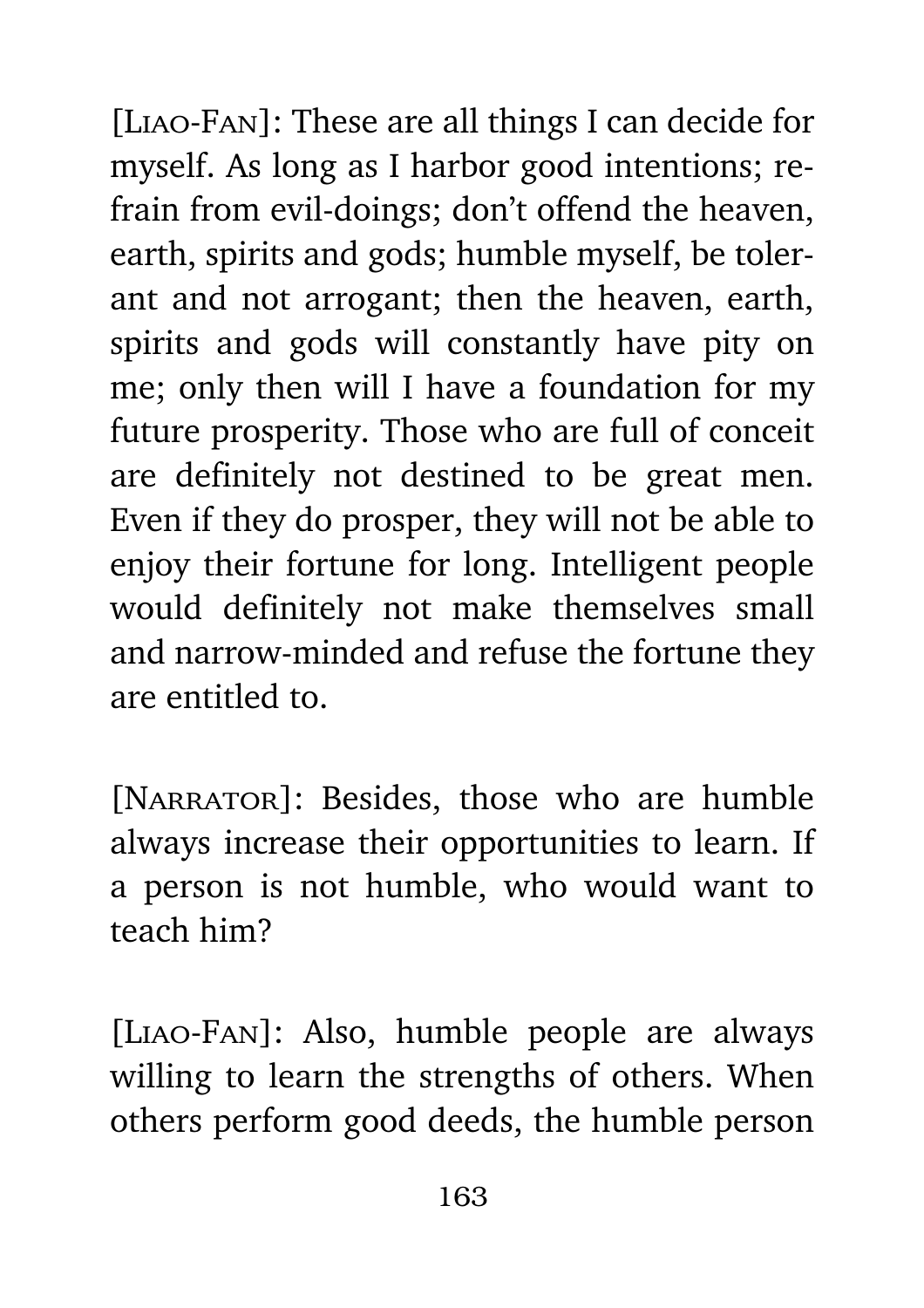[Liao-Fan]: These are all things I can decide for myself. As long as I harbor good intentions; refrain from evil-doings; don't offend the heaven, earth, spirits and gods; humble myself, be tolerant and not arrogant; then the heaven, earth, spirits and gods will constantly have pity on me; only then will I have a foundation for my future prosperity. Those who are full of conceit are definitely not destined to be great men. Even if they do prosper, they will not be able to enjoy their fortune for long. Intelligent people would definitely not make themselves small and narrow-minded and refuse the fortune they are entitled to.

[NARRATOR]: Besides, those who are humble always increase their opportunities to learn. If a person is not humble, who would want to teach him?

[Liao-Fan]: Also, humble people are always willing to learn the strengths of others. When others perform good deeds, the humble person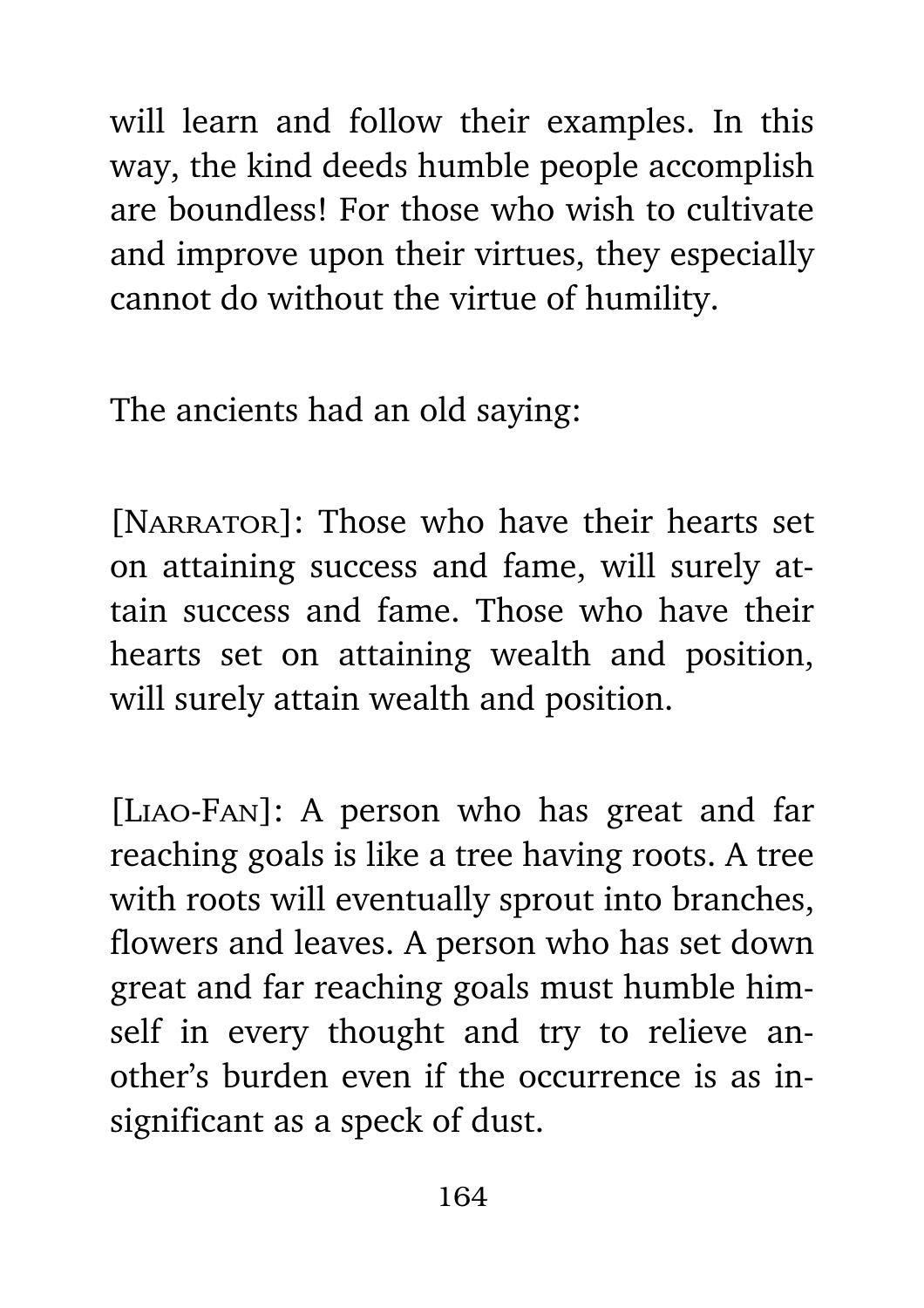will learn and follow their examples. In this way, the kind deeds humble people accomplish are boundless! For those who wish to cultivate and improve upon their virtues, they especially cannot do without the virtue of humility.

The ancients had an old saying:

[NARRATOR]: Those who have their hearts set on attaining success and fame, will surely attain success and fame. Those who have their hearts set on attaining wealth and position, will surely attain wealth and position.

[Liao-Fan]: A person who has great and far reaching goals is like a tree having roots. A tree with roots will eventually sprout into branches, flowers and leaves. A person who has set down great and far reaching goals must humble himself in every thought and try to relieve another's burden even if the occurrence is as insignificant as a speck of dust.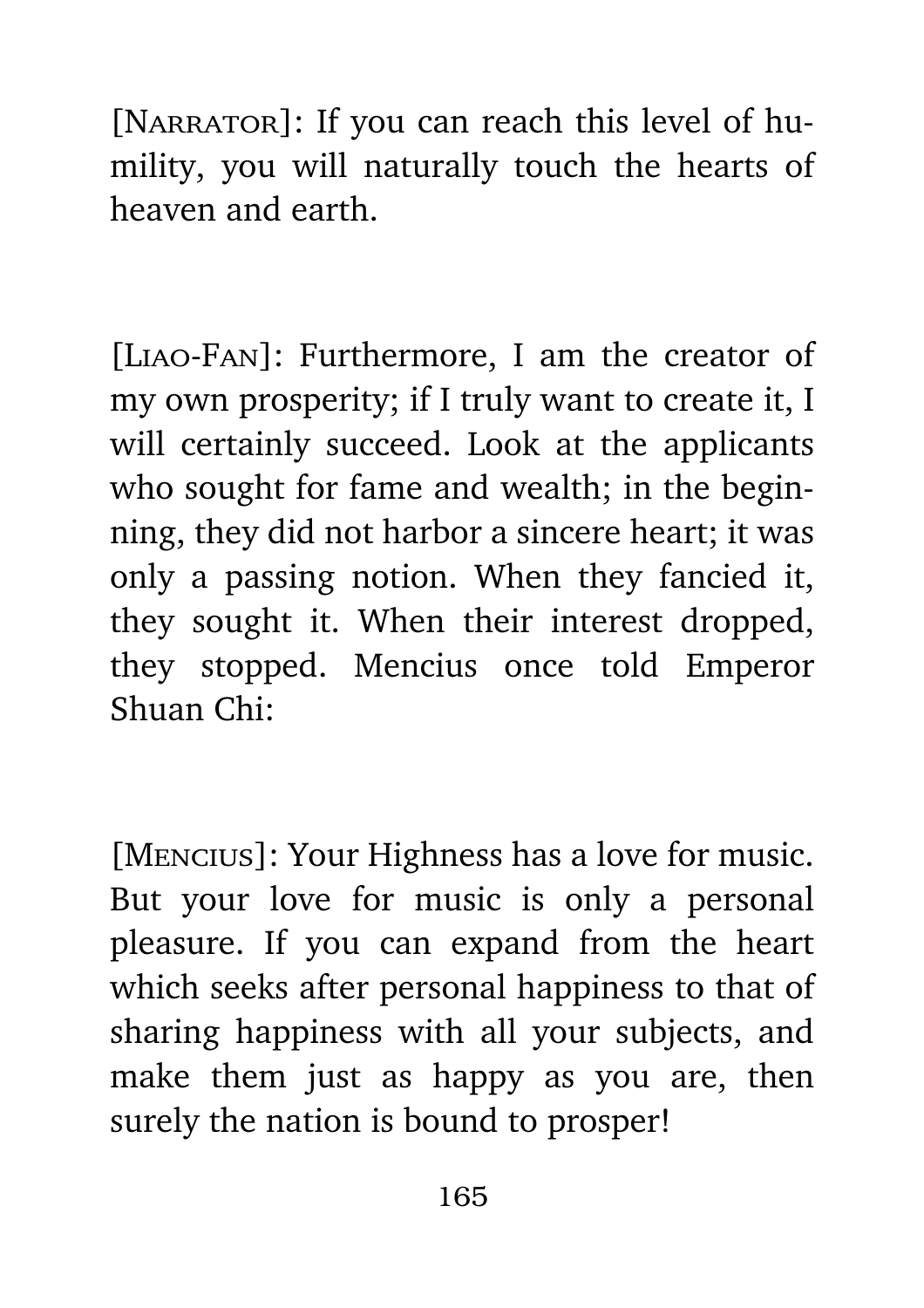[NARRATOR]: If you can reach this level of humility, you will naturally touch the hearts of heaven and earth.

[Liao-Fan]: Furthermore, I am the creator of my own prosperity; if I truly want to create it, I will certainly succeed. Look at the applicants who sought for fame and wealth; in the beginning, they did not harbor a sincere heart; it was only a passing notion. When they fancied it, they sought it. When their interest dropped, they stopped. Mencius once told Emperor Shuan Chi:

[Mencius]: Your Highness has a love for music. But your love for music is only a personal pleasure. If you can expand from the heart which seeks after personal happiness to that of sharing happiness with all your subjects, and make them just as happy as you are, then surely the nation is bound to prosper!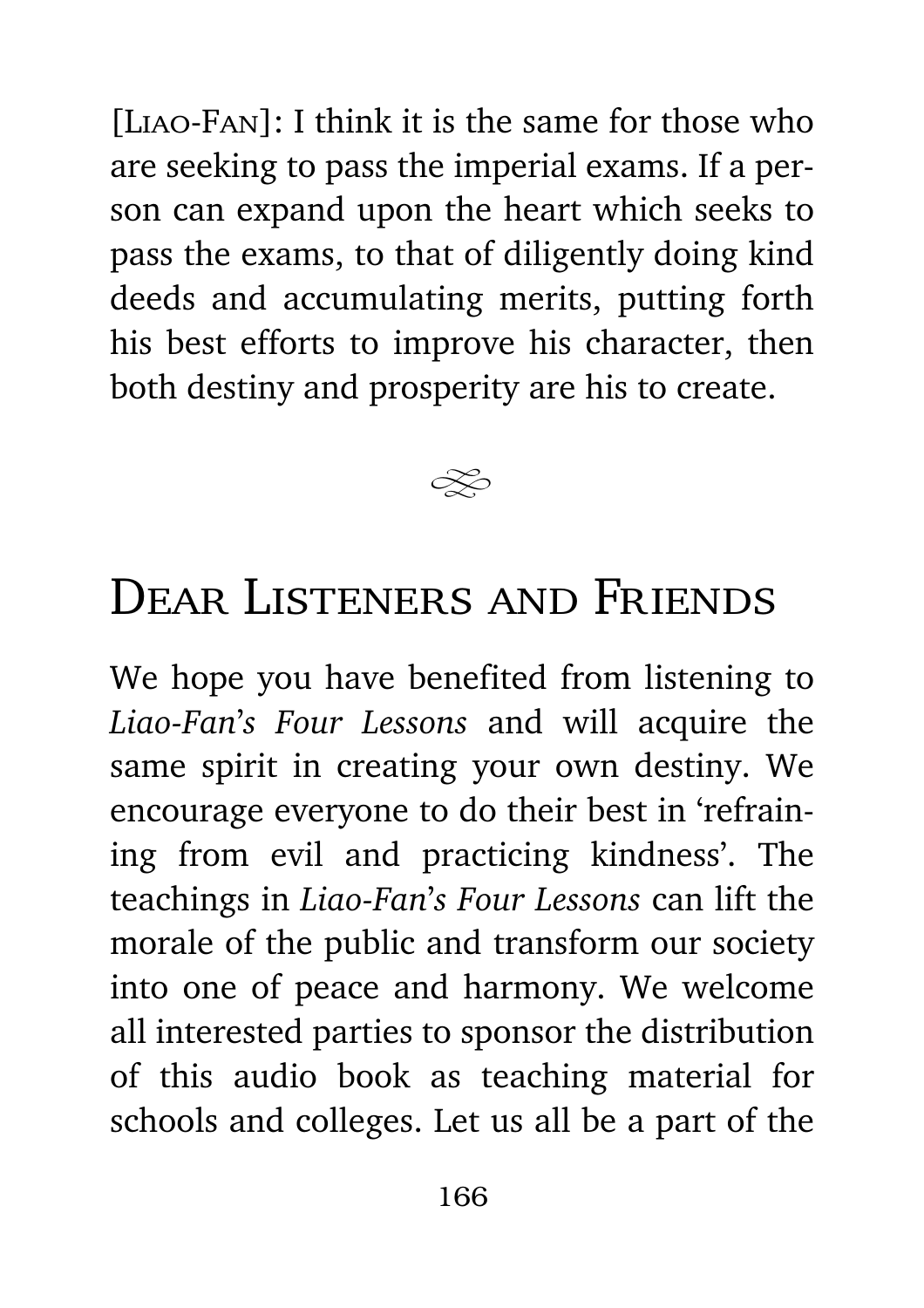[LIAO-FAN]: I think it is the same for those who are seeking to pass the imperial exams. If a person can expand upon the heart which seeks to pass the exams, to that of diligently doing kind deeds and accumulating merits, putting forth his best efforts to improve his character, then both destiny and prosperity are his to create.



## DEAR LISTENERS AND FRIENDS

We hope you have benefited from listening to *Liao-Fan*'*s Four Lessons* and will acquire the same spirit in creating your own destiny. We encourage everyone to do their best in 'refraining from evil and practicing kindness'. The teachings in *Liao-Fan*'*s Four Lessons* can lift the morale of the public and transform our society into one of peace and harmony. We welcome all interested parties to sponsor the distribution of this audio book as teaching material for schools and colleges. Let us all be a part of the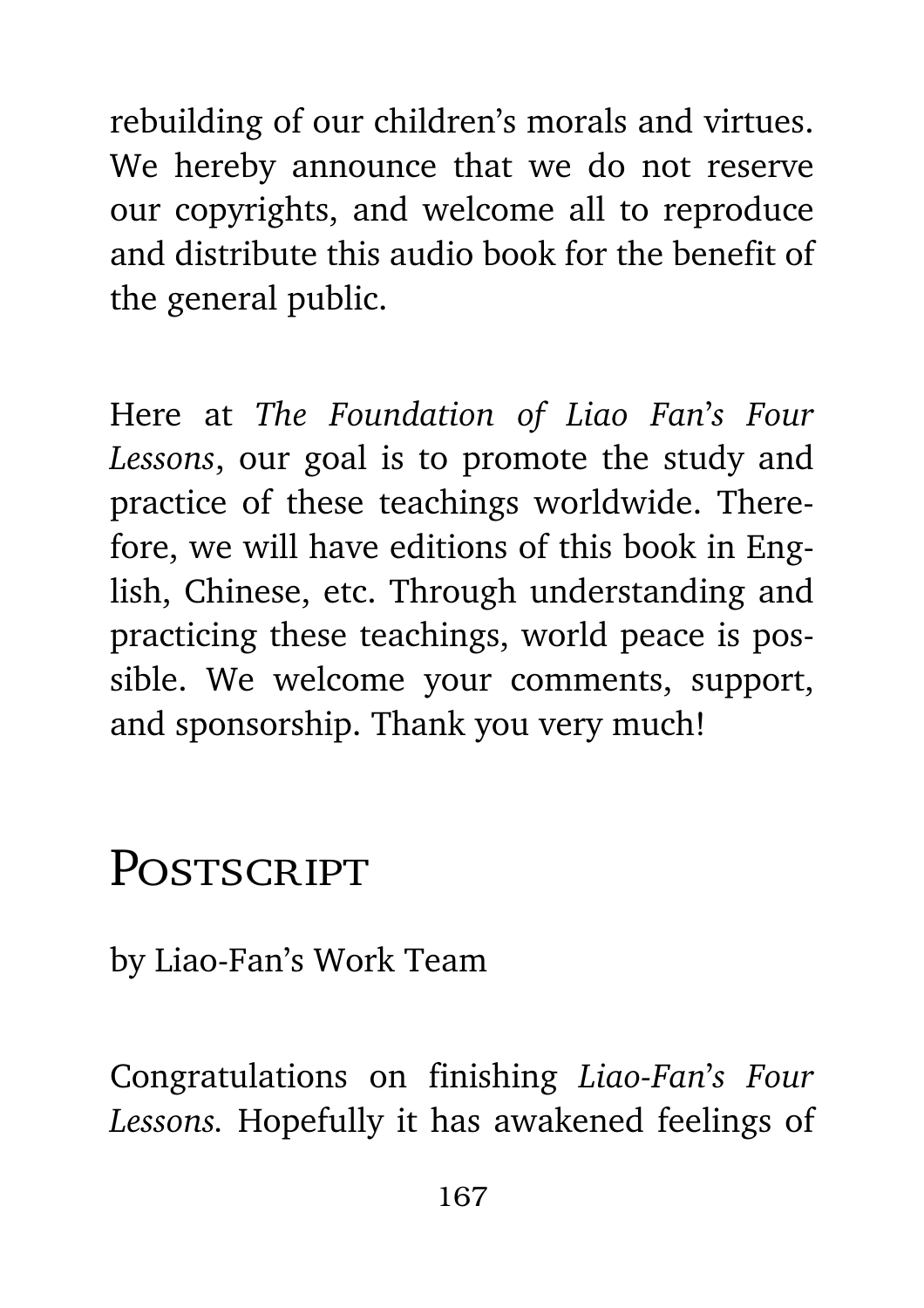rebuilding of our children's morals and virtues. We hereby announce that we do not reserve our copyrights, and welcome all to reproduce and distribute this audio book for the benefit of the general public.

Here at *The Foundation of Liao Fan*'*s Four Lessons*, our goal is to promote the study and practice of these teachings worldwide. Therefore, we will have editions of this book in English, Chinese, etc. Through understanding and practicing these teachings, world peace is possible. We welcome your comments, support, and sponsorship. Thank you very much!

## POSTSCRIPT

by Liao-Fan's Work Team

Congratulations on finishing *Liao-Fan*'*s Four Lessons.* Hopefully it has awakened feelings of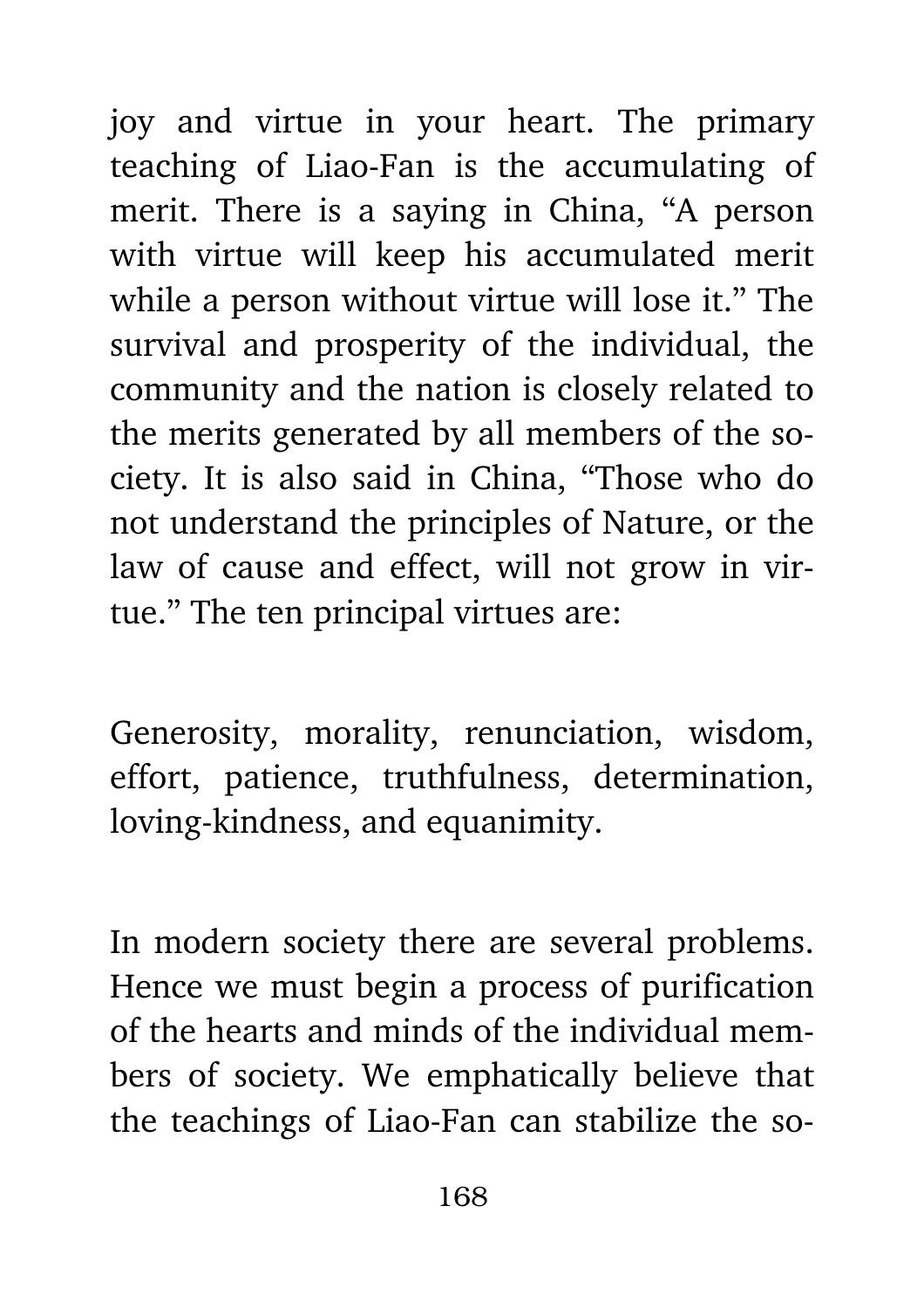joy and virtue in your heart. The primary teaching of Liao-Fan is the accumulating of merit. There is a saying in China, "A person with virtue will keep his accumulated merit while a person without virtue will lose it." The survival and prosperity of the individual, the community and the nation is closely related to the merits generated by all members of the society. It is also said in China, "Those who do not understand the principles of Nature, or the law of cause and effect, will not grow in virtue." The ten principal virtues are:

Generosity, morality, renunciation, wisdom, effort, patience, truthfulness, determination, loving-kindness, and equanimity.

In modern society there are several problems. Hence we must begin a process of purification of the hearts and minds of the individual members of society. We emphatically believe that the teachings of Liao-Fan can stabilize the so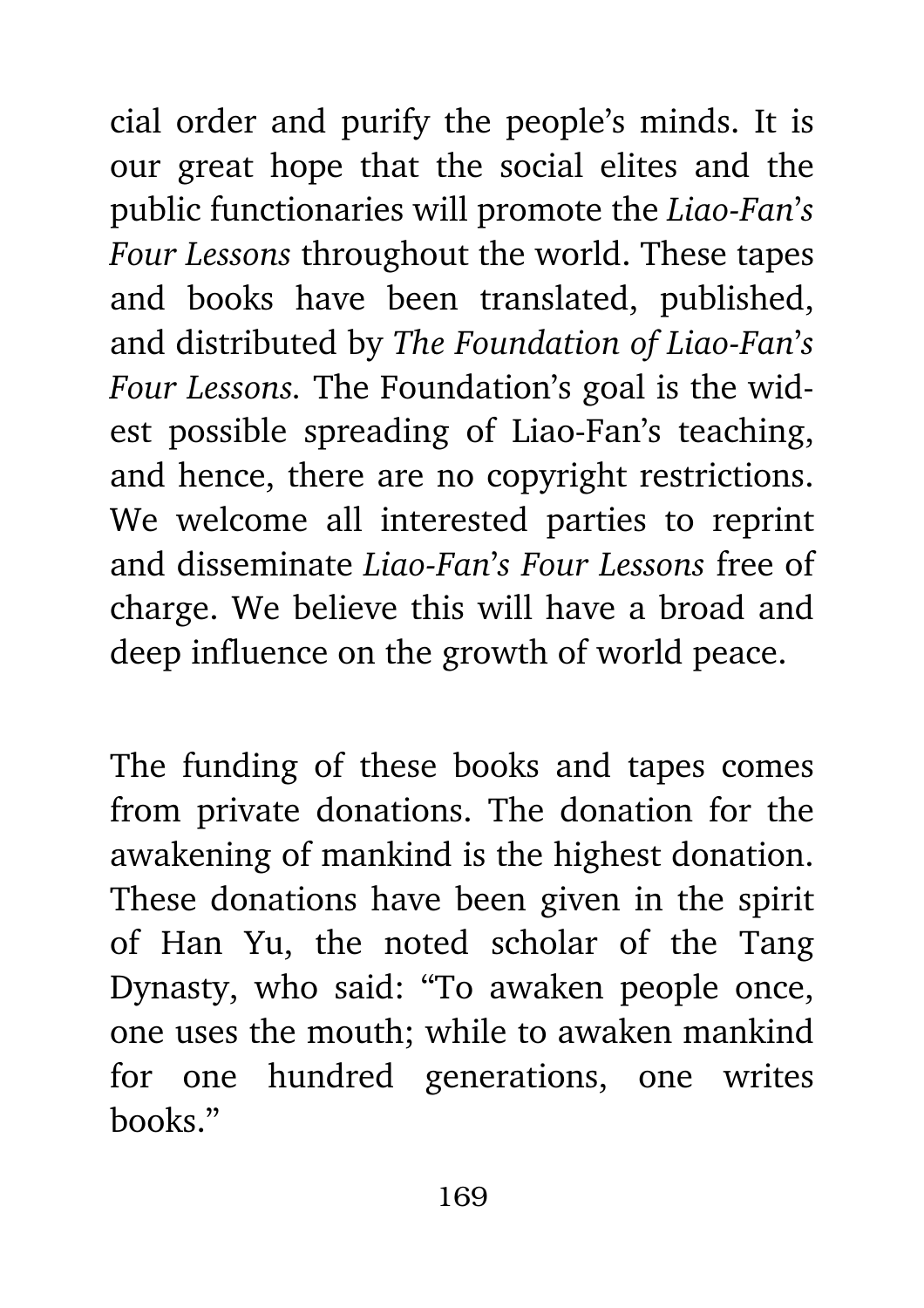cial order and purify the people's minds. It is our great hope that the social elites and the public functionaries will promote the *Liao-Fan*'*s Four Lessons* throughout the world. These tapes and books have been translated, published, and distributed by *The Foundation of Liao-Fan*'*s Four Lessons.* The Foundation's goal is the widest possible spreading of Liao-Fan's teaching, and hence, there are no copyright restrictions. We welcome all interested parties to reprint and disseminate *Liao-Fan*'*s Four Lessons* free of charge. We believe this will have a broad and deep influence on the growth of world peace.

The funding of these books and tapes comes from private donations. The donation for the awakening of mankind is the highest donation. These donations have been given in the spirit of Han Yu, the noted scholar of the Tang Dynasty, who said: "To awaken people once, one uses the mouth; while to awaken mankind for one hundred generations, one writes books."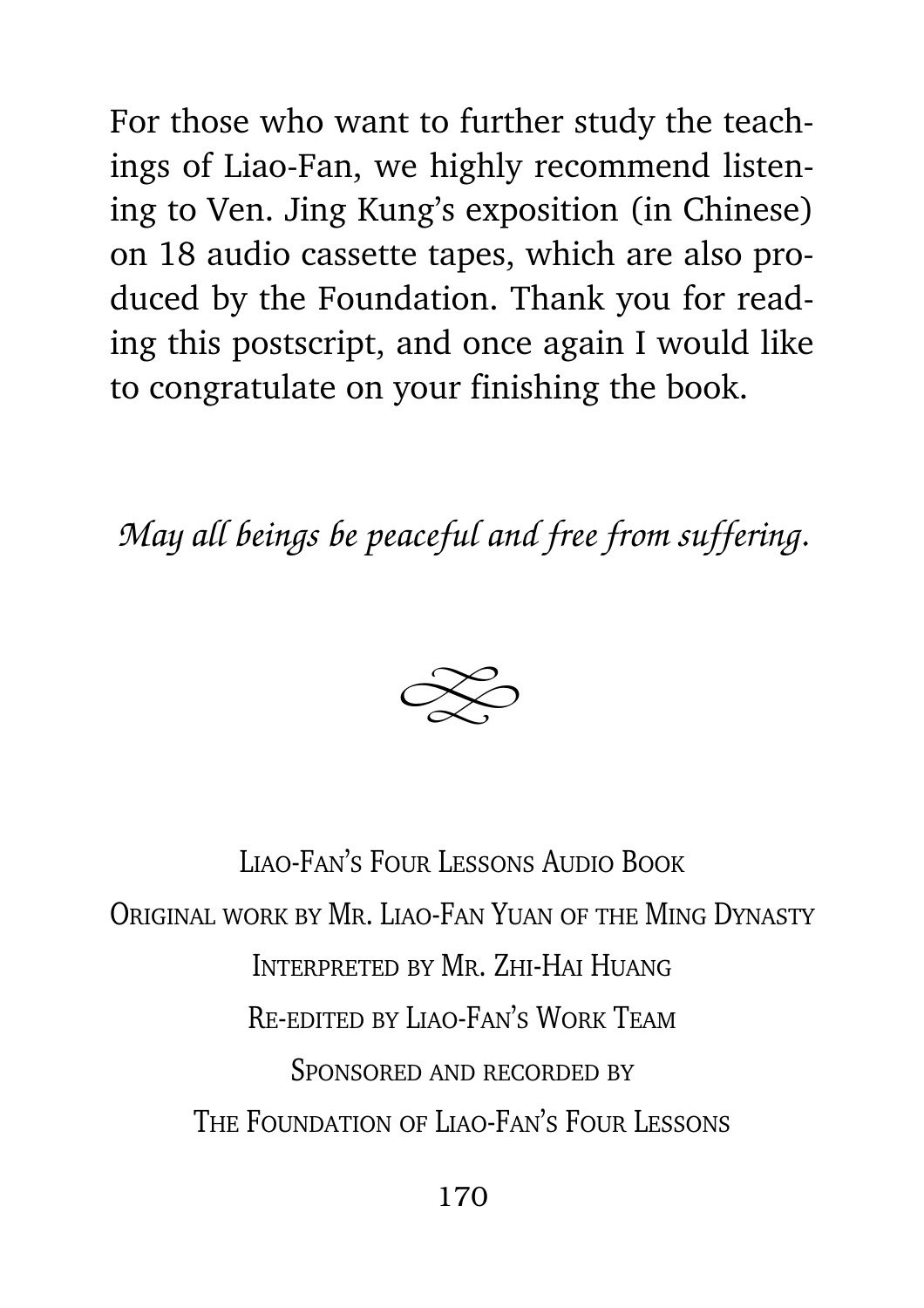For those who want to further study the teachings of Liao-Fan, we highly recommend listening to Ven. Jing Kung's exposition (in Chinese) on 18 audio cassette tapes, which are also produced by the Foundation. Thank you for reading this postscript, and once again I would like to congratulate on your finishing the book.

*May all beings be peaceful and free from suffering.*



Liao-Fan's Four Lessons Audio BookOriginal work by Mr. Liao-Fan Yuan of the Ming Dynasty Interpreted by Mr. Zhi-Hai HuangRe-edited by Liao-Fan's Work TeamSponsored and recorded byThe Foundation of Liao-Fan's Four Lessons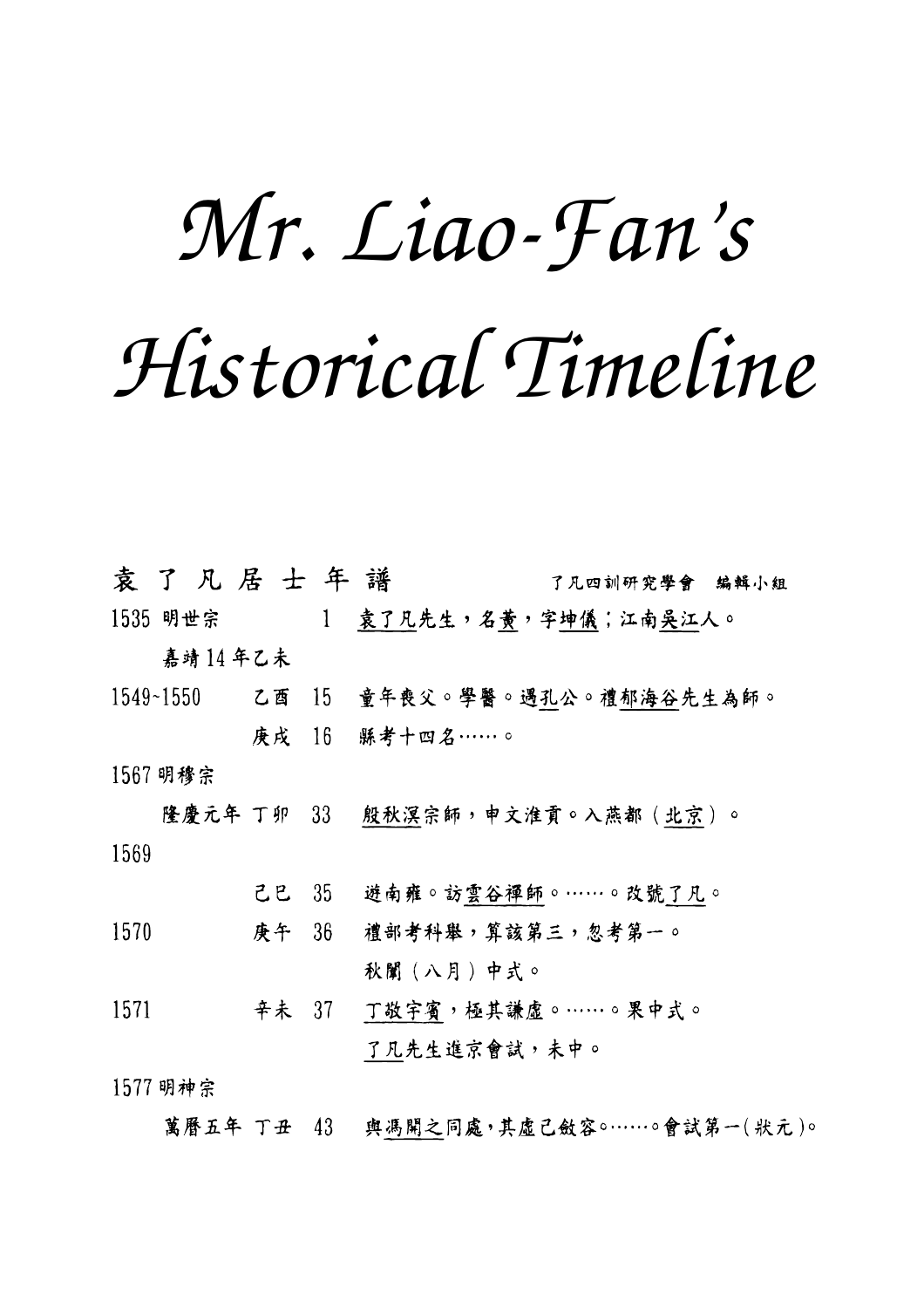## *Mr. Liao-Fan's Historical Timeline*

袁了凡居士年譜 了凡四訓研究學會 编輯小組 1 袁了凡先生,名黄,字坤儀;江南吳江人。 1535 明世宗 嘉靖14年乙未 1549~1550 乙酉 15 童年喪父。學醫。遇孔公。禮郁海谷先生為師。 庚戌 16 縣考十四名……。 1567 明穆宗 隆慶元年 丁卯 33 殷秋溟宗師,申文淮貢。入燕都(北京)。 1569 己巳 35 遊南雍。訪雲谷禪師。……。改號了凡。 庚午 36 禮部考科舉,算該第三,忽考第一。 1570 秋闈 (八月) 中式。 辛未 37 丁敬宇賓,極其謙虛。……。果中式。 1571 了凡先生進京會試,未中。

1577 明神宗

萬曆五年 丁丑 43 與馮開之同處,其虛己斂容。……。會試第一(狀元)。